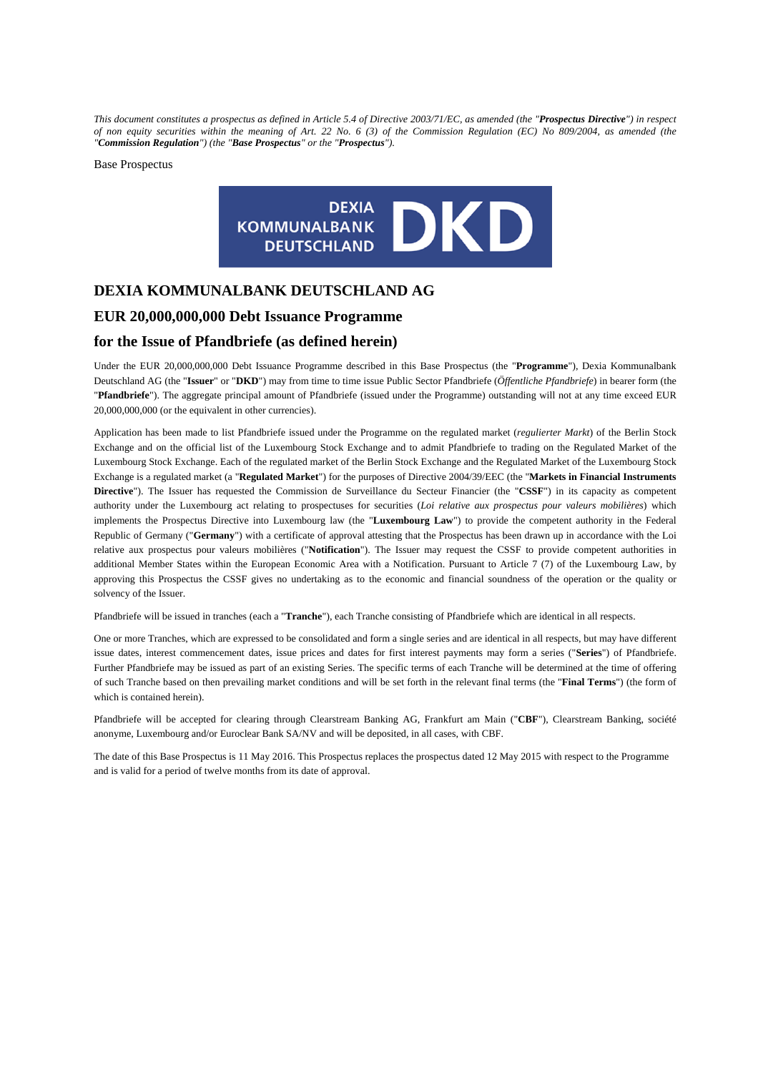*This document constitutes a prospectus as defined in Article 5.4 of Directive 2003/71/EC, as amended (the "Prospectus Directive") in respect of non equity securities within the meaning of Art. 22 No. 6 (3) of the Commission Regulation (EC) No 809/2004, as amended (the "Commission Regulation") (the "Base Prospectus" or the "Prospectus").* 

Base Prospectus



# **DEXIA KOMMUNALBANK DEUTSCHLAND AG**

# **EUR 20,000,000,000 Debt Issuance Programme**

# **for the Issue of Pfandbriefe (as defined herein)**

Under the EUR 20,000,000,000 Debt Issuance Programme described in this Base Prospectus (the "**Programme**"), Dexia Kommunalbank Deutschland AG (the "**Issuer**" or "**DKD**") may from time to time issue Public Sector Pfandbriefe (*Öffentliche Pfandbriefe*) in bearer form (the "**Pfandbriefe**"). The aggregate principal amount of Pfandbriefe (issued under the Programme) outstanding will not at any time exceed EUR 20,000,000,000 (or the equivalent in other currencies).

Application has been made to list Pfandbriefe issued under the Programme on the regulated market (*regulierter Markt*) of the Berlin Stock Exchange and on the official list of the Luxembourg Stock Exchange and to admit Pfandbriefe to trading on the Regulated Market of the Luxembourg Stock Exchange. Each of the regulated market of the Berlin Stock Exchange and the Regulated Market of the Luxembourg Stock Exchange is a regulated market (a "**Regulated Market**") for the purposes of Directive 2004/39/EEC (the "**Markets in Financial Instruments Directive**"). The Issuer has requested the Commission de Surveillance du Secteur Financier (the "**CSSF**") in its capacity as competent authority under the Luxembourg act relating to prospectuses for securities (*Loi relative aux prospectus pour valeurs mobilières*) which implements the Prospectus Directive into Luxembourg law (the "**Luxembourg Law**") to provide the competent authority in the Federal Republic of Germany ("**Germany**") with a certificate of approval attesting that the Prospectus has been drawn up in accordance with the Loi relative aux prospectus pour valeurs mobilières ("**Notification**"). The Issuer may request the CSSF to provide competent authorities in additional Member States within the European Economic Area with a Notification. Pursuant to Article 7 (7) of the Luxembourg Law, by approving this Prospectus the CSSF gives no undertaking as to the economic and financial soundness of the operation or the quality or solvency of the Issuer.

Pfandbriefe will be issued in tranches (each a "**Tranche**"), each Tranche consisting of Pfandbriefe which are identical in all respects.

One or more Tranches, which are expressed to be consolidated and form a single series and are identical in all respects, but may have different issue dates, interest commencement dates, issue prices and dates for first interest payments may form a series ("**Series**") of Pfandbriefe. Further Pfandbriefe may be issued as part of an existing Series. The specific terms of each Tranche will be determined at the time of offering of such Tranche based on then prevailing market conditions and will be set forth in the relevant final terms (the "**Final Terms**") (the form of which is contained herein).

Pfandbriefe will be accepted for clearing through Clearstream Banking AG, Frankfurt am Main ("**CBF**"), Clearstream Banking, société anonyme, Luxembourg and/or Euroclear Bank SA/NV and will be deposited, in all cases, with CBF.

The date of this Base Prospectus is 11 May 2016. This Prospectus replaces the prospectus dated 12 May 2015 with respect to the Programme and is valid for a period of twelve months from its date of approval.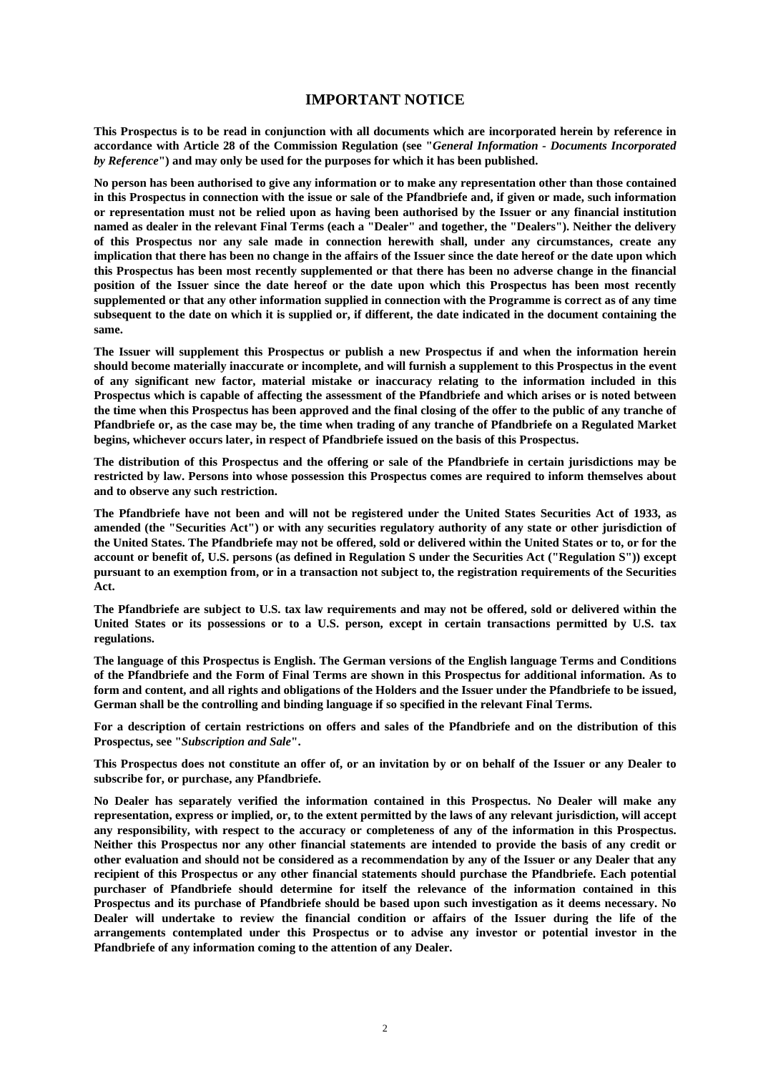# **IMPORTANT NOTICE**

**This Prospectus is to be read in conjunction with all documents which are incorporated herein by reference in accordance with Article 28 of the Commission Regulation (see "***General Information - Documents Incorporated by Reference***") and may only be used for the purposes for which it has been published.** 

**No person has been authorised to give any information or to make any representation other than those contained in this Prospectus in connection with the issue or sale of the Pfandbriefe and, if given or made, such information or representation must not be relied upon as having been authorised by the Issuer or any financial institution named as dealer in the relevant Final Terms (each a "Dealer" and together, the "Dealers"). Neither the delivery of this Prospectus nor any sale made in connection herewith shall, under any circumstances, create any implication that there has been no change in the affairs of the Issuer since the date hereof or the date upon which this Prospectus has been most recently supplemented or that there has been no adverse change in the financial position of the Issuer since the date hereof or the date upon which this Prospectus has been most recently supplemented or that any other information supplied in connection with the Programme is correct as of any time subsequent to the date on which it is supplied or, if different, the date indicated in the document containing the same.** 

**The Issuer will supplement this Prospectus or publish a new Prospectus if and when the information herein should become materially inaccurate or incomplete, and will furnish a supplement to this Prospectus in the event of any significant new factor, material mistake or inaccuracy relating to the information included in this Prospectus which is capable of affecting the assessment of the Pfandbriefe and which arises or is noted between the time when this Prospectus has been approved and the final closing of the offer to the public of any tranche of Pfandbriefe or, as the case may be, the time when trading of any tranche of Pfandbriefe on a Regulated Market begins, whichever occurs later, in respect of Pfandbriefe issued on the basis of this Prospectus.** 

**The distribution of this Prospectus and the offering or sale of the Pfandbriefe in certain jurisdictions may be restricted by law. Persons into whose possession this Prospectus comes are required to inform themselves about and to observe any such restriction.** 

**The Pfandbriefe have not been and will not be registered under the United States Securities Act of 1933, as amended (the "Securities Act") or with any securities regulatory authority of any state or other jurisdiction of the United States. The Pfandbriefe may not be offered, sold or delivered within the United States or to, or for the account or benefit of, U.S. persons (as defined in Regulation S under the Securities Act ("Regulation S")) except pursuant to an exemption from, or in a transaction not subject to, the registration requirements of the Securities Act.** 

**The Pfandbriefe are subject to U.S. tax law requirements and may not be offered, sold or delivered within the United States or its possessions or to a U.S. person, except in certain transactions permitted by U.S. tax regulations.** 

**The language of this Prospectus is English. The German versions of the English language Terms and Conditions of the Pfandbriefe and the Form of Final Terms are shown in this Prospectus for additional information. As to form and content, and all rights and obligations of the Holders and the Issuer under the Pfandbriefe to be issued, German shall be the controlling and binding language if so specified in the relevant Final Terms.** 

**For a description of certain restrictions on offers and sales of the Pfandbriefe and on the distribution of this Prospectus, see "***Subscription and Sale***".** 

**This Prospectus does not constitute an offer of, or an invitation by or on behalf of the Issuer or any Dealer to subscribe for, or purchase, any Pfandbriefe.** 

**No Dealer has separately verified the information contained in this Prospectus. No Dealer will make any representation, express or implied, or, to the extent permitted by the laws of any relevant jurisdiction, will accept any responsibility, with respect to the accuracy or completeness of any of the information in this Prospectus. Neither this Prospectus nor any other financial statements are intended to provide the basis of any credit or other evaluation and should not be considered as a recommendation by any of the Issuer or any Dealer that any recipient of this Prospectus or any other financial statements should purchase the Pfandbriefe. Each potential purchaser of Pfandbriefe should determine for itself the relevance of the information contained in this Prospectus and its purchase of Pfandbriefe should be based upon such investigation as it deems necessary. No Dealer will undertake to review the financial condition or affairs of the Issuer during the life of the arrangements contemplated under this Prospectus or to advise any investor or potential investor in the Pfandbriefe of any information coming to the attention of any Dealer.**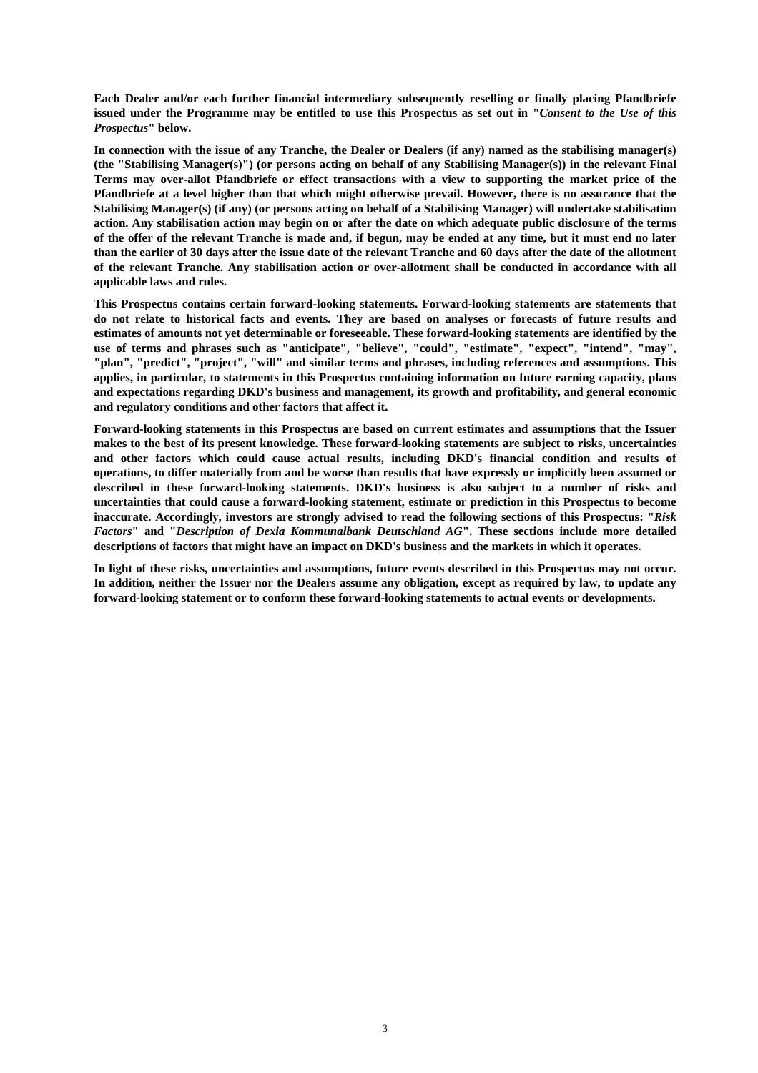**Each Dealer and/or each further financial intermediary subsequently reselling or finally placing Pfandbriefe issued under the Programme may be entitled to use this Prospectus as set out in "***Consent to the Use of this Prospectus***" below.** 

**In connection with the issue of any Tranche, the Dealer or Dealers (if any) named as the stabilising manager(s) (the "Stabilising Manager(s)") (or persons acting on behalf of any Stabilising Manager(s)) in the relevant Final Terms may over-allot Pfandbriefe or effect transactions with a view to supporting the market price of the Pfandbriefe at a level higher than that which might otherwise prevail. However, there is no assurance that the Stabilising Manager(s) (if any) (or persons acting on behalf of a Stabilising Manager) will undertake stabilisation action. Any stabilisation action may begin on or after the date on which adequate public disclosure of the terms of the offer of the relevant Tranche is made and, if begun, may be ended at any time, but it must end no later than the earlier of 30 days after the issue date of the relevant Tranche and 60 days after the date of the allotment of the relevant Tranche. Any stabilisation action or over-allotment shall be conducted in accordance with all applicable laws and rules.** 

**This Prospectus contains certain forward-looking statements. Forward-looking statements are statements that do not relate to historical facts and events. They are based on analyses or forecasts of future results and estimates of amounts not yet determinable or foreseeable. These forward-looking statements are identified by the use of terms and phrases such as "anticipate", "believe", "could", "estimate", "expect", "intend", "may", "plan", "predict", "project", "will" and similar terms and phrases, including references and assumptions. This applies, in particular, to statements in this Prospectus containing information on future earning capacity, plans and expectations regarding DKD's business and management, its growth and profitability, and general economic and regulatory conditions and other factors that affect it.** 

**Forward-looking statements in this Prospectus are based on current estimates and assumptions that the Issuer makes to the best of its present knowledge. These forward-looking statements are subject to risks, uncertainties and other factors which could cause actual results, including DKD's financial condition and results of operations, to differ materially from and be worse than results that have expressly or implicitly been assumed or described in these forward-looking statements. DKD's business is also subject to a number of risks and uncertainties that could cause a forward-looking statement, estimate or prediction in this Prospectus to become inaccurate. Accordingly, investors are strongly advised to read the following sections of this Prospectus: "***Risk Factors***" and "***Description of Dexia Kommunalbank Deutschland AG***". These sections include more detailed descriptions of factors that might have an impact on DKD's business and the markets in which it operates.** 

**In light of these risks, uncertainties and assumptions, future events described in this Prospectus may not occur. In addition, neither the Issuer nor the Dealers assume any obligation, except as required by law, to update any forward-looking statement or to conform these forward-looking statements to actual events or developments.**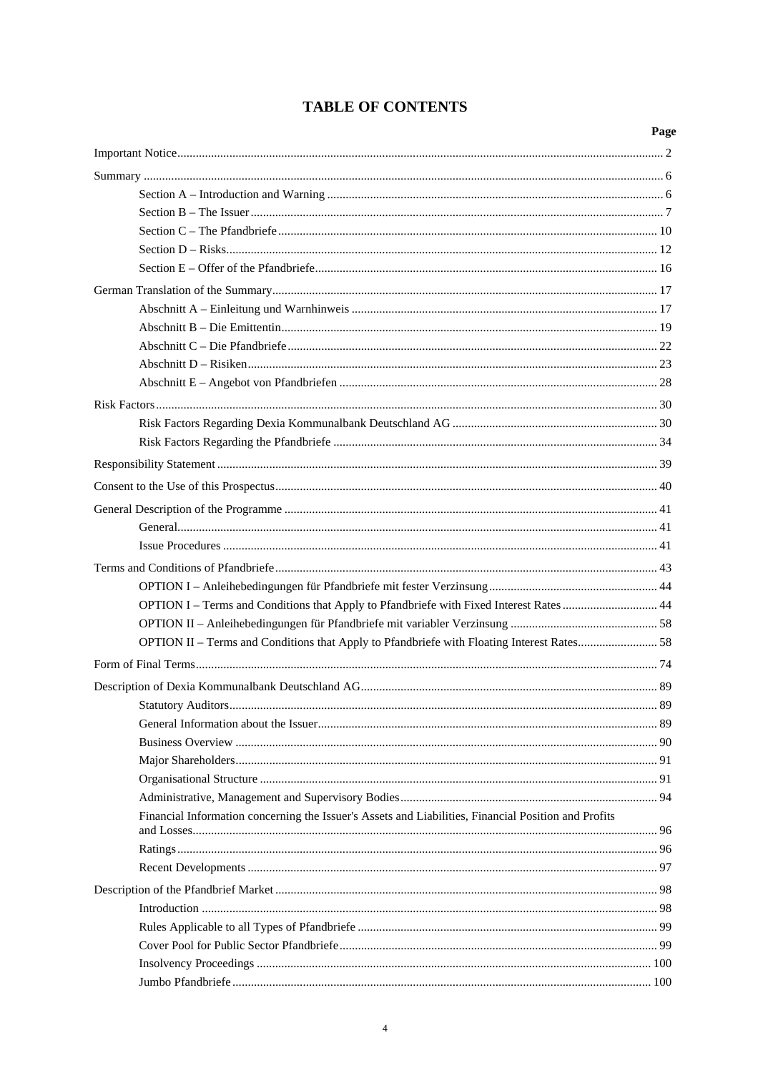| OPTION I – Terms and Conditions that Apply to Pfandbriefe with Fixed Interest Rates  44<br>OPTION II – Terms and Conditions that Apply to Pfandbriefe with Floating Interest Rates 58<br>Financial Information concerning the Issuer's Assets and Liabilities, Financial Position and Profits | Page |
|-----------------------------------------------------------------------------------------------------------------------------------------------------------------------------------------------------------------------------------------------------------------------------------------------|------|
|                                                                                                                                                                                                                                                                                               |      |
|                                                                                                                                                                                                                                                                                               |      |
|                                                                                                                                                                                                                                                                                               |      |
|                                                                                                                                                                                                                                                                                               |      |
|                                                                                                                                                                                                                                                                                               |      |
|                                                                                                                                                                                                                                                                                               |      |
|                                                                                                                                                                                                                                                                                               |      |
|                                                                                                                                                                                                                                                                                               |      |
|                                                                                                                                                                                                                                                                                               |      |
|                                                                                                                                                                                                                                                                                               |      |
|                                                                                                                                                                                                                                                                                               |      |
|                                                                                                                                                                                                                                                                                               |      |
|                                                                                                                                                                                                                                                                                               |      |
|                                                                                                                                                                                                                                                                                               |      |
|                                                                                                                                                                                                                                                                                               |      |
|                                                                                                                                                                                                                                                                                               |      |
|                                                                                                                                                                                                                                                                                               |      |
|                                                                                                                                                                                                                                                                                               |      |
|                                                                                                                                                                                                                                                                                               |      |
|                                                                                                                                                                                                                                                                                               |      |
|                                                                                                                                                                                                                                                                                               |      |
|                                                                                                                                                                                                                                                                                               |      |
|                                                                                                                                                                                                                                                                                               |      |
|                                                                                                                                                                                                                                                                                               |      |
|                                                                                                                                                                                                                                                                                               |      |
|                                                                                                                                                                                                                                                                                               |      |
|                                                                                                                                                                                                                                                                                               |      |
|                                                                                                                                                                                                                                                                                               |      |
|                                                                                                                                                                                                                                                                                               |      |
|                                                                                                                                                                                                                                                                                               |      |
|                                                                                                                                                                                                                                                                                               |      |
|                                                                                                                                                                                                                                                                                               |      |
|                                                                                                                                                                                                                                                                                               |      |
|                                                                                                                                                                                                                                                                                               |      |
|                                                                                                                                                                                                                                                                                               |      |
|                                                                                                                                                                                                                                                                                               |      |
|                                                                                                                                                                                                                                                                                               |      |
|                                                                                                                                                                                                                                                                                               |      |
|                                                                                                                                                                                                                                                                                               |      |
|                                                                                                                                                                                                                                                                                               |      |
|                                                                                                                                                                                                                                                                                               |      |
|                                                                                                                                                                                                                                                                                               |      |
|                                                                                                                                                                                                                                                                                               |      |

# **TABLE OF CONTENTS**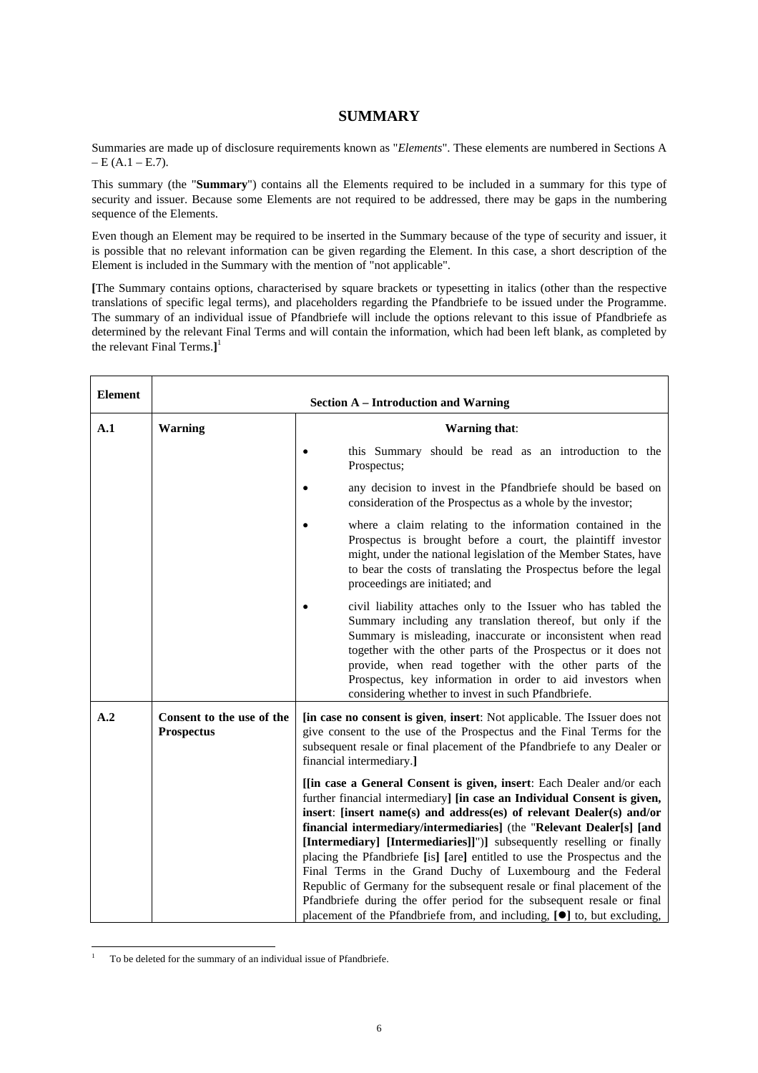# **SUMMARY**

Summaries are made up of disclosure requirements known as "*Elements*". These elements are numbered in Sections A  $-E (A.1 - E.7)$ .

This summary (the "**Summary**") contains all the Elements required to be included in a summary for this type of security and issuer. Because some Elements are not required to be addressed, there may be gaps in the numbering sequence of the Elements.

Even though an Element may be required to be inserted in the Summary because of the type of security and issuer, it is possible that no relevant information can be given regarding the Element. In this case, a short description of the Element is included in the Summary with the mention of "not applicable".

**[**The Summary contains options, characterised by square brackets or typesetting in italics (other than the respective translations of specific legal terms), and placeholders regarding the Pfandbriefe to be issued under the Programme. The summary of an individual issue of Pfandbriefe will include the options relevant to this issue of Pfandbriefe as determined by the relevant Final Terms and will contain the information, which had been left blank, as completed by the relevant Final Terms.**]** 1

| <b>Element</b> | <b>Section A – Introduction and Warning</b>    |                                                                                                                                                                                                                                                                                                                                                                                                                                                                                                                         |  |
|----------------|------------------------------------------------|-------------------------------------------------------------------------------------------------------------------------------------------------------------------------------------------------------------------------------------------------------------------------------------------------------------------------------------------------------------------------------------------------------------------------------------------------------------------------------------------------------------------------|--|
| A.1            | <b>Warning</b>                                 | <b>Warning that:</b>                                                                                                                                                                                                                                                                                                                                                                                                                                                                                                    |  |
|                |                                                | this Summary should be read as an introduction to the<br>Prospectus;                                                                                                                                                                                                                                                                                                                                                                                                                                                    |  |
|                |                                                | any decision to invest in the Pfandbriefe should be based on<br>consideration of the Prospectus as a whole by the investor;                                                                                                                                                                                                                                                                                                                                                                                             |  |
|                |                                                | where a claim relating to the information contained in the<br>Prospectus is brought before a court, the plaintiff investor<br>might, under the national legislation of the Member States, have<br>to bear the costs of translating the Prospectus before the legal<br>proceedings are initiated; and                                                                                                                                                                                                                    |  |
|                |                                                | civil liability attaches only to the Issuer who has tabled the<br>Summary including any translation thereof, but only if the<br>Summary is misleading, inaccurate or inconsistent when read<br>together with the other parts of the Prospectus or it does not<br>provide, when read together with the other parts of the<br>Prospectus, key information in order to aid investors when<br>considering whether to invest in such Pfandbriefe.                                                                            |  |
| A.2            | Consent to the use of the<br><b>Prospectus</b> | <b>[in case no consent is given, insert:</b> Not applicable. The Issuer does not<br>give consent to the use of the Prospectus and the Final Terms for the<br>subsequent resale or final placement of the Pfandbriefe to any Dealer or<br>financial intermediary.]                                                                                                                                                                                                                                                       |  |
|                |                                                | [[in case a General Consent is given, insert: Each Dealer and/or each<br>further financial intermediary] [in case an Individual Consent is given,<br>insert: [insert name(s) and address(es) of relevant Dealer(s) and/or<br>financial intermediary/intermediaries] (the "Relevant Dealer[s] [and<br>[Intermediary] [Intermediaries]]")] subsequently reselling or finally<br>placing the Pfandbriefe [is] [are] entitled to use the Prospectus and the<br>Final Terms in the Grand Duchy of Luxembourg and the Federal |  |
|                |                                                | Republic of Germany for the subsequent resale or final placement of the<br>Pfandbriefe during the offer period for the subsequent resale or final<br>placement of the Pfandbriefe from, and including, [ <sup>o</sup> ] to, but excluding,                                                                                                                                                                                                                                                                              |  |

 $\frac{1}{1}$ To be deleted for the summary of an individual issue of Pfandbriefe.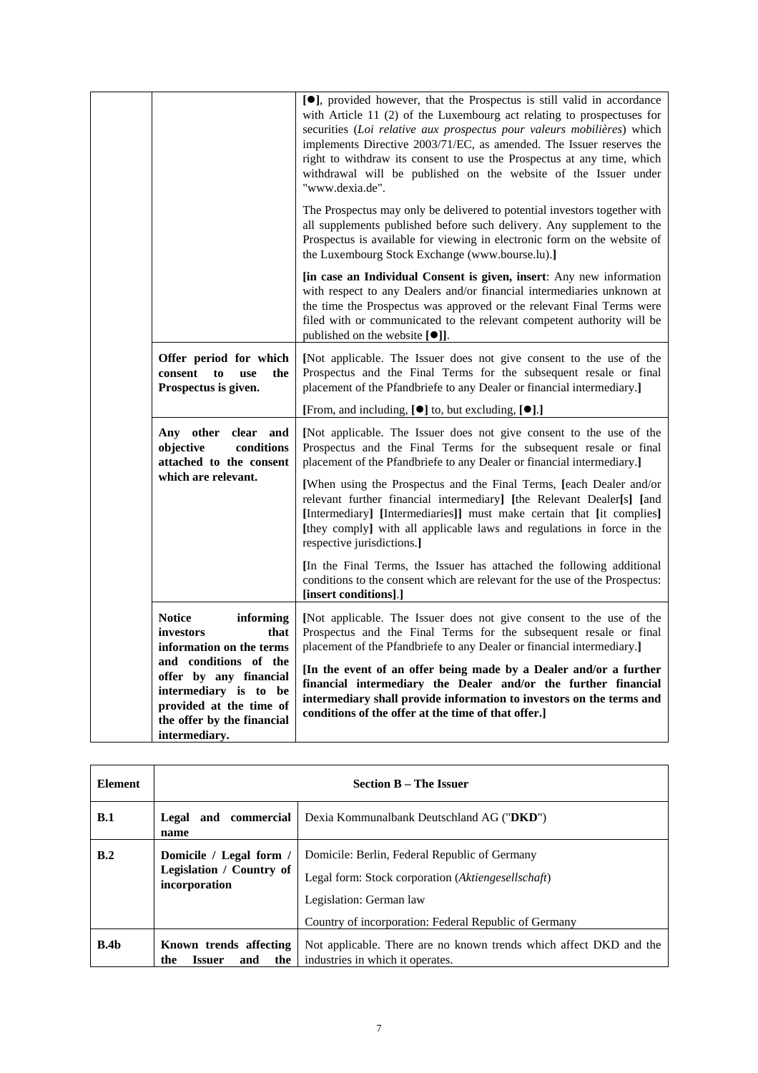|                                                                                                                                                    | [ <sup>•</sup> ], provided however, that the Prospectus is still valid in accordance<br>with Article 11 (2) of the Luxembourg act relating to prospectuses for<br>securities (Loi relative aux prospectus pour valeurs mobilières) which<br>implements Directive 2003/71/EC, as amended. The Issuer reserves the<br>right to withdraw its consent to use the Prospectus at any time, which<br>withdrawal will be published on the website of the Issuer under<br>"www.dexia.de".                                                                    |
|----------------------------------------------------------------------------------------------------------------------------------------------------|-----------------------------------------------------------------------------------------------------------------------------------------------------------------------------------------------------------------------------------------------------------------------------------------------------------------------------------------------------------------------------------------------------------------------------------------------------------------------------------------------------------------------------------------------------|
|                                                                                                                                                    | The Prospectus may only be delivered to potential investors together with<br>all supplements published before such delivery. Any supplement to the<br>Prospectus is available for viewing in electronic form on the website of<br>the Luxembourg Stock Exchange (www.bourse.lu).]                                                                                                                                                                                                                                                                   |
|                                                                                                                                                    | [in case an Individual Consent is given, insert: Any new information<br>with respect to any Dealers and/or financial intermediaries unknown at<br>the time the Prospectus was approved or the relevant Final Terms were<br>filed with or communicated to the relevant competent authority will be<br>published on the website [ $\bullet$ ].                                                                                                                                                                                                        |
| Offer period for which<br>consent<br>the<br>to<br>use<br>Prospectus is given.                                                                      | [Not applicable. The Issuer does not give consent to the use of the<br>Prospectus and the Final Terms for the subsequent resale or final<br>placement of the Pfandbriefe to any Dealer or financial intermediary.]                                                                                                                                                                                                                                                                                                                                  |
|                                                                                                                                                    | [From, and including, [ $\bullet$ ] to, but excluding, [ $\bullet$ ].]                                                                                                                                                                                                                                                                                                                                                                                                                                                                              |
| Any other clear and<br>objective<br>conditions<br>attached to the consent<br>which are relevant.                                                   | [Not applicable. The Issuer does not give consent to the use of the<br>Prospectus and the Final Terms for the subsequent resale or final<br>placement of the Pfandbriefe to any Dealer or financial intermediary.]<br>[When using the Prospectus and the Final Terms, [each Dealer and/or<br>relevant further financial intermediary] [the Relevant Dealer[s] [and<br>[Intermediary] [Intermediaries]] must make certain that [it complies]<br>[they comply] with all applicable laws and regulations in force in the<br>respective jurisdictions.] |
|                                                                                                                                                    | In the Final Terms, the Issuer has attached the following additional<br>conditions to the consent which are relevant for the use of the Prospectus:<br>[insert conditions].]                                                                                                                                                                                                                                                                                                                                                                        |
| <b>Notice</b><br>informing<br>investors<br>that<br>information on the terms                                                                        | [Not applicable. The Issuer does not give consent to the use of the<br>Prospectus and the Final Terms for the subsequent resale or final<br>placement of the Pfandbriefe to any Dealer or financial intermediary.]                                                                                                                                                                                                                                                                                                                                  |
| and conditions of the<br>offer by any financial<br>intermediary is to be<br>provided at the time of<br>the offer by the financial<br>intermediary. | [In the event of an offer being made by a Dealer and/or a further<br>financial intermediary the Dealer and/or the further financial<br>intermediary shall provide information to investors on the terms and<br>conditions of the offer at the time of that offer.]                                                                                                                                                                                                                                                                                  |

| <b>Element</b>   | <b>Section B – The Issuer</b>                                        |                                                                                                                                                                                         |
|------------------|----------------------------------------------------------------------|-----------------------------------------------------------------------------------------------------------------------------------------------------------------------------------------|
| B.1              | and commercial<br>Legal<br>name                                      | Dexia Kommunalbank Deutschland AG ("DKD")                                                                                                                                               |
| B.2              | Domicile / Legal form /<br>Legislation / Country of<br>incorporation | Domicile: Berlin, Federal Republic of Germany<br>Legal form: Stock corporation (Aktiengesellschaft)<br>Legislation: German law<br>Country of incorporation: Federal Republic of Germany |
| B.4 <sub>b</sub> | Known trends affecting<br>the<br><b>Issuer</b><br>and<br>the         | Not applicable. There are no known trends which affect DKD and the<br>industries in which it operates.                                                                                  |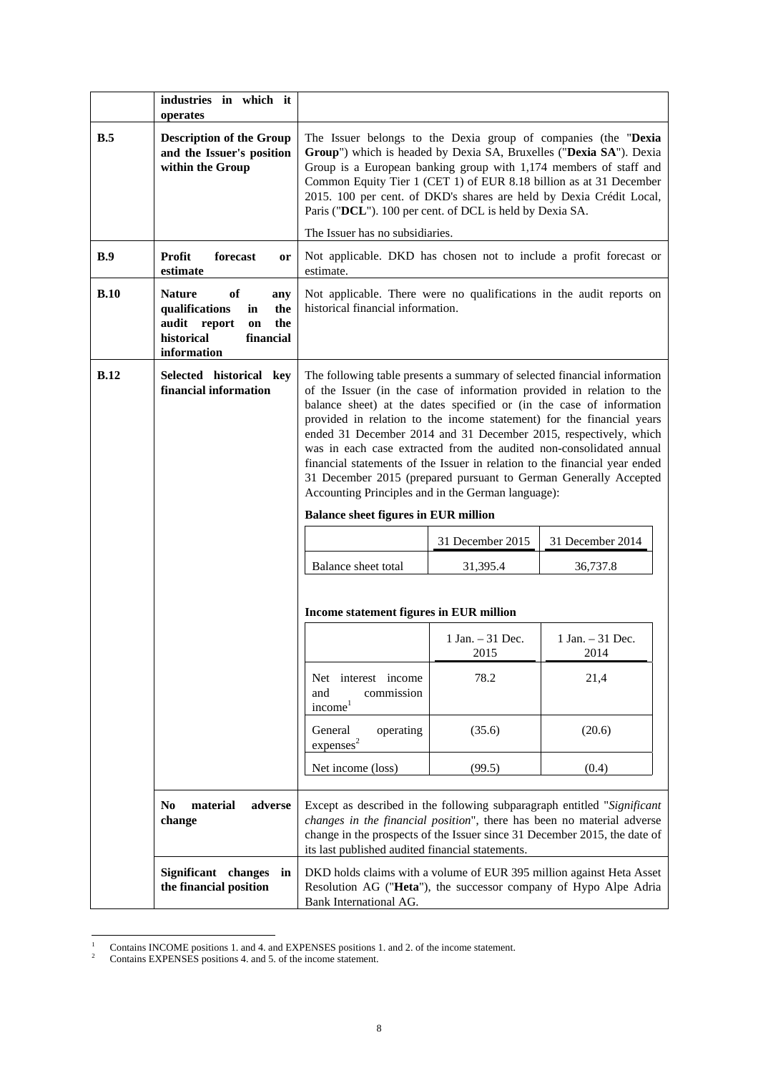|             | industries in which it<br>operates                                                                                               |                                                                                                                                                                                                                                                                                                                                                                                                                                                                                                                                                                                                                                                                                                      |                     |                  |
|-------------|----------------------------------------------------------------------------------------------------------------------------------|------------------------------------------------------------------------------------------------------------------------------------------------------------------------------------------------------------------------------------------------------------------------------------------------------------------------------------------------------------------------------------------------------------------------------------------------------------------------------------------------------------------------------------------------------------------------------------------------------------------------------------------------------------------------------------------------------|---------------------|------------------|
| B.5         | <b>Description of the Group</b><br>and the Issuer's position<br>within the Group                                                 | The Issuer belongs to the Dexia group of companies (the "Dexia<br>Group") which is headed by Dexia SA, Bruxelles ("Dexia SA"). Dexia<br>Group is a European banking group with 1,174 members of staff and<br>Common Equity Tier 1 (CET 1) of EUR 8.18 billion as at 31 December<br>2015. 100 per cent. of DKD's shares are held by Dexia Crédit Local,<br>Paris ("DCL"). 100 per cent. of DCL is held by Dexia SA.<br>The Issuer has no subsidiaries.                                                                                                                                                                                                                                                |                     |                  |
| B.9         | <b>Profit</b><br>forecast<br>or<br>estimate                                                                                      | Not applicable. DKD has chosen not to include a profit forecast or<br>estimate.                                                                                                                                                                                                                                                                                                                                                                                                                                                                                                                                                                                                                      |                     |                  |
| B.10        | <b>Nature</b><br>of<br>any<br>qualifications<br>in<br>the<br>audit report<br>the<br>on<br>historical<br>financial<br>information | Not applicable. There were no qualifications in the audit reports on<br>historical financial information.                                                                                                                                                                                                                                                                                                                                                                                                                                                                                                                                                                                            |                     |                  |
| <b>B.12</b> | Selected historical key<br>financial information                                                                                 | The following table presents a summary of selected financial information<br>of the Issuer (in the case of information provided in relation to the<br>balance sheet) at the dates specified or (in the case of information<br>provided in relation to the income statement) for the financial years<br>ended 31 December 2014 and 31 December 2015, respectively, which<br>was in each case extracted from the audited non-consolidated annual<br>financial statements of the Issuer in relation to the financial year ended<br>31 December 2015 (prepared pursuant to German Generally Accepted<br>Accounting Principles and in the German language):<br><b>Balance sheet figures in EUR million</b> |                     |                  |
|             |                                                                                                                                  |                                                                                                                                                                                                                                                                                                                                                                                                                                                                                                                                                                                                                                                                                                      | 31 December 2015    | 31 December 2014 |
|             |                                                                                                                                  | Balance sheet total                                                                                                                                                                                                                                                                                                                                                                                                                                                                                                                                                                                                                                                                                  | 31,395.4            | 36,737.8         |
|             |                                                                                                                                  | Income statement figures in EUR million                                                                                                                                                                                                                                                                                                                                                                                                                                                                                                                                                                                                                                                              |                     |                  |
|             |                                                                                                                                  |                                                                                                                                                                                                                                                                                                                                                                                                                                                                                                                                                                                                                                                                                                      | $1$ Jan. $-31$ Dec. | 1 Jan. - 31 Dec. |
|             |                                                                                                                                  |                                                                                                                                                                                                                                                                                                                                                                                                                                                                                                                                                                                                                                                                                                      | 2015                | 2014             |
|             |                                                                                                                                  | Net interest income<br>and<br>commission<br>$\text{income}^1$                                                                                                                                                                                                                                                                                                                                                                                                                                                                                                                                                                                                                                        | 78.2                | 21,4             |
|             |                                                                                                                                  | General<br>operating<br>express <sup>2</sup>                                                                                                                                                                                                                                                                                                                                                                                                                                                                                                                                                                                                                                                         | (35.6)              | (20.6)           |
|             |                                                                                                                                  | Net income (loss)                                                                                                                                                                                                                                                                                                                                                                                                                                                                                                                                                                                                                                                                                    | (99.5)              | (0.4)            |
|             | material<br>adverse<br>N <sub>0</sub><br>change                                                                                  | Except as described in the following subparagraph entitled "Significant<br>changes in the financial position", there has been no material adverse<br>change in the prospects of the Issuer since 31 December 2015, the date of<br>its last published audited financial statements.                                                                                                                                                                                                                                                                                                                                                                                                                   |                     |                  |

 $\frac{1}{1}$ <sup>1</sup> Contains INCOME positions 1. and 4. and EXPENSES positions 1. and 2. of the income statement.<br><sup>2</sup> Contains EXPENSES positions 4. and 5. of the income statement.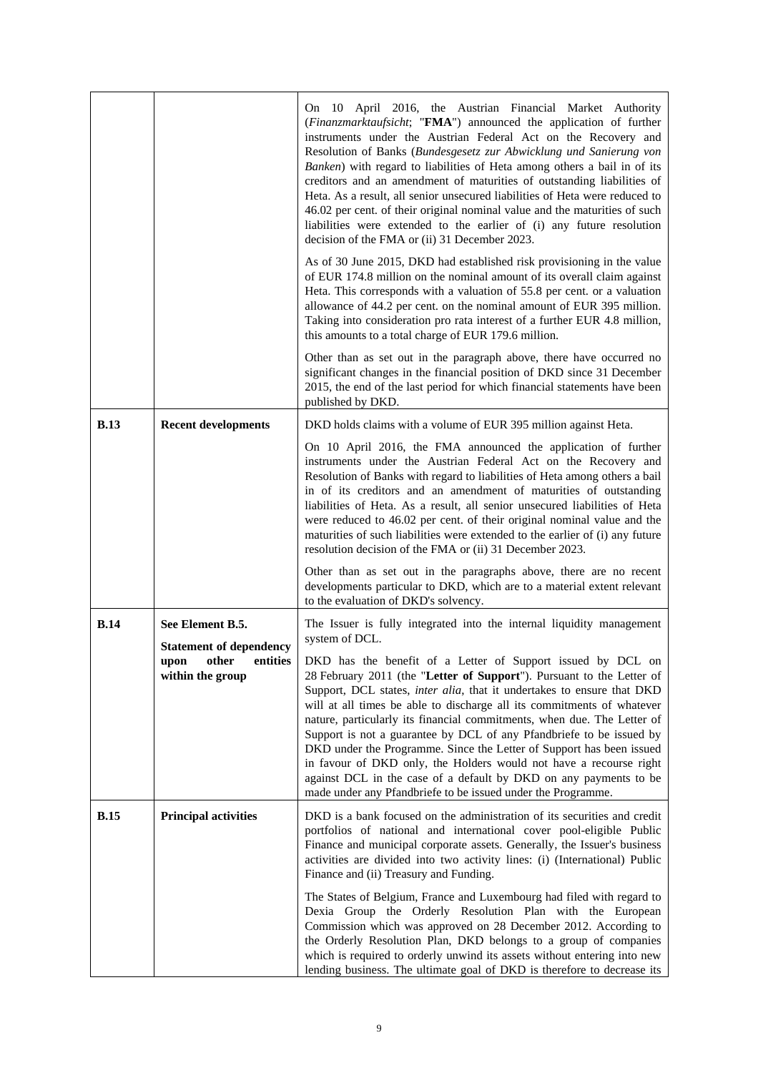|             |                                                                        | On 10 April 2016, the Austrian Financial Market Authority<br>(Finanzmarktaufsicht; "FMA") announced the application of further<br>instruments under the Austrian Federal Act on the Recovery and<br>Resolution of Banks (Bundesgesetz zur Abwicklung und Sanierung von<br>Banken) with regard to liabilities of Heta among others a bail in of its<br>creditors and an amendment of maturities of outstanding liabilities of<br>Heta. As a result, all senior unsecured liabilities of Heta were reduced to<br>46.02 per cent. of their original nominal value and the maturities of such<br>liabilities were extended to the earlier of (i) any future resolution<br>decision of the FMA or (ii) 31 December 2023.<br>As of 30 June 2015, DKD had established risk provisioning in the value<br>of EUR 174.8 million on the nominal amount of its overall claim against<br>Heta. This corresponds with a valuation of 55.8 per cent. or a valuation<br>allowance of 44.2 per cent. on the nominal amount of EUR 395 million.<br>Taking into consideration pro rata interest of a further EUR 4.8 million, |
|-------------|------------------------------------------------------------------------|------------------------------------------------------------------------------------------------------------------------------------------------------------------------------------------------------------------------------------------------------------------------------------------------------------------------------------------------------------------------------------------------------------------------------------------------------------------------------------------------------------------------------------------------------------------------------------------------------------------------------------------------------------------------------------------------------------------------------------------------------------------------------------------------------------------------------------------------------------------------------------------------------------------------------------------------------------------------------------------------------------------------------------------------------------------------------------------------------------|
|             |                                                                        | this amounts to a total charge of EUR 179.6 million.<br>Other than as set out in the paragraph above, there have occurred no<br>significant changes in the financial position of DKD since 31 December<br>2015, the end of the last period for which financial statements have been<br>published by DKD.                                                                                                                                                                                                                                                                                                                                                                                                                                                                                                                                                                                                                                                                                                                                                                                                   |
| <b>B.13</b> | <b>Recent developments</b>                                             | DKD holds claims with a volume of EUR 395 million against Heta.<br>On 10 April 2016, the FMA announced the application of further<br>instruments under the Austrian Federal Act on the Recovery and<br>Resolution of Banks with regard to liabilities of Heta among others a bail<br>in of its creditors and an amendment of maturities of outstanding<br>liabilities of Heta. As a result, all senior unsecured liabilities of Heta<br>were reduced to 46.02 per cent. of their original nominal value and the<br>maturities of such liabilities were extended to the earlier of (i) any future<br>resolution decision of the FMA or (ii) 31 December 2023.                                                                                                                                                                                                                                                                                                                                                                                                                                               |
|             |                                                                        | Other than as set out in the paragraphs above, there are no recent<br>developments particular to DKD, which are to a material extent relevant<br>to the evaluation of DKD's solvency.                                                                                                                                                                                                                                                                                                                                                                                                                                                                                                                                                                                                                                                                                                                                                                                                                                                                                                                      |
| <b>B.14</b> | See Element B.5.<br><b>Statement of dependency</b><br>within the group | The Issuer is fully integrated into the internal liquidity management<br>system of DCL.<br>upon other entities   DKD has the benefit of a Letter of Support issued by DCL on<br>28 February 2011 (the "Letter of Support"). Pursuant to the Letter of<br>Support, DCL states, inter alia, that it undertakes to ensure that DKD<br>will at all times be able to discharge all its commitments of whatever<br>nature, particularly its financial commitments, when due. The Letter of<br>Support is not a guarantee by DCL of any Pfandbriefe to be issued by<br>DKD under the Programme. Since the Letter of Support has been issued<br>in favour of DKD only, the Holders would not have a recourse right<br>against DCL in the case of a default by DKD on any payments to be<br>made under any Pfandbriefe to be issued under the Programme.                                                                                                                                                                                                                                                            |
| <b>B.15</b> | <b>Principal activities</b>                                            | DKD is a bank focused on the administration of its securities and credit<br>portfolios of national and international cover pool-eligible Public<br>Finance and municipal corporate assets. Generally, the Issuer's business<br>activities are divided into two activity lines: (i) (International) Public<br>Finance and (ii) Treasury and Funding.<br>The States of Belgium, France and Luxembourg had filed with regard to<br>Dexia Group the Orderly Resolution Plan with the European<br>Commission which was approved on 28 December 2012. According to<br>the Orderly Resolution Plan, DKD belongs to a group of companies<br>which is required to orderly unwind its assets without entering into new<br>lending business. The ultimate goal of DKD is therefore to decrease its                                                                                                                                                                                                                                                                                                                    |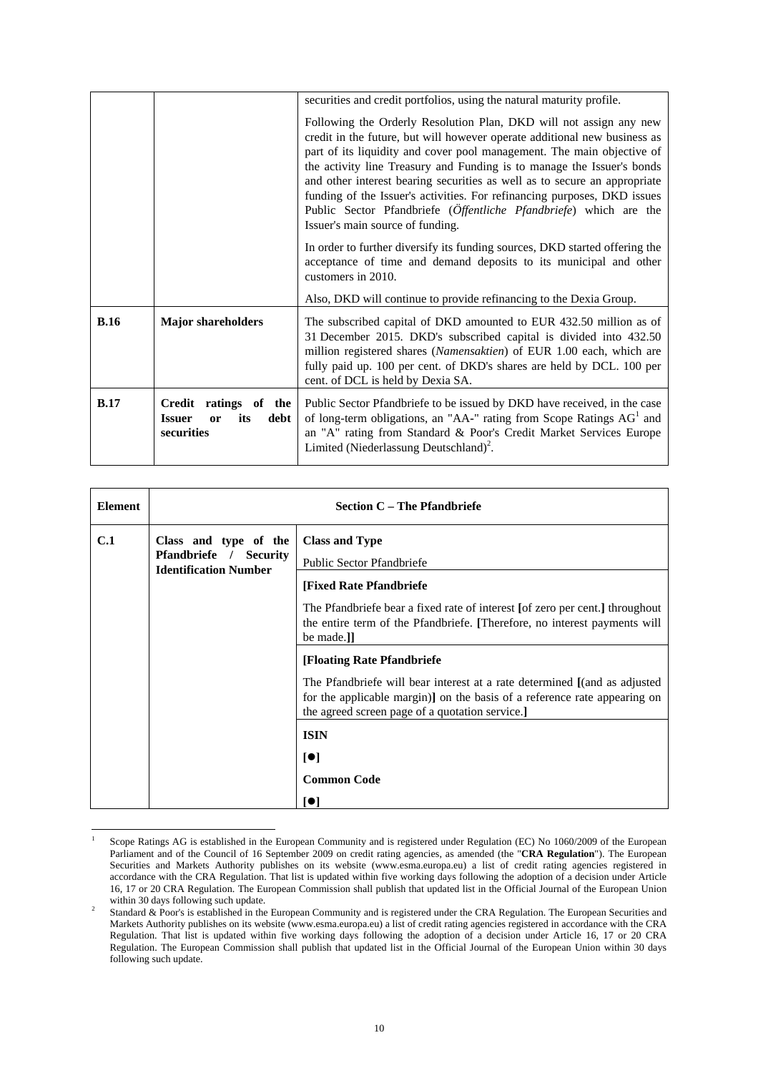|             |                                                                                          | securities and credit portfolios, using the natural maturity profile.                                                                                                                                                                                                                                                                                                                                                                                                                                                                                                 |  |
|-------------|------------------------------------------------------------------------------------------|-----------------------------------------------------------------------------------------------------------------------------------------------------------------------------------------------------------------------------------------------------------------------------------------------------------------------------------------------------------------------------------------------------------------------------------------------------------------------------------------------------------------------------------------------------------------------|--|
|             |                                                                                          | Following the Orderly Resolution Plan, DKD will not assign any new<br>credit in the future, but will however operate additional new business as<br>part of its liquidity and cover pool management. The main objective of<br>the activity line Treasury and Funding is to manage the Issuer's bonds<br>and other interest bearing securities as well as to secure an appropriate<br>funding of the Issuer's activities. For refinancing purposes, DKD issues<br>Public Sector Pfandbriefe (Öffentliche Pfandbriefe) which are the<br>Issuer's main source of funding. |  |
|             |                                                                                          | In order to further diversify its funding sources, DKD started offering the<br>acceptance of time and demand deposits to its municipal and other<br>customers in 2010.                                                                                                                                                                                                                                                                                                                                                                                                |  |
|             |                                                                                          | Also, DKD will continue to provide refinancing to the Dexia Group.                                                                                                                                                                                                                                                                                                                                                                                                                                                                                                    |  |
| <b>B.16</b> | <b>Major shareholders</b>                                                                | The subscribed capital of DKD amounted to EUR 432.50 million as of<br>31 December 2015. DKD's subscribed capital is divided into 432.50<br>million registered shares (Namensaktien) of EUR 1.00 each, which are<br>fully paid up. 100 per cent. of DKD's shares are held by DCL. 100 per<br>cent. of DCL is held by Dexia SA.                                                                                                                                                                                                                                         |  |
| B.17        | ratings of<br>Credit<br>the<br><b>Issuer</b><br>its<br>debt  <br><b>or</b><br>securities | Public Sector Pfandbriefe to be issued by DKD have received, in the case<br>of long-term obligations, an "AA-" rating from Scope Ratings AG <sup>1</sup> and<br>an "A" rating from Standard & Poor's Credit Market Services Europe<br>Limited (Niederlassung Deutschland) <sup>2</sup> .                                                                                                                                                                                                                                                                              |  |

| <b>Element</b> | <b>Section C – The Pfandbriefe</b>                                                               |                                                                                                                                                                                                           |
|----------------|--------------------------------------------------------------------------------------------------|-----------------------------------------------------------------------------------------------------------------------------------------------------------------------------------------------------------|
| C.1            | Class and type of the<br><b>Pfandbriefe</b> /<br><b>Security</b><br><b>Identification Number</b> | <b>Class and Type</b><br>Public Sector Pfandbriefe                                                                                                                                                        |
|                |                                                                                                  | [Fixed Rate Pfandbriefe                                                                                                                                                                                   |
|                |                                                                                                  | The Pfandbriefe bear a fixed rate of interest [of zero per cent.] throughout<br>the entire term of the Pfandbriefe. [Therefore, no interest payments will<br>be made.]                                    |
|                |                                                                                                  | [Floating Rate Pfandbriefe                                                                                                                                                                                |
|                |                                                                                                  | The Pfandbriefe will bear interest at a rate determined [(and as adjusted<br>for the applicable margin)] on the basis of a reference rate appearing on<br>the agreed screen page of a quotation service.] |
|                |                                                                                                  | <b>ISIN</b>                                                                                                                                                                                               |
|                |                                                                                                  | [•]                                                                                                                                                                                                       |
|                |                                                                                                  | <b>Common Code</b>                                                                                                                                                                                        |
|                |                                                                                                  | O                                                                                                                                                                                                         |

<sup>1</sup> Scope Ratings AG is established in the European Community and is registered under Regulation (EC) No 1060/2009 of the European Parliament and of the Council of 16 September 2009 on credit rating agencies, as amended (the "**CRA Regulation**"). The European Securities and Markets Authority publishes on its website (www.esma.europa.eu) a list of credit rating agencies registered in accordance with the CRA Regulation. That list is updated within five working days following the adoption of a decision under Article 16, 17 or 20 CRA Regulation. The European Commission shall publish that updated list in the Official Journal of the European Union within 30 days following such update.

 $\overline{a}$ 

Standard & Poor's is established in the European Community and is registered under the CRA Regulation. The European Securities and Markets Authority publishes on its website (www.esma.europa.eu) a list of credit rating agencies registered in accordance with the CRA Regulation. That list is updated within five working days following the adoption of a decision under Article 16, 17 or 20 CRA Regulation. The European Commission shall publish that updated list in the Official Journal of the European Union within 30 days following such update.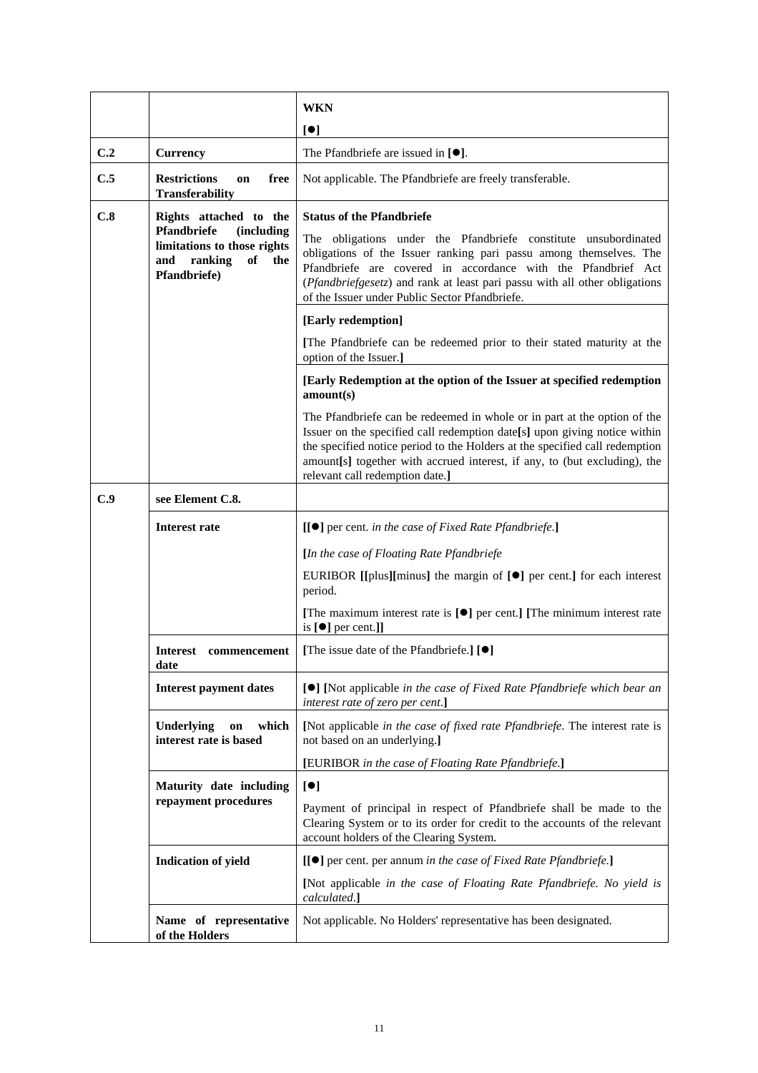|     |                                                                                                         | <b>WKN</b>                                                                                                                                                                                                                                                                                                                                           |
|-----|---------------------------------------------------------------------------------------------------------|------------------------------------------------------------------------------------------------------------------------------------------------------------------------------------------------------------------------------------------------------------------------------------------------------------------------------------------------------|
|     |                                                                                                         | $\lbrack \bullet \rbrack$                                                                                                                                                                                                                                                                                                                            |
| C.2 | <b>Currency</b>                                                                                         | The Pfandbriefe are issued in $[\bullet].$                                                                                                                                                                                                                                                                                                           |
| C.5 | <b>Restrictions</b><br>free<br>on<br><b>Transferability</b>                                             | Not applicable. The Pfandbriefe are freely transferable.                                                                                                                                                                                                                                                                                             |
| C.8 | Rights attached to the                                                                                  | <b>Status of the Pfandbriefe</b>                                                                                                                                                                                                                                                                                                                     |
|     | Pfandbriefe<br>(including<br>limitations to those rights<br>ranking<br>of<br>and<br>the<br>Pfandbriefe) | The obligations under the Pfandbriefe constitute unsubordinated<br>obligations of the Issuer ranking pari passu among themselves. The<br>Pfandbriefe are covered in accordance with the Pfandbrief Act<br>(Pfandbriefgesetz) and rank at least pari passu with all other obligations<br>of the Issuer under Public Sector Pfandbriefe.               |
|     |                                                                                                         | [Early redemption]                                                                                                                                                                                                                                                                                                                                   |
|     |                                                                                                         | [The Pfandbriefe can be redeemed prior to their stated maturity at the<br>option of the Issuer.]                                                                                                                                                                                                                                                     |
|     |                                                                                                         | [Early Redemption at the option of the Issuer at specified redemption<br>amount(s)                                                                                                                                                                                                                                                                   |
|     |                                                                                                         | The Pfandbriefe can be redeemed in whole or in part at the option of the<br>Issuer on the specified call redemption date[s] upon giving notice within<br>the specified notice period to the Holders at the specified call redemption<br>amount[s] together with accrued interest, if any, to (but excluding), the<br>relevant call redemption date.] |
| C.9 | see Element C.8.                                                                                        |                                                                                                                                                                                                                                                                                                                                                      |
|     | <b>Interest rate</b>                                                                                    | [[●] per cent. in the case of Fixed Rate Pfandbriefe.]                                                                                                                                                                                                                                                                                               |
|     |                                                                                                         | [In the case of Floating Rate Pfandbriefe                                                                                                                                                                                                                                                                                                            |
|     |                                                                                                         | EURIBOR [[plus][minus] the margin of $[\bullet]$ per cent.] for each interest<br>period.                                                                                                                                                                                                                                                             |
|     |                                                                                                         | [The maximum interest rate is $[\bullet]$ per cent.] [The minimum interest rate<br>is $[\bullet]$ per cent.]]                                                                                                                                                                                                                                        |
|     | <b>Interest</b><br>commencement<br>date                                                                 | [The issue date of the Pfandbriefe.] [ <sup>0</sup> ]                                                                                                                                                                                                                                                                                                |
|     | <b>Interest payment dates</b>                                                                           | [●] [Not applicable in the case of Fixed Rate Pfandbriefe which bear an<br>interest rate of zero per cent.]                                                                                                                                                                                                                                          |
|     | which<br>Underlying<br>on<br>interest rate is based                                                     | [Not applicable in the case of fixed rate Pfandbriefe. The interest rate is<br>not based on an underlying.]                                                                                                                                                                                                                                          |
|     |                                                                                                         | [EURIBOR in the case of Floating Rate Pfandbriefe.]                                                                                                                                                                                                                                                                                                  |
|     | Maturity date including                                                                                 | [•]                                                                                                                                                                                                                                                                                                                                                  |
|     | repayment procedures                                                                                    | Payment of principal in respect of Pfandbriefe shall be made to the<br>Clearing System or to its order for credit to the accounts of the relevant<br>account holders of the Clearing System.                                                                                                                                                         |
|     | <b>Indication of yield</b>                                                                              | [[●] per cent. per annum in the case of Fixed Rate Pfandbriefe.]                                                                                                                                                                                                                                                                                     |
|     |                                                                                                         | [Not applicable in the case of Floating Rate Pfandbriefe. No yield is<br>calculated.]                                                                                                                                                                                                                                                                |
|     | Name of representative<br>of the Holders                                                                | Not applicable. No Holders' representative has been designated.                                                                                                                                                                                                                                                                                      |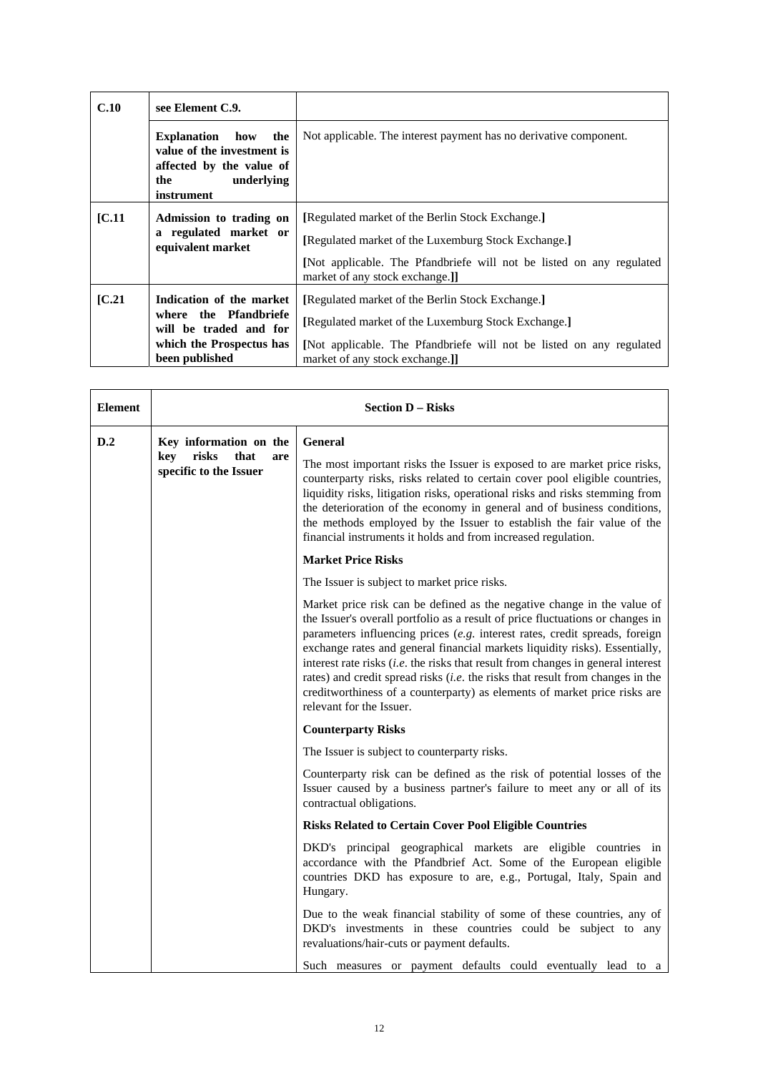| C.10   | see Element C.9.                                                                                                              |                                                                                                                                                                                                                   |
|--------|-------------------------------------------------------------------------------------------------------------------------------|-------------------------------------------------------------------------------------------------------------------------------------------------------------------------------------------------------------------|
|        | <b>Explanation</b><br>how<br>the<br>value of the investment is<br>affected by the value of<br>underlying<br>the<br>instrument | Not applicable. The interest payment has no derivative component.                                                                                                                                                 |
| [C.11] | Admission to trading on<br>a regulated market or<br>equivalent market                                                         | [Regulated market of the Berlin Stock Exchange.]<br>[Regulated market of the Luxemburg Stock Exchange.]<br>[Not applicable. The Pfandbriefe will not be listed on any regulated<br>market of any stock exchange.] |
| IC.21  | Indication of the market<br>where the Pfandbriefe<br>will be traded and for<br>which the Prospectus has<br>been published     | [Regulated market of the Berlin Stock Exchange.]<br>[Regulated market of the Luxemburg Stock Exchange.]<br>[Not applicable. The Pfandbriefe will not be listed on any regulated<br>market of any stock exchange.] |

| <b>Element</b>                                        | <b>Section D - Risks</b>                                                                                                                                                                                                                                                                                                                                                                                                                                      |                                                                                                                                                                                                                                                                                                                                                                                                                                                                                                                                                                                                          |
|-------------------------------------------------------|---------------------------------------------------------------------------------------------------------------------------------------------------------------------------------------------------------------------------------------------------------------------------------------------------------------------------------------------------------------------------------------------------------------------------------------------------------------|----------------------------------------------------------------------------------------------------------------------------------------------------------------------------------------------------------------------------------------------------------------------------------------------------------------------------------------------------------------------------------------------------------------------------------------------------------------------------------------------------------------------------------------------------------------------------------------------------------|
| D.2                                                   | Key information on the                                                                                                                                                                                                                                                                                                                                                                                                                                        | <b>General</b>                                                                                                                                                                                                                                                                                                                                                                                                                                                                                                                                                                                           |
| risks<br>that<br>key<br>are<br>specific to the Issuer | The most important risks the Issuer is exposed to are market price risks,<br>counterparty risks, risks related to certain cover pool eligible countries,<br>liquidity risks, litigation risks, operational risks and risks stemming from<br>the deterioration of the economy in general and of business conditions,<br>the methods employed by the Issuer to establish the fair value of the<br>financial instruments it holds and from increased regulation. |                                                                                                                                                                                                                                                                                                                                                                                                                                                                                                                                                                                                          |
|                                                       |                                                                                                                                                                                                                                                                                                                                                                                                                                                               | <b>Market Price Risks</b>                                                                                                                                                                                                                                                                                                                                                                                                                                                                                                                                                                                |
|                                                       |                                                                                                                                                                                                                                                                                                                                                                                                                                                               | The Issuer is subject to market price risks.                                                                                                                                                                                                                                                                                                                                                                                                                                                                                                                                                             |
|                                                       |                                                                                                                                                                                                                                                                                                                                                                                                                                                               | Market price risk can be defined as the negative change in the value of<br>the Issuer's overall portfolio as a result of price fluctuations or changes in<br>parameters influencing prices (e.g. interest rates, credit spreads, foreign<br>exchange rates and general financial markets liquidity risks). Essentially,<br>interest rate risks $(i.e.$ the risks that result from changes in general interest<br>rates) and credit spread risks (i.e. the risks that result from changes in the<br>creditworthiness of a counterparty) as elements of market price risks are<br>relevant for the Issuer. |
|                                                       |                                                                                                                                                                                                                                                                                                                                                                                                                                                               | <b>Counterparty Risks</b>                                                                                                                                                                                                                                                                                                                                                                                                                                                                                                                                                                                |
|                                                       |                                                                                                                                                                                                                                                                                                                                                                                                                                                               | The Issuer is subject to counterparty risks.                                                                                                                                                                                                                                                                                                                                                                                                                                                                                                                                                             |
|                                                       |                                                                                                                                                                                                                                                                                                                                                                                                                                                               | Counterparty risk can be defined as the risk of potential losses of the<br>Issuer caused by a business partner's failure to meet any or all of its<br>contractual obligations.                                                                                                                                                                                                                                                                                                                                                                                                                           |
|                                                       |                                                                                                                                                                                                                                                                                                                                                                                                                                                               | <b>Risks Related to Certain Cover Pool Eligible Countries</b>                                                                                                                                                                                                                                                                                                                                                                                                                                                                                                                                            |
|                                                       |                                                                                                                                                                                                                                                                                                                                                                                                                                                               | DKD's principal geographical markets are eligible countries in<br>accordance with the Pfandbrief Act. Some of the European eligible<br>countries DKD has exposure to are, e.g., Portugal, Italy, Spain and<br>Hungary.                                                                                                                                                                                                                                                                                                                                                                                   |
|                                                       |                                                                                                                                                                                                                                                                                                                                                                                                                                                               | Due to the weak financial stability of some of these countries, any of<br>DKD's investments in these countries could be subject to any<br>revaluations/hair-cuts or payment defaults.                                                                                                                                                                                                                                                                                                                                                                                                                    |
|                                                       |                                                                                                                                                                                                                                                                                                                                                                                                                                                               | Such measures or payment defaults could eventually lead to a                                                                                                                                                                                                                                                                                                                                                                                                                                                                                                                                             |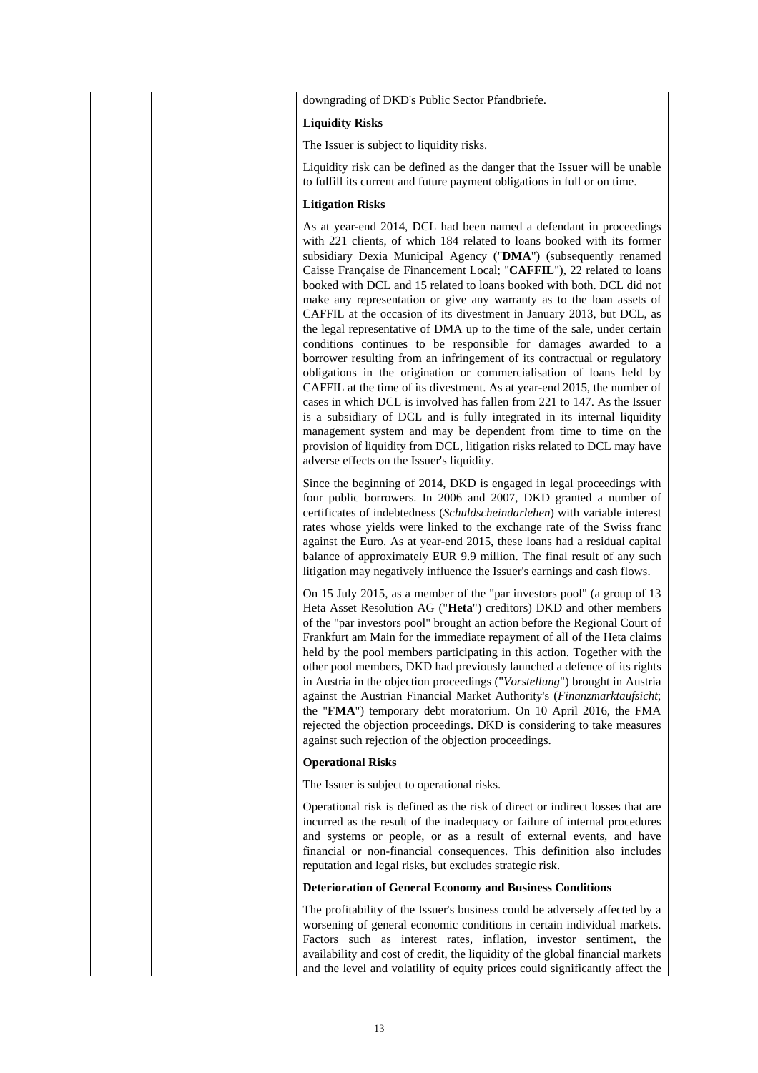|  | downgrading of DKD's Public Sector Pfandbriefe.                                                                                                                                                                                                                                                                                                                                                                                                                                                                                                                                                                                                                                                                                                                                                                                                                                                                                                                                                                                                                                                                                                                                                                                                           |
|--|-----------------------------------------------------------------------------------------------------------------------------------------------------------------------------------------------------------------------------------------------------------------------------------------------------------------------------------------------------------------------------------------------------------------------------------------------------------------------------------------------------------------------------------------------------------------------------------------------------------------------------------------------------------------------------------------------------------------------------------------------------------------------------------------------------------------------------------------------------------------------------------------------------------------------------------------------------------------------------------------------------------------------------------------------------------------------------------------------------------------------------------------------------------------------------------------------------------------------------------------------------------|
|  | <b>Liquidity Risks</b>                                                                                                                                                                                                                                                                                                                                                                                                                                                                                                                                                                                                                                                                                                                                                                                                                                                                                                                                                                                                                                                                                                                                                                                                                                    |
|  | The Issuer is subject to liquidity risks.                                                                                                                                                                                                                                                                                                                                                                                                                                                                                                                                                                                                                                                                                                                                                                                                                                                                                                                                                                                                                                                                                                                                                                                                                 |
|  | Liquidity risk can be defined as the danger that the Issuer will be unable<br>to fulfill its current and future payment obligations in full or on time.                                                                                                                                                                                                                                                                                                                                                                                                                                                                                                                                                                                                                                                                                                                                                                                                                                                                                                                                                                                                                                                                                                   |
|  | <b>Litigation Risks</b>                                                                                                                                                                                                                                                                                                                                                                                                                                                                                                                                                                                                                                                                                                                                                                                                                                                                                                                                                                                                                                                                                                                                                                                                                                   |
|  | As at year-end 2014, DCL had been named a defendant in proceedings<br>with 221 clients, of which 184 related to loans booked with its former<br>subsidiary Dexia Municipal Agency ("DMA") (subsequently renamed<br>Caisse Française de Financement Local; "CAFFIL"), 22 related to loans<br>booked with DCL and 15 related to loans booked with both. DCL did not<br>make any representation or give any warranty as to the loan assets of<br>CAFFIL at the occasion of its divestment in January 2013, but DCL, as<br>the legal representative of DMA up to the time of the sale, under certain<br>conditions continues to be responsible for damages awarded to a<br>borrower resulting from an infringement of its contractual or regulatory<br>obligations in the origination or commercialisation of loans held by<br>CAFFIL at the time of its divestment. As at year-end 2015, the number of<br>cases in which DCL is involved has fallen from 221 to 147. As the Issuer<br>is a subsidiary of DCL and is fully integrated in its internal liquidity<br>management system and may be dependent from time to time on the<br>provision of liquidity from DCL, litigation risks related to DCL may have<br>adverse effects on the Issuer's liquidity. |
|  | Since the beginning of 2014, DKD is engaged in legal proceedings with<br>four public borrowers. In 2006 and 2007, DKD granted a number of<br>certificates of indebtedness (Schuldscheindarlehen) with variable interest<br>rates whose yields were linked to the exchange rate of the Swiss franc<br>against the Euro. As at year-end 2015, these loans had a residual capital<br>balance of approximately EUR 9.9 million. The final result of any such<br>litigation may negatively influence the Issuer's earnings and cash flows.                                                                                                                                                                                                                                                                                                                                                                                                                                                                                                                                                                                                                                                                                                                     |
|  | On 15 July 2015, as a member of the "par investors pool" (a group of 13<br>Heta Asset Resolution AG ("Heta") creditors) DKD and other members<br>of the "par investors pool" brought an action before the Regional Court of<br>Frankfurt am Main for the immediate repayment of all of the Heta claims<br>held by the pool members participating in this action. Together with the<br>other pool members, DKD had previously launched a defence of its rights<br>in Austria in the objection proceedings ("Vorstellung") brought in Austria<br>against the Austrian Financial Market Authority's (Finanzmarktaufsicht;<br>the "FMA") temporary debt moratorium. On 10 April 2016, the FMA<br>rejected the objection proceedings. DKD is considering to take measures<br>against such rejection of the objection proceedings.                                                                                                                                                                                                                                                                                                                                                                                                                              |
|  | <b>Operational Risks</b>                                                                                                                                                                                                                                                                                                                                                                                                                                                                                                                                                                                                                                                                                                                                                                                                                                                                                                                                                                                                                                                                                                                                                                                                                                  |
|  | The Issuer is subject to operational risks.                                                                                                                                                                                                                                                                                                                                                                                                                                                                                                                                                                                                                                                                                                                                                                                                                                                                                                                                                                                                                                                                                                                                                                                                               |
|  | Operational risk is defined as the risk of direct or indirect losses that are<br>incurred as the result of the inadequacy or failure of internal procedures<br>and systems or people, or as a result of external events, and have<br>financial or non-financial consequences. This definition also includes<br>reputation and legal risks, but excludes strategic risk.                                                                                                                                                                                                                                                                                                                                                                                                                                                                                                                                                                                                                                                                                                                                                                                                                                                                                   |
|  | <b>Deterioration of General Economy and Business Conditions</b>                                                                                                                                                                                                                                                                                                                                                                                                                                                                                                                                                                                                                                                                                                                                                                                                                                                                                                                                                                                                                                                                                                                                                                                           |
|  | The profitability of the Issuer's business could be adversely affected by a<br>worsening of general economic conditions in certain individual markets.<br>Factors such as interest rates, inflation, investor sentiment, the<br>availability and cost of credit, the liquidity of the global financial markets<br>and the level and volatility of equity prices could significantly affect the                                                                                                                                                                                                                                                                                                                                                                                                                                                                                                                                                                                                                                                                                                                                                                                                                                                            |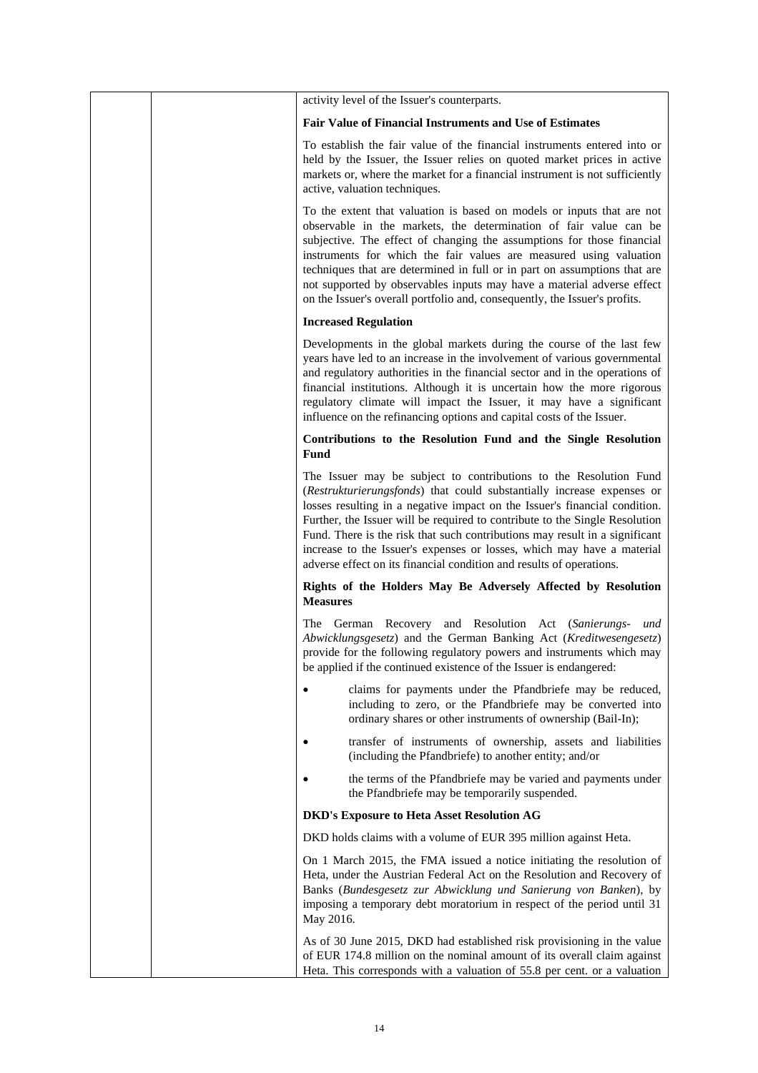|  | activity level of the Issuer's counterparts.                                                                                                                                                                                                                                                                                                                                                                                                                                                                                              |
|--|-------------------------------------------------------------------------------------------------------------------------------------------------------------------------------------------------------------------------------------------------------------------------------------------------------------------------------------------------------------------------------------------------------------------------------------------------------------------------------------------------------------------------------------------|
|  | <b>Fair Value of Financial Instruments and Use of Estimates</b>                                                                                                                                                                                                                                                                                                                                                                                                                                                                           |
|  | To establish the fair value of the financial instruments entered into or<br>held by the Issuer, the Issuer relies on quoted market prices in active<br>markets or, where the market for a financial instrument is not sufficiently<br>active, valuation techniques.                                                                                                                                                                                                                                                                       |
|  | To the extent that valuation is based on models or inputs that are not<br>observable in the markets, the determination of fair value can be<br>subjective. The effect of changing the assumptions for those financial<br>instruments for which the fair values are measured using valuation<br>techniques that are determined in full or in part on assumptions that are<br>not supported by observables inputs may have a material adverse effect<br>on the Issuer's overall portfolio and, consequently, the Issuer's profits.          |
|  | <b>Increased Regulation</b>                                                                                                                                                                                                                                                                                                                                                                                                                                                                                                               |
|  | Developments in the global markets during the course of the last few<br>years have led to an increase in the involvement of various governmental<br>and regulatory authorities in the financial sector and in the operations of<br>financial institutions. Although it is uncertain how the more rigorous<br>regulatory climate will impact the Issuer, it may have a significant<br>influence on the refinancing options and capital costs of the Issuer.                                                                                |
|  | Contributions to the Resolution Fund and the Single Resolution<br><b>Fund</b>                                                                                                                                                                                                                                                                                                                                                                                                                                                             |
|  | The Issuer may be subject to contributions to the Resolution Fund<br>(Restrukturierungsfonds) that could substantially increase expenses or<br>losses resulting in a negative impact on the Issuer's financial condition.<br>Further, the Issuer will be required to contribute to the Single Resolution<br>Fund. There is the risk that such contributions may result in a significant<br>increase to the Issuer's expenses or losses, which may have a material<br>adverse effect on its financial condition and results of operations. |
|  | Rights of the Holders May Be Adversely Affected by Resolution<br><b>Measures</b>                                                                                                                                                                                                                                                                                                                                                                                                                                                          |
|  | The German Recovery and Resolution Act (Sanierungs-<br>und<br>Abwicklungsgesetz) and the German Banking Act (Kreditwesengesetz)<br>provide for the following regulatory powers and instruments which may<br>be applied if the continued existence of the Issuer is endangered:                                                                                                                                                                                                                                                            |
|  | claims for payments under the Pfandbriefe may be reduced,<br>including to zero, or the Pfandbriefe may be converted into<br>ordinary shares or other instruments of ownership (Bail-In);                                                                                                                                                                                                                                                                                                                                                  |
|  | transfer of instruments of ownership, assets and liabilities<br>(including the Pfandbriefe) to another entity; and/or                                                                                                                                                                                                                                                                                                                                                                                                                     |
|  | the terms of the Pfandbriefe may be varied and payments under<br>the Pfandbriefe may be temporarily suspended.                                                                                                                                                                                                                                                                                                                                                                                                                            |
|  | <b>DKD's Exposure to Heta Asset Resolution AG</b>                                                                                                                                                                                                                                                                                                                                                                                                                                                                                         |
|  | DKD holds claims with a volume of EUR 395 million against Heta.                                                                                                                                                                                                                                                                                                                                                                                                                                                                           |
|  | On 1 March 2015, the FMA issued a notice initiating the resolution of<br>Heta, under the Austrian Federal Act on the Resolution and Recovery of<br>Banks (Bundesgesetz zur Abwicklung und Sanierung von Banken), by<br>imposing a temporary debt moratorium in respect of the period until 31<br>May 2016.                                                                                                                                                                                                                                |
|  | As of 30 June 2015, DKD had established risk provisioning in the value<br>of EUR 174.8 million on the nominal amount of its overall claim against<br>Heta. This corresponds with a valuation of 55.8 per cent. or a valuation                                                                                                                                                                                                                                                                                                             |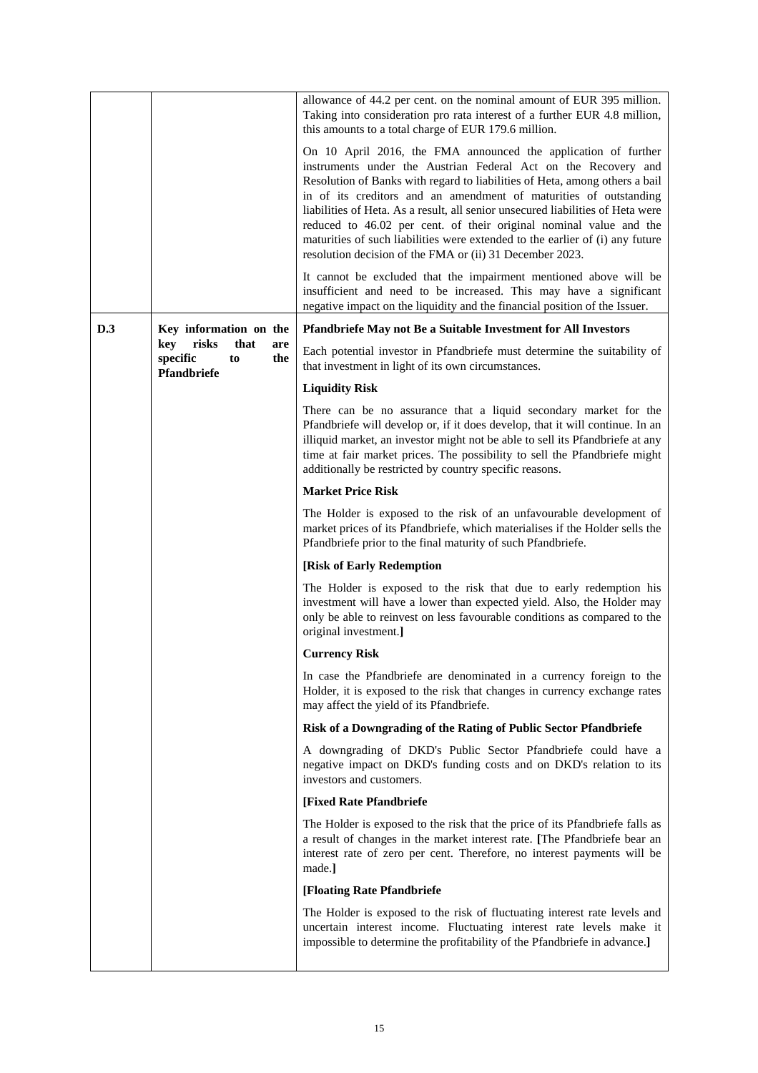|     |                                                                     | allowance of 44.2 per cent. on the nominal amount of EUR 395 million.<br>Taking into consideration pro rata interest of a further EUR 4.8 million,<br>this amounts to a total charge of EUR 179.6 million.                                                                                                                                                                                                                                                                                                                                                                                 |
|-----|---------------------------------------------------------------------|--------------------------------------------------------------------------------------------------------------------------------------------------------------------------------------------------------------------------------------------------------------------------------------------------------------------------------------------------------------------------------------------------------------------------------------------------------------------------------------------------------------------------------------------------------------------------------------------|
|     |                                                                     | On 10 April 2016, the FMA announced the application of further<br>instruments under the Austrian Federal Act on the Recovery and<br>Resolution of Banks with regard to liabilities of Heta, among others a bail<br>in of its creditors and an amendment of maturities of outstanding<br>liabilities of Heta. As a result, all senior unsecured liabilities of Heta were<br>reduced to 46.02 per cent. of their original nominal value and the<br>maturities of such liabilities were extended to the earlier of (i) any future<br>resolution decision of the FMA or (ii) 31 December 2023. |
|     |                                                                     | It cannot be excluded that the impairment mentioned above will be<br>insufficient and need to be increased. This may have a significant<br>negative impact on the liquidity and the financial position of the Issuer.                                                                                                                                                                                                                                                                                                                                                                      |
| D.3 | Key information on the                                              | Pfandbriefe May not Be a Suitable Investment for All Investors                                                                                                                                                                                                                                                                                                                                                                                                                                                                                                                             |
|     | key<br>risks<br>that<br>are<br>specific<br>to<br>the<br>Pfandbriefe | Each potential investor in Pfandbriefe must determine the suitability of<br>that investment in light of its own circumstances.                                                                                                                                                                                                                                                                                                                                                                                                                                                             |
|     |                                                                     | <b>Liquidity Risk</b>                                                                                                                                                                                                                                                                                                                                                                                                                                                                                                                                                                      |
|     |                                                                     | There can be no assurance that a liquid secondary market for the<br>Pfandbriefe will develop or, if it does develop, that it will continue. In an<br>illiquid market, an investor might not be able to sell its Pfandbriefe at any<br>time at fair market prices. The possibility to sell the Pfandbriefe might<br>additionally be restricted by country specific reasons.                                                                                                                                                                                                                 |
|     |                                                                     | <b>Market Price Risk</b>                                                                                                                                                                                                                                                                                                                                                                                                                                                                                                                                                                   |
|     |                                                                     | The Holder is exposed to the risk of an unfavourable development of<br>market prices of its Pfandbriefe, which materialises if the Holder sells the<br>Pfandbriefe prior to the final maturity of such Pfandbriefe.                                                                                                                                                                                                                                                                                                                                                                        |
|     |                                                                     | [Risk of Early Redemption]                                                                                                                                                                                                                                                                                                                                                                                                                                                                                                                                                                 |
|     |                                                                     | The Holder is exposed to the risk that due to early redemption his<br>investment will have a lower than expected yield. Also, the Holder may<br>only be able to reinvest on less favourable conditions as compared to the<br>original investment.]                                                                                                                                                                                                                                                                                                                                         |
|     |                                                                     | <b>Currency Risk</b>                                                                                                                                                                                                                                                                                                                                                                                                                                                                                                                                                                       |
|     |                                                                     | In case the Pfandbriefe are denominated in a currency foreign to the<br>Holder, it is exposed to the risk that changes in currency exchange rates<br>may affect the yield of its Pfandbriefe.                                                                                                                                                                                                                                                                                                                                                                                              |
|     |                                                                     | Risk of a Downgrading of the Rating of Public Sector Pfandbriefe                                                                                                                                                                                                                                                                                                                                                                                                                                                                                                                           |
|     |                                                                     | A downgrading of DKD's Public Sector Pfandbriefe could have a<br>negative impact on DKD's funding costs and on DKD's relation to its<br>investors and customers.                                                                                                                                                                                                                                                                                                                                                                                                                           |
|     |                                                                     | [Fixed Rate Pfandbriefe                                                                                                                                                                                                                                                                                                                                                                                                                                                                                                                                                                    |
|     |                                                                     | The Holder is exposed to the risk that the price of its Pfandbriefe falls as<br>a result of changes in the market interest rate. [The Pfandbriefe bear an<br>interest rate of zero per cent. Therefore, no interest payments will be<br>made.]                                                                                                                                                                                                                                                                                                                                             |
|     |                                                                     | [Floating Rate Pfandbriefe                                                                                                                                                                                                                                                                                                                                                                                                                                                                                                                                                                 |
|     |                                                                     | The Holder is exposed to the risk of fluctuating interest rate levels and<br>uncertain interest income. Fluctuating interest rate levels make it<br>impossible to determine the profitability of the Pfandbriefe in advance.]                                                                                                                                                                                                                                                                                                                                                              |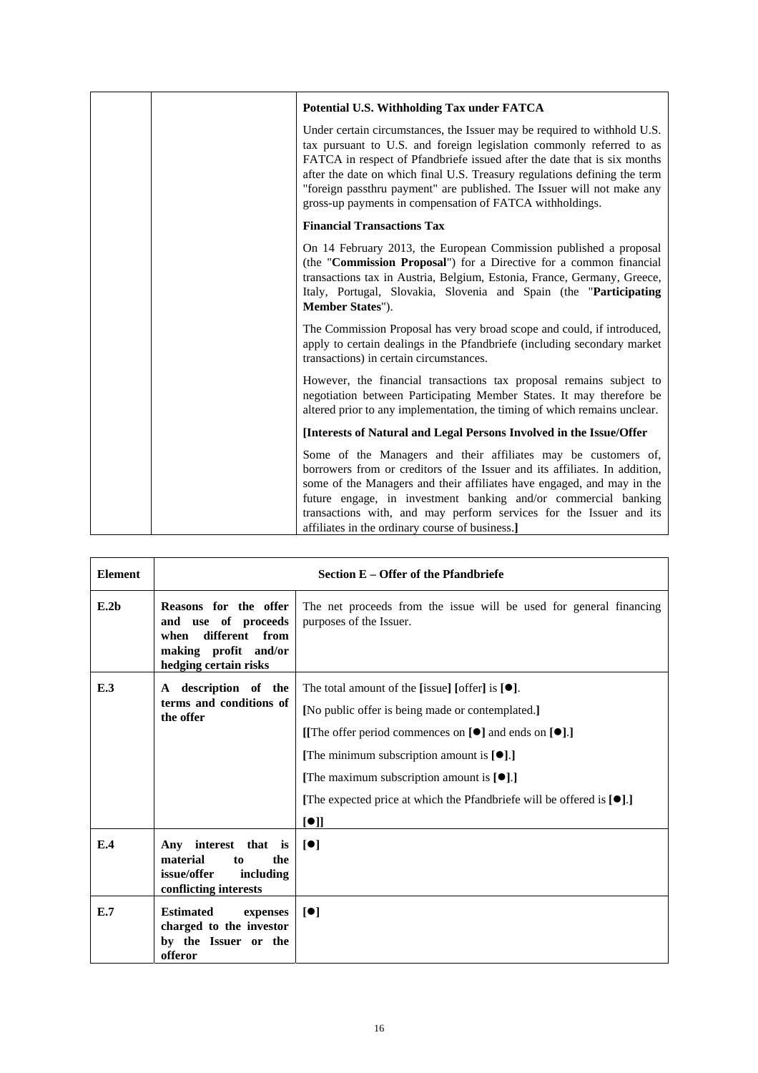|  | Potential U.S. Withholding Tax under FATCA                                                                                                                                                                                                                                                                                                                                                                                                      |
|--|-------------------------------------------------------------------------------------------------------------------------------------------------------------------------------------------------------------------------------------------------------------------------------------------------------------------------------------------------------------------------------------------------------------------------------------------------|
|  | Under certain circumstances, the Issuer may be required to withhold U.S.<br>tax pursuant to U.S. and foreign legislation commonly referred to as<br>FATCA in respect of Pfandbriefe issued after the date that is six months<br>after the date on which final U.S. Treasury regulations defining the term<br>"foreign passthru payment" are published. The Issuer will not make any<br>gross-up payments in compensation of FATCA withholdings. |
|  | <b>Financial Transactions Tax</b>                                                                                                                                                                                                                                                                                                                                                                                                               |
|  | On 14 February 2013, the European Commission published a proposal<br>(the " <b>Commission Proposal</b> ") for a Directive for a common financial<br>transactions tax in Austria, Belgium, Estonia, France, Germany, Greece,<br>Italy, Portugal, Slovakia, Slovenia and Spain (the "Participating<br>Member States").                                                                                                                            |
|  | The Commission Proposal has very broad scope and could, if introduced,<br>apply to certain dealings in the Pfandbriefe (including secondary market<br>transactions) in certain circumstances.                                                                                                                                                                                                                                                   |
|  | However, the financial transactions tax proposal remains subject to<br>negotiation between Participating Member States. It may therefore be<br>altered prior to any implementation, the timing of which remains unclear.                                                                                                                                                                                                                        |
|  | [Interests of Natural and Legal Persons Involved in the Issue/Offer                                                                                                                                                                                                                                                                                                                                                                             |
|  | Some of the Managers and their affiliates may be customers of,<br>borrowers from or creditors of the Issuer and its affiliates. In addition,<br>some of the Managers and their affiliates have engaged, and may in the<br>future engage, in investment banking and/or commercial banking<br>transactions with, and may perform services for the Issuer and its<br>affiliates in the ordinary course of business.]                               |

| <b>Element</b>   | Section E – Offer of the Pfandbriefe                                                                                       |                                                                                                                                                                                                                                                                                                                                                                                      |  |
|------------------|----------------------------------------------------------------------------------------------------------------------------|--------------------------------------------------------------------------------------------------------------------------------------------------------------------------------------------------------------------------------------------------------------------------------------------------------------------------------------------------------------------------------------|--|
| E.2 <sub>b</sub> | Reasons for the offer<br>and use of proceeds<br>different<br>from<br>when<br>making profit and/or<br>hedging certain risks | The net proceeds from the issue will be used for general financing<br>purposes of the Issuer.                                                                                                                                                                                                                                                                                        |  |
| E.3              | A description of the<br>terms and conditions of<br>the offer                                                               | The total amount of the [issue] [offer] is $[•]$ .<br>[No public offer is being made or contemplated.]<br>[The offer period commences on $[\bullet]$ and ends on $[\bullet]$ .]<br>[The minimum subscription amount is $[\bullet]$ .]<br>[The maximum subscription amount is $[\bullet]$ .]<br>[The expected price at which the Pfandbriefe will be offered is $[\bullet]$ .]<br>[•] |  |
| E.4              | Any interest that is<br>material<br>the<br>to<br>issue/offer<br>including<br>conflicting interests                         | [•]                                                                                                                                                                                                                                                                                                                                                                                  |  |
| E.7              | <b>Estimated</b><br>expenses<br>charged to the investor<br>by the Issuer or the<br>offeror                                 | [•]                                                                                                                                                                                                                                                                                                                                                                                  |  |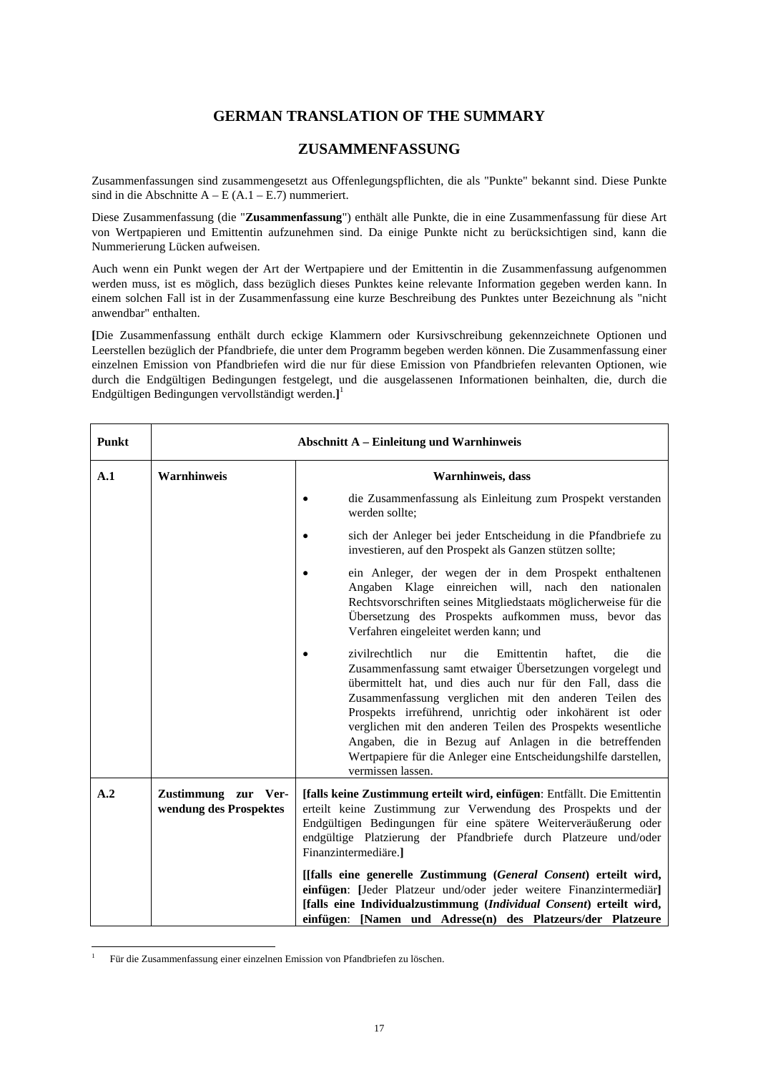# **GERMAN TRANSLATION OF THE SUMMARY**

# **ZUSAMMENFASSUNG**

Zusammenfassungen sind zusammengesetzt aus Offenlegungspflichten, die als "Punkte" bekannt sind. Diese Punkte sind in die Abschnitte  $A - E (A.1 - E.7)$  nummeriert.

Diese Zusammenfassung (die "**Zusammenfassung**") enthält alle Punkte, die in eine Zusammenfassung für diese Art von Wertpapieren und Emittentin aufzunehmen sind. Da einige Punkte nicht zu berücksichtigen sind, kann die Nummerierung Lücken aufweisen.

Auch wenn ein Punkt wegen der Art der Wertpapiere und der Emittentin in die Zusammenfassung aufgenommen werden muss, ist es möglich, dass bezüglich dieses Punktes keine relevante Information gegeben werden kann. In einem solchen Fall ist in der Zusammenfassung eine kurze Beschreibung des Punktes unter Bezeichnung als "nicht anwendbar" enthalten.

**[**Die Zusammenfassung enthält durch eckige Klammern oder Kursivschreibung gekennzeichnete Optionen und Leerstellen bezüglich der Pfandbriefe, die unter dem Programm begeben werden können. Die Zusammenfassung einer einzelnen Emission von Pfandbriefen wird die nur für diese Emission von Pfandbriefen relevanten Optionen, wie durch die Endgültigen Bedingungen festgelegt, und die ausgelassenen Informationen beinhalten, die, durch die Endgültigen Bedingungen vervollständigt werden.**]** 1

| Punkt |                                               | <b>Abschnitt A – Einleitung und Warnhinweis</b>                                                                                                                                                                                                                                                                                                                                                                                                                                                                                     |
|-------|-----------------------------------------------|-------------------------------------------------------------------------------------------------------------------------------------------------------------------------------------------------------------------------------------------------------------------------------------------------------------------------------------------------------------------------------------------------------------------------------------------------------------------------------------------------------------------------------------|
| A.1   | <b>Warnhinweis</b>                            | Warnhinweis, dass                                                                                                                                                                                                                                                                                                                                                                                                                                                                                                                   |
|       |                                               | die Zusammenfassung als Einleitung zum Prospekt verstanden<br>werden sollte;                                                                                                                                                                                                                                                                                                                                                                                                                                                        |
|       |                                               | sich der Anleger bei jeder Entscheidung in die Pfandbriefe zu<br>investieren, auf den Prospekt als Ganzen stützen sollte;                                                                                                                                                                                                                                                                                                                                                                                                           |
|       |                                               | ein Anleger, der wegen der in dem Prospekt enthaltenen<br>Angaben Klage einreichen will, nach den nationalen<br>Rechtsvorschriften seines Mitgliedstaats möglicherweise für die<br>Übersetzung des Prospekts aufkommen muss, bevor das<br>Verfahren eingeleitet werden kann; und                                                                                                                                                                                                                                                    |
|       |                                               | zivilrechtlich<br>die<br>Emittentin<br>haftet.<br>die<br>die<br>nur<br>Zusammenfassung samt etwaiger Übersetzungen vorgelegt und<br>übermittelt hat, und dies auch nur für den Fall, dass die<br>Zusammenfassung verglichen mit den anderen Teilen des<br>Prospekts irreführend, unrichtig oder inkohärent ist oder<br>verglichen mit den anderen Teilen des Prospekts wesentliche<br>Angaben, die in Bezug auf Anlagen in die betreffenden<br>Wertpapiere für die Anleger eine Entscheidungshilfe darstellen,<br>vermissen lassen. |
| A.2   | Zustimmung zur Ver-<br>wendung des Prospektes | [falls keine Zustimmung erteilt wird, einfügen: Entfällt. Die Emittentin<br>erteilt keine Zustimmung zur Verwendung des Prospekts und der<br>Endgültigen Bedingungen für eine spätere Weiterveräußerung oder<br>endgültige Platzierung der Pfandbriefe durch Platzeure und/oder<br>Finanzintermediäre.]                                                                                                                                                                                                                             |
|       |                                               | [[falls eine generelle Zustimmung (General Consent) erteilt wird,<br>einfügen: [Jeder Platzeur und/oder jeder weitere Finanzintermediär]<br>[falls eine Individualzustimmung (Individual Consent) erteilt wird,<br>einfügen: [Namen und Adresse(n) des Platzeurs/der Platzeure                                                                                                                                                                                                                                                      |

 $\frac{1}{1}$ Für die Zusammenfassung einer einzelnen Emission von Pfandbriefen zu löschen.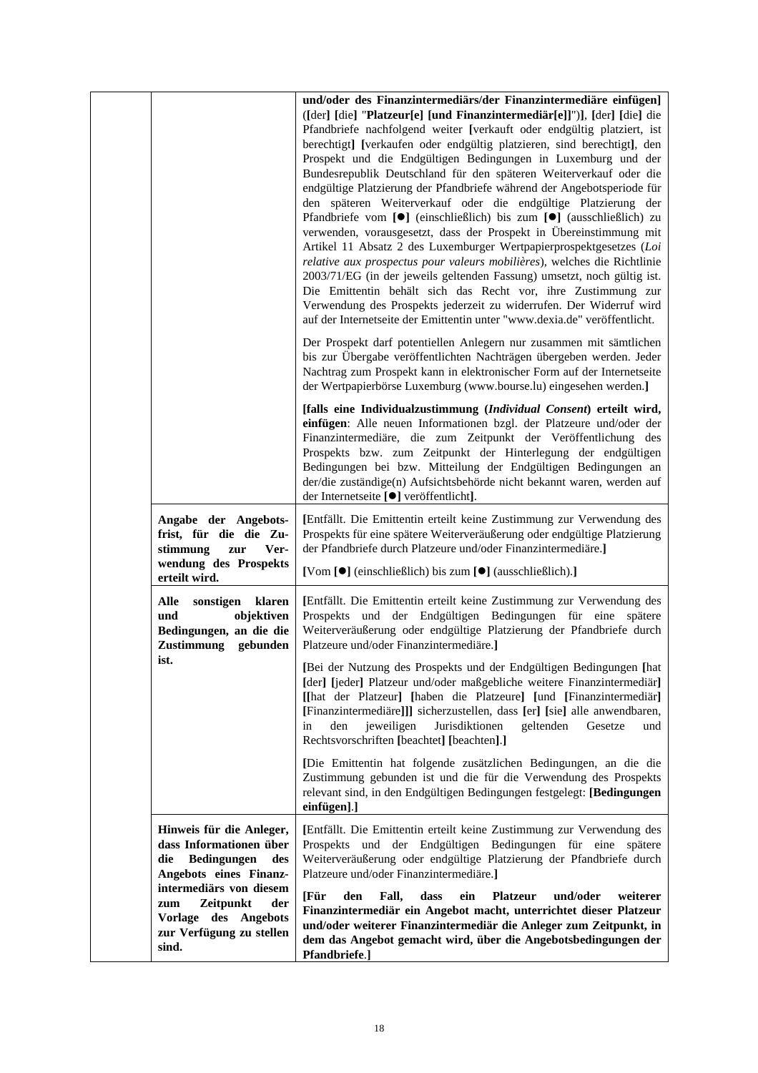|                                                                                                                                       | und/oder des Finanzintermediärs/der Finanzintermediäre einfügen]<br>([der] [die] "Platzeur[e] [und Finanzintermediär[e]]")], [der] [die] die<br>Pfandbriefe nachfolgend weiter [verkauft oder endgültig platziert, ist<br>berechtigt] [verkaufen oder endgültig platzieren, sind berechtigt], den<br>Prospekt und die Endgültigen Bedingungen in Luxemburg und der<br>Bundesrepublik Deutschland für den späteren Weiterverkauf oder die<br>endgültige Platzierung der Pfandbriefe während der Angebotsperiode für<br>den späteren Weiterverkauf oder die endgültige Platzierung der<br>Pfandbriefe vom [●] (einschließlich) bis zum [●] (ausschließlich) zu<br>verwenden, vorausgesetzt, dass der Prospekt in Übereinstimmung mit<br>Artikel 11 Absatz 2 des Luxemburger Wertpapierprospektgesetzes (Loi<br>relative aux prospectus pour valeurs mobilières), welches die Richtlinie<br>2003/71/EG (in der jeweils geltenden Fassung) umsetzt, noch gültig ist.<br>Die Emittentin behält sich das Recht vor, ihre Zustimmung zur<br>Verwendung des Prospekts jederzeit zu widerrufen. Der Widerruf wird<br>auf der Internetseite der Emittentin unter "www.dexia.de" veröffentlicht. |
|---------------------------------------------------------------------------------------------------------------------------------------|---------------------------------------------------------------------------------------------------------------------------------------------------------------------------------------------------------------------------------------------------------------------------------------------------------------------------------------------------------------------------------------------------------------------------------------------------------------------------------------------------------------------------------------------------------------------------------------------------------------------------------------------------------------------------------------------------------------------------------------------------------------------------------------------------------------------------------------------------------------------------------------------------------------------------------------------------------------------------------------------------------------------------------------------------------------------------------------------------------------------------------------------------------------------------------------|
|                                                                                                                                       | Der Prospekt darf potentiellen Anlegern nur zusammen mit sämtlichen<br>bis zur Übergabe veröffentlichten Nachträgen übergeben werden. Jeder<br>Nachtrag zum Prospekt kann in elektronischer Form auf der Internetseite<br>der Wertpapierbörse Luxemburg (www.bourse.lu) eingesehen werden.]                                                                                                                                                                                                                                                                                                                                                                                                                                                                                                                                                                                                                                                                                                                                                                                                                                                                                           |
|                                                                                                                                       | [falls eine Individualzustimmung (Individual Consent) erteilt wird,<br>einfügen: Alle neuen Informationen bzgl. der Platzeure und/oder der<br>Finanzintermediäre, die zum Zeitpunkt der Veröffentlichung des<br>Prospekts bzw. zum Zeitpunkt der Hinterlegung der endgültigen<br>Bedingungen bei bzw. Mitteilung der Endgültigen Bedingungen an<br>der/die zuständige(n) Aufsichtsbehörde nicht bekannt waren, werden auf<br>der Internetseite [ <sup>●</sup> ] veröffentlicht].                                                                                                                                                                                                                                                                                                                                                                                                                                                                                                                                                                                                                                                                                                      |
| Angabe der Angebots-<br>frist, für die die Zu-<br>stimmung<br>Ver-<br>zur<br>wendung des Prospekts                                    | [Entfällt. Die Emittentin erteilt keine Zustimmung zur Verwendung des<br>Prospekts für eine spätere Weiterveräußerung oder endgültige Platzierung<br>der Pfandbriefe durch Platzeure und/oder Finanzintermediäre.]<br>[Vom [●] (einschließlich) bis zum [●] (ausschließlich).]                                                                                                                                                                                                                                                                                                                                                                                                                                                                                                                                                                                                                                                                                                                                                                                                                                                                                                        |
| erteilt wird.<br>Alle<br>sonstigen<br>klaren<br>objektiven<br>und<br>Bedingungen, an die die<br>Zustimmung gebunden                   | [Entfällt. Die Emittentin erteilt keine Zustimmung zur Verwendung des<br>Prospekts und der Endgültigen Bedingungen für eine spätere<br>Weiterveräußerung oder endgültige Platzierung der Pfandbriefe durch<br>Platzeure und/oder Finanzintermediäre.]                                                                                                                                                                                                                                                                                                                                                                                                                                                                                                                                                                                                                                                                                                                                                                                                                                                                                                                                 |
| ist.                                                                                                                                  | [Bei der Nutzung des Prospekts und der Endgültigen Bedingungen [hat<br>[der] [jeder] Platzeur und/oder maßgebliche weitere Finanzintermediär]<br>[[hat der Platzeur] [haben die Platzeure] [und [Finanzintermediär]<br>[Finanzintermediäre]]] sicherzustellen, dass [er] [sie] alle anwendbaren,<br>jeweiligen<br>Jurisdiktionen<br>geltenden<br>den<br>Gesetze<br>in<br>und<br>Rechtsvorschriften [beachtet] [beachten].]                                                                                                                                                                                                                                                                                                                                                                                                                                                                                                                                                                                                                                                                                                                                                            |
|                                                                                                                                       | [Die Emittentin hat folgende zusätzlichen Bedingungen, an die die<br>Zustimmung gebunden ist und die für die Verwendung des Prospekts<br>relevant sind, in den Endgültigen Bedingungen festgelegt: [Bedingungen<br>einfügen].]                                                                                                                                                                                                                                                                                                                                                                                                                                                                                                                                                                                                                                                                                                                                                                                                                                                                                                                                                        |
| Hinweis für die Anleger,<br>dass Informationen über<br>Bedingungen<br>die<br>des<br>Angebots eines Finanz-<br>intermediärs von diesem | [Entfällt. Die Emittentin erteilt keine Zustimmung zur Verwendung des<br>Prospekts und der Endgültigen Bedingungen für eine spätere<br>Weiterveräußerung oder endgültige Platzierung der Pfandbriefe durch<br>Platzeure und/oder Finanzintermediäre.]                                                                                                                                                                                                                                                                                                                                                                                                                                                                                                                                                                                                                                                                                                                                                                                                                                                                                                                                 |
| Zeitpunkt<br>der<br>zum<br>Vorlage des Angebots<br>zur Verfügung zu stellen<br>sind.                                                  | und/oder<br>[Für<br>Fall,<br>dass<br>weiterer<br>den<br>ein<br><b>Platzeur</b><br>Finanzintermediär ein Angebot macht, unterrichtet dieser Platzeur<br>und/oder weiterer Finanzintermediär die Anleger zum Zeitpunkt, in<br>dem das Angebot gemacht wird, über die Angebotsbedingungen der<br>Pfandbriefe.]                                                                                                                                                                                                                                                                                                                                                                                                                                                                                                                                                                                                                                                                                                                                                                                                                                                                           |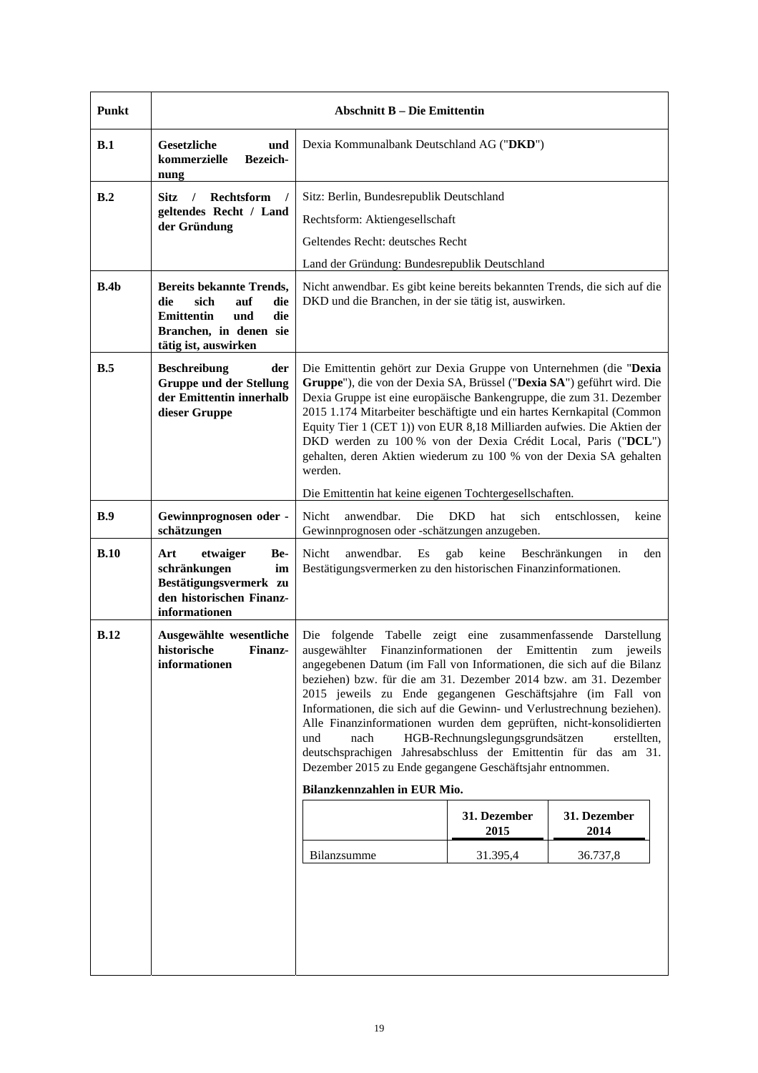| Punkt | <b>Abschnitt B – Die Emittentin</b>                                                                                                               |                                                                                                                                                                                                                                                                                                                                                                                                                                                                                                                                                                                                                                                                                                           |                      |                      |
|-------|---------------------------------------------------------------------------------------------------------------------------------------------------|-----------------------------------------------------------------------------------------------------------------------------------------------------------------------------------------------------------------------------------------------------------------------------------------------------------------------------------------------------------------------------------------------------------------------------------------------------------------------------------------------------------------------------------------------------------------------------------------------------------------------------------------------------------------------------------------------------------|----------------------|----------------------|
| B.1   | Gesetzliche<br>und<br>kommerzielle<br><b>Bezeich-</b><br>nung                                                                                     | Dexia Kommunalbank Deutschland AG ("DKD")                                                                                                                                                                                                                                                                                                                                                                                                                                                                                                                                                                                                                                                                 |                      |                      |
| B.2   | Rechtsform<br>Sitz.<br>$\prime$                                                                                                                   | Sitz: Berlin, Bundesrepublik Deutschland                                                                                                                                                                                                                                                                                                                                                                                                                                                                                                                                                                                                                                                                  |                      |                      |
|       | geltendes Recht / Land<br>der Gründung                                                                                                            | Rechtsform: Aktiengesellschaft                                                                                                                                                                                                                                                                                                                                                                                                                                                                                                                                                                                                                                                                            |                      |                      |
|       |                                                                                                                                                   | Geltendes Recht: deutsches Recht                                                                                                                                                                                                                                                                                                                                                                                                                                                                                                                                                                                                                                                                          |                      |                      |
|       |                                                                                                                                                   | Land der Gründung: Bundesrepublik Deutschland                                                                                                                                                                                                                                                                                                                                                                                                                                                                                                                                                                                                                                                             |                      |                      |
| B.4b  | <b>Bereits bekannte Trends,</b><br>sich<br>auf<br>die<br>die<br>die<br><b>Emittentin</b><br>und<br>Branchen, in denen sie<br>tätig ist, auswirken | Nicht anwendbar. Es gibt keine bereits bekannten Trends, die sich auf die<br>DKD und die Branchen, in der sie tätig ist, auswirken.                                                                                                                                                                                                                                                                                                                                                                                                                                                                                                                                                                       |                      |                      |
| B.5   | <b>Beschreibung</b><br>der<br><b>Gruppe und der Stellung</b><br>der Emittentin innerhalb<br>dieser Gruppe                                         | Die Emittentin gehört zur Dexia Gruppe von Unternehmen (die "Dexia<br>Gruppe"), die von der Dexia SA, Brüssel ("Dexia SA") geführt wird. Die<br>Dexia Gruppe ist eine europäische Bankengruppe, die zum 31. Dezember<br>2015 1.174 Mitarbeiter beschäftigte und ein hartes Kernkapital (Common<br>Equity Tier 1 (CET 1)) von EUR 8,18 Milliarden aufwies. Die Aktien der<br>DKD werden zu 100 % von der Dexia Crédit Local, Paris ("DCL")<br>gehalten, deren Aktien wiederum zu 100 % von der Dexia SA gehalten<br>werden.                                                                                                                                                                                |                      |                      |
|       |                                                                                                                                                   | Die Emittentin hat keine eigenen Tochtergesellschaften.                                                                                                                                                                                                                                                                                                                                                                                                                                                                                                                                                                                                                                                   |                      |                      |
| B.9   | Gewinnprognosen oder -<br>schätzungen                                                                                                             | anwendbar.<br><b>DKD</b><br>Nicht<br>Die<br>hat<br>sich<br>entschlossen,<br>keine<br>Gewinnprognosen oder -schätzungen anzugeben.                                                                                                                                                                                                                                                                                                                                                                                                                                                                                                                                                                         |                      |                      |
| B.10  | Art<br>etwaiger<br>Be-<br>schränkungen<br>im<br>Bestätigungsvermerk zu<br>den historischen Finanz-<br>informationen                               | Nicht<br>anwendbar.<br>Es<br>gab<br>keine<br>Beschränkungen<br>in<br>den<br>Bestätigungsvermerken zu den historischen Finanzinformationen.                                                                                                                                                                                                                                                                                                                                                                                                                                                                                                                                                                |                      |                      |
| B.12  | Ausgewählte wesentliche<br>historische<br>Finanz-<br>informationen                                                                                | Die folgende Tabelle zeigt eine zusammenfassende Darstellung<br>ausgewählter Finanzinformationen der Emittentin zum jeweils<br>angegebenen Datum (im Fall von Informationen, die sich auf die Bilanz<br>beziehen) bzw. für die am 31. Dezember 2014 bzw. am 31. Dezember<br>2015 jeweils zu Ende gegangenen Geschäftsjahre (im Fall von<br>Informationen, die sich auf die Gewinn- und Verlustrechnung beziehen).<br>Alle Finanzinformationen wurden dem geprüften, nicht-konsolidierten<br>HGB-Rechnungslegungsgrundsätzen<br>und<br>nach<br>deutschsprachigen Jahresabschluss der Emittentin für das am 31.<br>Dezember 2015 zu Ende gegangene Geschäftsjahr entnommen.<br>Bilanzkennzahlen in EUR Mio. |                      | erstellten.          |
|       |                                                                                                                                                   |                                                                                                                                                                                                                                                                                                                                                                                                                                                                                                                                                                                                                                                                                                           | 31. Dezember<br>2015 | 31. Dezember<br>2014 |
|       |                                                                                                                                                   | Bilanzsumme                                                                                                                                                                                                                                                                                                                                                                                                                                                                                                                                                                                                                                                                                               | 31.395,4             | 36.737,8             |
|       |                                                                                                                                                   |                                                                                                                                                                                                                                                                                                                                                                                                                                                                                                                                                                                                                                                                                                           |                      |                      |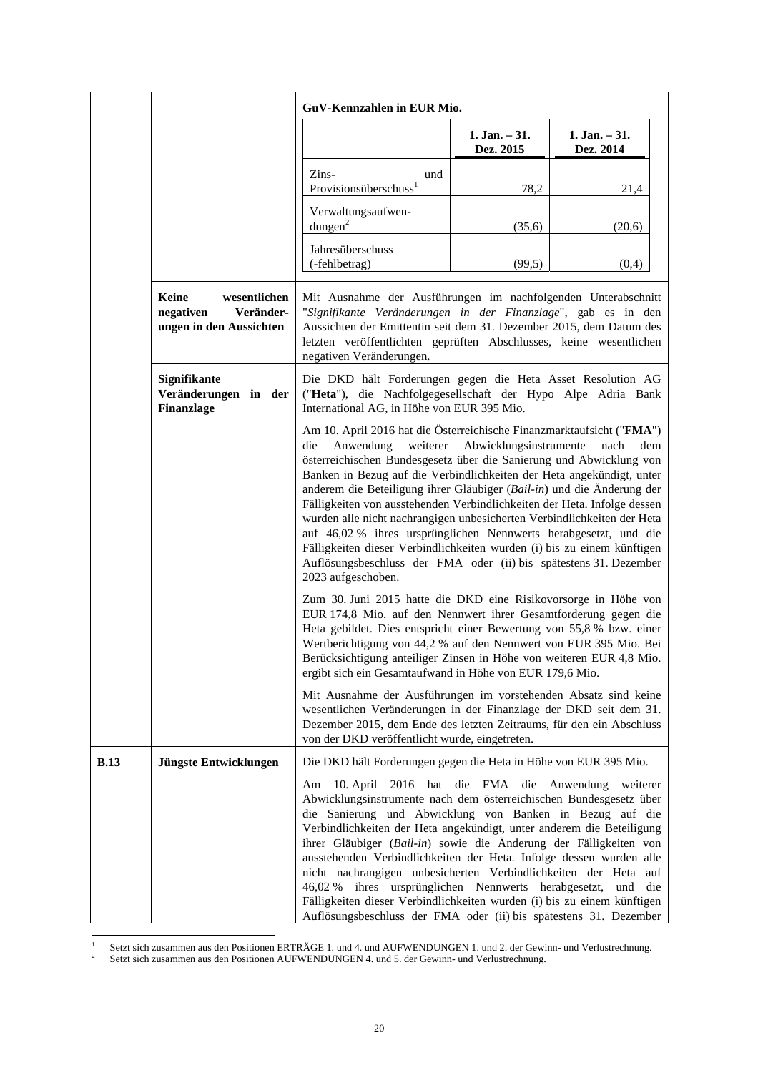|             |                                                                            | GuV-Kennzahlen in EUR Mio.                                                                                                                                                                                                                                                                                                                                                                                                                                                                                                                                                                                                                                                                                                       |                              |                              |
|-------------|----------------------------------------------------------------------------|----------------------------------------------------------------------------------------------------------------------------------------------------------------------------------------------------------------------------------------------------------------------------------------------------------------------------------------------------------------------------------------------------------------------------------------------------------------------------------------------------------------------------------------------------------------------------------------------------------------------------------------------------------------------------------------------------------------------------------|------------------------------|------------------------------|
|             |                                                                            |                                                                                                                                                                                                                                                                                                                                                                                                                                                                                                                                                                                                                                                                                                                                  | $1. Jan. - 31.$<br>Dez. 2015 | $1. Jan. - 31.$<br>Dez. 2014 |
|             |                                                                            | Zins-<br>und<br>Provisionsüberschuss <sup>1</sup>                                                                                                                                                                                                                                                                                                                                                                                                                                                                                                                                                                                                                                                                                | 78,2                         | 21,4                         |
|             |                                                                            | Verwaltungsaufwen-<br>$d$ ungen $^2$                                                                                                                                                                                                                                                                                                                                                                                                                                                                                                                                                                                                                                                                                             | (35,6)                       | (20,6)                       |
|             |                                                                            | Jahresüberschuss<br>(-fehlbetrag)                                                                                                                                                                                                                                                                                                                                                                                                                                                                                                                                                                                                                                                                                                | (99,5)                       | (0,4)                        |
|             | Keine<br>wesentlichen<br>negativen<br>Veränder-<br>ungen in den Aussichten | Mit Ausnahme der Ausführungen im nachfolgenden Unterabschnitt<br>"Signifikante Veränderungen in der Finanzlage", gab es in den<br>Aussichten der Emittentin seit dem 31. Dezember 2015, dem Datum des<br>letzten veröffentlichten geprüften Abschlusses, keine wesentlichen<br>negativen Veränderungen.                                                                                                                                                                                                                                                                                                                                                                                                                          |                              |                              |
|             | Signifikante<br>Veränderungen in der<br>Finanzlage                         | Die DKD hält Forderungen gegen die Heta Asset Resolution AG<br>("Heta"), die Nachfolgegesellschaft der Hypo Alpe Adria Bank<br>International AG, in Höhe von EUR 395 Mio.                                                                                                                                                                                                                                                                                                                                                                                                                                                                                                                                                        |                              |                              |
|             |                                                                            | Am 10. April 2016 hat die Österreichische Finanzmarktaufsicht ("FMA")<br>weiterer<br>die<br>Anwendung<br>österreichischen Bundesgesetz über die Sanierung und Abwicklung von<br>Banken in Bezug auf die Verbindlichkeiten der Heta angekündigt, unter<br>anderem die Beteiligung ihrer Gläubiger (Bail-in) und die Änderung der<br>Fälligkeiten von ausstehenden Verbindlichkeiten der Heta. Infolge dessen<br>wurden alle nicht nachrangigen unbesicherten Verbindlichkeiten der Heta<br>auf 46,02 % ihres ursprünglichen Nennwerts herabgesetzt, und die<br>Fälligkeiten dieser Verbindlichkeiten wurden (i) bis zu einem künftigen<br>Auflösungsbeschluss der FMA oder (ii) bis spätestens 31. Dezember<br>2023 aufgeschoben. | Abwicklungsinstrumente       | nach<br>dem                  |
|             |                                                                            | Zum 30. Juni 2015 hatte die DKD eine Risikovorsorge in Höhe von<br>EUR 174,8 Mio. auf den Nennwert ihrer Gesamtforderung gegen die<br>Heta gebildet. Dies entspricht einer Bewertung von 55,8 % bzw. einer<br>Wertberichtigung von 44,2 % auf den Nennwert von EUR 395 Mio. Bei<br>Berücksichtigung anteiliger Zinsen in Höhe von weiteren EUR 4,8 Mio.<br>ergibt sich ein Gesamtaufwand in Höhe von EUR 179,6 Mio.                                                                                                                                                                                                                                                                                                              |                              |                              |
|             |                                                                            | Mit Ausnahme der Ausführungen im vorstehenden Absatz sind keine<br>wesentlichen Veränderungen in der Finanzlage der DKD seit dem 31.<br>Dezember 2015, dem Ende des letzten Zeitraums, für den ein Abschluss<br>von der DKD veröffentlicht wurde, eingetreten.                                                                                                                                                                                                                                                                                                                                                                                                                                                                   |                              |                              |
| <b>B.13</b> | Jüngste Entwicklungen                                                      | Die DKD hält Forderungen gegen die Heta in Höhe von EUR 395 Mio.                                                                                                                                                                                                                                                                                                                                                                                                                                                                                                                                                                                                                                                                 |                              |                              |
|             |                                                                            | Am 10. April 2016 hat die FMA die Anwendung weiterer<br>Abwicklungsinstrumente nach dem österreichischen Bundesgesetz über<br>die Sanierung und Abwicklung von Banken in Bezug auf die<br>Verbindlichkeiten der Heta angekündigt, unter anderem die Beteiligung<br>ihrer Gläubiger (Bail-in) sowie die Änderung der Fälligkeiten von<br>ausstehenden Verbindlichkeiten der Heta. Infolge dessen wurden alle<br>nicht nachrangigen unbesicherten Verbindlichkeiten der Heta auf<br>46,02 % ihres ursprünglichen Nennwerts herabgesetzt, und<br>Fälligkeiten dieser Verbindlichkeiten wurden (i) bis zu einem künftigen<br>Auflösungsbeschluss der FMA oder (ii) bis spätestens 31. Dezember                                       |                              | die                          |

 $\frac{1}{1}$ 

Setzt sich zusammen aus den Positionen ERTRÄGE 1. und 4. und AUFWENDUNGEN 1. und 2. der Gewinn- und Verlustrechnung.<br><sup>2</sup> Setzt sich zusammen aus den Positionen AUFWENDUNGEN 4. und 5. der Gewinn- und Verlustrechnung.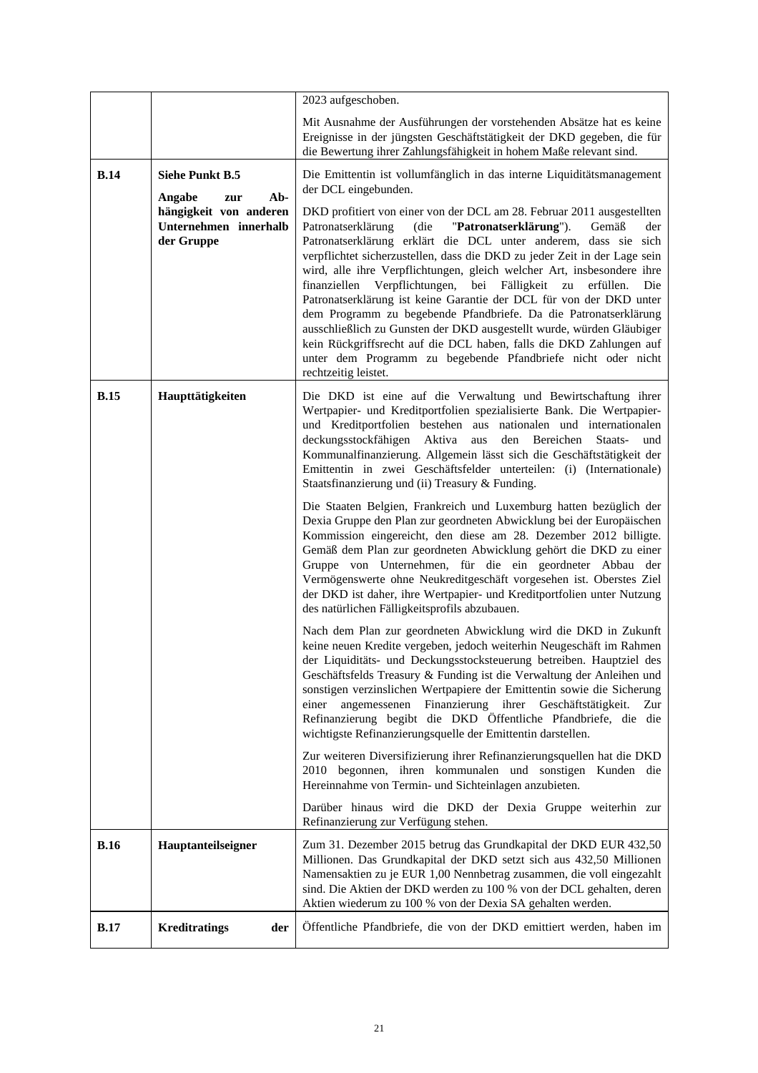|             |                                                               | 2023 aufgeschoben.                                                                                                                                                                                                                                                                                                                                                                                                                                                                                                                                                                                                                                                                                                                                                                                                                 |
|-------------|---------------------------------------------------------------|------------------------------------------------------------------------------------------------------------------------------------------------------------------------------------------------------------------------------------------------------------------------------------------------------------------------------------------------------------------------------------------------------------------------------------------------------------------------------------------------------------------------------------------------------------------------------------------------------------------------------------------------------------------------------------------------------------------------------------------------------------------------------------------------------------------------------------|
|             |                                                               | Mit Ausnahme der Ausführungen der vorstehenden Absätze hat es keine<br>Ereignisse in der jüngsten Geschäftstätigkeit der DKD gegeben, die für<br>die Bewertung ihrer Zahlungsfähigkeit in hohem Maße relevant sind.                                                                                                                                                                                                                                                                                                                                                                                                                                                                                                                                                                                                                |
| B.14        | <b>Siehe Punkt B.5</b><br>Angabe<br>Ab-<br>zur                | Die Emittentin ist vollumfänglich in das interne Liquiditätsmanagement<br>der DCL eingebunden.                                                                                                                                                                                                                                                                                                                                                                                                                                                                                                                                                                                                                                                                                                                                     |
|             | hängigkeit von anderen<br>Unternehmen innerhalb<br>der Gruppe | DKD profitiert von einer von der DCL am 28. Februar 2011 ausgestellten<br>(die<br>"Patronatserklärung").<br>Gemäß<br>Patronatserklärung<br>der<br>Patronatserklärung erklärt die DCL unter anderem, dass sie sich<br>verpflichtet sicherzustellen, dass die DKD zu jeder Zeit in der Lage sein<br>wird, alle ihre Verpflichtungen, gleich welcher Art, insbesondere ihre<br>finanziellen Verpflichtungen, bei Fälligkeit zu<br>erfüllen.<br>Die<br>Patronatserklärung ist keine Garantie der DCL für von der DKD unter<br>dem Programm zu begebende Pfandbriefe. Da die Patronatserklärung<br>ausschließlich zu Gunsten der DKD ausgestellt wurde, würden Gläubiger<br>kein Rückgriffsrecht auf die DCL haben, falls die DKD Zahlungen auf<br>unter dem Programm zu begebende Pfandbriefe nicht oder nicht<br>rechtzeitig leistet. |
| <b>B.15</b> | Haupttätigkeiten                                              | Die DKD ist eine auf die Verwaltung und Bewirtschaftung ihrer<br>Wertpapier- und Kreditportfolien spezialisierte Bank. Die Wertpapier-<br>und Kreditportfolien bestehen aus nationalen und internationalen<br>deckungsstockfähigen<br>Aktiva<br>aus<br>den Bereichen<br>Staats-<br>und<br>Kommunalfinanzierung. Allgemein lässt sich die Geschäftstätigkeit der<br>Emittentin in zwei Geschäftsfelder unterteilen: (i) (Internationale)<br>Staatsfinanzierung und (ii) Treasury & Funding.                                                                                                                                                                                                                                                                                                                                         |
|             |                                                               | Die Staaten Belgien, Frankreich und Luxemburg hatten bezüglich der<br>Dexia Gruppe den Plan zur geordneten Abwicklung bei der Europäischen<br>Kommission eingereicht, den diese am 28. Dezember 2012 billigte.<br>Gemäß dem Plan zur geordneten Abwicklung gehört die DKD zu einer<br>Gruppe von Unternehmen, für die ein geordneter Abbau der<br>Vermögenswerte ohne Neukreditgeschäft vorgesehen ist. Oberstes Ziel<br>der DKD ist daher, ihre Wertpapier- und Kreditportfolien unter Nutzung<br>des natürlichen Fälligkeitsprofils abzubauen.                                                                                                                                                                                                                                                                                   |
|             |                                                               | Nach dem Plan zur geordneten Abwicklung wird die DKD in Zukunft<br>keine neuen Kredite vergeben, jedoch weiterhin Neugeschäft im Rahmen<br>der Liquiditäts- und Deckungsstocksteuerung betreiben. Hauptziel des<br>Geschäftsfelds Treasury & Funding ist die Verwaltung der Anleihen und<br>sonstigen verzinslichen Wertpapiere der Emittentin sowie die Sicherung<br>angemessenen Finanzierung ihrer Geschäftstätigkeit.<br>einer<br>Zur<br>Refinanzierung begibt die DKD Öffentliche Pfandbriefe, die die<br>wichtigste Refinanzierungsquelle der Emittentin darstellen.                                                                                                                                                                                                                                                         |
|             |                                                               | Zur weiteren Diversifizierung ihrer Refinanzierungsquellen hat die DKD<br>2010 begonnen, ihren kommunalen und sonstigen Kunden die<br>Hereinnahme von Termin- und Sichteinlagen anzubieten.                                                                                                                                                                                                                                                                                                                                                                                                                                                                                                                                                                                                                                        |
|             |                                                               | Darüber hinaus wird die DKD der Dexia Gruppe weiterhin zur<br>Refinanzierung zur Verfügung stehen.                                                                                                                                                                                                                                                                                                                                                                                                                                                                                                                                                                                                                                                                                                                                 |
| <b>B.16</b> | Hauptanteilseigner                                            | Zum 31. Dezember 2015 betrug das Grundkapital der DKD EUR 432,50<br>Millionen. Das Grundkapital der DKD setzt sich aus 432,50 Millionen<br>Namensaktien zu je EUR 1,00 Nennbetrag zusammen, die voll eingezahlt<br>sind. Die Aktien der DKD werden zu 100 % von der DCL gehalten, deren<br>Aktien wiederum zu 100 % von der Dexia SA gehalten werden.                                                                                                                                                                                                                                                                                                                                                                                                                                                                              |
| <b>B.17</b> | <b>Kreditratings</b><br>der                                   | Öffentliche Pfandbriefe, die von der DKD emittiert werden, haben im                                                                                                                                                                                                                                                                                                                                                                                                                                                                                                                                                                                                                                                                                                                                                                |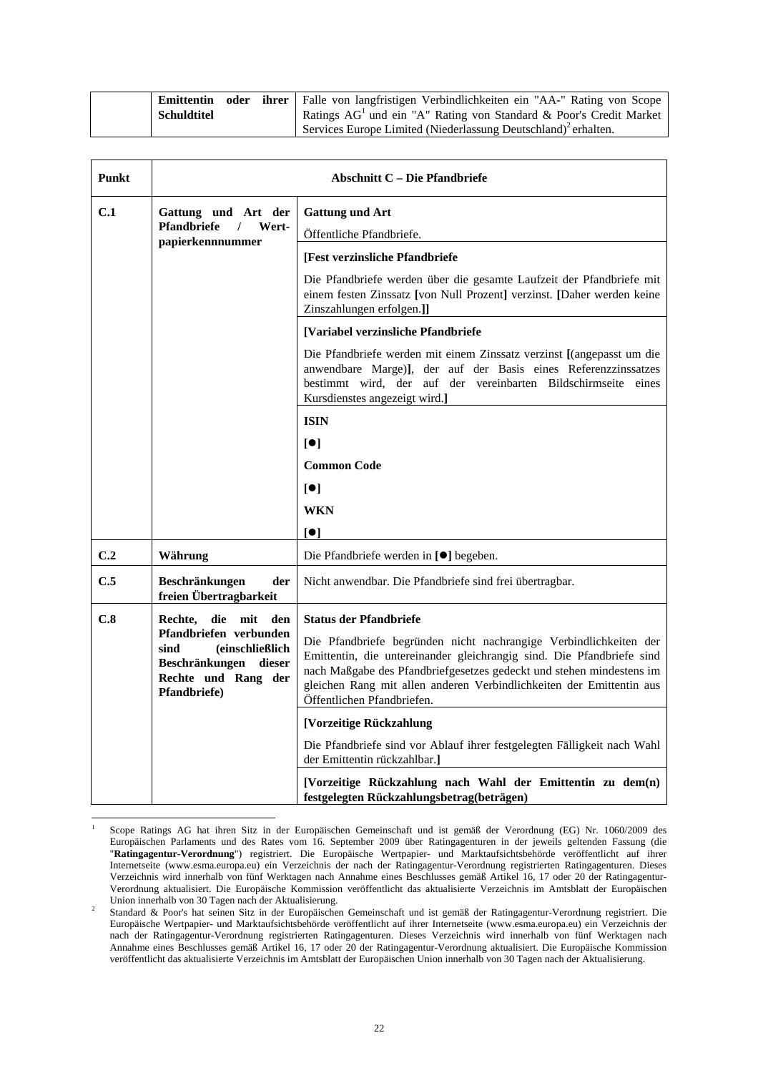|                    |  | <b>Emittentin oder ihrer</b> Falle von langfristigen Verbindlichkeiten ein "AA-" Rating von Scope |
|--------------------|--|---------------------------------------------------------------------------------------------------|
| <b>Schuldtitel</b> |  | Ratings AG <sup>1</sup> und ein "A" Rating von Standard & Poor's Credit Market                    |
|                    |  | Services Europe Limited (Niederlassung Deutschland) <sup>2</sup> erhalten.                        |

| Punkt                                                                                                                                |                                                                                                                                                                                                                                                                                                                          | Abschnitt C – Die Pfandbriefe                                                                                                                                                                                                             |
|--------------------------------------------------------------------------------------------------------------------------------------|--------------------------------------------------------------------------------------------------------------------------------------------------------------------------------------------------------------------------------------------------------------------------------------------------------------------------|-------------------------------------------------------------------------------------------------------------------------------------------------------------------------------------------------------------------------------------------|
| C.1                                                                                                                                  | Gattung und Art der<br><b>Pfandbriefe</b><br>$\frac{1}{2}$<br>Wert-                                                                                                                                                                                                                                                      | <b>Gattung und Art</b>                                                                                                                                                                                                                    |
|                                                                                                                                      | papierkennnummer                                                                                                                                                                                                                                                                                                         | Öffentliche Pfandbriefe.                                                                                                                                                                                                                  |
|                                                                                                                                      |                                                                                                                                                                                                                                                                                                                          | [Fest verzinsliche Pfandbriefe]                                                                                                                                                                                                           |
|                                                                                                                                      |                                                                                                                                                                                                                                                                                                                          | Die Pfandbriefe werden über die gesamte Laufzeit der Pfandbriefe mit<br>einem festen Zinssatz [von Null Prozent] verzinst. [Daher werden keine<br>Zinszahlungen erfolgen.]]                                                               |
|                                                                                                                                      |                                                                                                                                                                                                                                                                                                                          | [Variabel verzinsliche Pfandbriefe                                                                                                                                                                                                        |
|                                                                                                                                      |                                                                                                                                                                                                                                                                                                                          | Die Pfandbriefe werden mit einem Zinssatz verzinst [(angepasst um die<br>anwendbare Marge)], der auf der Basis eines Referenzzinssatzes<br>bestimmt wird, der auf der vereinbarten Bildschirmseite eines<br>Kursdienstes angezeigt wird.] |
|                                                                                                                                      |                                                                                                                                                                                                                                                                                                                          | <b>ISIN</b>                                                                                                                                                                                                                               |
|                                                                                                                                      |                                                                                                                                                                                                                                                                                                                          | $\lceil \bullet \rceil$                                                                                                                                                                                                                   |
|                                                                                                                                      |                                                                                                                                                                                                                                                                                                                          | <b>Common Code</b>                                                                                                                                                                                                                        |
|                                                                                                                                      |                                                                                                                                                                                                                                                                                                                          | [•]                                                                                                                                                                                                                                       |
|                                                                                                                                      |                                                                                                                                                                                                                                                                                                                          | WKN                                                                                                                                                                                                                                       |
|                                                                                                                                      |                                                                                                                                                                                                                                                                                                                          | $\lceil \bullet \rceil$                                                                                                                                                                                                                   |
| C.2                                                                                                                                  | Währung                                                                                                                                                                                                                                                                                                                  | Die Pfandbriefe werden in [ <sup>●</sup> ] begeben.                                                                                                                                                                                       |
| C.5                                                                                                                                  | Beschränkungen<br>der<br>freien Übertragbarkeit                                                                                                                                                                                                                                                                          | Nicht anwendbar. Die Pfandbriefe sind frei übertragbar.                                                                                                                                                                                   |
| C.8                                                                                                                                  | Rechte,<br>die mit den                                                                                                                                                                                                                                                                                                   | <b>Status der Pfandbriefe</b>                                                                                                                                                                                                             |
| Pfandbriefen verbunden<br>sind<br><i>(einschließlich)</i><br>Beschränkungen<br>dieser<br>Rechte und Rang der<br><b>Pfandbriefe</b> ) | Die Pfandbriefe begründen nicht nachrangige Verbindlichkeiten der<br>Emittentin, die untereinander gleichrangig sind. Die Pfandbriefe sind<br>nach Maßgabe des Pfandbriefgesetzes gedeckt und stehen mindestens im<br>gleichen Rang mit allen anderen Verbindlichkeiten der Emittentin aus<br>Öffentlichen Pfandbriefen. |                                                                                                                                                                                                                                           |
|                                                                                                                                      |                                                                                                                                                                                                                                                                                                                          | [Vorzeitige Rückzahlung                                                                                                                                                                                                                   |
|                                                                                                                                      |                                                                                                                                                                                                                                                                                                                          | Die Pfandbriefe sind vor Ablauf ihrer festgelegten Fälligkeit nach Wahl<br>der Emittentin rückzahlbar.                                                                                                                                    |
|                                                                                                                                      |                                                                                                                                                                                                                                                                                                                          | [Vorzeitige Rückzahlung nach Wahl der Emittentin zu dem(n)<br>festgelegten Rückzahlungsbetrag(beträgen)                                                                                                                                   |

l 1 Scope Ratings AG hat ihren Sitz in der Europäischen Gemeinschaft und ist gemäß der Verordnung (EG) Nr. 1060/2009 des Europäischen Parlaments und des Rates vom 16. September 2009 über Ratingagenturen in der jeweils geltenden Fassung (die "**Ratingagentur-Verordnung**") registriert. Die Europäische Wertpapier- und Marktaufsichtsbehörde veröffentlicht auf ihrer Internetseite (www.esma.europa.eu) ein Verzeichnis der nach der Ratingagentur-Verordnung registrierten Ratingagenturen. Dieses Verzeichnis wird innerhalb von fünf Werktagen nach Annahme eines Beschlusses gemäß Artikel 16, 17 oder 20 der Ratingagentur-Verordnung aktualisiert. Die Europäische Kommission veröffentlicht das aktualisierte Verzeichnis im Amtsblatt der Europäischen Union innerhalb von 30 Tagen nach der Aktualisierung.

Standard & Poor's hat seinen Sitz in der Europäischen Gemeinschaft und ist gemäß der Ratingagentur-Verordnung registriert. Die Europäische Wertpapier- und Marktaufsichtsbehörde veröffentlicht auf ihrer Internetseite (www.esma.europa.eu) ein Verzeichnis der nach der Ratingagentur-Verordnung registrierten Ratingagenturen. Dieses Verzeichnis wird innerhalb von fünf Werktagen nach Annahme eines Beschlusses gemäß Artikel 16, 17 oder 20 der Ratingagentur-Verordnung aktualisiert. Die Europäische Kommission veröffentlicht das aktualisierte Verzeichnis im Amtsblatt der Europäischen Union innerhalb von 30 Tagen nach der Aktualisierung.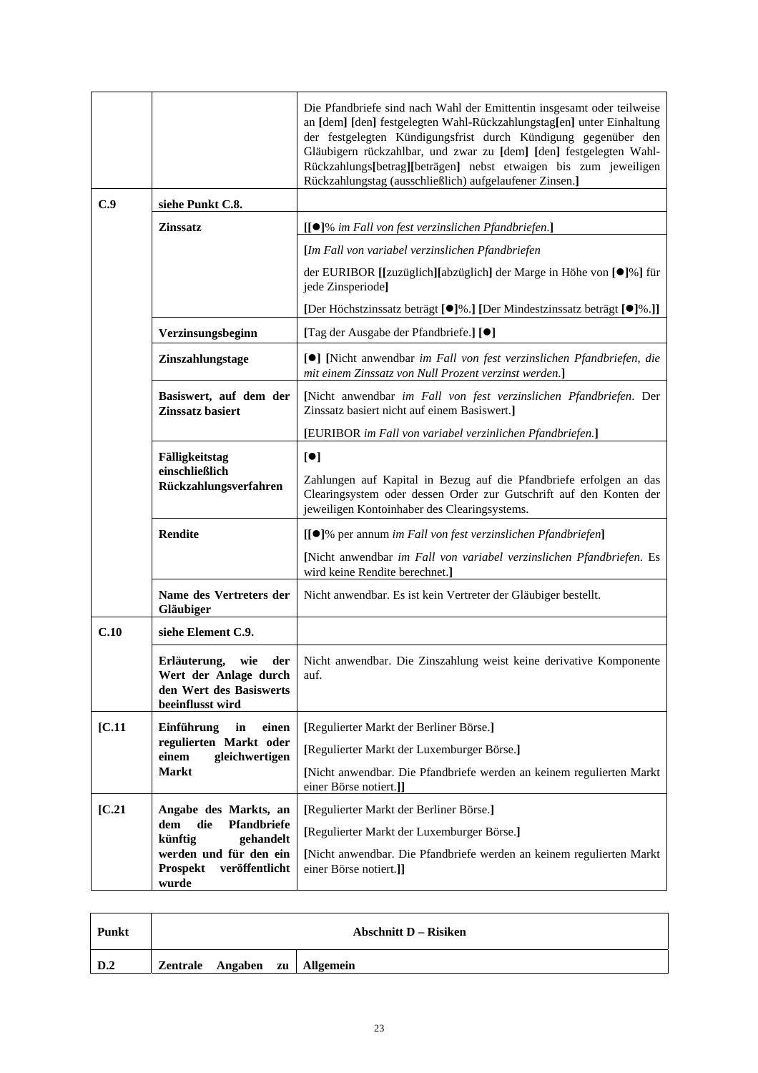|                       |                                                                                                    | Die Pfandbriefe sind nach Wahl der Emittentin insgesamt oder teilweise<br>an [dem] [den] festgelegten Wahl-Rückzahlungstag[en] unter Einhaltung<br>der festgelegten Kündigungsfrist durch Kündigung gegenüber den<br>Gläubigern rückzahlbar, und zwar zu [dem] [den] festgelegten Wahl-<br>Rückzahlungs[betrag][beträgen] nebst etwaigen bis zum jeweiligen<br>Rückzahlungstag (ausschließlich) aufgelaufener Zinsen.] |
|-----------------------|----------------------------------------------------------------------------------------------------|------------------------------------------------------------------------------------------------------------------------------------------------------------------------------------------------------------------------------------------------------------------------------------------------------------------------------------------------------------------------------------------------------------------------|
| C.9                   | siehe Punkt C.8.                                                                                   |                                                                                                                                                                                                                                                                                                                                                                                                                        |
|                       | <b>Zinssatz</b>                                                                                    | [[●]% im Fall von fest verzinslichen Pfandbriefen.]                                                                                                                                                                                                                                                                                                                                                                    |
|                       |                                                                                                    | [Im Fall von variabel verzinslichen Pfandbriefen                                                                                                                                                                                                                                                                                                                                                                       |
|                       |                                                                                                    | der EURIBOR [[zuzüglich][abzüglich] der Marge in Höhe von [●]%] für<br>jede Zinsperiode]                                                                                                                                                                                                                                                                                                                               |
|                       |                                                                                                    | [Der Höchstzinssatz beträgt [●]%.] [Der Mindestzinssatz beträgt [●]%.]]                                                                                                                                                                                                                                                                                                                                                |
|                       | Verzinsungsbeginn                                                                                  | [Tag der Ausgabe der Pfandbriefe.] [ <sup>0</sup> ]                                                                                                                                                                                                                                                                                                                                                                    |
|                       | Zinszahlungstage                                                                                   | [ <sup>●</sup> ] [Nicht anwendbar im Fall von fest verzinslichen Pfandbriefen, die<br>mit einem Zinssatz von Null Prozent verzinst werden.]                                                                                                                                                                                                                                                                            |
|                       | Basiswert, auf dem der<br>Zinssatz basiert                                                         | [Nicht anwendbar im Fall von fest verzinslichen Pfandbriefen. Der<br>Zinssatz basiert nicht auf einem Basiswert.]                                                                                                                                                                                                                                                                                                      |
|                       |                                                                                                    | [EURIBOR im Fall von variabel verzinlichen Pfandbriefen.]                                                                                                                                                                                                                                                                                                                                                              |
|                       | Fälligkeitstag<br>einschließlich<br>Rückzahlungsverfahren                                          | [•]<br>Zahlungen auf Kapital in Bezug auf die Pfandbriefe erfolgen an das<br>Clearingsystem oder dessen Order zur Gutschrift auf den Konten der<br>jeweiligen Kontoinhaber des Clearingsystems.                                                                                                                                                                                                                        |
|                       | <b>Rendite</b>                                                                                     | [[●]% per annum im Fall von fest verzinslichen Pfandbriefen]                                                                                                                                                                                                                                                                                                                                                           |
|                       |                                                                                                    | [Nicht anwendbar im Fall von variabel verzinslichen Pfandbriefen. Es<br>wird keine Rendite berechnet.]                                                                                                                                                                                                                                                                                                                 |
|                       | Name des Vertreters der<br>Gläubiger                                                               | Nicht anwendbar. Es ist kein Vertreter der Gläubiger bestellt.                                                                                                                                                                                                                                                                                                                                                         |
| C.10                  | siehe Element C.9.                                                                                 |                                                                                                                                                                                                                                                                                                                                                                                                                        |
|                       | Erläuterung,<br>wie<br>der<br>Wert der Anlage durch<br>den Wert des Basiswerts<br>beeinflusst wird | Nicht anwendbar. Die Zinszahlung weist keine derivative Komponente<br>auf.                                                                                                                                                                                                                                                                                                                                             |
| [C.11]                | Einführung<br>in<br>einen                                                                          | [Regulierter Markt der Berliner Börse.]                                                                                                                                                                                                                                                                                                                                                                                |
| einem<br><b>Markt</b> | regulierten Markt oder<br>gleichwertigen                                                           | [Regulierter Markt der Luxemburger Börse.]                                                                                                                                                                                                                                                                                                                                                                             |
|                       |                                                                                                    | [Nicht anwendbar. Die Pfandbriefe werden an keinem regulierten Markt<br>einer Börse notiert.]]                                                                                                                                                                                                                                                                                                                         |
| [C.21]                | Angabe des Markts, an                                                                              | [Regulierter Markt der Berliner Börse.]                                                                                                                                                                                                                                                                                                                                                                                |
|                       | die<br>Pfandbriefe<br>dem<br>künftig<br>gehandelt                                                  | [Regulierter Markt der Luxemburger Börse.]                                                                                                                                                                                                                                                                                                                                                                             |
|                       | werden und für den ein<br><b>Prospekt</b><br>veröffentlicht<br>wurde                               | [Nicht anwendbar. Die Pfandbriefe werden an keinem regulierten Markt<br>einer Börse notiert.]]                                                                                                                                                                                                                                                                                                                         |

| Punkt | Abschnitt D – Risiken |  |  |                               |
|-------|-----------------------|--|--|-------------------------------|
| D.2   |                       |  |  | Zentrale Angaben zu Allgemein |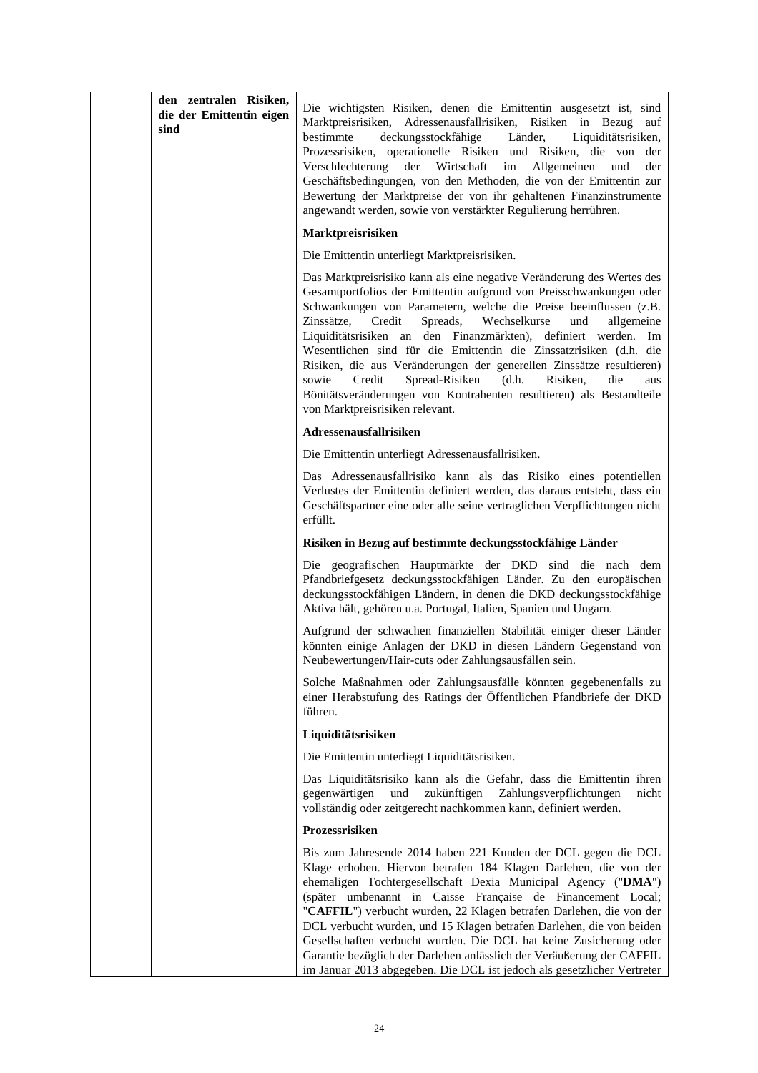| den zentralen Risiken,<br>die der Emittentin eigen<br>sind | Die wichtigsten Risiken, denen die Emittentin ausgesetzt ist, sind<br>Marktpreisrisiken, Adressenausfallrisiken, Risiken in Bezug<br>auf<br>deckungsstockfähige<br>bestimmte<br>Länder,<br>Liquiditätsrisiken,<br>Prozessrisiken, operationelle Risiken und Risiken, die von<br>der<br>Verschlechterung<br>der Wirtschaft<br>im<br>Allgemeinen<br>und<br>der<br>Geschäftsbedingungen, von den Methoden, die von der Emittentin zur<br>Bewertung der Marktpreise der von ihr gehaltenen Finanzinstrumente<br>angewandt werden, sowie von verstärkter Regulierung herrühren.                                                                                                                     |
|------------------------------------------------------------|------------------------------------------------------------------------------------------------------------------------------------------------------------------------------------------------------------------------------------------------------------------------------------------------------------------------------------------------------------------------------------------------------------------------------------------------------------------------------------------------------------------------------------------------------------------------------------------------------------------------------------------------------------------------------------------------|
|                                                            | Marktpreisrisiken                                                                                                                                                                                                                                                                                                                                                                                                                                                                                                                                                                                                                                                                              |
|                                                            | Die Emittentin unterliegt Marktpreisrisiken.                                                                                                                                                                                                                                                                                                                                                                                                                                                                                                                                                                                                                                                   |
|                                                            | Das Marktpreisrisiko kann als eine negative Veränderung des Wertes des<br>Gesamtportfolios der Emittentin aufgrund von Preisschwankungen oder<br>Schwankungen von Parametern, welche die Preise beeinflussen (z.B.<br>Zinssätze,<br>Credit<br>Spreads,<br>Wechselkurse<br>und<br>allgemeine<br>Liquiditätsrisiken an den Finanzmärkten), definiert werden. Im<br>Wesentlichen sind für die Emittentin die Zinssatzrisiken (d.h. die<br>Risiken, die aus Veränderungen der generellen Zinssätze resultieren)<br>Spread-Risiken<br>Credit<br>(d.h.<br>Risiken.<br>die<br>sowie<br>aus<br>Bönitätsveränderungen von Kontrahenten resultieren) als Bestandteile<br>von Marktpreisrisiken relevant. |
|                                                            | Adressenausfallrisiken                                                                                                                                                                                                                                                                                                                                                                                                                                                                                                                                                                                                                                                                         |
|                                                            | Die Emittentin unterliegt Adressenausfallrisiken.                                                                                                                                                                                                                                                                                                                                                                                                                                                                                                                                                                                                                                              |
|                                                            | Das Adressenausfallrisiko kann als das Risiko eines potentiellen<br>Verlustes der Emittentin definiert werden, das daraus entsteht, dass ein<br>Geschäftspartner eine oder alle seine vertraglichen Verpflichtungen nicht<br>erfüllt.                                                                                                                                                                                                                                                                                                                                                                                                                                                          |
|                                                            | Risiken in Bezug auf bestimmte deckungsstockfähige Länder                                                                                                                                                                                                                                                                                                                                                                                                                                                                                                                                                                                                                                      |
|                                                            | Die geografischen Hauptmärkte der DKD sind die nach dem<br>Pfandbriefgesetz deckungsstockfähigen Länder. Zu den europäischen<br>deckungsstockfähigen Ländern, in denen die DKD deckungsstockfähige<br>Aktiva hält, gehören u.a. Portugal, Italien, Spanien und Ungarn.                                                                                                                                                                                                                                                                                                                                                                                                                         |
|                                                            | Aufgrund der schwachen finanziellen Stabilität einiger dieser Länder<br>könnten einige Anlagen der DKD in diesen Ländern Gegenstand von<br>Neubewertungen/Hair-cuts oder Zahlungsausfällen sein.                                                                                                                                                                                                                                                                                                                                                                                                                                                                                               |
|                                                            | Solche Maßnahmen oder Zahlungsausfälle könnten gegebenenfalls zu<br>einer Herabstufung des Ratings der Öffentlichen Pfandbriefe der DKD<br>führen.                                                                                                                                                                                                                                                                                                                                                                                                                                                                                                                                             |
|                                                            | Liquiditätsrisiken                                                                                                                                                                                                                                                                                                                                                                                                                                                                                                                                                                                                                                                                             |
|                                                            | Die Emittentin unterliegt Liquiditätsrisiken.                                                                                                                                                                                                                                                                                                                                                                                                                                                                                                                                                                                                                                                  |
|                                                            | Das Liquiditätsrisiko kann als die Gefahr, dass die Emittentin ihren<br>Zahlungsverpflichtungen<br>nicht<br>gegenwärtigen<br>und<br>zukünftigen<br>vollständig oder zeitgerecht nachkommen kann, definiert werden.                                                                                                                                                                                                                                                                                                                                                                                                                                                                             |
|                                                            | Prozessrisiken                                                                                                                                                                                                                                                                                                                                                                                                                                                                                                                                                                                                                                                                                 |
|                                                            | Bis zum Jahresende 2014 haben 221 Kunden der DCL gegen die DCL<br>Klage erhoben. Hiervon betrafen 184 Klagen Darlehen, die von der<br>ehemaligen Tochtergesellschaft Dexia Municipal Agency ("DMA")<br>(später umbenannt in Caisse Française de Financement Local;<br>"CAFFIL") verbucht wurden, 22 Klagen betrafen Darlehen, die von der<br>DCL verbucht wurden, und 15 Klagen betrafen Darlehen, die von beiden<br>Gesellschaften verbucht wurden. Die DCL hat keine Zusicherung oder<br>Garantie bezüglich der Darlehen anlässlich der Veräußerung der CAFFIL<br>im Januar 2013 abgegeben. Die DCL ist jedoch als gesetzlicher Vertreter                                                    |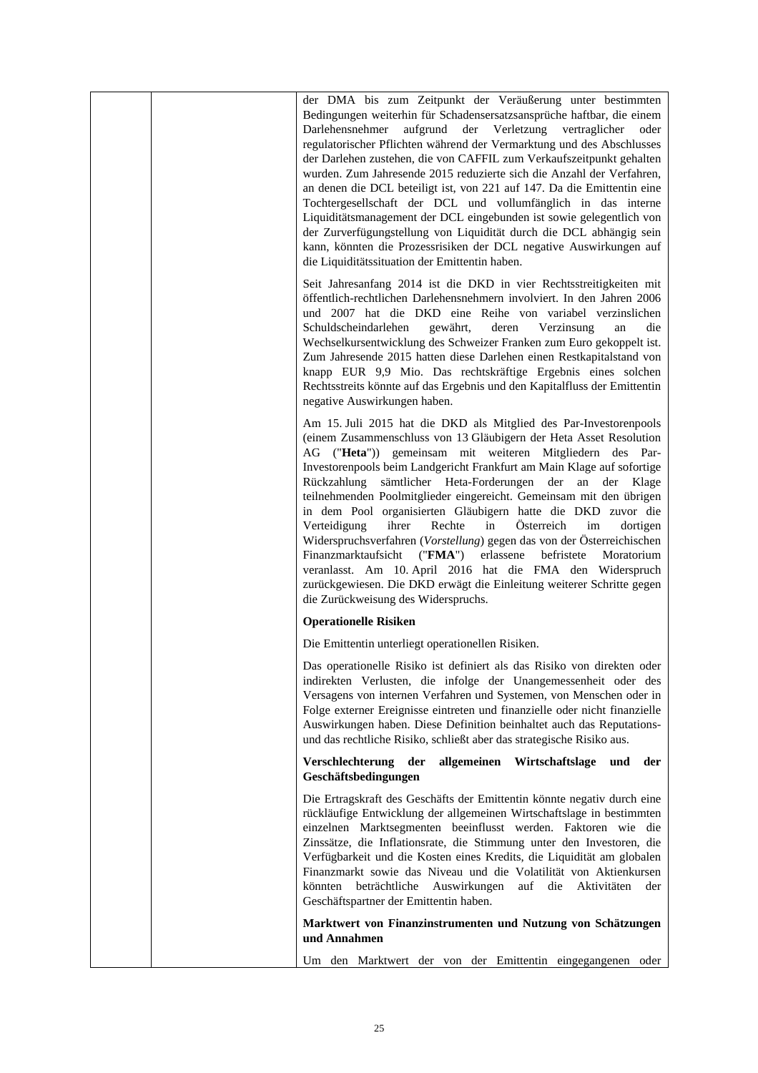| der DMA bis zum Zeitpunkt der Veräußerung unter bestimmten<br>Bedingungen weiterhin für Schadensersatzsansprüche haftbar, die einem<br>aufgrund der Verletzung vertraglicher<br>Darlehensnehmer<br>oder<br>regulatorischer Pflichten während der Vermarktung und des Abschlusses<br>der Darlehen zustehen, die von CAFFIL zum Verkaufszeitpunkt gehalten<br>wurden. Zum Jahresende 2015 reduzierte sich die Anzahl der Verfahren,<br>an denen die DCL beteiligt ist, von 221 auf 147. Da die Emittentin eine<br>Tochtergesellschaft der DCL und vollumfänglich in das interne<br>Liquiditätsmanagement der DCL eingebunden ist sowie gelegentlich von<br>der Zurverfügungstellung von Liquidität durch die DCL abhängig sein<br>kann, könnten die Prozessrisiken der DCL negative Auswirkungen auf<br>die Liquiditätssituation der Emittentin haben.                                  |
|---------------------------------------------------------------------------------------------------------------------------------------------------------------------------------------------------------------------------------------------------------------------------------------------------------------------------------------------------------------------------------------------------------------------------------------------------------------------------------------------------------------------------------------------------------------------------------------------------------------------------------------------------------------------------------------------------------------------------------------------------------------------------------------------------------------------------------------------------------------------------------------|
| Seit Jahresanfang 2014 ist die DKD in vier Rechtsstreitigkeiten mit<br>öffentlich-rechtlichen Darlehensnehmern involviert. In den Jahren 2006<br>und 2007 hat die DKD eine Reihe von variabel verzinslichen<br>Verzinsung<br>Schuldscheindarlehen<br>gewährt,<br>deren<br>die<br>an<br>Wechselkursentwicklung des Schweizer Franken zum Euro gekoppelt ist.<br>Zum Jahresende 2015 hatten diese Darlehen einen Restkapitalstand von<br>knapp EUR 9,9 Mio. Das rechtskräftige Ergebnis eines solchen<br>Rechtsstreits könnte auf das Ergebnis und den Kapitalfluss der Emittentin<br>negative Auswirkungen haben.                                                                                                                                                                                                                                                                      |
| Am 15. Juli 2015 hat die DKD als Mitglied des Par-Investorenpools<br>(einem Zusammenschluss von 13 Gläubigern der Heta Asset Resolution<br>AG ("Heta")) gemeinsam mit weiteren Mitgliedern des Par-<br>Investorenpools beim Landgericht Frankfurt am Main Klage auf sofortige<br>Rückzahlung sämtlicher Heta-Forderungen der an der Klage<br>teilnehmenden Poolmitglieder eingereicht. Gemeinsam mit den übrigen<br>in dem Pool organisierten Gläubigern hatte die DKD zuvor die<br>ihrer<br>Österreich<br>Verteidigung<br>Rechte<br>in<br>im<br>dortigen<br>Widerspruchsverfahren (Vorstellung) gegen das von der Österreichischen<br>erlassene befristete<br>Finanzmarktaufsicht ("FMA")<br>Moratorium<br>veranlasst. Am 10. April 2016 hat die FMA den Widerspruch<br>zurückgewiesen. Die DKD erwägt die Einleitung weiterer Schritte gegen<br>die Zurückweisung des Widerspruchs. |
| <b>Operationelle Risiken</b>                                                                                                                                                                                                                                                                                                                                                                                                                                                                                                                                                                                                                                                                                                                                                                                                                                                          |
| Die Emittentin unterliegt operationellen Risiken.                                                                                                                                                                                                                                                                                                                                                                                                                                                                                                                                                                                                                                                                                                                                                                                                                                     |
| Das operationelle Risiko ist definiert als das Risiko von direkten oder<br>indirekten Verlusten, die infolge der Unangemessenheit oder des<br>Versagens von internen Verfahren und Systemen, von Menschen oder in<br>Folge externer Ereignisse eintreten und finanzielle oder nicht finanzielle<br>Auswirkungen haben. Diese Definition beinhaltet auch das Reputations-<br>und das rechtliche Risiko, schließt aber das strategische Risiko aus.                                                                                                                                                                                                                                                                                                                                                                                                                                     |
| Verschlechterung der<br>allgemeinen Wirtschaftslage<br>und<br>der<br>Geschäftsbedingungen                                                                                                                                                                                                                                                                                                                                                                                                                                                                                                                                                                                                                                                                                                                                                                                             |
| Die Ertragskraft des Geschäfts der Emittentin könnte negativ durch eine<br>rückläufige Entwicklung der allgemeinen Wirtschaftslage in bestimmten<br>einzelnen Marktsegmenten beeinflusst werden. Faktoren wie die<br>Zinssätze, die Inflationsrate, die Stimmung unter den Investoren, die<br>Verfügbarkeit und die Kosten eines Kredits, die Liquidität am globalen<br>Finanzmarkt sowie das Niveau und die Volatilität von Aktienkursen<br>beträchtliche Auswirkungen<br>auf die<br>Aktivitäten<br>könnten<br>der<br>Geschäftspartner der Emittentin haben.                                                                                                                                                                                                                                                                                                                         |
| Marktwert von Finanzinstrumenten und Nutzung von Schätzungen<br>und Annahmen                                                                                                                                                                                                                                                                                                                                                                                                                                                                                                                                                                                                                                                                                                                                                                                                          |
| Um den Marktwert der von der Emittentin eingegangenen oder                                                                                                                                                                                                                                                                                                                                                                                                                                                                                                                                                                                                                                                                                                                                                                                                                            |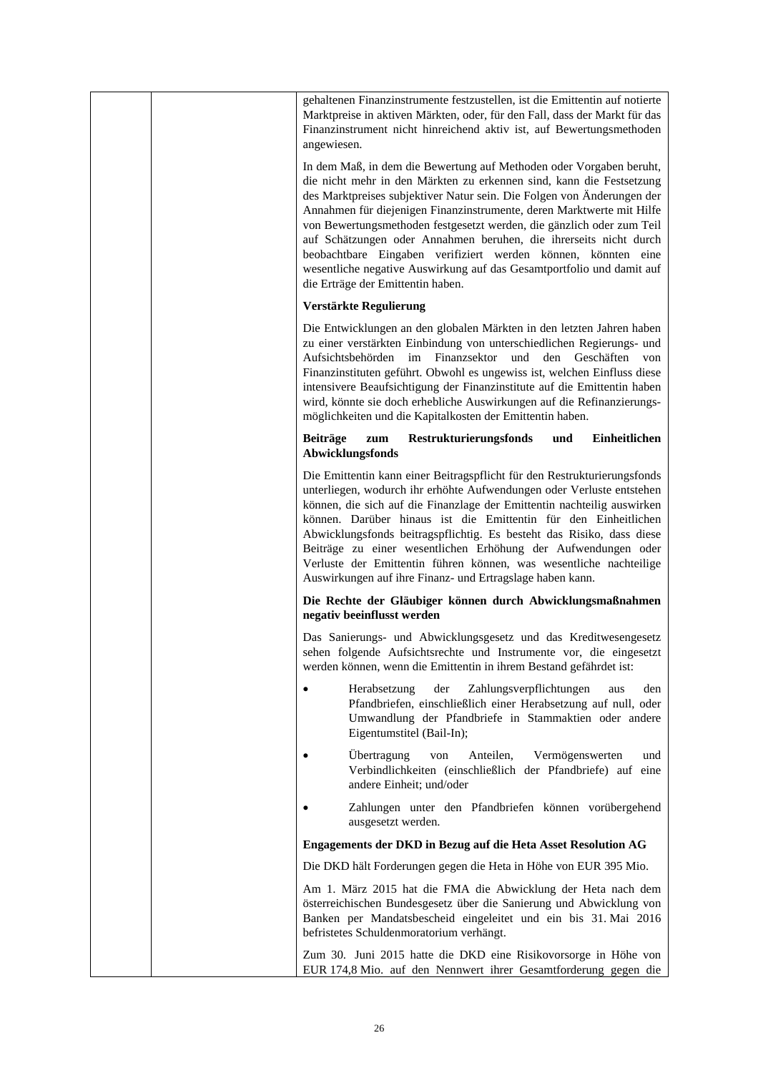|  | gehaltenen Finanzinstrumente festzustellen, ist die Emittentin auf notierte<br>Marktpreise in aktiven Märkten, oder, für den Fall, dass der Markt für das<br>Finanzinstrument nicht hinreichend aktiv ist, auf Bewertungsmethoden<br>angewiesen.                                                                                                                                                                                                                                                                                                                                                                            |
|--|-----------------------------------------------------------------------------------------------------------------------------------------------------------------------------------------------------------------------------------------------------------------------------------------------------------------------------------------------------------------------------------------------------------------------------------------------------------------------------------------------------------------------------------------------------------------------------------------------------------------------------|
|  | In dem Maß, in dem die Bewertung auf Methoden oder Vorgaben beruht,<br>die nicht mehr in den Märkten zu erkennen sind, kann die Festsetzung<br>des Marktpreises subjektiver Natur sein. Die Folgen von Änderungen der<br>Annahmen für diejenigen Finanzinstrumente, deren Marktwerte mit Hilfe<br>von Bewertungsmethoden festgesetzt werden, die gänzlich oder zum Teil<br>auf Schätzungen oder Annahmen beruhen, die ihrerseits nicht durch<br>beobachtbare Eingaben verifiziert werden können, könnten eine<br>wesentliche negative Auswirkung auf das Gesamtportfolio und damit auf<br>die Erträge der Emittentin haben. |
|  | Verstärkte Regulierung                                                                                                                                                                                                                                                                                                                                                                                                                                                                                                                                                                                                      |
|  | Die Entwicklungen an den globalen Märkten in den letzten Jahren haben<br>zu einer verstärkten Einbindung von unterschiedlichen Regierungs- und<br>Aufsichtsbehörden im Finanzsektor und den Geschäften<br>von<br>Finanzinstituten geführt. Obwohl es ungewiss ist, welchen Einfluss diese<br>intensivere Beaufsichtigung der Finanzinstitute auf die Emittentin haben<br>wird, könnte sie doch erhebliche Auswirkungen auf die Refinanzierungs-<br>möglichkeiten und die Kapitalkosten der Emittentin haben.                                                                                                                |
|  | Restrukturierungsfonds<br>Einheitlichen<br><b>Beiträge</b><br>zum<br>und<br>Abwicklungsfonds                                                                                                                                                                                                                                                                                                                                                                                                                                                                                                                                |
|  | Die Emittentin kann einer Beitragspflicht für den Restrukturierungsfonds<br>unterliegen, wodurch ihr erhöhte Aufwendungen oder Verluste entstehen<br>können, die sich auf die Finanzlage der Emittentin nachteilig auswirken<br>können. Darüber hinaus ist die Emittentin für den Einheitlichen<br>Abwicklungsfonds beitragspflichtig. Es besteht das Risiko, dass diese<br>Beiträge zu einer wesentlichen Erhöhung der Aufwendungen oder<br>Verluste der Emittentin führen können, was wesentliche nachteilige<br>Auswirkungen auf ihre Finanz- und Ertragslage haben kann.                                                |
|  | Die Rechte der Gläubiger können durch Abwicklungsmaßnahmen<br>negativ beeinflusst werden                                                                                                                                                                                                                                                                                                                                                                                                                                                                                                                                    |
|  | Das Sanierungs- und Abwicklungsgesetz und das Kreditwesengesetz<br>sehen folgende Aufsichtsrechte und Instrumente vor, die eingesetzt<br>werden können, wenn die Emittentin in ihrem Bestand gefährdet ist:                                                                                                                                                                                                                                                                                                                                                                                                                 |
|  | Zahlungsverpflichtungen<br>Herabsetzung<br>der<br>aus<br>den<br>$\bullet$<br>Pfandbriefen, einschließlich einer Herabsetzung auf null, oder<br>Umwandlung der Pfandbriefe in Stammaktien oder andere<br>Eigentumstitel (Bail-In);                                                                                                                                                                                                                                                                                                                                                                                           |
|  | Übertragung<br>Anteilen,<br>Vermögenswerten<br>von<br>und<br>Verbindlichkeiten (einschließlich der Pfandbriefe) auf eine<br>andere Einheit; und/oder                                                                                                                                                                                                                                                                                                                                                                                                                                                                        |
|  | Zahlungen unter den Pfandbriefen können vorübergehend<br>ausgesetzt werden.                                                                                                                                                                                                                                                                                                                                                                                                                                                                                                                                                 |
|  | Engagements der DKD in Bezug auf die Heta Asset Resolution AG                                                                                                                                                                                                                                                                                                                                                                                                                                                                                                                                                               |
|  | Die DKD hält Forderungen gegen die Heta in Höhe von EUR 395 Mio.                                                                                                                                                                                                                                                                                                                                                                                                                                                                                                                                                            |
|  | Am 1. März 2015 hat die FMA die Abwicklung der Heta nach dem<br>österreichischen Bundesgesetz über die Sanierung und Abwicklung von<br>Banken per Mandatsbescheid eingeleitet und ein bis 31. Mai 2016<br>befristetes Schuldenmoratorium verhängt.                                                                                                                                                                                                                                                                                                                                                                          |
|  | Zum 30. Juni 2015 hatte die DKD eine Risikovorsorge in Höhe von<br>EUR 174,8 Mio. auf den Nennwert ihrer Gesamtforderung gegen die                                                                                                                                                                                                                                                                                                                                                                                                                                                                                          |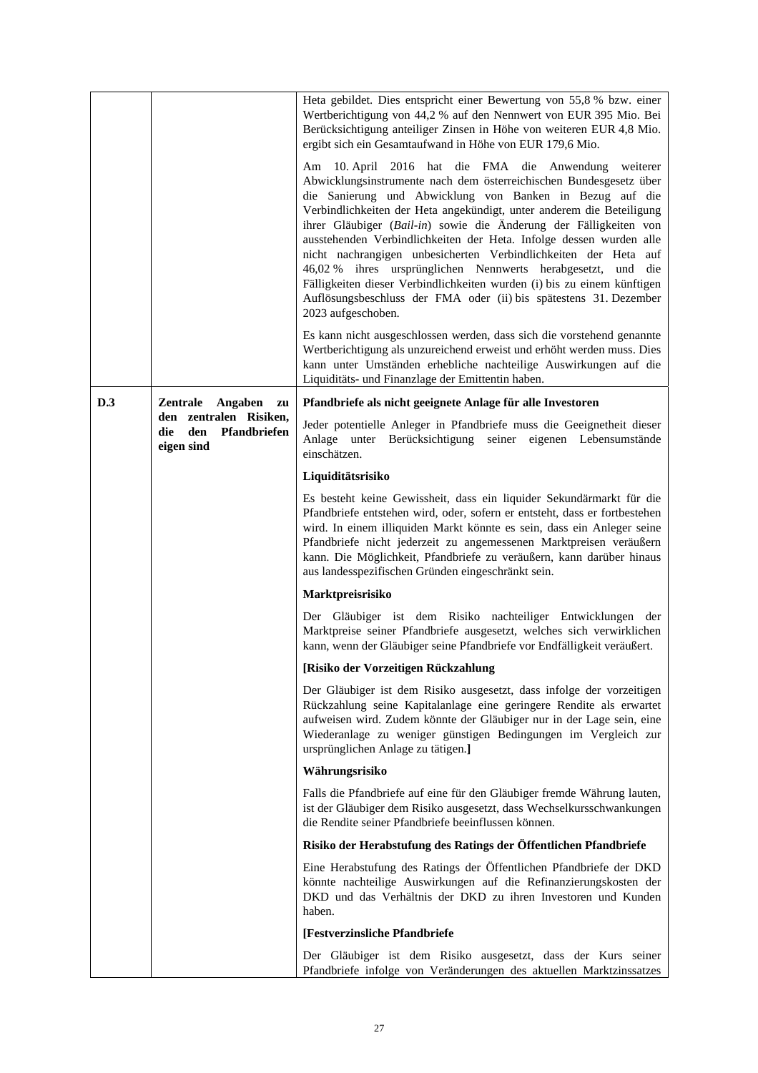|     |                                                                     | Heta gebildet. Dies entspricht einer Bewertung von 55,8 % bzw. einer<br>Wertberichtigung von 44,2 % auf den Nennwert von EUR 395 Mio. Bei<br>Berücksichtigung anteiliger Zinsen in Höhe von weiteren EUR 4,8 Mio.<br>ergibt sich ein Gesamtaufwand in Höhe von EUR 179,6 Mio.<br>Am 10. April 2016 hat die FMA die Anwendung<br>weiterer<br>Abwicklungsinstrumente nach dem österreichischen Bundesgesetz über<br>die Sanierung und Abwicklung von Banken in Bezug auf die<br>Verbindlichkeiten der Heta angekündigt, unter anderem die Beteiligung<br>ihrer Gläubiger (Bail-in) sowie die Änderung der Fälligkeiten von<br>ausstehenden Verbindlichkeiten der Heta. Infolge dessen wurden alle<br>nicht nachrangigen unbesicherten Verbindlichkeiten der Heta auf<br>46,02 % ihres ursprünglichen Nennwerts herabgesetzt, und<br>die<br>Fälligkeiten dieser Verbindlichkeiten wurden (i) bis zu einem künftigen<br>Auflösungsbeschluss der FMA oder (ii) bis spätestens 31. Dezember<br>2023 aufgeschoben.<br>Es kann nicht ausgeschlossen werden, dass sich die vorstehend genannte<br>Wertberichtigung als unzureichend erweist und erhöht werden muss. Dies<br>kann unter Umständen erhebliche nachteilige Auswirkungen auf die<br>Liquiditäts- und Finanzlage der Emittentin haben. |
|-----|---------------------------------------------------------------------|------------------------------------------------------------------------------------------------------------------------------------------------------------------------------------------------------------------------------------------------------------------------------------------------------------------------------------------------------------------------------------------------------------------------------------------------------------------------------------------------------------------------------------------------------------------------------------------------------------------------------------------------------------------------------------------------------------------------------------------------------------------------------------------------------------------------------------------------------------------------------------------------------------------------------------------------------------------------------------------------------------------------------------------------------------------------------------------------------------------------------------------------------------------------------------------------------------------------------------------------------------------------------------------|
| D.3 | Zentrale<br>Angaben<br>zu<br>den zentralen Risiken,<br>Pfandbriefen | Pfandbriefe als nicht geeignete Anlage für alle Investoren<br>Jeder potentielle Anleger in Pfandbriefe muss die Geeignetheit dieser                                                                                                                                                                                                                                                                                                                                                                                                                                                                                                                                                                                                                                                                                                                                                                                                                                                                                                                                                                                                                                                                                                                                                      |
|     | die<br>den<br>eigen sind                                            | Anlage unter Berücksichtigung seiner eigenen Lebensumstände<br>einschätzen.                                                                                                                                                                                                                                                                                                                                                                                                                                                                                                                                                                                                                                                                                                                                                                                                                                                                                                                                                                                                                                                                                                                                                                                                              |
|     |                                                                     | Liquiditätsrisiko                                                                                                                                                                                                                                                                                                                                                                                                                                                                                                                                                                                                                                                                                                                                                                                                                                                                                                                                                                                                                                                                                                                                                                                                                                                                        |
|     |                                                                     | Es besteht keine Gewissheit, dass ein liquider Sekundärmarkt für die<br>Pfandbriefe entstehen wird, oder, sofern er entsteht, dass er fortbestehen<br>wird. In einem illiquiden Markt könnte es sein, dass ein Anleger seine<br>Pfandbriefe nicht jederzeit zu angemessenen Marktpreisen veräußern<br>kann. Die Möglichkeit, Pfandbriefe zu veräußern, kann darüber hinaus<br>aus landesspezifischen Gründen eingeschränkt sein.                                                                                                                                                                                                                                                                                                                                                                                                                                                                                                                                                                                                                                                                                                                                                                                                                                                         |
|     |                                                                     | Marktpreisrisiko                                                                                                                                                                                                                                                                                                                                                                                                                                                                                                                                                                                                                                                                                                                                                                                                                                                                                                                                                                                                                                                                                                                                                                                                                                                                         |
|     |                                                                     | Der Gläubiger ist dem Risiko nachteiliger Entwicklungen der<br>Marktpreise seiner Pfandbriefe ausgesetzt, welches sich verwirklichen<br>kann, wenn der Gläubiger seine Pfandbriefe vor Endfälligkeit veräußert.                                                                                                                                                                                                                                                                                                                                                                                                                                                                                                                                                                                                                                                                                                                                                                                                                                                                                                                                                                                                                                                                          |
|     |                                                                     | [Risiko der Vorzeitigen Rückzahlung                                                                                                                                                                                                                                                                                                                                                                                                                                                                                                                                                                                                                                                                                                                                                                                                                                                                                                                                                                                                                                                                                                                                                                                                                                                      |
|     |                                                                     | Der Gläubiger ist dem Risiko ausgesetzt, dass infolge der vorzeitigen<br>Rückzahlung seine Kapitalanlage eine geringere Rendite als erwartet<br>aufweisen wird. Zudem könnte der Gläubiger nur in der Lage sein, eine<br>Wiederanlage zu weniger günstigen Bedingungen im Vergleich zur<br>ursprünglichen Anlage zu tätigen.]                                                                                                                                                                                                                                                                                                                                                                                                                                                                                                                                                                                                                                                                                                                                                                                                                                                                                                                                                            |
|     |                                                                     | Währungsrisiko                                                                                                                                                                                                                                                                                                                                                                                                                                                                                                                                                                                                                                                                                                                                                                                                                                                                                                                                                                                                                                                                                                                                                                                                                                                                           |
|     |                                                                     | Falls die Pfandbriefe auf eine für den Gläubiger fremde Währung lauten,<br>ist der Gläubiger dem Risiko ausgesetzt, dass Wechselkursschwankungen<br>die Rendite seiner Pfandbriefe beeinflussen können.                                                                                                                                                                                                                                                                                                                                                                                                                                                                                                                                                                                                                                                                                                                                                                                                                                                                                                                                                                                                                                                                                  |
|     |                                                                     | Risiko der Herabstufung des Ratings der Öffentlichen Pfandbriefe                                                                                                                                                                                                                                                                                                                                                                                                                                                                                                                                                                                                                                                                                                                                                                                                                                                                                                                                                                                                                                                                                                                                                                                                                         |
|     |                                                                     | Eine Herabstufung des Ratings der Öffentlichen Pfandbriefe der DKD<br>könnte nachteilige Auswirkungen auf die Refinanzierungskosten der<br>DKD und das Verhältnis der DKD zu ihren Investoren und Kunden<br>haben.                                                                                                                                                                                                                                                                                                                                                                                                                                                                                                                                                                                                                                                                                                                                                                                                                                                                                                                                                                                                                                                                       |
|     |                                                                     | [Festverzinsliche Pfandbriefe                                                                                                                                                                                                                                                                                                                                                                                                                                                                                                                                                                                                                                                                                                                                                                                                                                                                                                                                                                                                                                                                                                                                                                                                                                                            |
|     |                                                                     | Der Gläubiger ist dem Risiko ausgesetzt, dass der Kurs seiner<br>Pfandbriefe infolge von Veränderungen des aktuellen Marktzinssatzes                                                                                                                                                                                                                                                                                                                                                                                                                                                                                                                                                                                                                                                                                                                                                                                                                                                                                                                                                                                                                                                                                                                                                     |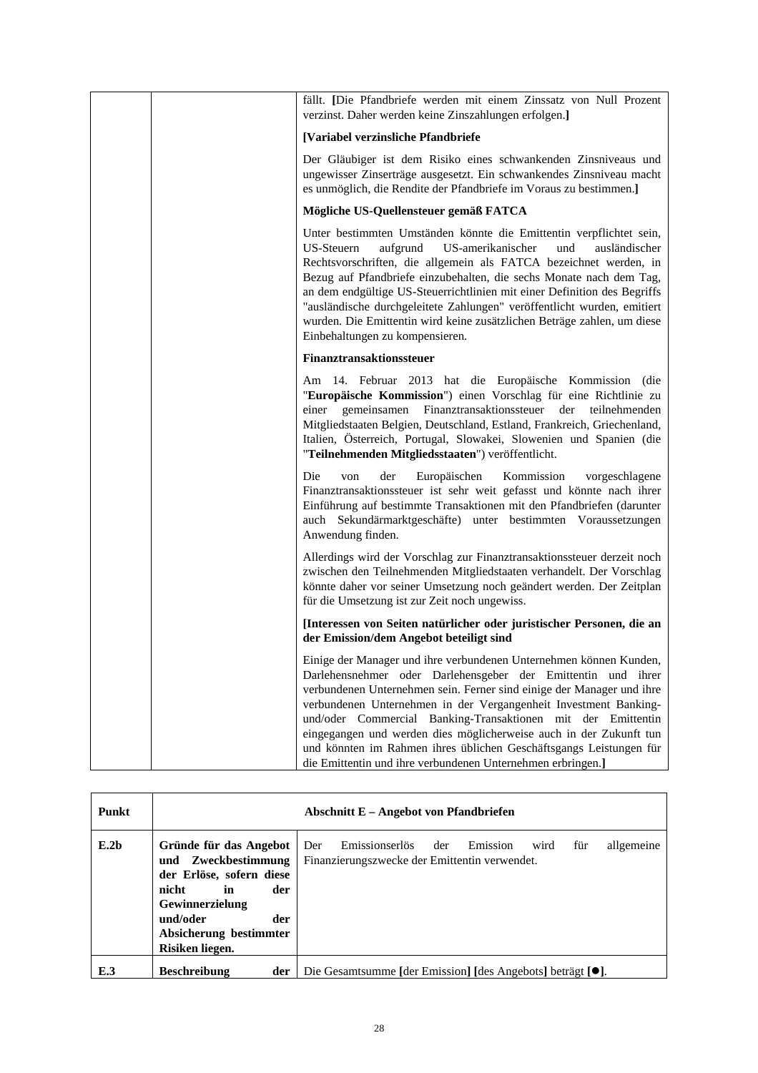|  | fällt. [Die Pfandbriefe werden mit einem Zinssatz von Null Prozent<br>verzinst. Daher werden keine Zinszahlungen erfolgen.]                                                                                                                                                                                                                                                                                                                                                                                                                                        |
|--|--------------------------------------------------------------------------------------------------------------------------------------------------------------------------------------------------------------------------------------------------------------------------------------------------------------------------------------------------------------------------------------------------------------------------------------------------------------------------------------------------------------------------------------------------------------------|
|  | [Variabel verzinsliche Pfandbriefe                                                                                                                                                                                                                                                                                                                                                                                                                                                                                                                                 |
|  | Der Gläubiger ist dem Risiko eines schwankenden Zinsniveaus und<br>ungewisser Zinserträge ausgesetzt. Ein schwankendes Zinsniveau macht<br>es unmöglich, die Rendite der Pfandbriefe im Voraus zu bestimmen.]                                                                                                                                                                                                                                                                                                                                                      |
|  | Mögliche US-Quellensteuer gemäß FATCA                                                                                                                                                                                                                                                                                                                                                                                                                                                                                                                              |
|  | Unter bestimmten Umständen könnte die Emittentin verpflichtet sein,<br><b>US-Steuern</b><br>aufgrund<br>US-amerikanischer<br>und<br>ausländischer<br>Rechtsvorschriften, die allgemein als FATCA bezeichnet werden, in<br>Bezug auf Pfandbriefe einzubehalten, die sechs Monate nach dem Tag,<br>an dem endgültige US-Steuerrichtlinien mit einer Definition des Begriffs<br>"ausländische durchgeleitete Zahlungen" veröffentlicht wurden, emitiert<br>wurden. Die Emittentin wird keine zusätzlichen Beträge zahlen, um diese<br>Einbehaltungen zu kompensieren. |
|  | <b>Finanztransaktionssteuer</b>                                                                                                                                                                                                                                                                                                                                                                                                                                                                                                                                    |
|  | Am 14. Februar 2013 hat die Europäische Kommission (die<br>"Europäische Kommission") einen Vorschlag für eine Richtlinie zu<br>einer<br>gemeinsamen<br>Finanztransaktionssteuer<br>der teilnehmenden<br>Mitgliedstaaten Belgien, Deutschland, Estland, Frankreich, Griechenland,<br>Italien, Österreich, Portugal, Slowakei, Slowenien und Spanien (die<br>"Teilnehmenden Mitgliedsstaaten") veröffentlicht.                                                                                                                                                       |
|  | Die<br>Europäischen<br>der<br>Kommission<br>vorgeschlagene<br>von<br>Finanztransaktionssteuer ist sehr weit gefasst und könnte nach ihrer<br>Einführung auf bestimmte Transaktionen mit den Pfandbriefen (darunter<br>auch Sekundärmarktgeschäfte) unter bestimmten Voraussetzungen<br>Anwendung finden.                                                                                                                                                                                                                                                           |
|  | Allerdings wird der Vorschlag zur Finanztransaktionssteuer derzeit noch<br>zwischen den Teilnehmenden Mitgliedstaaten verhandelt. Der Vorschlag<br>könnte daher vor seiner Umsetzung noch geändert werden. Der Zeitplan<br>für die Umsetzung ist zur Zeit noch ungewiss.                                                                                                                                                                                                                                                                                           |
|  | [Interessen von Seiten natürlicher oder juristischer Personen, die an<br>der Emission/dem Angebot beteiligt sind                                                                                                                                                                                                                                                                                                                                                                                                                                                   |
|  | Einige der Manager und ihre verbundenen Unternehmen können Kunden,<br>Darlehensnehmer oder Darlehensgeber der Emittentin und ihrer<br>verbundenen Unternehmen sein. Ferner sind einige der Manager und ihre<br>verbundenen Unternehmen in der Vergangenheit Investment Banking-<br>und/oder Commercial Banking-Transaktionen mit der Emittentin<br>eingegangen und werden dies möglicherweise auch in der Zukunft tun<br>und könnten im Rahmen ihres üblichen Geschäftsgangs Leistungen für<br>die Emittentin und ihre verbundenen Unternehmen erbringen.]         |

| Punkt            |                                                                                                                                                                                    | Abschnitt E – Angebot von Pfandbriefen                                                                                 |
|------------------|------------------------------------------------------------------------------------------------------------------------------------------------------------------------------------|------------------------------------------------------------------------------------------------------------------------|
| E.2 <sub>b</sub> | Gründe für das Angebot<br>und Zweckbestimmung<br>der Erlöse, sofern diese<br>nicht<br>in<br>der<br>Gewinnerzielung<br>und/oder<br>der<br>Absicherung bestimmter<br>Risiken liegen. | Emissionserlös<br>Emission<br>für<br>allgemeine<br>Der<br>wird<br>der<br>Finanzierungszwecke der Emittentin verwendet. |
| E.3              | <b>Beschreibung</b><br>der                                                                                                                                                         | Die Gesamtsumme [der Emission] [des Angebots] beträgt [●].                                                             |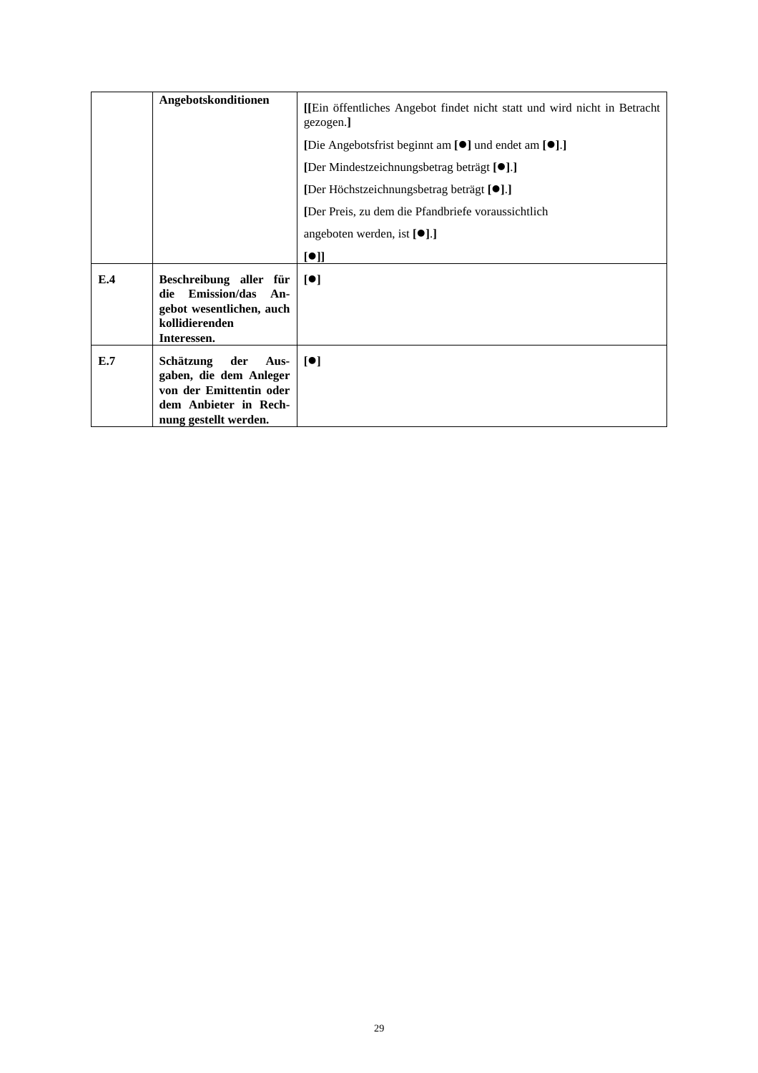|     | Angebotskonditionen                                                                                                             | [Ein öffentliches Angebot findet nicht statt und wird nicht in Betracht<br>gezogen.] |
|-----|---------------------------------------------------------------------------------------------------------------------------------|--------------------------------------------------------------------------------------|
|     |                                                                                                                                 | [Die Angebotsfrist beginnt am [ <sup>o</sup> ] und endet am [ <sup>o</sup> ].]       |
|     |                                                                                                                                 | [Der Mindestzeichnungsbetrag beträgt [ <sup>•</sup> ].]                              |
|     |                                                                                                                                 | [Der Höchstzeichnungsbetrag beträgt [ <sup>•</sup> ].]                               |
|     |                                                                                                                                 | [Der Preis, zu dem die Pfandbriefe voraussichtlich                                   |
|     |                                                                                                                                 | angeboten werden, ist $[\bullet]$ .]                                                 |
|     |                                                                                                                                 | [•]                                                                                  |
| E.4 | Beschreibung aller für<br><b>Emission/das</b><br>die<br>An-<br>gebot wesentlichen, auch<br>kollidierenden<br>Interessen.        | $\lceil \bullet \rceil$                                                              |
| E.7 | Schätzung<br>der<br>Aus-<br>gaben, die dem Anleger<br>von der Emittentin oder<br>dem Anbieter in Rech-<br>nung gestellt werden. | $\lceil \bullet \rceil$                                                              |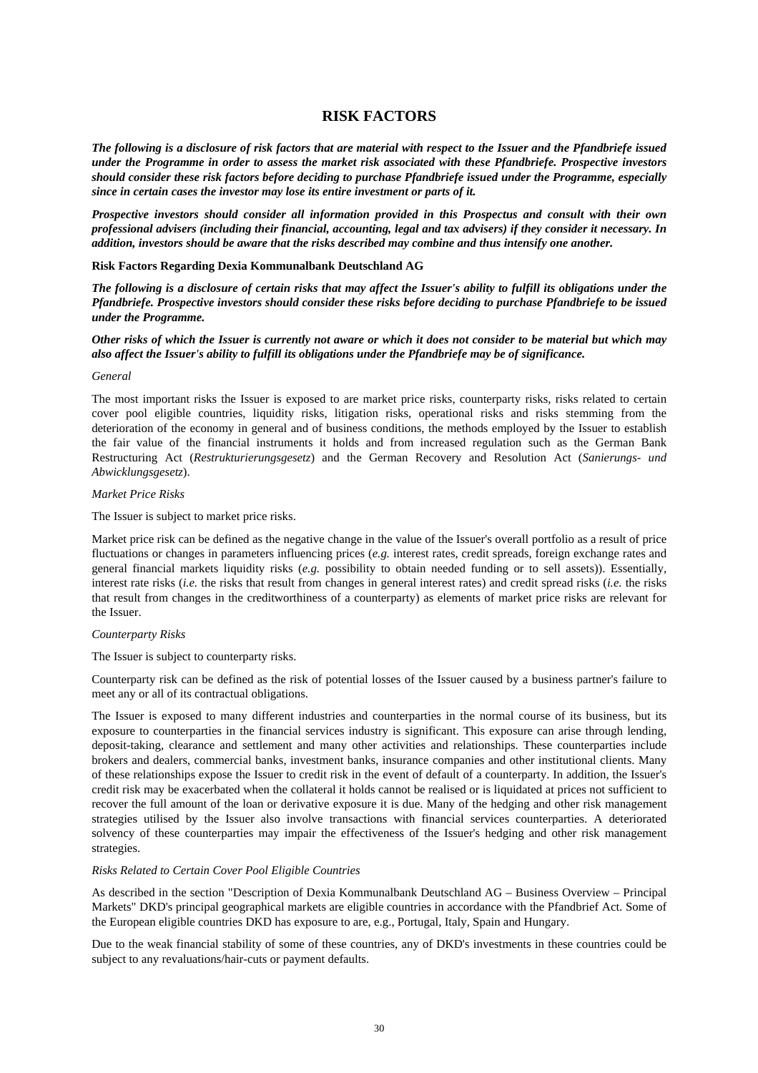# **RISK FACTORS**

*The following is a disclosure of risk factors that are material with respect to the Issuer and the Pfandbriefe issued under the Programme in order to assess the market risk associated with these Pfandbriefe. Prospective investors should consider these risk factors before deciding to purchase Pfandbriefe issued under the Programme, especially since in certain cases the investor may lose its entire investment or parts of it.* 

*Prospective investors should consider all information provided in this Prospectus and consult with their own professional advisers (including their financial, accounting, legal and tax advisers) if they consider it necessary. In addition, investors should be aware that the risks described may combine and thus intensify one another.* 

#### **Risk Factors Regarding Dexia Kommunalbank Deutschland AG**

*The following is a disclosure of certain risks that may affect the Issuer's ability to fulfill its obligations under the Pfandbriefe. Prospective investors should consider these risks before deciding to purchase Pfandbriefe to be issued under the Programme.* 

### *Other risks of which the Issuer is currently not aware or which it does not consider to be material but which may also affect the Issuer's ability to fulfill its obligations under the Pfandbriefe may be of significance.*

#### *General*

The most important risks the Issuer is exposed to are market price risks, counterparty risks, risks related to certain cover pool eligible countries, liquidity risks, litigation risks, operational risks and risks stemming from the deterioration of the economy in general and of business conditions, the methods employed by the Issuer to establish the fair value of the financial instruments it holds and from increased regulation such as the German Bank Restructuring Act (*Restrukturierungsgesetz*) and the German Recovery and Resolution Act (*Sanierungs- und Abwicklungsgesetz*).

## *Market Price Risks*

The Issuer is subject to market price risks.

Market price risk can be defined as the negative change in the value of the Issuer's overall portfolio as a result of price fluctuations or changes in parameters influencing prices (*e.g.* interest rates, credit spreads, foreign exchange rates and general financial markets liquidity risks (*e.g.* possibility to obtain needed funding or to sell assets)). Essentially, interest rate risks (*i.e.* the risks that result from changes in general interest rates) and credit spread risks (*i.e.* the risks that result from changes in the creditworthiness of a counterparty) as elements of market price risks are relevant for the Issuer.

#### *Counterparty Risks*

The Issuer is subject to counterparty risks.

Counterparty risk can be defined as the risk of potential losses of the Issuer caused by a business partner's failure to meet any or all of its contractual obligations.

The Issuer is exposed to many different industries and counterparties in the normal course of its business, but its exposure to counterparties in the financial services industry is significant. This exposure can arise through lending, deposit-taking, clearance and settlement and many other activities and relationships. These counterparties include brokers and dealers, commercial banks, investment banks, insurance companies and other institutional clients. Many of these relationships expose the Issuer to credit risk in the event of default of a counterparty. In addition, the Issuer's credit risk may be exacerbated when the collateral it holds cannot be realised or is liquidated at prices not sufficient to recover the full amount of the loan or derivative exposure it is due. Many of the hedging and other risk management strategies utilised by the Issuer also involve transactions with financial services counterparties. A deteriorated solvency of these counterparties may impair the effectiveness of the Issuer's hedging and other risk management strategies.

#### *Risks Related to Certain Cover Pool Eligible Countries*

As described in the section "Description of Dexia Kommunalbank Deutschland AG – Business Overview – Principal Markets" DKD's principal geographical markets are eligible countries in accordance with the Pfandbrief Act. Some of the European eligible countries DKD has exposure to are, e.g., Portugal, Italy, Spain and Hungary.

Due to the weak financial stability of some of these countries, any of DKD's investments in these countries could be subject to any revaluations/hair-cuts or payment defaults.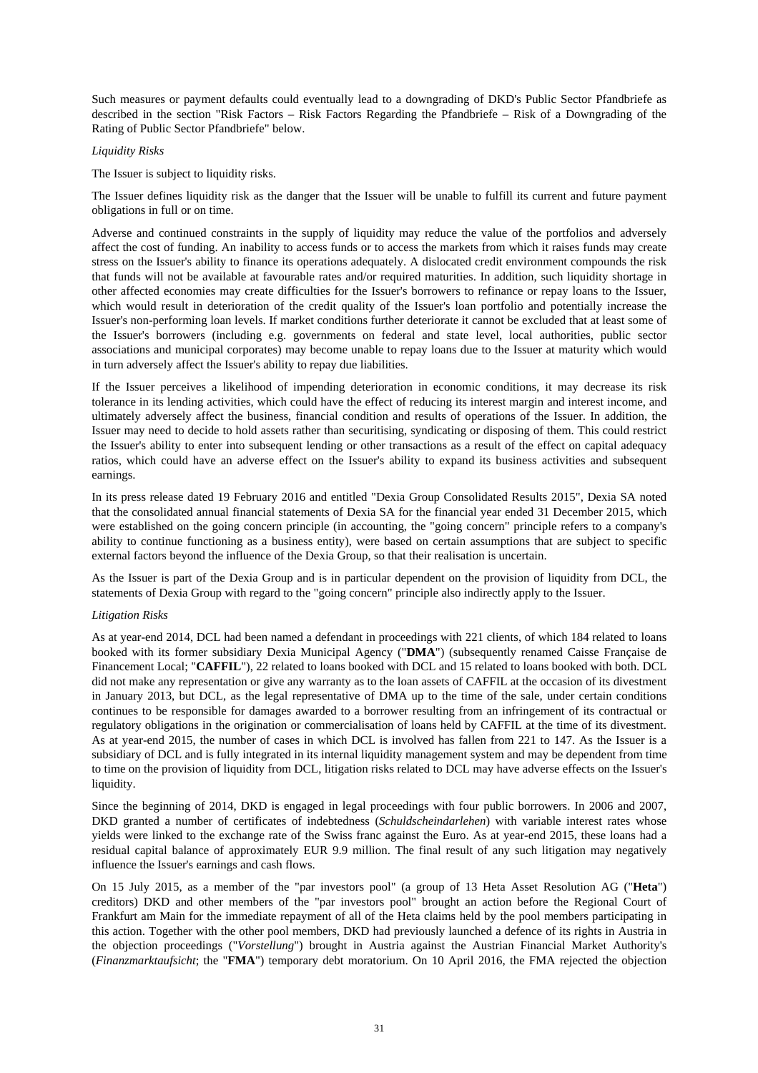Such measures or payment defaults could eventually lead to a downgrading of DKD's Public Sector Pfandbriefe as described in the section "Risk Factors – Risk Factors Regarding the Pfandbriefe – Risk of a Downgrading of the Rating of Public Sector Pfandbriefe" below.

### *Liquidity Risks*

The Issuer is subject to liquidity risks.

The Issuer defines liquidity risk as the danger that the Issuer will be unable to fulfill its current and future payment obligations in full or on time.

Adverse and continued constraints in the supply of liquidity may reduce the value of the portfolios and adversely affect the cost of funding. An inability to access funds or to access the markets from which it raises funds may create stress on the Issuer's ability to finance its operations adequately. A dislocated credit environment compounds the risk that funds will not be available at favourable rates and/or required maturities. In addition, such liquidity shortage in other affected economies may create difficulties for the Issuer's borrowers to refinance or repay loans to the Issuer, which would result in deterioration of the credit quality of the Issuer's loan portfolio and potentially increase the Issuer's non-performing loan levels. If market conditions further deteriorate it cannot be excluded that at least some of the Issuer's borrowers (including e.g. governments on federal and state level, local authorities, public sector associations and municipal corporates) may become unable to repay loans due to the Issuer at maturity which would in turn adversely affect the Issuer's ability to repay due liabilities.

If the Issuer perceives a likelihood of impending deterioration in economic conditions, it may decrease its risk tolerance in its lending activities, which could have the effect of reducing its interest margin and interest income, and ultimately adversely affect the business, financial condition and results of operations of the Issuer. In addition, the Issuer may need to decide to hold assets rather than securitising, syndicating or disposing of them. This could restrict the Issuer's ability to enter into subsequent lending or other transactions as a result of the effect on capital adequacy ratios, which could have an adverse effect on the Issuer's ability to expand its business activities and subsequent earnings.

In its press release dated 19 February 2016 and entitled "Dexia Group Consolidated Results 2015", Dexia SA noted that the consolidated annual financial statements of Dexia SA for the financial year ended 31 December 2015, which were established on the going concern principle (in accounting, the "going concern" principle refers to a company's ability to continue functioning as a business entity), were based on certain assumptions that are subject to specific external factors beyond the influence of the Dexia Group, so that their realisation is uncertain.

As the Issuer is part of the Dexia Group and is in particular dependent on the provision of liquidity from DCL, the statements of Dexia Group with regard to the "going concern" principle also indirectly apply to the Issuer.

# *Litigation Risks*

As at year-end 2014, DCL had been named a defendant in proceedings with 221 clients, of which 184 related to loans booked with its former subsidiary Dexia Municipal Agency ("**DMA**") (subsequently renamed Caisse Française de Financement Local; "**CAFFIL**"), 22 related to loans booked with DCL and 15 related to loans booked with both. DCL did not make any representation or give any warranty as to the loan assets of CAFFIL at the occasion of its divestment in January 2013, but DCL, as the legal representative of DMA up to the time of the sale, under certain conditions continues to be responsible for damages awarded to a borrower resulting from an infringement of its contractual or regulatory obligations in the origination or commercialisation of loans held by CAFFIL at the time of its divestment. As at year-end 2015, the number of cases in which DCL is involved has fallen from 221 to 147. As the Issuer is a subsidiary of DCL and is fully integrated in its internal liquidity management system and may be dependent from time to time on the provision of liquidity from DCL, litigation risks related to DCL may have adverse effects on the Issuer's liquidity.

Since the beginning of 2014, DKD is engaged in legal proceedings with four public borrowers. In 2006 and 2007, DKD granted a number of certificates of indebtedness (*Schuldscheindarlehen*) with variable interest rates whose yields were linked to the exchange rate of the Swiss franc against the Euro. As at year-end 2015, these loans had a residual capital balance of approximately EUR 9.9 million. The final result of any such litigation may negatively influence the Issuer's earnings and cash flows.

On 15 July 2015, as a member of the "par investors pool" (a group of 13 Heta Asset Resolution AG ("**Heta**") creditors) DKD and other members of the "par investors pool" brought an action before the Regional Court of Frankfurt am Main for the immediate repayment of all of the Heta claims held by the pool members participating in this action. Together with the other pool members, DKD had previously launched a defence of its rights in Austria in the objection proceedings ("*Vorstellung*") brought in Austria against the Austrian Financial Market Authority's (*Finanzmarktaufsicht*; the "**FMA**") temporary debt moratorium. On 10 April 2016, the FMA rejected the objection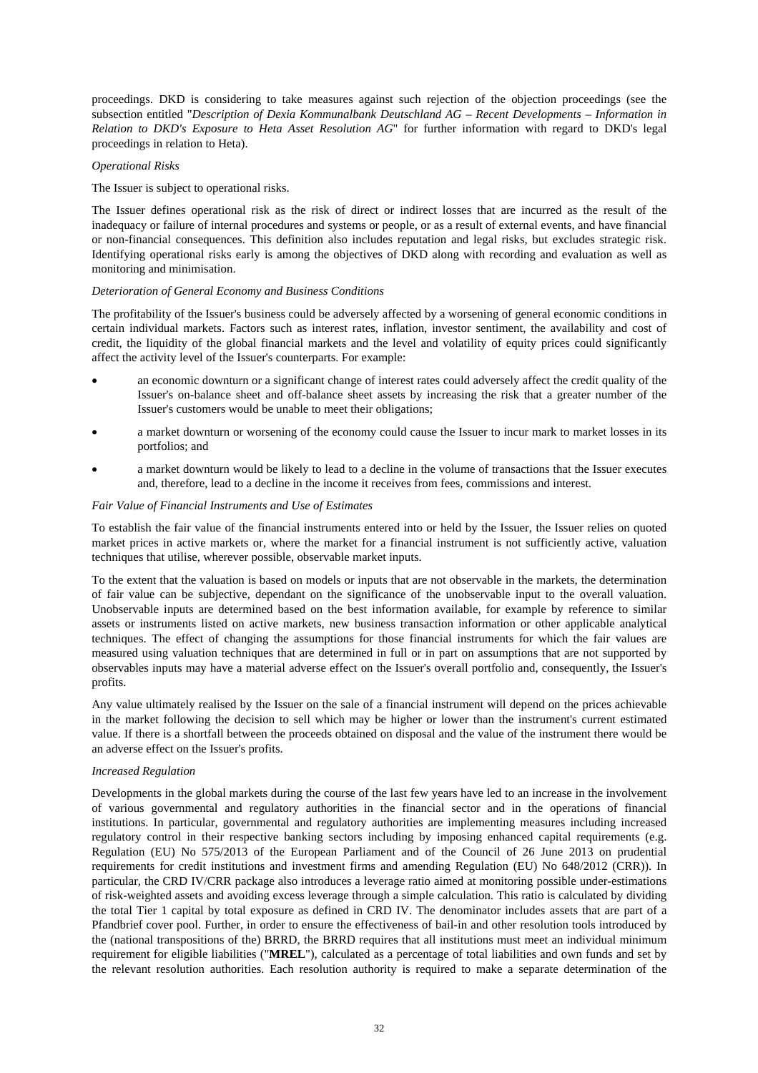proceedings. DKD is considering to take measures against such rejection of the objection proceedings (see the subsection entitled "*Description of Dexia Kommunalbank Deutschland AG – Recent Developments – Information in Relation to DKD's Exposure to Heta Asset Resolution AG*" for further information with regard to DKD's legal proceedings in relation to Heta).

### *Operational Risks*

The Issuer is subject to operational risks.

The Issuer defines operational risk as the risk of direct or indirect losses that are incurred as the result of the inadequacy or failure of internal procedures and systems or people, or as a result of external events, and have financial or non-financial consequences. This definition also includes reputation and legal risks, but excludes strategic risk. Identifying operational risks early is among the objectives of DKD along with recording and evaluation as well as monitoring and minimisation.

## *Deterioration of General Economy and Business Conditions*

The profitability of the Issuer's business could be adversely affected by a worsening of general economic conditions in certain individual markets. Factors such as interest rates, inflation, investor sentiment, the availability and cost of credit, the liquidity of the global financial markets and the level and volatility of equity prices could significantly affect the activity level of the Issuer's counterparts. For example:

- an economic downturn or a significant change of interest rates could adversely affect the credit quality of the Issuer's on-balance sheet and off-balance sheet assets by increasing the risk that a greater number of the Issuer's customers would be unable to meet their obligations;
- a market downturn or worsening of the economy could cause the Issuer to incur mark to market losses in its portfolios; and
- a market downturn would be likely to lead to a decline in the volume of transactions that the Issuer executes and, therefore, lead to a decline in the income it receives from fees, commissions and interest.

#### *Fair Value of Financial Instruments and Use of Estimates*

To establish the fair value of the financial instruments entered into or held by the Issuer, the Issuer relies on quoted market prices in active markets or, where the market for a financial instrument is not sufficiently active, valuation techniques that utilise, wherever possible, observable market inputs.

To the extent that the valuation is based on models or inputs that are not observable in the markets, the determination of fair value can be subjective, dependant on the significance of the unobservable input to the overall valuation. Unobservable inputs are determined based on the best information available, for example by reference to similar assets or instruments listed on active markets, new business transaction information or other applicable analytical techniques. The effect of changing the assumptions for those financial instruments for which the fair values are measured using valuation techniques that are determined in full or in part on assumptions that are not supported by observables inputs may have a material adverse effect on the Issuer's overall portfolio and, consequently, the Issuer's profits.

Any value ultimately realised by the Issuer on the sale of a financial instrument will depend on the prices achievable in the market following the decision to sell which may be higher or lower than the instrument's current estimated value. If there is a shortfall between the proceeds obtained on disposal and the value of the instrument there would be an adverse effect on the Issuer's profits.

#### *Increased Regulation*

Developments in the global markets during the course of the last few years have led to an increase in the involvement of various governmental and regulatory authorities in the financial sector and in the operations of financial institutions. In particular, governmental and regulatory authorities are implementing measures including increased regulatory control in their respective banking sectors including by imposing enhanced capital requirements (e.g. Regulation (EU) No 575/2013 of the European Parliament and of the Council of 26 June 2013 on prudential requirements for credit institutions and investment firms and amending Regulation (EU) No 648/2012 (CRR)). In particular, the CRD IV/CRR package also introduces a leverage ratio aimed at monitoring possible under-estimations of risk-weighted assets and avoiding excess leverage through a simple calculation. This ratio is calculated by dividing the total Tier 1 capital by total exposure as defined in CRD IV. The denominator includes assets that are part of a Pfandbrief cover pool. Further, in order to ensure the effectiveness of bail-in and other resolution tools introduced by the (national transpositions of the) BRRD, the BRRD requires that all institutions must meet an individual minimum requirement for eligible liabilities ("**MREL**"), calculated as a percentage of total liabilities and own funds and set by the relevant resolution authorities. Each resolution authority is required to make a separate determination of the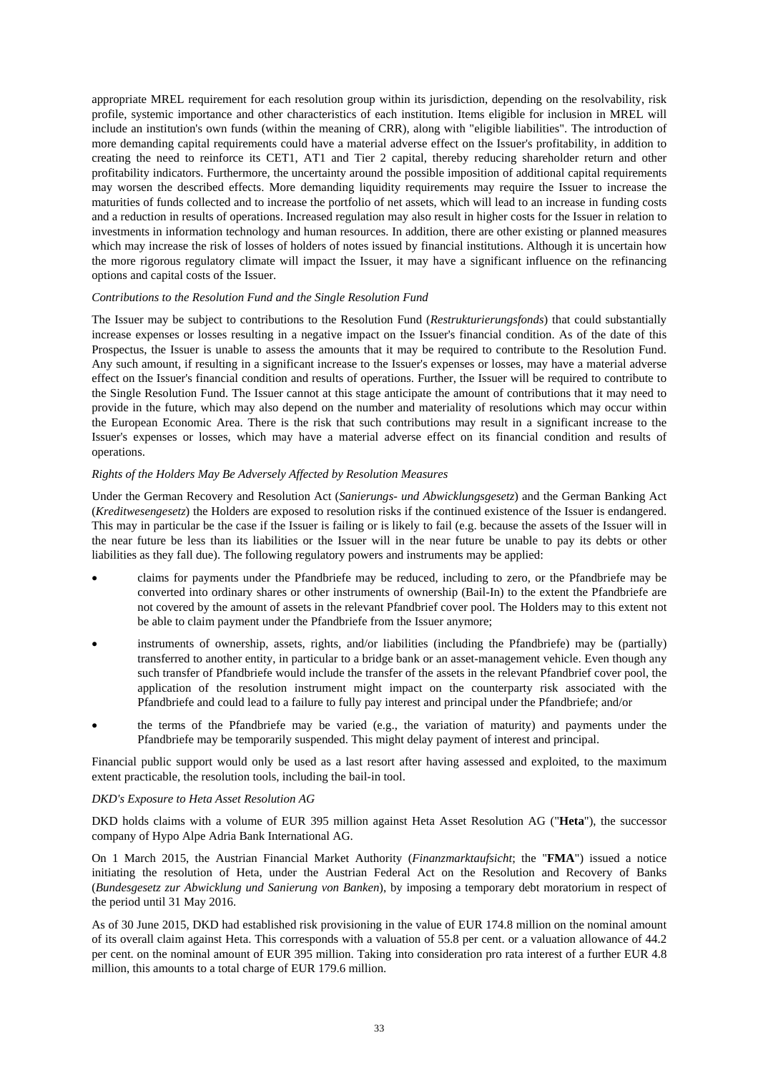appropriate MREL requirement for each resolution group within its jurisdiction, depending on the resolvability, risk profile, systemic importance and other characteristics of each institution. Items eligible for inclusion in MREL will include an institution's own funds (within the meaning of CRR), along with "eligible liabilities". The introduction of more demanding capital requirements could have a material adverse effect on the Issuer's profitability, in addition to creating the need to reinforce its CET1, AT1 and Tier 2 capital, thereby reducing shareholder return and other profitability indicators. Furthermore, the uncertainty around the possible imposition of additional capital requirements may worsen the described effects. More demanding liquidity requirements may require the Issuer to increase the maturities of funds collected and to increase the portfolio of net assets, which will lead to an increase in funding costs and a reduction in results of operations. Increased regulation may also result in higher costs for the Issuer in relation to investments in information technology and human resources. In addition, there are other existing or planned measures which may increase the risk of losses of holders of notes issued by financial institutions. Although it is uncertain how the more rigorous regulatory climate will impact the Issuer, it may have a significant influence on the refinancing options and capital costs of the Issuer.

#### *Contributions to the Resolution Fund and the Single Resolution Fund*

The Issuer may be subject to contributions to the Resolution Fund (*Restrukturierungsfonds*) that could substantially increase expenses or losses resulting in a negative impact on the Issuer's financial condition. As of the date of this Prospectus, the Issuer is unable to assess the amounts that it may be required to contribute to the Resolution Fund. Any such amount, if resulting in a significant increase to the Issuer's expenses or losses, may have a material adverse effect on the Issuer's financial condition and results of operations. Further, the Issuer will be required to contribute to the Single Resolution Fund. The Issuer cannot at this stage anticipate the amount of contributions that it may need to provide in the future, which may also depend on the number and materiality of resolutions which may occur within the European Economic Area. There is the risk that such contributions may result in a significant increase to the Issuer's expenses or losses, which may have a material adverse effect on its financial condition and results of operations.

#### *Rights of the Holders May Be Adversely Affected by Resolution Measures*

Under the German Recovery and Resolution Act (*Sanierungs- und Abwicklungsgesetz*) and the German Banking Act (*Kreditwesengesetz*) the Holders are exposed to resolution risks if the continued existence of the Issuer is endangered. This may in particular be the case if the Issuer is failing or is likely to fail (e.g. because the assets of the Issuer will in the near future be less than its liabilities or the Issuer will in the near future be unable to pay its debts or other liabilities as they fall due). The following regulatory powers and instruments may be applied:

- claims for payments under the Pfandbriefe may be reduced, including to zero, or the Pfandbriefe may be converted into ordinary shares or other instruments of ownership (Bail-In) to the extent the Pfandbriefe are not covered by the amount of assets in the relevant Pfandbrief cover pool. The Holders may to this extent not be able to claim payment under the Pfandbriefe from the Issuer anymore;
- instruments of ownership, assets, rights, and/or liabilities (including the Pfandbriefe) may be (partially) transferred to another entity, in particular to a bridge bank or an asset-management vehicle. Even though any such transfer of Pfandbriefe would include the transfer of the assets in the relevant Pfandbrief cover pool, the application of the resolution instrument might impact on the counterparty risk associated with the Pfandbriefe and could lead to a failure to fully pay interest and principal under the Pfandbriefe; and/or
- the terms of the Pfandbriefe may be varied (e.g., the variation of maturity) and payments under the Pfandbriefe may be temporarily suspended. This might delay payment of interest and principal.

Financial public support would only be used as a last resort after having assessed and exploited, to the maximum extent practicable, the resolution tools, including the bail-in tool.

#### *DKD's Exposure to Heta Asset Resolution AG*

DKD holds claims with a volume of EUR 395 million against Heta Asset Resolution AG ("**Heta**"), the successor company of Hypo Alpe Adria Bank International AG.

On 1 March 2015, the Austrian Financial Market Authority (*Finanzmarktaufsicht*; the "**FMA**") issued a notice initiating the resolution of Heta, under the Austrian Federal Act on the Resolution and Recovery of Banks (*Bundesgesetz zur Abwicklung und Sanierung von Banken*), by imposing a temporary debt moratorium in respect of the period until 31 May 2016.

As of 30 June 2015, DKD had established risk provisioning in the value of EUR 174.8 million on the nominal amount of its overall claim against Heta. This corresponds with a valuation of 55.8 per cent. or a valuation allowance of 44.2 per cent. on the nominal amount of EUR 395 million. Taking into consideration pro rata interest of a further EUR 4.8 million, this amounts to a total charge of EUR 179.6 million.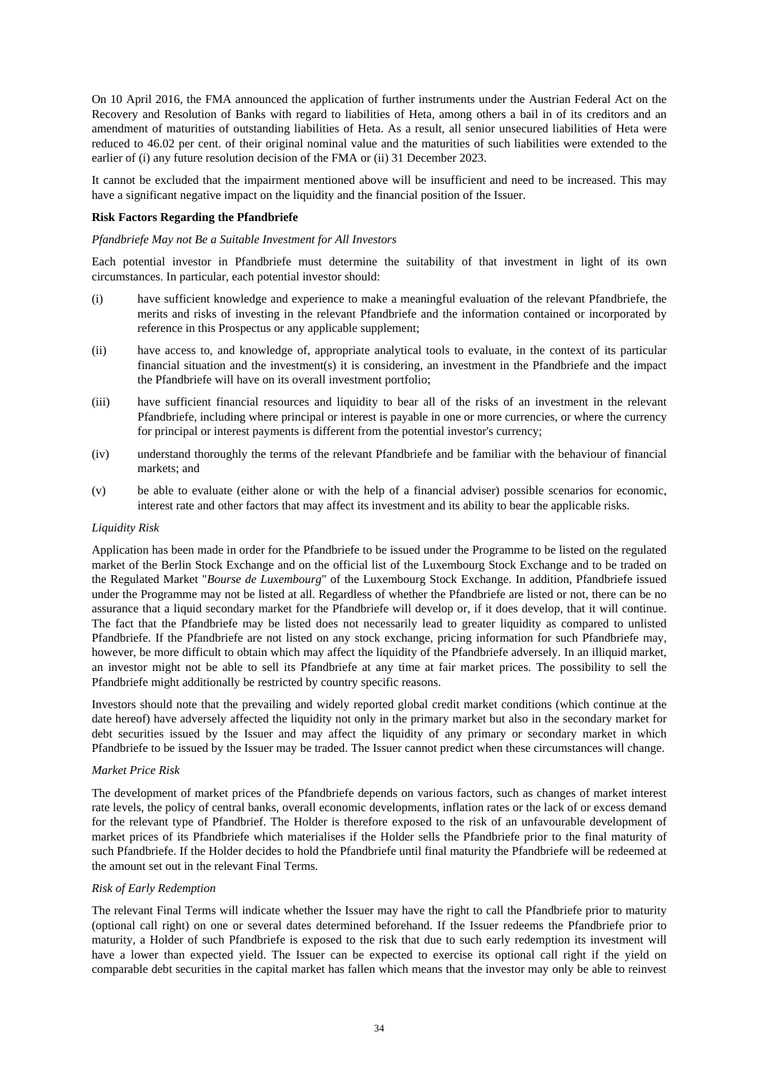On 10 April 2016, the FMA announced the application of further instruments under the Austrian Federal Act on the Recovery and Resolution of Banks with regard to liabilities of Heta, among others a bail in of its creditors and an amendment of maturities of outstanding liabilities of Heta. As a result, all senior unsecured liabilities of Heta were reduced to 46.02 per cent. of their original nominal value and the maturities of such liabilities were extended to the earlier of (i) any future resolution decision of the FMA or (ii) 31 December 2023.

It cannot be excluded that the impairment mentioned above will be insufficient and need to be increased. This may have a significant negative impact on the liquidity and the financial position of the Issuer.

#### **Risk Factors Regarding the Pfandbriefe**

#### *Pfandbriefe May not Be a Suitable Investment for All Investors*

Each potential investor in Pfandbriefe must determine the suitability of that investment in light of its own circumstances. In particular, each potential investor should:

- (i) have sufficient knowledge and experience to make a meaningful evaluation of the relevant Pfandbriefe, the merits and risks of investing in the relevant Pfandbriefe and the information contained or incorporated by reference in this Prospectus or any applicable supplement;
- (ii) have access to, and knowledge of, appropriate analytical tools to evaluate, in the context of its particular financial situation and the investment(s) it is considering, an investment in the Pfandbriefe and the impact the Pfandbriefe will have on its overall investment portfolio;
- (iii) have sufficient financial resources and liquidity to bear all of the risks of an investment in the relevant Pfandbriefe, including where principal or interest is payable in one or more currencies, or where the currency for principal or interest payments is different from the potential investor's currency;
- (iv) understand thoroughly the terms of the relevant Pfandbriefe and be familiar with the behaviour of financial markets; and
- (v) be able to evaluate (either alone or with the help of a financial adviser) possible scenarios for economic, interest rate and other factors that may affect its investment and its ability to bear the applicable risks.

#### *Liquidity Risk*

Application has been made in order for the Pfandbriefe to be issued under the Programme to be listed on the regulated market of the Berlin Stock Exchange and on the official list of the Luxembourg Stock Exchange and to be traded on the Regulated Market "*Bourse de Luxembourg*" of the Luxembourg Stock Exchange. In addition, Pfandbriefe issued under the Programme may not be listed at all. Regardless of whether the Pfandbriefe are listed or not, there can be no assurance that a liquid secondary market for the Pfandbriefe will develop or, if it does develop, that it will continue. The fact that the Pfandbriefe may be listed does not necessarily lead to greater liquidity as compared to unlisted Pfandbriefe. If the Pfandbriefe are not listed on any stock exchange, pricing information for such Pfandbriefe may, however, be more difficult to obtain which may affect the liquidity of the Pfandbriefe adversely. In an illiquid market, an investor might not be able to sell its Pfandbriefe at any time at fair market prices. The possibility to sell the Pfandbriefe might additionally be restricted by country specific reasons.

Investors should note that the prevailing and widely reported global credit market conditions (which continue at the date hereof) have adversely affected the liquidity not only in the primary market but also in the secondary market for debt securities issued by the Issuer and may affect the liquidity of any primary or secondary market in which Pfandbriefe to be issued by the Issuer may be traded. The Issuer cannot predict when these circumstances will change.

#### *Market Price Risk*

The development of market prices of the Pfandbriefe depends on various factors, such as changes of market interest rate levels, the policy of central banks, overall economic developments, inflation rates or the lack of or excess demand for the relevant type of Pfandbrief. The Holder is therefore exposed to the risk of an unfavourable development of market prices of its Pfandbriefe which materialises if the Holder sells the Pfandbriefe prior to the final maturity of such Pfandbriefe. If the Holder decides to hold the Pfandbriefe until final maturity the Pfandbriefe will be redeemed at the amount set out in the relevant Final Terms.

## *Risk of Early Redemption*

The relevant Final Terms will indicate whether the Issuer may have the right to call the Pfandbriefe prior to maturity (optional call right) on one or several dates determined beforehand. If the Issuer redeems the Pfandbriefe prior to maturity, a Holder of such Pfandbriefe is exposed to the risk that due to such early redemption its investment will have a lower than expected yield. The Issuer can be expected to exercise its optional call right if the yield on comparable debt securities in the capital market has fallen which means that the investor may only be able to reinvest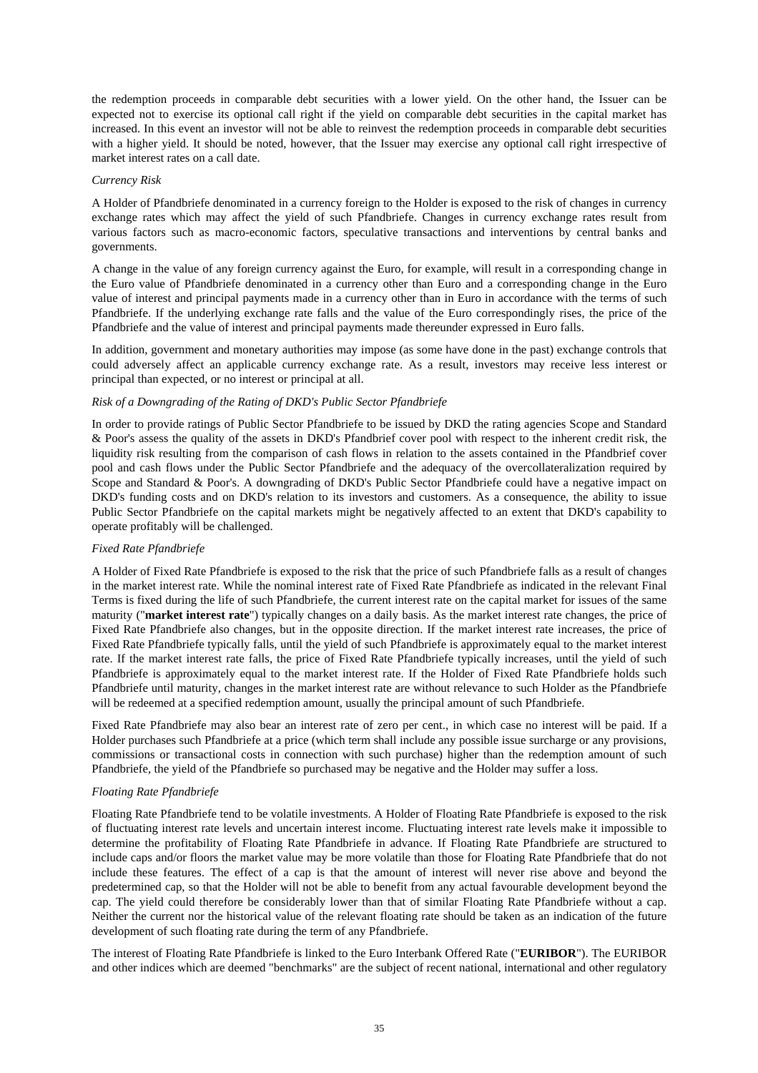the redemption proceeds in comparable debt securities with a lower yield. On the other hand, the Issuer can be expected not to exercise its optional call right if the yield on comparable debt securities in the capital market has increased. In this event an investor will not be able to reinvest the redemption proceeds in comparable debt securities with a higher yield. It should be noted, however, that the Issuer may exercise any optional call right irrespective of market interest rates on a call date.

#### *Currency Risk*

A Holder of Pfandbriefe denominated in a currency foreign to the Holder is exposed to the risk of changes in currency exchange rates which may affect the yield of such Pfandbriefe. Changes in currency exchange rates result from various factors such as macro-economic factors, speculative transactions and interventions by central banks and governments.

A change in the value of any foreign currency against the Euro, for example, will result in a corresponding change in the Euro value of Pfandbriefe denominated in a currency other than Euro and a corresponding change in the Euro value of interest and principal payments made in a currency other than in Euro in accordance with the terms of such Pfandbriefe. If the underlying exchange rate falls and the value of the Euro correspondingly rises, the price of the Pfandbriefe and the value of interest and principal payments made thereunder expressed in Euro falls.

In addition, government and monetary authorities may impose (as some have done in the past) exchange controls that could adversely affect an applicable currency exchange rate. As a result, investors may receive less interest or principal than expected, or no interest or principal at all.

## *Risk of a Downgrading of the Rating of DKD's Public Sector Pfandbriefe*

In order to provide ratings of Public Sector Pfandbriefe to be issued by DKD the rating agencies Scope and Standard & Poor's assess the quality of the assets in DKD's Pfandbrief cover pool with respect to the inherent credit risk, the liquidity risk resulting from the comparison of cash flows in relation to the assets contained in the Pfandbrief cover pool and cash flows under the Public Sector Pfandbriefe and the adequacy of the overcollateralization required by Scope and Standard & Poor's. A downgrading of DKD's Public Sector Pfandbriefe could have a negative impact on DKD's funding costs and on DKD's relation to its investors and customers. As a consequence, the ability to issue Public Sector Pfandbriefe on the capital markets might be negatively affected to an extent that DKD's capability to operate profitably will be challenged.

## *Fixed Rate Pfandbriefe*

A Holder of Fixed Rate Pfandbriefe is exposed to the risk that the price of such Pfandbriefe falls as a result of changes in the market interest rate. While the nominal interest rate of Fixed Rate Pfandbriefe as indicated in the relevant Final Terms is fixed during the life of such Pfandbriefe, the current interest rate on the capital market for issues of the same maturity ("**market interest rate**") typically changes on a daily basis. As the market interest rate changes, the price of Fixed Rate Pfandbriefe also changes, but in the opposite direction. If the market interest rate increases, the price of Fixed Rate Pfandbriefe typically falls, until the yield of such Pfandbriefe is approximately equal to the market interest rate. If the market interest rate falls, the price of Fixed Rate Pfandbriefe typically increases, until the yield of such Pfandbriefe is approximately equal to the market interest rate. If the Holder of Fixed Rate Pfandbriefe holds such Pfandbriefe until maturity, changes in the market interest rate are without relevance to such Holder as the Pfandbriefe will be redeemed at a specified redemption amount, usually the principal amount of such Pfandbriefe.

Fixed Rate Pfandbriefe may also bear an interest rate of zero per cent., in which case no interest will be paid. If a Holder purchases such Pfandbriefe at a price (which term shall include any possible issue surcharge or any provisions, commissions or transactional costs in connection with such purchase) higher than the redemption amount of such Pfandbriefe, the yield of the Pfandbriefe so purchased may be negative and the Holder may suffer a loss.

# *Floating Rate Pfandbriefe*

Floating Rate Pfandbriefe tend to be volatile investments. A Holder of Floating Rate Pfandbriefe is exposed to the risk of fluctuating interest rate levels and uncertain interest income. Fluctuating interest rate levels make it impossible to determine the profitability of Floating Rate Pfandbriefe in advance. If Floating Rate Pfandbriefe are structured to include caps and/or floors the market value may be more volatile than those for Floating Rate Pfandbriefe that do not include these features. The effect of a cap is that the amount of interest will never rise above and beyond the predetermined cap, so that the Holder will not be able to benefit from any actual favourable development beyond the cap. The yield could therefore be considerably lower than that of similar Floating Rate Pfandbriefe without a cap. Neither the current nor the historical value of the relevant floating rate should be taken as an indication of the future development of such floating rate during the term of any Pfandbriefe.

The interest of Floating Rate Pfandbriefe is linked to the Euro Interbank Offered Rate ("**EURIBOR**"). The EURIBOR and other indices which are deemed "benchmarks" are the subject of recent national, international and other regulatory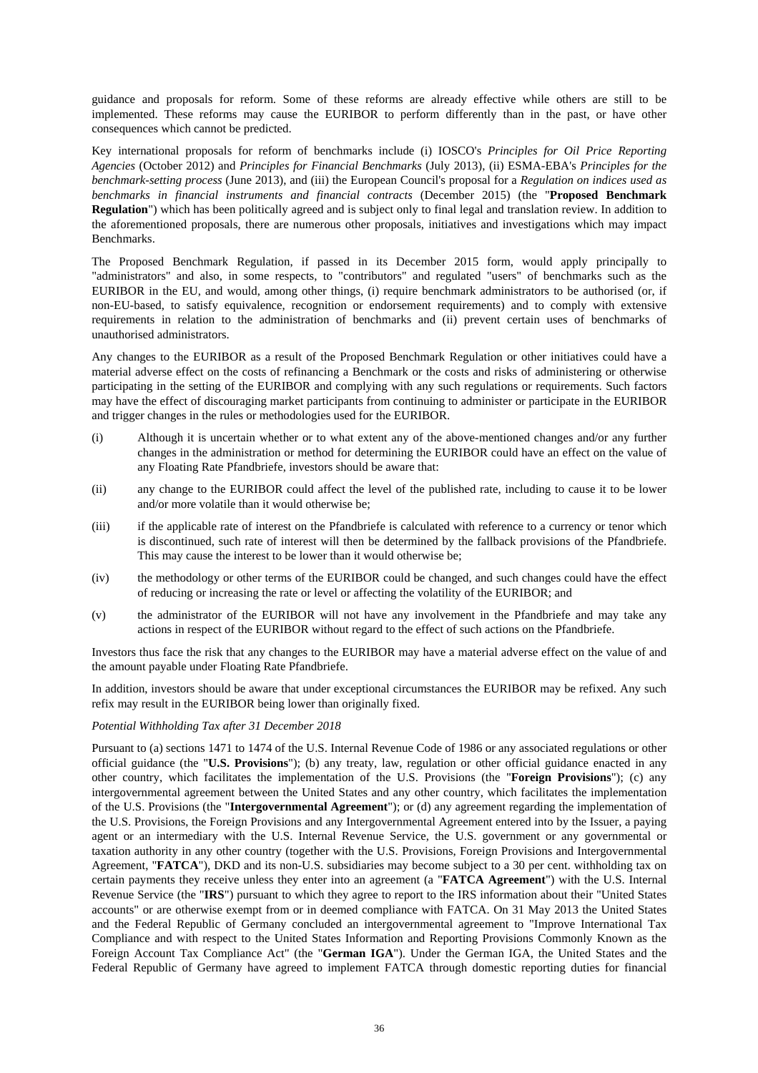guidance and proposals for reform. Some of these reforms are already effective while others are still to be implemented. These reforms may cause the EURIBOR to perform differently than in the past, or have other consequences which cannot be predicted.

Key international proposals for reform of benchmarks include (i) IOSCO's *Principles for Oil Price Reporting Agencies* (October 2012) and *Principles for Financial Benchmarks* (July 2013), (ii) ESMA-EBA's *Principles for the benchmark*-*setting process* (June 2013), and (iii) the European Council's proposal for a *Regulation on indices used as benchmarks in financial instruments and financial contracts* (December 2015) (the "**Proposed Benchmark Regulation**") which has been politically agreed and is subject only to final legal and translation review. In addition to the aforementioned proposals, there are numerous other proposals, initiatives and investigations which may impact Benchmarks.

The Proposed Benchmark Regulation, if passed in its December 2015 form, would apply principally to "administrators" and also, in some respects, to "contributors" and regulated "users" of benchmarks such as the EURIBOR in the EU, and would, among other things, (i) require benchmark administrators to be authorised (or, if non-EU-based, to satisfy equivalence, recognition or endorsement requirements) and to comply with extensive requirements in relation to the administration of benchmarks and (ii) prevent certain uses of benchmarks of unauthorised administrators.

Any changes to the EURIBOR as a result of the Proposed Benchmark Regulation or other initiatives could have a material adverse effect on the costs of refinancing a Benchmark or the costs and risks of administering or otherwise participating in the setting of the EURIBOR and complying with any such regulations or requirements. Such factors may have the effect of discouraging market participants from continuing to administer or participate in the EURIBOR and trigger changes in the rules or methodologies used for the EURIBOR.

- (i) Although it is uncertain whether or to what extent any of the above-mentioned changes and/or any further changes in the administration or method for determining the EURIBOR could have an effect on the value of any Floating Rate Pfandbriefe, investors should be aware that:
- (ii) any change to the EURIBOR could affect the level of the published rate, including to cause it to be lower and/or more volatile than it would otherwise be;
- (iii) if the applicable rate of interest on the Pfandbriefe is calculated with reference to a currency or tenor which is discontinued, such rate of interest will then be determined by the fallback provisions of the Pfandbriefe. This may cause the interest to be lower than it would otherwise be;
- (iv) the methodology or other terms of the EURIBOR could be changed, and such changes could have the effect of reducing or increasing the rate or level or affecting the volatility of the EURIBOR; and
- (v) the administrator of the EURIBOR will not have any involvement in the Pfandbriefe and may take any actions in respect of the EURIBOR without regard to the effect of such actions on the Pfandbriefe.

Investors thus face the risk that any changes to the EURIBOR may have a material adverse effect on the value of and the amount payable under Floating Rate Pfandbriefe.

In addition, investors should be aware that under exceptional circumstances the EURIBOR may be refixed. Any such refix may result in the EURIBOR being lower than originally fixed.

#### *Potential Withholding Tax after 31 December 2018*

Pursuant to (a) sections 1471 to 1474 of the U.S. Internal Revenue Code of 1986 or any associated regulations or other official guidance (the "**U.S. Provisions**"); (b) any treaty, law, regulation or other official guidance enacted in any other country, which facilitates the implementation of the U.S. Provisions (the "**Foreign Provisions**"); (c) any intergovernmental agreement between the United States and any other country, which facilitates the implementation of the U.S. Provisions (the "**Intergovernmental Agreement**"); or (d) any agreement regarding the implementation of the U.S. Provisions, the Foreign Provisions and any Intergovernmental Agreement entered into by the Issuer, a paying agent or an intermediary with the U.S. Internal Revenue Service, the U.S. government or any governmental or taxation authority in any other country (together with the U.S. Provisions, Foreign Provisions and Intergovernmental Agreement, "**FATCA**"), DKD and its non-U.S. subsidiaries may become subject to a 30 per cent. withholding tax on certain payments they receive unless they enter into an agreement (a "**FATCA Agreement**") with the U.S. Internal Revenue Service (the "**IRS**") pursuant to which they agree to report to the IRS information about their "United States accounts" or are otherwise exempt from or in deemed compliance with FATCA. On 31 May 2013 the United States and the Federal Republic of Germany concluded an intergovernmental agreement to "Improve International Tax Compliance and with respect to the United States Information and Reporting Provisions Commonly Known as the Foreign Account Tax Compliance Act" (the "**German IGA**"). Under the German IGA, the United States and the Federal Republic of Germany have agreed to implement FATCA through domestic reporting duties for financial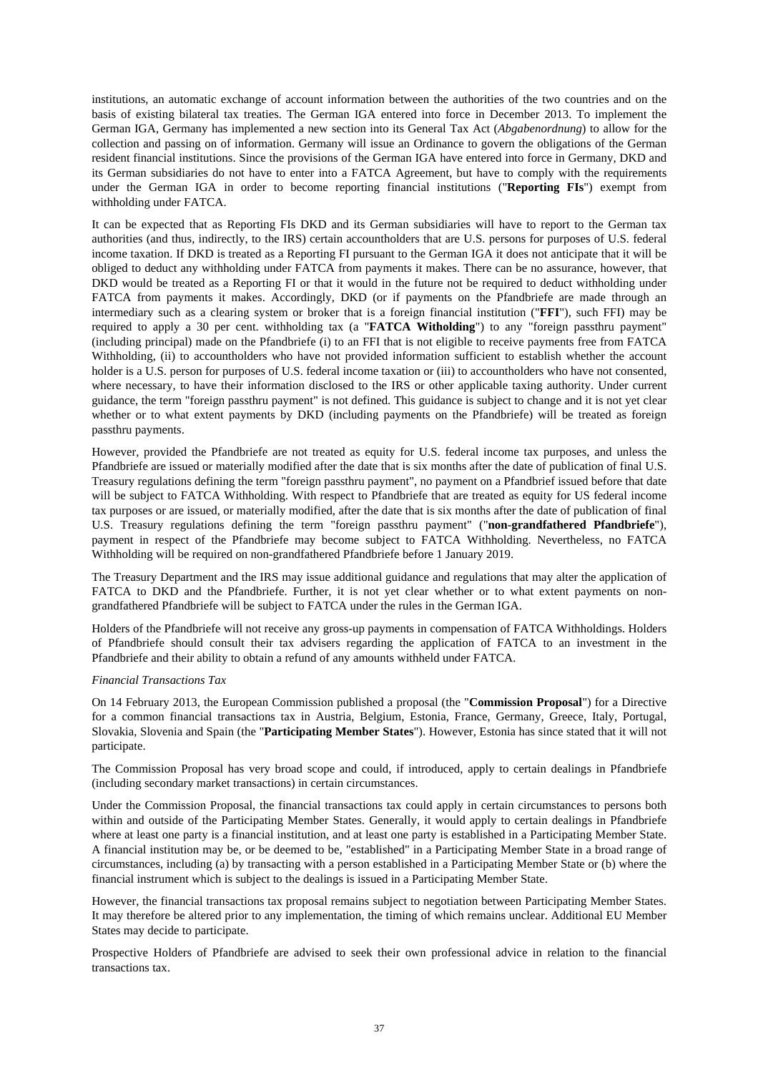institutions, an automatic exchange of account information between the authorities of the two countries and on the basis of existing bilateral tax treaties. The German IGA entered into force in December 2013. To implement the German IGA, Germany has implemented a new section into its General Tax Act (*Abgabenordnung*) to allow for the collection and passing on of information. Germany will issue an Ordinance to govern the obligations of the German resident financial institutions. Since the provisions of the German IGA have entered into force in Germany, DKD and its German subsidiaries do not have to enter into a FATCA Agreement, but have to comply with the requirements under the German IGA in order to become reporting financial institutions ("**Reporting FIs**") exempt from withholding under FATCA.

It can be expected that as Reporting FIs DKD and its German subsidiaries will have to report to the German tax authorities (and thus, indirectly, to the IRS) certain accountholders that are U.S. persons for purposes of U.S. federal income taxation. If DKD is treated as a Reporting FI pursuant to the German IGA it does not anticipate that it will be obliged to deduct any withholding under FATCA from payments it makes. There can be no assurance, however, that DKD would be treated as a Reporting FI or that it would in the future not be required to deduct withholding under FATCA from payments it makes. Accordingly, DKD (or if payments on the Pfandbriefe are made through an intermediary such as a clearing system or broker that is a foreign financial institution ("**FFI**"), such FFI) may be required to apply a 30 per cent. withholding tax (a "**FATCA Witholding**") to any "foreign passthru payment" (including principal) made on the Pfandbriefe (i) to an FFI that is not eligible to receive payments free from FATCA Withholding, (ii) to accountholders who have not provided information sufficient to establish whether the account holder is a U.S. person for purposes of U.S. federal income taxation or (iii) to accountholders who have not consented, where necessary, to have their information disclosed to the IRS or other applicable taxing authority. Under current guidance, the term "foreign passthru payment" is not defined. This guidance is subject to change and it is not yet clear whether or to what extent payments by DKD (including payments on the Pfandbriefe) will be treated as foreign passthru payments.

However, provided the Pfandbriefe are not treated as equity for U.S. federal income tax purposes, and unless the Pfandbriefe are issued or materially modified after the date that is six months after the date of publication of final U.S. Treasury regulations defining the term "foreign passthru payment", no payment on a Pfandbrief issued before that date will be subject to FATCA Withholding. With respect to Pfandbriefe that are treated as equity for US federal income tax purposes or are issued, or materially modified, after the date that is six months after the date of publication of final U.S. Treasury regulations defining the term "foreign passthru payment" ("**non-grandfathered Pfandbriefe**"), payment in respect of the Pfandbriefe may become subject to FATCA Withholding. Nevertheless, no FATCA Withholding will be required on non-grandfathered Pfandbriefe before 1 January 2019.

The Treasury Department and the IRS may issue additional guidance and regulations that may alter the application of FATCA to DKD and the Pfandbriefe. Further, it is not yet clear whether or to what extent payments on nongrandfathered Pfandbriefe will be subject to FATCA under the rules in the German IGA.

Holders of the Pfandbriefe will not receive any gross-up payments in compensation of FATCA Withholdings. Holders of Pfandbriefe should consult their tax advisers regarding the application of FATCA to an investment in the Pfandbriefe and their ability to obtain a refund of any amounts withheld under FATCA.

#### *Financial Transactions Tax*

On 14 February 2013, the European Commission published a proposal (the "**Commission Proposal**") for a Directive for a common financial transactions tax in Austria, Belgium, Estonia, France, Germany, Greece, Italy, Portugal, Slovakia, Slovenia and Spain (the "**Participating Member States**"). However, Estonia has since stated that it will not participate.

The Commission Proposal has very broad scope and could, if introduced, apply to certain dealings in Pfandbriefe (including secondary market transactions) in certain circumstances.

Under the Commission Proposal, the financial transactions tax could apply in certain circumstances to persons both within and outside of the Participating Member States. Generally, it would apply to certain dealings in Pfandbriefe where at least one party is a financial institution, and at least one party is established in a Participating Member State. A financial institution may be, or be deemed to be, "established" in a Participating Member State in a broad range of circumstances, including (a) by transacting with a person established in a Participating Member State or (b) where the financial instrument which is subject to the dealings is issued in a Participating Member State.

However, the financial transactions tax proposal remains subject to negotiation between Participating Member States. It may therefore be altered prior to any implementation, the timing of which remains unclear. Additional EU Member States may decide to participate.

Prospective Holders of Pfandbriefe are advised to seek their own professional advice in relation to the financial transactions tax.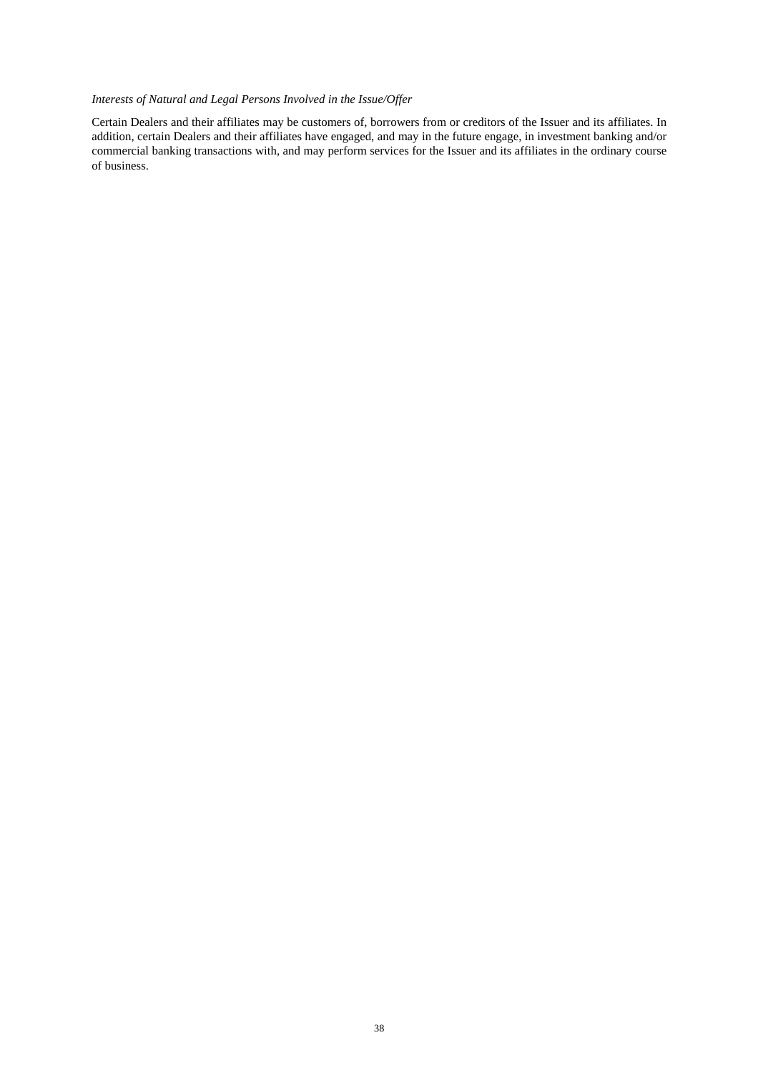# *Interests of Natural and Legal Persons Involved in the Issue/Offer*

Certain Dealers and their affiliates may be customers of, borrowers from or creditors of the Issuer and its affiliates. In addition, certain Dealers and their affiliates have engaged, and may in the future engage, in investment banking and/or commercial banking transactions with, and may perform services for the Issuer and its affiliates in the ordinary course of business.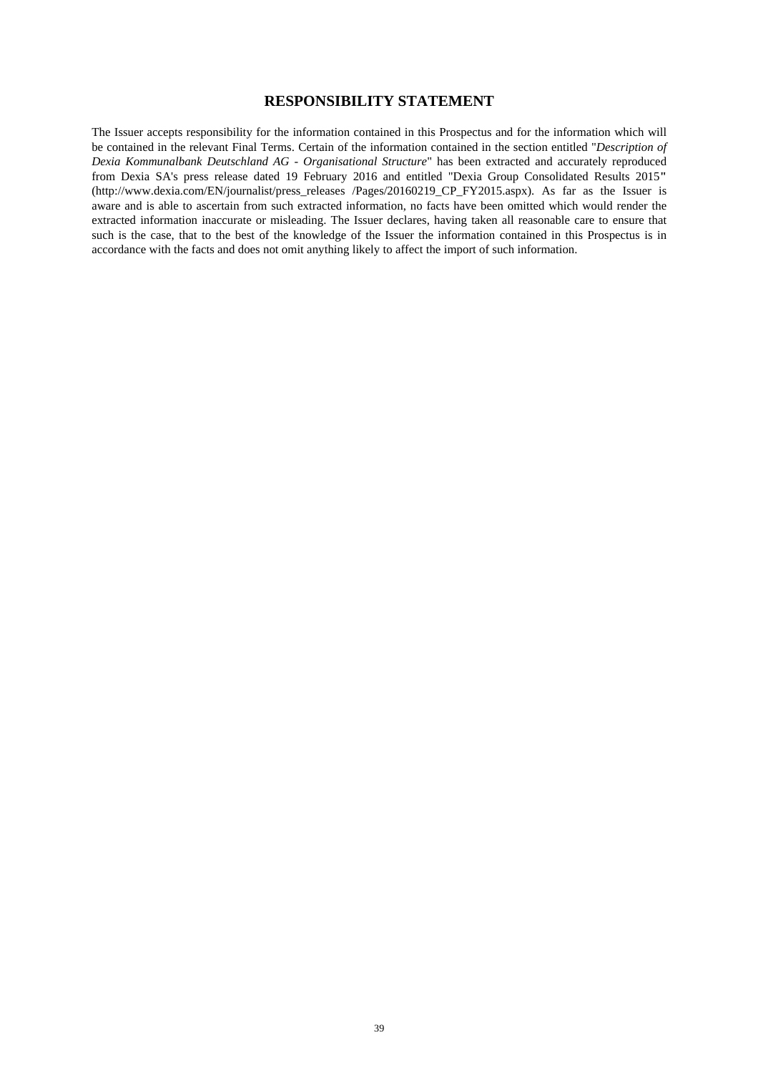## **RESPONSIBILITY STATEMENT**

The Issuer accepts responsibility for the information contained in this Prospectus and for the information which will be contained in the relevant Final Terms. Certain of the information contained in the section entitled "*Description of Dexia Kommunalbank Deutschland AG - Organisational Structure*" has been extracted and accurately reproduced from Dexia SA's press release dated 19 February 2016 and entitled "Dexia Group Consolidated Results 2015**"**  (http://www.dexia.com/EN/journalist/press\_releases /Pages/20160219\_CP\_FY2015.aspx). As far as the Issuer is aware and is able to ascertain from such extracted information, no facts have been omitted which would render the extracted information inaccurate or misleading. The Issuer declares, having taken all reasonable care to ensure that such is the case, that to the best of the knowledge of the Issuer the information contained in this Prospectus is in accordance with the facts and does not omit anything likely to affect the import of such information.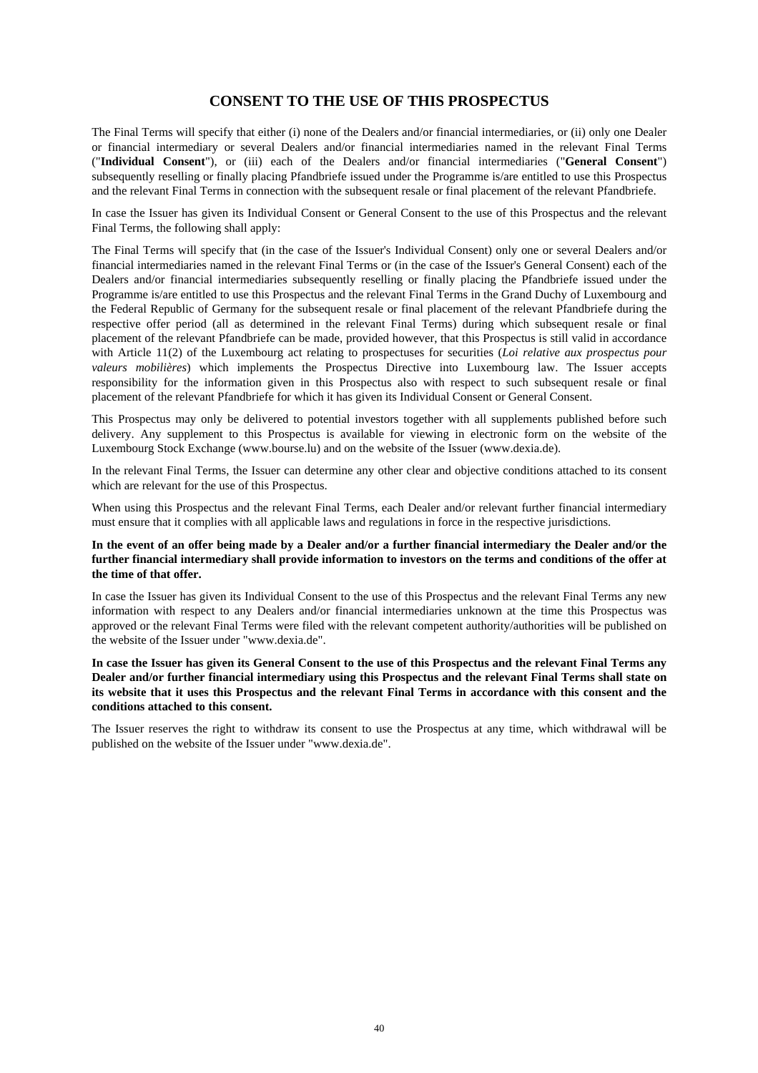# **CONSENT TO THE USE OF THIS PROSPECTUS**

The Final Terms will specify that either (i) none of the Dealers and/or financial intermediaries, or (ii) only one Dealer or financial intermediary or several Dealers and/or financial intermediaries named in the relevant Final Terms ("**Individual Consent**"), or (iii) each of the Dealers and/or financial intermediaries ("**General Consent**") subsequently reselling or finally placing Pfandbriefe issued under the Programme is/are entitled to use this Prospectus and the relevant Final Terms in connection with the subsequent resale or final placement of the relevant Pfandbriefe.

In case the Issuer has given its Individual Consent or General Consent to the use of this Prospectus and the relevant Final Terms, the following shall apply:

The Final Terms will specify that (in the case of the Issuer's Individual Consent) only one or several Dealers and/or financial intermediaries named in the relevant Final Terms or (in the case of the Issuer's General Consent) each of the Dealers and/or financial intermediaries subsequently reselling or finally placing the Pfandbriefe issued under the Programme is/are entitled to use this Prospectus and the relevant Final Terms in the Grand Duchy of Luxembourg and the Federal Republic of Germany for the subsequent resale or final placement of the relevant Pfandbriefe during the respective offer period (all as determined in the relevant Final Terms) during which subsequent resale or final placement of the relevant Pfandbriefe can be made, provided however, that this Prospectus is still valid in accordance with Article 11(2) of the Luxembourg act relating to prospectuses for securities (*Loi relative aux prospectus pour valeurs mobilières*) which implements the Prospectus Directive into Luxembourg law. The Issuer accepts responsibility for the information given in this Prospectus also with respect to such subsequent resale or final placement of the relevant Pfandbriefe for which it has given its Individual Consent or General Consent.

This Prospectus may only be delivered to potential investors together with all supplements published before such delivery. Any supplement to this Prospectus is available for viewing in electronic form on the website of the Luxembourg Stock Exchange (www.bourse.lu) and on the website of the Issuer (www.dexia.de).

In the relevant Final Terms, the Issuer can determine any other clear and objective conditions attached to its consent which are relevant for the use of this Prospectus.

When using this Prospectus and the relevant Final Terms, each Dealer and/or relevant further financial intermediary must ensure that it complies with all applicable laws and regulations in force in the respective jurisdictions.

## **In the event of an offer being made by a Dealer and/or a further financial intermediary the Dealer and/or the further financial intermediary shall provide information to investors on the terms and conditions of the offer at the time of that offer.**

In case the Issuer has given its Individual Consent to the use of this Prospectus and the relevant Final Terms any new information with respect to any Dealers and/or financial intermediaries unknown at the time this Prospectus was approved or the relevant Final Terms were filed with the relevant competent authority/authorities will be published on the website of the Issuer under "www.dexia.de".

## **In case the Issuer has given its General Consent to the use of this Prospectus and the relevant Final Terms any Dealer and/or further financial intermediary using this Prospectus and the relevant Final Terms shall state on its website that it uses this Prospectus and the relevant Final Terms in accordance with this consent and the conditions attached to this consent.**

The Issuer reserves the right to withdraw its consent to use the Prospectus at any time, which withdrawal will be published on the website of the Issuer under "www.dexia.de".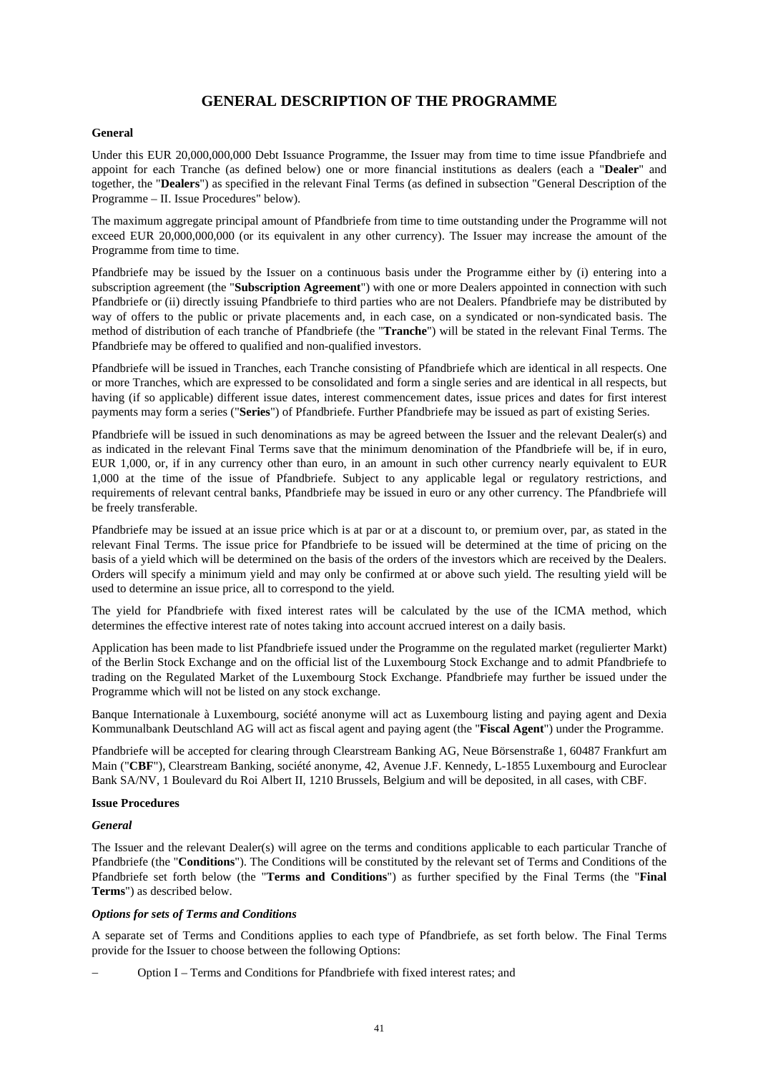# **GENERAL DESCRIPTION OF THE PROGRAMME**

## **General**

Under this EUR 20,000,000,000 Debt Issuance Programme, the Issuer may from time to time issue Pfandbriefe and appoint for each Tranche (as defined below) one or more financial institutions as dealers (each a "**Dealer**" and together, the "**Dealers**") as specified in the relevant Final Terms (as defined in subsection "General Description of the Programme – II. Issue Procedures" below).

The maximum aggregate principal amount of Pfandbriefe from time to time outstanding under the Programme will not exceed EUR 20,000,000,000 (or its equivalent in any other currency). The Issuer may increase the amount of the Programme from time to time.

Pfandbriefe may be issued by the Issuer on a continuous basis under the Programme either by (i) entering into a subscription agreement (the "**Subscription Agreement**") with one or more Dealers appointed in connection with such Pfandbriefe or (ii) directly issuing Pfandbriefe to third parties who are not Dealers. Pfandbriefe may be distributed by way of offers to the public or private placements and, in each case, on a syndicated or non-syndicated basis. The method of distribution of each tranche of Pfandbriefe (the "**Tranche**") will be stated in the relevant Final Terms. The Pfandbriefe may be offered to qualified and non-qualified investors.

Pfandbriefe will be issued in Tranches, each Tranche consisting of Pfandbriefe which are identical in all respects. One or more Tranches, which are expressed to be consolidated and form a single series and are identical in all respects, but having (if so applicable) different issue dates, interest commencement dates, issue prices and dates for first interest payments may form a series ("**Series**") of Pfandbriefe. Further Pfandbriefe may be issued as part of existing Series.

Pfandbriefe will be issued in such denominations as may be agreed between the Issuer and the relevant Dealer(s) and as indicated in the relevant Final Terms save that the minimum denomination of the Pfandbriefe will be, if in euro, EUR 1,000, or, if in any currency other than euro, in an amount in such other currency nearly equivalent to EUR 1,000 at the time of the issue of Pfandbriefe. Subject to any applicable legal or regulatory restrictions, and requirements of relevant central banks, Pfandbriefe may be issued in euro or any other currency. The Pfandbriefe will be freely transferable.

Pfandbriefe may be issued at an issue price which is at par or at a discount to, or premium over, par, as stated in the relevant Final Terms. The issue price for Pfandbriefe to be issued will be determined at the time of pricing on the basis of a yield which will be determined on the basis of the orders of the investors which are received by the Dealers. Orders will specify a minimum yield and may only be confirmed at or above such yield. The resulting yield will be used to determine an issue price, all to correspond to the yield.

The yield for Pfandbriefe with fixed interest rates will be calculated by the use of the ICMA method, which determines the effective interest rate of notes taking into account accrued interest on a daily basis.

Application has been made to list Pfandbriefe issued under the Programme on the regulated market (regulierter Markt) of the Berlin Stock Exchange and on the official list of the Luxembourg Stock Exchange and to admit Pfandbriefe to trading on the Regulated Market of the Luxembourg Stock Exchange. Pfandbriefe may further be issued under the Programme which will not be listed on any stock exchange.

Banque Internationale à Luxembourg, société anonyme will act as Luxembourg listing and paying agent and Dexia Kommunalbank Deutschland AG will act as fiscal agent and paying agent (the "**Fiscal Agent**") under the Programme.

Pfandbriefe will be accepted for clearing through Clearstream Banking AG, Neue Börsenstraße 1, 60487 Frankfurt am Main ("**CBF**"), Clearstream Banking, société anonyme, 42, Avenue J.F. Kennedy, L-1855 Luxembourg and Euroclear Bank SA/NV, 1 Boulevard du Roi Albert II, 1210 Brussels, Belgium and will be deposited, in all cases, with CBF.

## **Issue Procedures**

#### *General*

The Issuer and the relevant Dealer(s) will agree on the terms and conditions applicable to each particular Tranche of Pfandbriefe (the "**Conditions**"). The Conditions will be constituted by the relevant set of Terms and Conditions of the Pfandbriefe set forth below (the "**Terms and Conditions**") as further specified by the Final Terms (the "**Final Terms**") as described below.

#### *Options for sets of Terms and Conditions*

A separate set of Terms and Conditions applies to each type of Pfandbriefe, as set forth below. The Final Terms provide for the Issuer to choose between the following Options:

Option I – Terms and Conditions for Pfandbriefe with fixed interest rates; and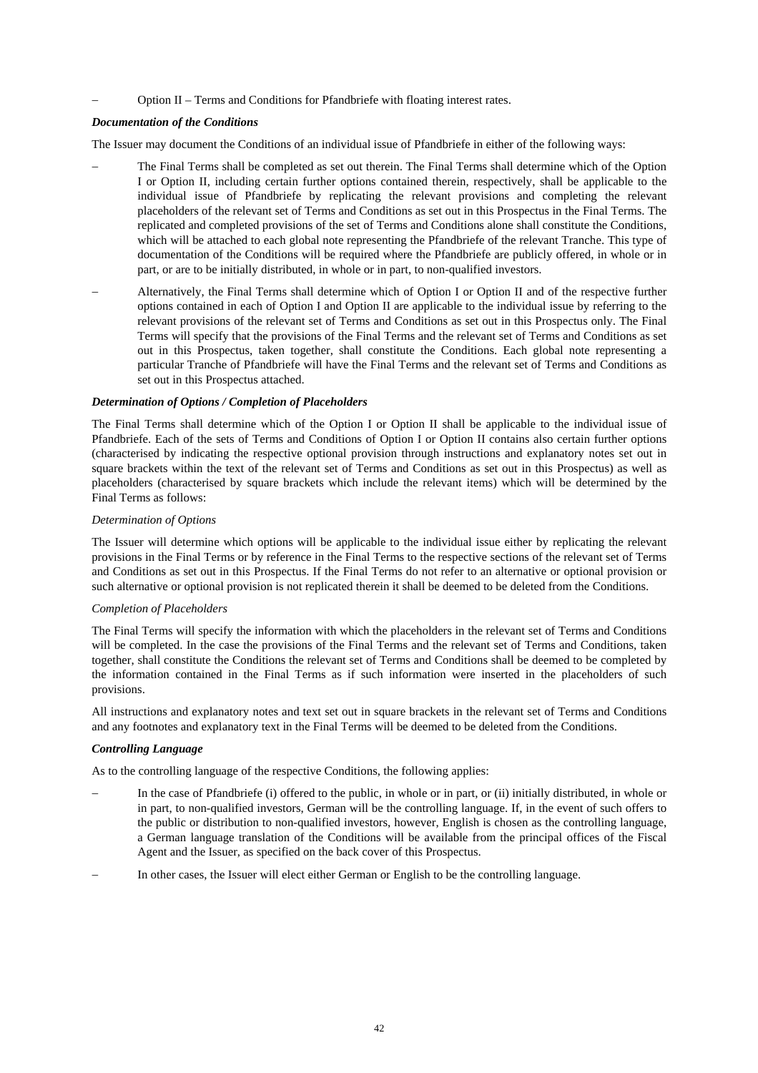Option II – Terms and Conditions for Pfandbriefe with floating interest rates.

## *Documentation of the Conditions*

The Issuer may document the Conditions of an individual issue of Pfandbriefe in either of the following ways:

- The Final Terms shall be completed as set out therein. The Final Terms shall determine which of the Option I or Option II, including certain further options contained therein, respectively, shall be applicable to the individual issue of Pfandbriefe by replicating the relevant provisions and completing the relevant placeholders of the relevant set of Terms and Conditions as set out in this Prospectus in the Final Terms. The replicated and completed provisions of the set of Terms and Conditions alone shall constitute the Conditions, which will be attached to each global note representing the Pfandbriefe of the relevant Tranche. This type of documentation of the Conditions will be required where the Pfandbriefe are publicly offered, in whole or in part, or are to be initially distributed, in whole or in part, to non-qualified investors.
- Alternatively, the Final Terms shall determine which of Option I or Option II and of the respective further options contained in each of Option I and Option II are applicable to the individual issue by referring to the relevant provisions of the relevant set of Terms and Conditions as set out in this Prospectus only. The Final Terms will specify that the provisions of the Final Terms and the relevant set of Terms and Conditions as set out in this Prospectus, taken together, shall constitute the Conditions. Each global note representing a particular Tranche of Pfandbriefe will have the Final Terms and the relevant set of Terms and Conditions as set out in this Prospectus attached.

#### *Determination of Options / Completion of Placeholders*

The Final Terms shall determine which of the Option I or Option II shall be applicable to the individual issue of Pfandbriefe. Each of the sets of Terms and Conditions of Option I or Option II contains also certain further options (characterised by indicating the respective optional provision through instructions and explanatory notes set out in square brackets within the text of the relevant set of Terms and Conditions as set out in this Prospectus) as well as placeholders (characterised by square brackets which include the relevant items) which will be determined by the Final Terms as follows:

#### *Determination of Options*

The Issuer will determine which options will be applicable to the individual issue either by replicating the relevant provisions in the Final Terms or by reference in the Final Terms to the respective sections of the relevant set of Terms and Conditions as set out in this Prospectus. If the Final Terms do not refer to an alternative or optional provision or such alternative or optional provision is not replicated therein it shall be deemed to be deleted from the Conditions.

## *Completion of Placeholders*

The Final Terms will specify the information with which the placeholders in the relevant set of Terms and Conditions will be completed. In the case the provisions of the Final Terms and the relevant set of Terms and Conditions, taken together, shall constitute the Conditions the relevant set of Terms and Conditions shall be deemed to be completed by the information contained in the Final Terms as if such information were inserted in the placeholders of such provisions.

All instructions and explanatory notes and text set out in square brackets in the relevant set of Terms and Conditions and any footnotes and explanatory text in the Final Terms will be deemed to be deleted from the Conditions.

#### *Controlling Language*

As to the controlling language of the respective Conditions, the following applies:

- In the case of Pfandbriefe (i) offered to the public, in whole or in part, or (ii) initially distributed, in whole or in part, to non-qualified investors, German will be the controlling language. If, in the event of such offers to the public or distribution to non-qualified investors, however, English is chosen as the controlling language, a German language translation of the Conditions will be available from the principal offices of the Fiscal Agent and the Issuer, as specified on the back cover of this Prospectus.
- In other cases, the Issuer will elect either German or English to be the controlling language.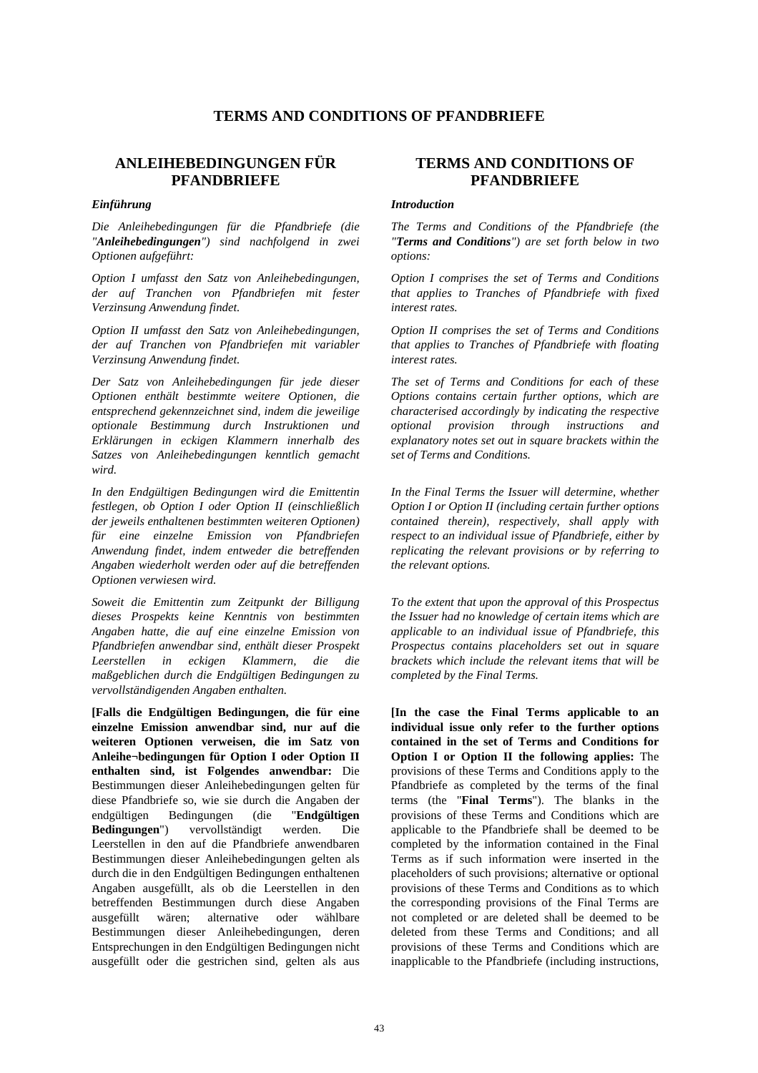# **TERMS AND CONDITIONS OF PFANDBRIEFE**

# **ANLEIHEBEDINGUNGEN FÜR PFANDBRIEFE**

*Die Anleihebedingungen für die Pfandbriefe (die "Anleihebedingungen") sind nachfolgend in zwei Optionen aufgeführt:* 

*Option I umfasst den Satz von Anleihebedingungen, der auf Tranchen von Pfandbriefen mit fester Verzinsung Anwendung findet.* 

*Option II umfasst den Satz von Anleihebedingungen, der auf Tranchen von Pfandbriefen mit variabler Verzinsung Anwendung findet.* 

*Der Satz von Anleihebedingungen für jede dieser Optionen enthält bestimmte weitere Optionen, die entsprechend gekennzeichnet sind, indem die jeweilige optionale Bestimmung durch Instruktionen und Erklärungen in eckigen Klammern innerhalb des Satzes von Anleihebedingungen kenntlich gemacht wird.* 

*In den Endgültigen Bedingungen wird die Emittentin festlegen, ob Option I oder Option II (einschließlich der jeweils enthaltenen bestimmten weiteren Optionen) für eine einzelne Emission von Pfandbriefen Anwendung findet, indem entweder die betreffenden Angaben wiederholt werden oder auf die betreffenden Optionen verwiesen wird.* 

*Soweit die Emittentin zum Zeitpunkt der Billigung dieses Prospekts keine Kenntnis von bestimmten Angaben hatte, die auf eine einzelne Emission von Pfandbriefen anwendbar sind, enthält dieser Prospekt Leerstellen in eckigen Klammern, die die maßgeblichen durch die Endgültigen Bedingungen zu vervollständigenden Angaben enthalten.* 

**[Falls die Endgültigen Bedingungen, die für eine einzelne Emission anwendbar sind, nur auf die weiteren Optionen verweisen, die im Satz von Anleihe¬bedingungen für Option I oder Option II enthalten sind, ist Folgendes anwendbar:** Die Bestimmungen dieser Anleihebedingungen gelten für diese Pfandbriefe so, wie sie durch die Angaben der endgültigen Bedingungen (die "**Endgültigen Bedingungen**") vervollständigt werden. Die Leerstellen in den auf die Pfandbriefe anwendbaren Bestimmungen dieser Anleihebedingungen gelten als durch die in den Endgültigen Bedingungen enthaltenen Angaben ausgefüllt, als ob die Leerstellen in den betreffenden Bestimmungen durch diese Angaben ausgefüllt wären; alternative oder wählbare Bestimmungen dieser Anleihebedingungen, deren Entsprechungen in den Endgültigen Bedingungen nicht ausgefüllt oder die gestrichen sind, gelten als aus

# **TERMS AND CONDITIONS OF PFANDBRIEFE**

#### *Einführung Introduction*

 *The Terms and Conditions of the Pfandbriefe (the "Terms and Conditions") are set forth below in two options:* 

 *Option I comprises the set of Terms and Conditions that applies to Tranches of Pfandbriefe with fixed interest rates.* 

 *Option II comprises the set of Terms and Conditions that applies to Tranches of Pfandbriefe with floating interest rates.* 

 *The set of Terms and Conditions for each of these Options contains certain further options, which are characterised accordingly by indicating the respective optional provision through instructions and explanatory notes set out in square brackets within the set of Terms and Conditions.* 

 *In the Final Terms the Issuer will determine, whether Option I or Option II (including certain further options contained therein), respectively, shall apply with respect to an individual issue of Pfandbriefe, either by replicating the relevant provisions or by referring to the relevant options.* 

 *To the extent that upon the approval of this Prospectus the Issuer had no knowledge of certain items which are applicable to an individual issue of Pfandbriefe, this Prospectus contains placeholders set out in square brackets which include the relevant items that will be completed by the Final Terms.* 

**[In the case the Final Terms applicable to an individual issue only refer to the further options contained in the set of Terms and Conditions for Option I or Option II the following applies:** The provisions of these Terms and Conditions apply to the Pfandbriefe as completed by the terms of the final terms (the "**Final Terms**"). The blanks in the provisions of these Terms and Conditions which are applicable to the Pfandbriefe shall be deemed to be completed by the information contained in the Final Terms as if such information were inserted in the placeholders of such provisions; alternative or optional provisions of these Terms and Conditions as to which the corresponding provisions of the Final Terms are not completed or are deleted shall be deemed to be deleted from these Terms and Conditions; and all provisions of these Terms and Conditions which are inapplicable to the Pfandbriefe (including instructions,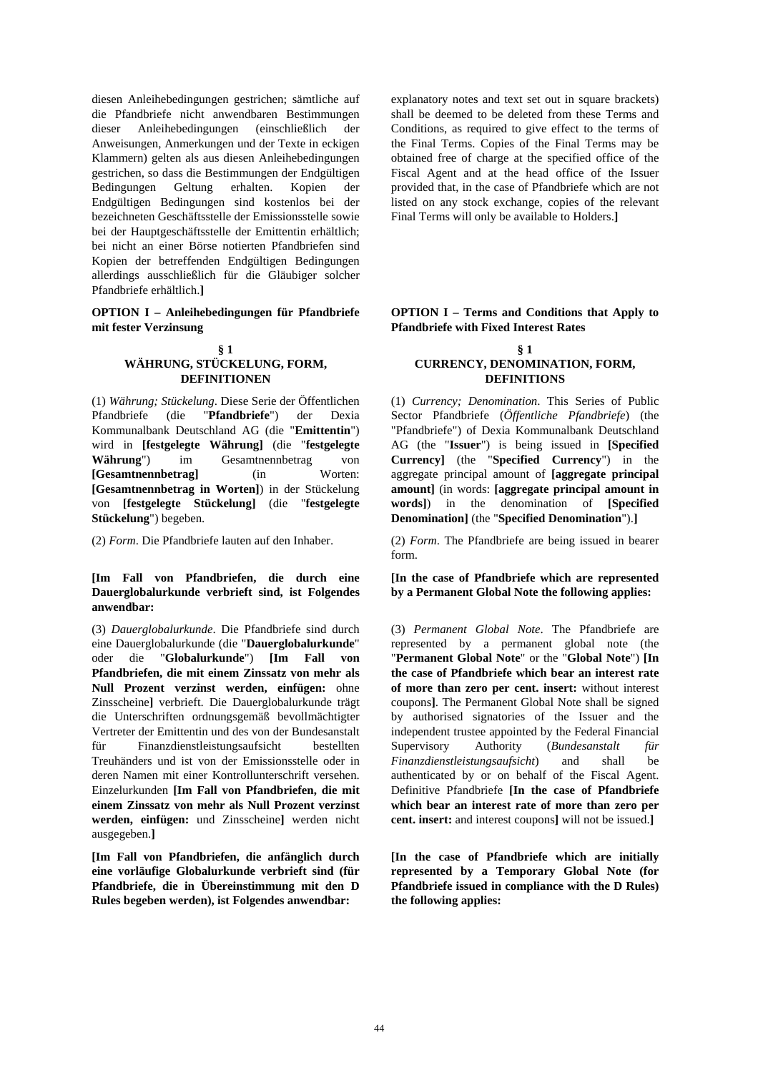diesen Anleihebedingungen gestrichen; sämtliche auf die Pfandbriefe nicht anwendbaren Bestimmungen dieser Anleihebedingungen (einschließlich der Anweisungen, Anmerkungen und der Texte in eckigen Klammern) gelten als aus diesen Anleihebedingungen gestrichen, so dass die Bestimmungen der Endgültigen Bedingungen Geltung erhalten. Kopien der Endgültigen Bedingungen sind kostenlos bei der bezeichneten Geschäftsstelle der Emissionsstelle sowie bei der Hauptgeschäftsstelle der Emittentin erhältlich; bei nicht an einer Börse notierten Pfandbriefen sind Kopien der betreffenden Endgültigen Bedingungen allerdings ausschließlich für die Gläubiger solcher Pfandbriefe erhältlich.**]**

## **OPTION I – Anleihebedingungen für Pfandbriefe mit fester Verzinsung**

#### **§ 1 WÄHRUNG, STÜCKELUNG, FORM, DEFINITIONEN**

(1) *Währung; Stückelung*. Diese Serie der Öffentlichen Pfandbriefe (die "**Pfandbriefe**") der Dexia Kommunalbank Deutschland AG (die "**Emittentin**") wird in **[festgelegte Währung]** (die "**festgelegte Währung**") im Gesamtnennbetrag von **[Gesamtnennbetrag]** (in Worten: **[Gesamtnennbetrag in Worten]**) in der Stückelung von **[festgelegte Stückelung]** (die "**festgelegte Stückelung**") begeben.

## **[Im Fall von Pfandbriefen, die durch eine Dauerglobalurkunde verbrieft sind, ist Folgendes anwendbar:**

(3) *Dauerglobalurkunde*. Die Pfandbriefe sind durch eine Dauerglobalurkunde (die "**Dauerglobalurkunde**" oder die "**Globalurkunde**") **[Im Fall von Pfandbriefen, die mit einem Zinssatz von mehr als Null Prozent verzinst werden, einfügen:** ohne Zinsscheine**]** verbrieft. Die Dauerglobalurkunde trägt die Unterschriften ordnungsgemäß bevollmächtigter Vertreter der Emittentin und des von der Bundesanstalt für Finanzdienstleistungsaufsicht bestellten Treuhänders und ist von der Emissionsstelle oder in deren Namen mit einer Kontrollunterschrift versehen. Einzelurkunden **[Im Fall von Pfandbriefen, die mit einem Zinssatz von mehr als Null Prozent verzinst werden, einfügen:** und Zinsscheine**]** werden nicht ausgegeben.**]**

**[Im Fall von Pfandbriefen, die anfänglich durch eine vorläufige Globalurkunde verbrieft sind (für Pfandbriefe, die in Übereinstimmung mit den D Rules begeben werden), ist Folgendes anwendbar:** 

explanatory notes and text set out in square brackets) shall be deemed to be deleted from these Terms and Conditions, as required to give effect to the terms of the Final Terms. Copies of the Final Terms may be obtained free of charge at the specified office of the Fiscal Agent and at the head office of the Issuer provided that, in the case of Pfandbriefe which are not listed on any stock exchange, copies of the relevant Final Terms will only be available to Holders.**]**

## **OPTION I – Terms and Conditions that Apply to Pfandbriefe with Fixed Interest Rates**

#### **§ 1 CURRENCY, DENOMINATION, FORM, DEFINITIONS**

(1) *Currency; Denomination*. This Series of Public Sector Pfandbriefe (*Öffentliche Pfandbriefe*) (the "Pfandbriefe") of Dexia Kommunalbank Deutschland AG (the "**Issuer**") is being issued in **[Specified Currency]** (the "**Specified Currency**") in the aggregate principal amount of **[aggregate principal amount]** (in words: **[aggregate principal amount in words]**) in the denomination of **[Specified Denomination]** (the "**Specified Denomination**").**]**

(2) *Form*. Die Pfandbriefe lauten auf den Inhaber. (2) *Form*. The Pfandbriefe are being issued in bearer form.

> **[In the case of Pfandbriefe which are represented by a Permanent Global Note the following applies:**

(3) *Permanent Global Note*. The Pfandbriefe are represented by a permanent global note (the "**Permanent Global Note**" or the "**Global Note**") **[In the case of Pfandbriefe which bear an interest rate of more than zero per cent. insert:** without interest coupons**]**. The Permanent Global Note shall be signed by authorised signatories of the Issuer and the independent trustee appointed by the Federal Financial Supervisory Authority (*Bundesanstalt für Finanzdienstleistungsaufsicht*) and shall be authenticated by or on behalf of the Fiscal Agent. Definitive Pfandbriefe **[In the case of Pfandbriefe which bear an interest rate of more than zero per cent. insert:** and interest coupons**]** will not be issued.**]**

 **[In the case of Pfandbriefe which are initially represented by a Temporary Global Note (for Pfandbriefe issued in compliance with the D Rules) the following applies:**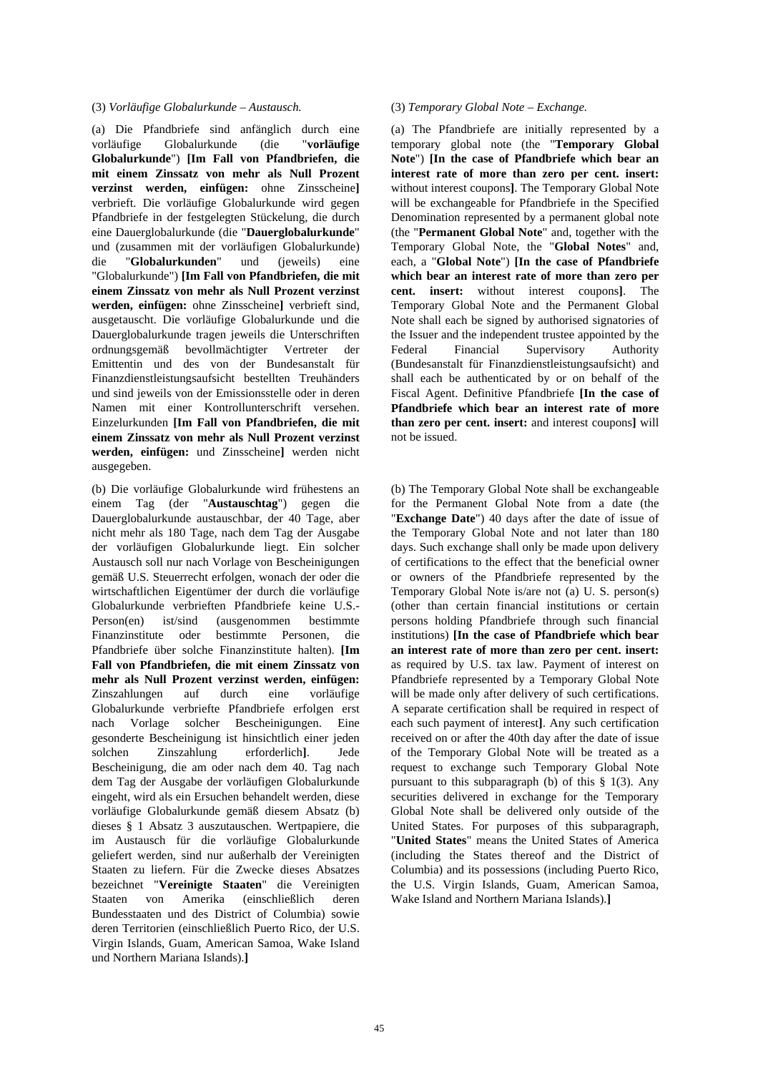#### (3) *Vorläufige Globalurkunde – Austausch.* (3) *Temporary Global Note – Exchange.*

(a) Die Pfandbriefe sind anfänglich durch eine vorläufige Globalurkunde (die "**vorläufige Globalurkunde**") **[Im Fall von Pfandbriefen, die mit einem Zinssatz von mehr als Null Prozent verzinst werden, einfügen:** ohne Zinsscheine**]** verbrieft. Die vorläufige Globalurkunde wird gegen Pfandbriefe in der festgelegten Stückelung, die durch eine Dauerglobalurkunde (die "**Dauerglobalurkunde**" und (zusammen mit der vorläufigen Globalurkunde) die "**Globalurkunden**" und (jeweils) eine "Globalurkunde") **[Im Fall von Pfandbriefen, die mit einem Zinssatz von mehr als Null Prozent verzinst werden, einfügen:** ohne Zinsscheine**]** verbrieft sind, ausgetauscht. Die vorläufige Globalurkunde und die Dauerglobalurkunde tragen jeweils die Unterschriften ordnungsgemäß bevollmächtigter Vertreter der Emittentin und des von der Bundesanstalt für Finanzdienstleistungsaufsicht bestellten Treuhänders und sind jeweils von der Emissionsstelle oder in deren Namen mit einer Kontrollunterschrift versehen. Einzelurkunden **[Im Fall von Pfandbriefen, die mit einem Zinssatz von mehr als Null Prozent verzinst werden, einfügen:** und Zinsscheine**]** werden nicht ausgegeben.

(b) Die vorläufige Globalurkunde wird frühestens an einem Tag (der "**Austauschtag**") gegen die Dauerglobalurkunde austauschbar, der 40 Tage, aber nicht mehr als 180 Tage, nach dem Tag der Ausgabe der vorläufigen Globalurkunde liegt. Ein solcher Austausch soll nur nach Vorlage von Bescheinigungen gemäß U.S. Steuerrecht erfolgen, wonach der oder die wirtschaftlichen Eigentümer der durch die vorläufige Globalurkunde verbrieften Pfandbriefe keine U.S.- Person(en) ist/sind (ausgenommen bestimmte Finanzinstitute oder bestimmte Personen, die Pfandbriefe über solche Finanzinstitute halten). **[Im Fall von Pfandbriefen, die mit einem Zinssatz von mehr als Null Prozent verzinst werden, einfügen:** Zinszahlungen auf durch eine vorläufige Globalurkunde verbriefte Pfandbriefe erfolgen erst nach Vorlage solcher Bescheinigungen. Eine gesonderte Bescheinigung ist hinsichtlich einer jeden solchen Zinszahlung erforderlich**]**. Jede Bescheinigung, die am oder nach dem 40. Tag nach dem Tag der Ausgabe der vorläufigen Globalurkunde eingeht, wird als ein Ersuchen behandelt werden, diese vorläufige Globalurkunde gemäß diesem Absatz (b) dieses § 1 Absatz 3 auszutauschen. Wertpapiere, die im Austausch für die vorläufige Globalurkunde geliefert werden, sind nur außerhalb der Vereinigten Staaten zu liefern. Für die Zwecke dieses Absatzes bezeichnet "**Vereinigte Staaten**" die Vereinigten Staaten von Amerika (einschließlich deren Bundesstaaten und des District of Columbia) sowie deren Territorien (einschließlich Puerto Rico, der U.S. Virgin Islands, Guam, American Samoa, Wake Island und Northern Mariana Islands).**]**

 (a) The Pfandbriefe are initially represented by a temporary global note (the "**Temporary Global Note**") **[In the case of Pfandbriefe which bear an interest rate of more than zero per cent. insert:** without interest coupons**]**. The Temporary Global Note will be exchangeable for Pfandbriefe in the Specified Denomination represented by a permanent global note (the "**Permanent Global Note**" and, together with the Temporary Global Note, the "**Global Notes**" and, each, a "**Global Note**") **[In the case of Pfandbriefe which bear an interest rate of more than zero per cent. insert:** without interest coupons**]**. The Temporary Global Note and the Permanent Global Note shall each be signed by authorised signatories of the Issuer and the independent trustee appointed by the Federal Financial Supervisory Authority (Bundesanstalt für Finanzdienstleistungsaufsicht) and shall each be authenticated by or on behalf of the Fiscal Agent. Definitive Pfandbriefe **[In the case of Pfandbriefe which bear an interest rate of more than zero per cent. insert:** and interest coupons**]** will not be issued.

 (b) The Temporary Global Note shall be exchangeable for the Permanent Global Note from a date (the "**Exchange Date**") 40 days after the date of issue of the Temporary Global Note and not later than 180 days. Such exchange shall only be made upon delivery of certifications to the effect that the beneficial owner or owners of the Pfandbriefe represented by the Temporary Global Note is/are not (a) U. S. person(s) (other than certain financial institutions or certain persons holding Pfandbriefe through such financial institutions) **[In the case of Pfandbriefe which bear an interest rate of more than zero per cent. insert:** as required by U.S. tax law. Payment of interest on Pfandbriefe represented by a Temporary Global Note will be made only after delivery of such certifications. A separate certification shall be required in respect of each such payment of interest**]**. Any such certification received on or after the 40th day after the date of issue of the Temporary Global Note will be treated as a request to exchange such Temporary Global Note pursuant to this subparagraph (b) of this § 1(3). Any securities delivered in exchange for the Temporary Global Note shall be delivered only outside of the United States. For purposes of this subparagraph, "**United States**" means the United States of America (including the States thereof and the District of Columbia) and its possessions (including Puerto Rico, the U.S. Virgin Islands, Guam, American Samoa, Wake Island and Northern Mariana Islands).**]**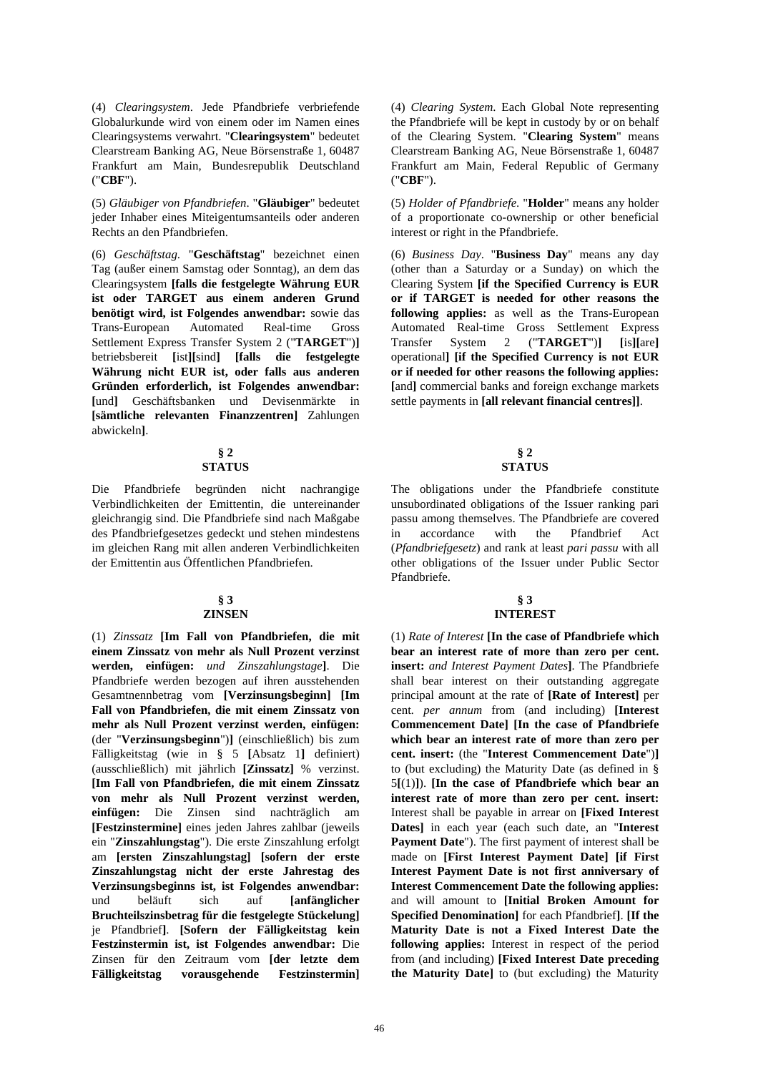(4) *Clearingsystem*. Jede Pfandbriefe verbriefende Globalurkunde wird von einem oder im Namen eines Clearingsystems verwahrt. "**Clearingsystem**" bedeutet Clearstream Banking AG, Neue Börsenstraße 1, 60487 Frankfurt am Main, Bundesrepublik Deutschland ("**CBF**").

(5) *Gläubiger von Pfandbriefen*. "**Gläubiger**" bedeutet jeder Inhaber eines Miteigentumsanteils oder anderen Rechts an den Pfandbriefen.

(6) *Geschäftstag*. "**Geschäftstag**" bezeichnet einen Tag (außer einem Samstag oder Sonntag), an dem das Clearingsystem **[falls die festgelegte Währung EUR ist oder TARGET aus einem anderen Grund benötigt wird, ist Folgendes anwendbar:** sowie das Trans-European Automated Real-time Gross Settlement Express Transfer System 2 ("**TARGET**")**]** betriebsbereit **[**ist**][**sind**] [falls die festgelegte Währung nicht EUR ist, oder falls aus anderen Gründen erforderlich, ist Folgendes anwendbar: [**und**]** Geschäftsbanken und Devisenmärkte in **[sämtliche relevanten Finanzzentren]** Zahlungen abwickeln**]**.

#### **§ 2 STATUS**

Die Pfandbriefe begründen nicht nachrangige Verbindlichkeiten der Emittentin, die untereinander gleichrangig sind. Die Pfandbriefe sind nach Maßgabe des Pfandbriefgesetzes gedeckt und stehen mindestens im gleichen Rang mit allen anderen Verbindlichkeiten der Emittentin aus Öffentlichen Pfandbriefen.

#### **§ 3 ZINSEN**

(1) *Zinssatz* **[Im Fall von Pfandbriefen, die mit einem Zinssatz von mehr als Null Prozent verzinst werden, einfügen:** *und Zinszahlungstage***]**. Die Pfandbriefe werden bezogen auf ihren ausstehenden Gesamtnennbetrag vom **[Verzinsungsbeginn] [Im Fall von Pfandbriefen, die mit einem Zinssatz von mehr als Null Prozent verzinst werden, einfügen:** (der "**Verzinsungsbeginn**")**]** (einschließlich) bis zum Fälligkeitstag (wie in § 5 **[**Absatz 1**]** definiert) (ausschließlich) mit jährlich **[Zinssatz]** % verzinst. **[Im Fall von Pfandbriefen, die mit einem Zinssatz von mehr als Null Prozent verzinst werden, einfügen:** Die Zinsen sind nachträglich am **[Festzinstermine]** eines jeden Jahres zahlbar (jeweils ein "**Zinszahlungstag**"). Die erste Zinszahlung erfolgt am **[ersten Zinszahlungstag] [sofern der erste Zinszahlungstag nicht der erste Jahrestag des Verzinsungsbeginns ist, ist Folgendes anwendbar:** und beläuft sich auf **[anfänglicher Bruchteilszinsbetrag für die festgelegte Stückelung]** je Pfandbrief**]**. **[Sofern der Fälligkeitstag kein Festzinstermin ist, ist Folgendes anwendbar:** Die Zinsen für den Zeitraum vom **[der letzte dem Fälligkeitstag vorausgehende Festzinstermin]** (4) *Clearing System*. Each Global Note representing the Pfandbriefe will be kept in custody by or on behalf of the Clearing System. "**Clearing System**" means Clearstream Banking AG, Neue Börsenstraße 1, 60487 Frankfurt am Main, Federal Republic of Germany ("**CBF**").

(5) *Holder of Pfandbriefe*. "**Holder**" means any holder of a proportionate co-ownership or other beneficial interest or right in the Pfandbriefe.

(6) *Business Day*. "**Business Day**" means any day (other than a Saturday or a Sunday) on which the Clearing System **[if the Specified Currency is EUR or if TARGET is needed for other reasons the following applies:** as well as the Trans-European Automated Real-time Gross Settlement Express Transfer System 2 ("**TARGET**")**] [**is**][**are**]** operational**] [if the Specified Currency is not EUR or if needed for other reasons the following applies: [**and**]** commercial banks and foreign exchange markets settle payments in **[all relevant financial centres]]**.

## **§ 2 STATUS**

 The obligations under the Pfandbriefe constitute unsubordinated obligations of the Issuer ranking pari passu among themselves. The Pfandbriefe are covered in accordance with the Pfandbrief Act (*Pfandbriefgesetz*) and rank at least *pari passu* with all other obligations of the Issuer under Public Sector Pfandbriefe.

## **§ 3 INTEREST**

 (1) *Rate of Interest* **[In the case of Pfandbriefe which bear an interest rate of more than zero per cent. insert:** *and Interest Payment Dates***]**. The Pfandbriefe shall bear interest on their outstanding aggregate principal amount at the rate of **[Rate of Interest]** per cent*. per annum* from (and including) **[Interest Commencement Date] [In the case of Pfandbriefe which bear an interest rate of more than zero per cent. insert:** (the "**Interest Commencement Date**")**]** to (but excluding) the Maturity Date (as defined in § 5**[**(1)**]**). **[In the case of Pfandbriefe which bear an interest rate of more than zero per cent. insert:** Interest shall be payable in arrear on **[Fixed Interest Dates]** in each year (each such date, an "**Interest Payment Date**"). The first payment of interest shall be made on **[First Interest Payment Date] [if First Interest Payment Date is not first anniversary of Interest Commencement Date the following applies:** and will amount to **[Initial Broken Amount for Specified Denomination]** for each Pfandbrief**]**. **[If the Maturity Date is not a Fixed Interest Date the following applies:** Interest in respect of the period from (and including) **[Fixed Interest Date preceding the Maturity Date]** to (but excluding) the Maturity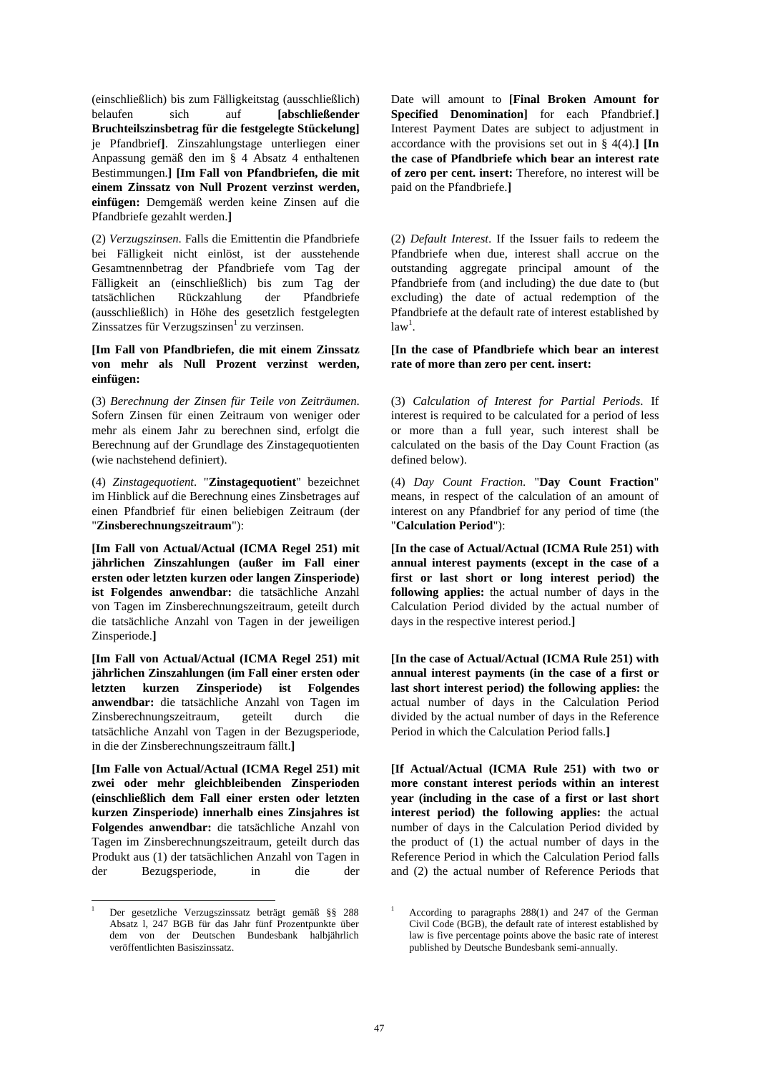(einschließlich) bis zum Fälligkeitstag (ausschließlich) belaufen sich auf **[abschließender Bruchteilszinsbetrag für die festgelegte Stückelung]** je Pfandbrief**]**. Zinszahlungstage unterliegen einer Anpassung gemäß den im § 4 Absatz 4 enthaltenen Bestimmungen.**] [Im Fall von Pfandbriefen, die mit einem Zinssatz von Null Prozent verzinst werden, einfügen:** Demgemäß werden keine Zinsen auf die Pfandbriefe gezahlt werden.**]**

(2) *Verzugszinsen*. Falls die Emittentin die Pfandbriefe bei Fälligkeit nicht einlöst, ist der ausstehende Gesamtnennbetrag der Pfandbriefe vom Tag der Fälligkeit an (einschließlich) bis zum Tag der tatsächlichen Rückzahlung der Pfandbriefe (ausschließlich) in Höhe des gesetzlich festgelegten Zinssatzes für Verzugszinsen<sup>1</sup> zu verzinsen.

## **[Im Fall von Pfandbriefen, die mit einem Zinssatz von mehr als Null Prozent verzinst werden, einfügen:**

(3) *Berechnung der Zinsen für Teile von Zeiträumen*. Sofern Zinsen für einen Zeitraum von weniger oder mehr als einem Jahr zu berechnen sind, erfolgt die Berechnung auf der Grundlage des Zinstagequotienten (wie nachstehend definiert).

(4) *Zinstagequotient*. "**Zinstagequotient**" bezeichnet im Hinblick auf die Berechnung eines Zinsbetrages auf einen Pfandbrief für einen beliebigen Zeitraum (der "**Zinsberechnungszeitraum**"):

**[Im Fall von Actual/Actual (ICMA Regel 251) mit jährlichen Zinszahlungen (außer im Fall einer ersten oder letzten kurzen oder langen Zinsperiode) ist Folgendes anwendbar:** die tatsächliche Anzahl von Tagen im Zinsberechnungszeitraum, geteilt durch die tatsächliche Anzahl von Tagen in der jeweiligen Zinsperiode.**]**

**[Im Fall von Actual/Actual (ICMA Regel 251) mit jährlichen Zinszahlungen (im Fall einer ersten oder letzten kurzen Zinsperiode) ist Folgendes anwendbar:** die tatsächliche Anzahl von Tagen im Zinsberechnungszeitraum, geteilt durch die tatsächliche Anzahl von Tagen in der Bezugsperiode, in die der Zinsberechnungszeitraum fällt.**]**

**[Im Falle von Actual/Actual (ICMA Regel 251) mit zwei oder mehr gleichbleibenden Zinsperioden (einschließlich dem Fall einer ersten oder letzten kurzen Zinsperiode) innerhalb eines Zinsjahres ist Folgendes anwendbar:** die tatsächliche Anzahl von Tagen im Zinsberechnungszeitraum, geteilt durch das Produkt aus (1) der tatsächlichen Anzahl von Tagen in der Bezugsperiode, in die der

l 1 Der gesetzliche Verzugszinssatz beträgt gemäß §§ 288 Absatz l, 247 BGB für das Jahr fünf Prozentpunkte über dem von der Deutschen Bundesbank halbjährlich veröffentlichten Basiszinssatz.

Date will amount to **[Final Broken Amount for Specified Denomination]** for each Pfandbrief.**]** Interest Payment Dates are subject to adjustment in accordance with the provisions set out in § 4(4).**] [In the case of Pfandbriefe which bear an interest rate of zero per cent. insert:** Therefore, no interest will be paid on the Pfandbriefe.**]**

 (2) *Default Interest*. If the Issuer fails to redeem the Pfandbriefe when due, interest shall accrue on the outstanding aggregate principal amount of the Pfandbriefe from (and including) the due date to (but excluding) the date of actual redemption of the Pfandbriefe at the default rate of interest established by  $law<sup>1</sup>$ .

 **[In the case of Pfandbriefe which bear an interest rate of more than zero per cent. insert:** 

(3) *Calculation of Interest for Partial Periods*. If interest is required to be calculated for a period of less or more than a full year, such interest shall be calculated on the basis of the Day Count Fraction (as defined below).

(4) *Day Count Fraction*. "**Day Count Fraction**" means, in respect of the calculation of an amount of interest on any Pfandbrief for any period of time (the "**Calculation Period**"):

**[In the case of Actual/Actual (ICMA Rule 251) with annual interest payments (except in the case of a first or last short or long interest period) the following applies:** the actual number of days in the Calculation Period divided by the actual number of days in the respective interest period.**]**

**[In the case of Actual/Actual (ICMA Rule 251) with annual interest payments (in the case of a first or last short interest period) the following applies:** the actual number of days in the Calculation Period divided by the actual number of days in the Reference Period in which the Calculation Period falls.**]**

**[If Actual/Actual (ICMA Rule 251) with two or more constant interest periods within an interest year (including in the case of a first or last short interest period) the following applies:** the actual number of days in the Calculation Period divided by the product of (1) the actual number of days in the Reference Period in which the Calculation Period falls and (2) the actual number of Reference Periods that

<sup>1</sup> According to paragraphs 288(1) and 247 of the German Civil Code (BGB), the default rate of interest established by law is five percentage points above the basic rate of interest published by Deutsche Bundesbank semi-annually.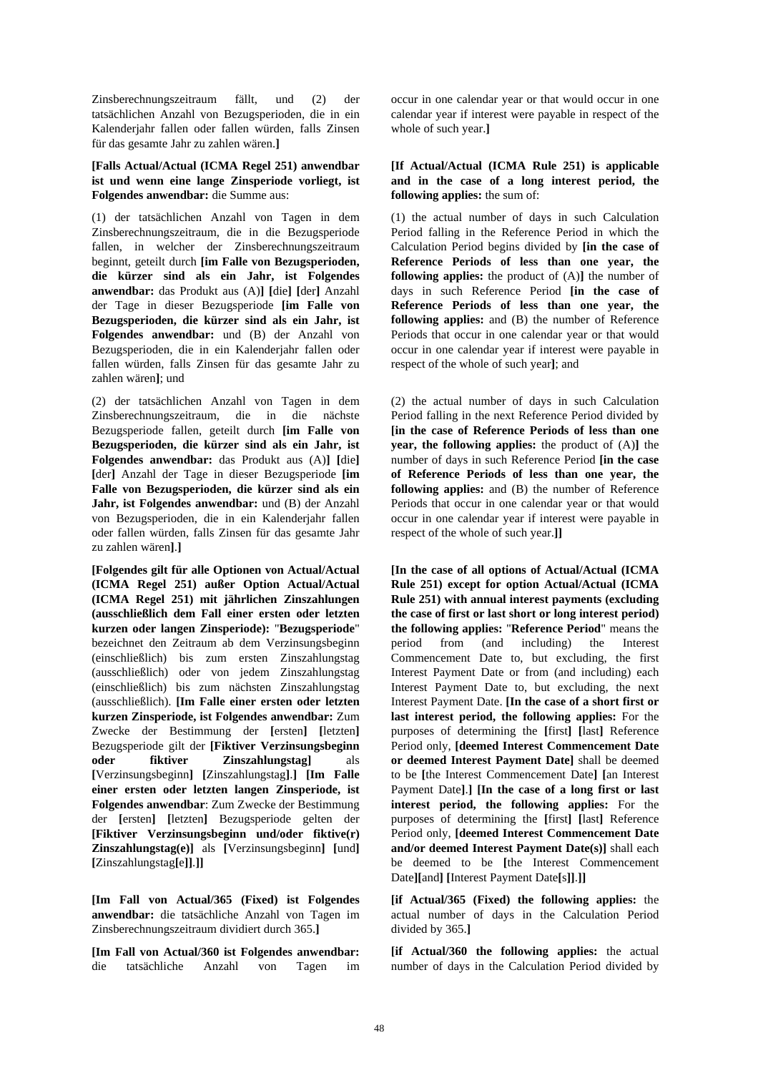Zinsberechnungszeitraum fällt, und (2) der tatsächlichen Anzahl von Bezugsperioden, die in ein Kalenderjahr fallen oder fallen würden, falls Zinsen für das gesamte Jahr zu zahlen wären.**]**

#### **[Falls Actual/Actual (ICMA Regel 251) anwendbar ist und wenn eine lange Zinsperiode vorliegt, ist Folgendes anwendbar:** die Summe aus:

(1) der tatsächlichen Anzahl von Tagen in dem Zinsberechnungszeitraum, die in die Bezugsperiode fallen, in welcher der Zinsberechnungszeitraum beginnt, geteilt durch **[im Falle von Bezugsperioden, die kürzer sind als ein Jahr, ist Folgendes anwendbar:** das Produkt aus (A)**] [**die**] [**der**]** Anzahl der Tage in dieser Bezugsperiode **[im Falle von Bezugsperioden, die kürzer sind als ein Jahr, ist Folgendes anwendbar:** und (B) der Anzahl von Bezugsperioden, die in ein Kalenderjahr fallen oder fallen würden, falls Zinsen für das gesamte Jahr zu zahlen wären**]**; und

(2) der tatsächlichen Anzahl von Tagen in dem Zinsberechnungszeitraum, die in die nächste Bezugsperiode fallen, geteilt durch **[im Falle von Bezugsperioden, die kürzer sind als ein Jahr, ist Folgendes anwendbar:** das Produkt aus (A)**] [**die**] [**der**]** Anzahl der Tage in dieser Bezugsperiode **[im Falle von Bezugsperioden, die kürzer sind als ein Jahr, ist Folgendes anwendbar:** und (B) der Anzahl von Bezugsperioden, die in ein Kalenderjahr fallen oder fallen würden, falls Zinsen für das gesamte Jahr zu zahlen wären**]**.**]**

**[Folgendes gilt für alle Optionen von Actual/Actual (ICMA Regel 251) außer Option Actual/Actual (ICMA Regel 251) mit jährlichen Zinszahlungen (ausschließlich dem Fall einer ersten oder letzten kurzen oder langen Zinsperiode):** "**Bezugsperiode**" bezeichnet den Zeitraum ab dem Verzinsungsbeginn (einschließlich) bis zum ersten Zinszahlungstag (ausschließlich) oder von jedem Zinszahlungstag (einschließlich) bis zum nächsten Zinszahlungstag (ausschließlich). **[Im Falle einer ersten oder letzten kurzen Zinsperiode, ist Folgendes anwendbar:** Zum Zwecke der Bestimmung der **[**ersten**] [**letzten**]** Bezugsperiode gilt der **[Fiktiver Verzinsungsbeginn oder fiktiver Zinszahlungstag]** als **[**Verzinsungsbeginn**] [**Zinszahlungstag**]**.**] [Im Falle einer ersten oder letzten langen Zinsperiode, ist Folgendes anwendbar**: Zum Zwecke der Bestimmung der **[**ersten**] [**letzten**]** Bezugsperiode gelten der **[Fiktiver Verzinsungsbeginn und/oder fiktive(r) Zinszahlungstag(e)]** als **[**Verzinsungsbeginn**] [**und**] [**Zinszahlungstag**[**e**]]**.**]]**

**[Im Fall von Actual/365 (Fixed) ist Folgendes anwendbar:** die tatsächliche Anzahl von Tagen im Zinsberechnungszeitraum dividiert durch 365.**]**

**[Im Fall von Actual/360 ist Folgendes anwendbar:** die tatsächliche Anzahl von Tagen im

occur in one calendar year or that would occur in one calendar year if interest were payable in respect of the whole of such year.**]**

## **[If Actual/Actual (ICMA Rule 251) is applicable and in the case of a long interest period, the following applies:** the sum of:

 (1) the actual number of days in such Calculation Period falling in the Reference Period in which the Calculation Period begins divided by **[in the case of Reference Periods of less than one year, the following applies:** the product of (A)**]** the number of days in such Reference Period **[in the case of Reference Periods of less than one year, the following applies:** and (B) the number of Reference Periods that occur in one calendar year or that would occur in one calendar year if interest were payable in respect of the whole of such year**]**; and

 (2) the actual number of days in such Calculation Period falling in the next Reference Period divided by **[in the case of Reference Periods of less than one year, the following applies:** the product of (A)**]** the number of days in such Reference Period **[in the case of Reference Periods of less than one year, the following applies:** and (B) the number of Reference Periods that occur in one calendar year or that would occur in one calendar year if interest were payable in respect of the whole of such year.**]]**

**[In the case of all options of Actual/Actual (ICMA Rule 251) except for option Actual/Actual (ICMA Rule 251) with annual interest payments (excluding the case of first or last short or long interest period) the following applies:** "**Reference Period**" means the period from (and including) the Interest Commencement Date to, but excluding, the first Interest Payment Date or from (and including) each Interest Payment Date to, but excluding, the next Interest Payment Date. **[In the case of a short first or last interest period, the following applies:** For the purposes of determining the **[**first**] [**last**]** Reference Period only, **[deemed Interest Commencement Date or deemed Interest Payment Date]** shall be deemed to be **[**the Interest Commencement Date**] [**an Interest Payment Date**]**.**] [In the case of a long first or last interest period, the following applies:** For the purposes of determining the **[**first**] [**last**]** Reference Period only, **[deemed Interest Commencement Date and/or deemed Interest Payment Date(s)]** shall each be deemed to be **[**the Interest Commencement Date**][**and**] [**Interest Payment Date**[**s**]]**.**]]**

**[if Actual/365 (Fixed) the following applies:** the actual number of days in the Calculation Period divided by 365.**]**

**[if Actual/360 the following applies:** the actual number of days in the Calculation Period divided by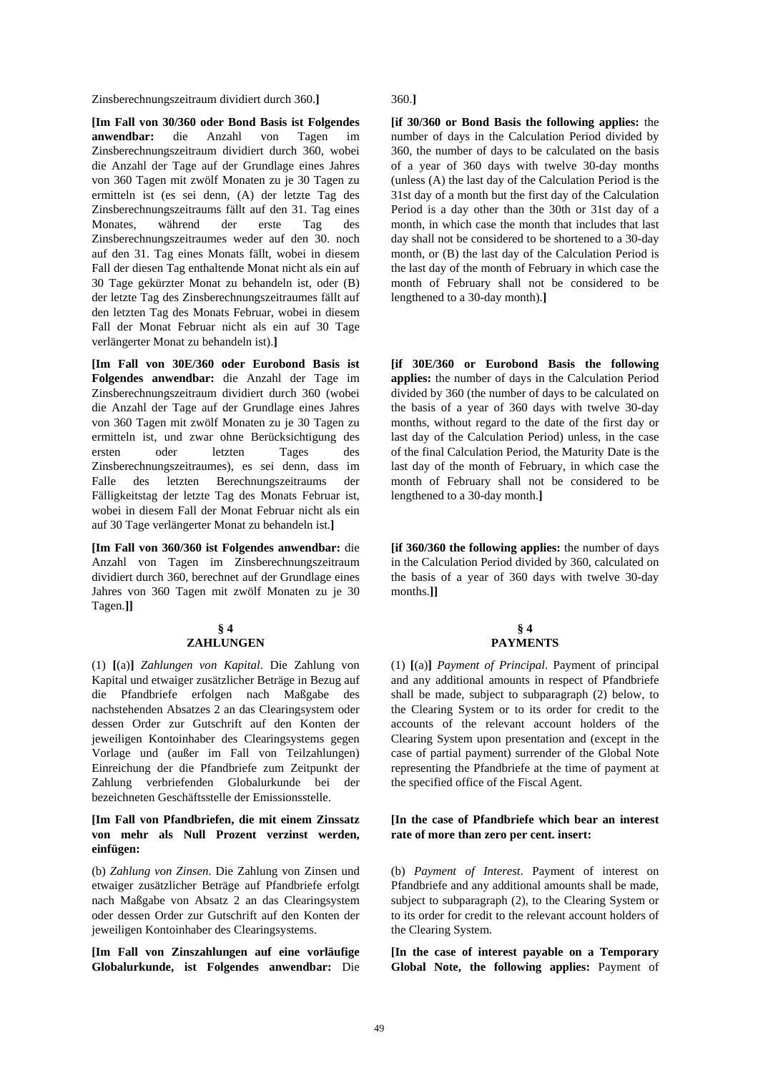Zinsberechnungszeitraum dividiert durch 360.**]** 360.**]**

**[Im Fall von 30/360 oder Bond Basis ist Folgendes anwendbar:** die Anzahl von Tagen im Zinsberechnungszeitraum dividiert durch 360, wobei die Anzahl der Tage auf der Grundlage eines Jahres von 360 Tagen mit zwölf Monaten zu je 30 Tagen zu ermitteln ist (es sei denn, (A) der letzte Tag des Zinsberechnungszeitraums fällt auf den 31. Tag eines Monates, während der erste Tag des Zinsberechnungszeitraumes weder auf den 30. noch auf den 31. Tag eines Monats fällt, wobei in diesem Fall der diesen Tag enthaltende Monat nicht als ein auf 30 Tage gekürzter Monat zu behandeln ist, oder (B) der letzte Tag des Zinsberechnungszeitraumes fällt auf den letzten Tag des Monats Februar, wobei in diesem Fall der Monat Februar nicht als ein auf 30 Tage verlängerter Monat zu behandeln ist).**]**

**[Im Fall von 30E/360 oder Eurobond Basis ist Folgendes anwendbar:** die Anzahl der Tage im Zinsberechnungszeitraum dividiert durch 360 (wobei die Anzahl der Tage auf der Grundlage eines Jahres von 360 Tagen mit zwölf Monaten zu je 30 Tagen zu ermitteln ist, und zwar ohne Berücksichtigung des ersten oder letzten Tages des Zinsberechnungszeitraumes), es sei denn, dass im Falle des letzten Berechnungszeitraums der Fälligkeitstag der letzte Tag des Monats Februar ist, wobei in diesem Fall der Monat Februar nicht als ein auf 30 Tage verlängerter Monat zu behandeln ist.**]**

**[Im Fall von 360/360 ist Folgendes anwendbar:** die Anzahl von Tagen im Zinsberechnungszeitraum dividiert durch 360, berechnet auf der Grundlage eines Jahres von 360 Tagen mit zwölf Monaten zu je 30 Tagen.**]]**

#### **§ 4 ZAHLUNGEN**

(1) **[**(a)**]** *Zahlungen von Kapital*. Die Zahlung von Kapital und etwaiger zusätzlicher Beträge in Bezug auf die Pfandbriefe erfolgen nach Maßgabe des nachstehenden Absatzes 2 an das Clearingsystem oder dessen Order zur Gutschrift auf den Konten der jeweiligen Kontoinhaber des Clearingsystems gegen Vorlage und (außer im Fall von Teilzahlungen) Einreichung der die Pfandbriefe zum Zeitpunkt der Zahlung verbriefenden Globalurkunde bei der bezeichneten Geschäftsstelle der Emissionsstelle.

## **[Im Fall von Pfandbriefen, die mit einem Zinssatz von mehr als Null Prozent verzinst werden, einfügen:**

(b) *Zahlung von Zinsen*. Die Zahlung von Zinsen und etwaiger zusätzlicher Beträge auf Pfandbriefe erfolgt nach Maßgabe von Absatz 2 an das Clearingsystem oder dessen Order zur Gutschrift auf den Konten der jeweiligen Kontoinhaber des Clearingsystems.

**[Im Fall von Zinszahlungen auf eine vorläufige Globalurkunde, ist Folgendes anwendbar:** Die

**[if 30/360 or Bond Basis the following applies:** the number of days in the Calculation Period divided by 360, the number of days to be calculated on the basis of a year of 360 days with twelve 30-day months (unless (A) the last day of the Calculation Period is the 31st day of a month but the first day of the Calculation Period is a day other than the 30th or 31st day of a month, in which case the month that includes that last day shall not be considered to be shortened to a 30-day month, or (B) the last day of the Calculation Period is the last day of the month of February in which case the month of February shall not be considered to be lengthened to a 30-day month).**]**

**[if 30E/360 or Eurobond Basis the following applies:** the number of days in the Calculation Period divided by 360 (the number of days to be calculated on the basis of a year of 360 days with twelve 30-day months, without regard to the date of the first day or last day of the Calculation Period) unless, in the case of the final Calculation Period, the Maturity Date is the last day of the month of February, in which case the month of February shall not be considered to be lengthened to a 30-day month.**]**

**[if 360/360 the following applies:** the number of days in the Calculation Period divided by 360, calculated on the basis of a year of 360 days with twelve 30-day months.**]]**

## **§ 4 PAYMENTS**

(1) **[**(a)**]** *Payment of Principal*. Payment of principal and any additional amounts in respect of Pfandbriefe shall be made, subject to subparagraph (2) below, to the Clearing System or to its order for credit to the accounts of the relevant account holders of the Clearing System upon presentation and (except in the case of partial payment) surrender of the Global Note representing the Pfandbriefe at the time of payment at the specified office of the Fiscal Agent.

## **[In the case of Pfandbriefe which bear an interest rate of more than zero per cent. insert:**

(b) *Payment of Interest*. Payment of interest on Pfandbriefe and any additional amounts shall be made, subject to subparagraph (2), to the Clearing System or to its order for credit to the relevant account holders of the Clearing System.

**[In the case of interest payable on a Temporary Global Note, the following applies:** Payment of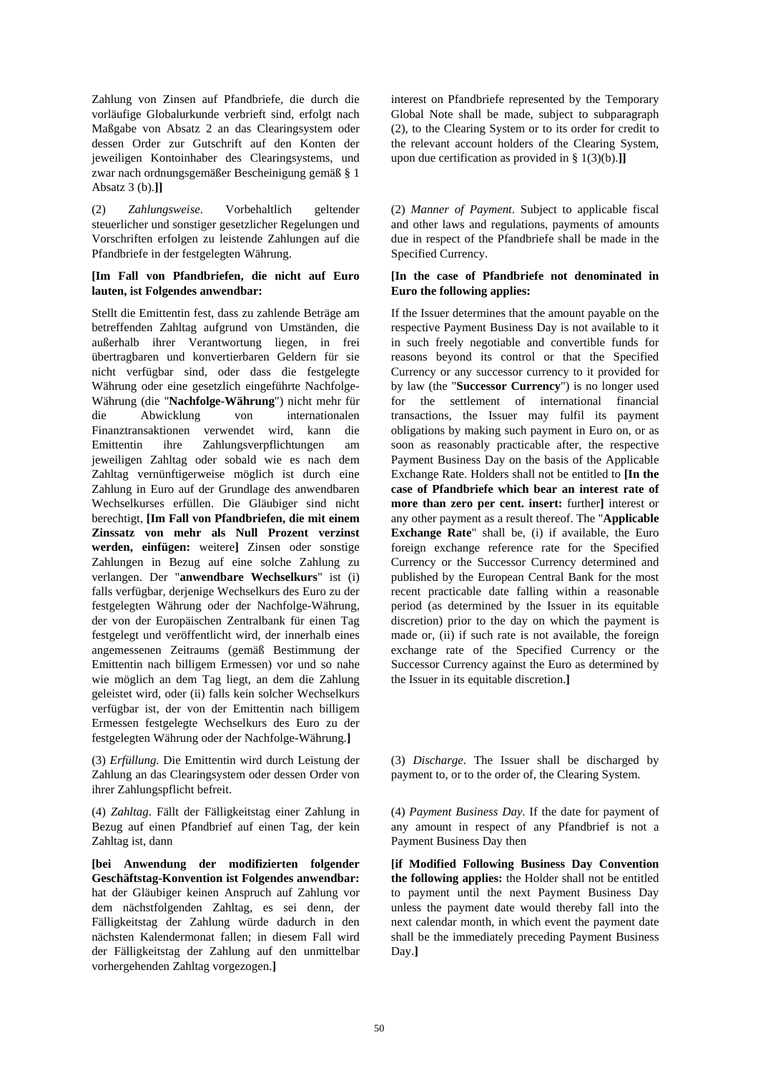Zahlung von Zinsen auf Pfandbriefe, die durch die vorläufige Globalurkunde verbrieft sind, erfolgt nach Maßgabe von Absatz 2 an das Clearingsystem oder dessen Order zur Gutschrift auf den Konten der jeweiligen Kontoinhaber des Clearingsystems, und zwar nach ordnungsgemäßer Bescheinigung gemäß § 1 Absatz 3 (b).**]]**

(2) *Zahlungsweise*. Vorbehaltlich geltender steuerlicher und sonstiger gesetzlicher Regelungen und Vorschriften erfolgen zu leistende Zahlungen auf die Pfandbriefe in der festgelegten Währung.

## **[Im Fall von Pfandbriefen, die nicht auf Euro lauten, ist Folgendes anwendbar:**

Stellt die Emittentin fest, dass zu zahlende Beträge am betreffenden Zahltag aufgrund von Umständen, die außerhalb ihrer Verantwortung liegen, in frei übertragbaren und konvertierbaren Geldern für sie nicht verfügbar sind, oder dass die festgelegte Währung oder eine gesetzlich eingeführte Nachfolge-Währung (die "**Nachfolge-Währung**") nicht mehr für die Abwicklung von internationalen Finanztransaktionen verwendet wird, kann die Emittentin ihre Zahlungsverpflichtungen am jeweiligen Zahltag oder sobald wie es nach dem Zahltag vernünftigerweise möglich ist durch eine Zahlung in Euro auf der Grundlage des anwendbaren Wechselkurses erfüllen. Die Gläubiger sind nicht berechtigt, **[Im Fall von Pfandbriefen, die mit einem Zinssatz von mehr als Null Prozent verzinst werden, einfügen:** weitere**]** Zinsen oder sonstige Zahlungen in Bezug auf eine solche Zahlung zu verlangen. Der "**anwendbare Wechselkurs**" ist (i) falls verfügbar, derjenige Wechselkurs des Euro zu der festgelegten Währung oder der Nachfolge-Währung, der von der Europäischen Zentralbank für einen Tag festgelegt und veröffentlicht wird, der innerhalb eines angemessenen Zeitraums (gemäß Bestimmung der Emittentin nach billigem Ermessen) vor und so nahe wie möglich an dem Tag liegt, an dem die Zahlung geleistet wird, oder (ii) falls kein solcher Wechselkurs verfügbar ist, der von der Emittentin nach billigem Ermessen festgelegte Wechselkurs des Euro zu der festgelegten Währung oder der Nachfolge-Währung.**]**

(3) *Erfüllung*. Die Emittentin wird durch Leistung der Zahlung an das Clearingsystem oder dessen Order von ihrer Zahlungspflicht befreit.

(4) *Zahltag*. Fällt der Fälligkeitstag einer Zahlung in Bezug auf einen Pfandbrief auf einen Tag, der kein Zahltag ist, dann

**[bei Anwendung der modifizierten folgender Geschäftstag-Konvention ist Folgendes anwendbar:** hat der Gläubiger keinen Anspruch auf Zahlung vor dem nächstfolgenden Zahltag, es sei denn, der Fälligkeitstag der Zahlung würde dadurch in den nächsten Kalendermonat fallen; in diesem Fall wird der Fälligkeitstag der Zahlung auf den unmittelbar vorhergehenden Zahltag vorgezogen.**]**

interest on Pfandbriefe represented by the Temporary Global Note shall be made, subject to subparagraph (2), to the Clearing System or to its order for credit to the relevant account holders of the Clearing System, upon due certification as provided in § 1(3)(b).**]]**

(2) *Manner of Payment*. Subject to applicable fiscal and other laws and regulations, payments of amounts due in respect of the Pfandbriefe shall be made in the Specified Currency.

## **[In the case of Pfandbriefe not denominated in Euro the following applies:**

If the Issuer determines that the amount payable on the respective Payment Business Day is not available to it in such freely negotiable and convertible funds for reasons beyond its control or that the Specified Currency or any successor currency to it provided for by law (the "**Successor Currency**") is no longer used for the settlement of international financial transactions, the Issuer may fulfil its payment obligations by making such payment in Euro on, or as soon as reasonably practicable after, the respective Payment Business Day on the basis of the Applicable Exchange Rate. Holders shall not be entitled to **[In the case of Pfandbriefe which bear an interest rate of more than zero per cent. insert:** further**]** interest or any other payment as a result thereof. The "**Applicable Exchange Rate**" shall be, (i) if available, the Euro foreign exchange reference rate for the Specified Currency or the Successor Currency determined and published by the European Central Bank for the most recent practicable date falling within a reasonable period (as determined by the Issuer in its equitable discretion) prior to the day on which the payment is made or, (ii) if such rate is not available, the foreign exchange rate of the Specified Currency or the Successor Currency against the Euro as determined by the Issuer in its equitable discretion.**]**

(3) *Discharge*. The Issuer shall be discharged by payment to, or to the order of, the Clearing System.

(4) *Payment Business Day*. If the date for payment of any amount in respect of any Pfandbrief is not a Payment Business Day then

**[if Modified Following Business Day Convention the following applies:** the Holder shall not be entitled to payment until the next Payment Business Day unless the payment date would thereby fall into the next calendar month, in which event the payment date shall be the immediately preceding Payment Business Day.**]**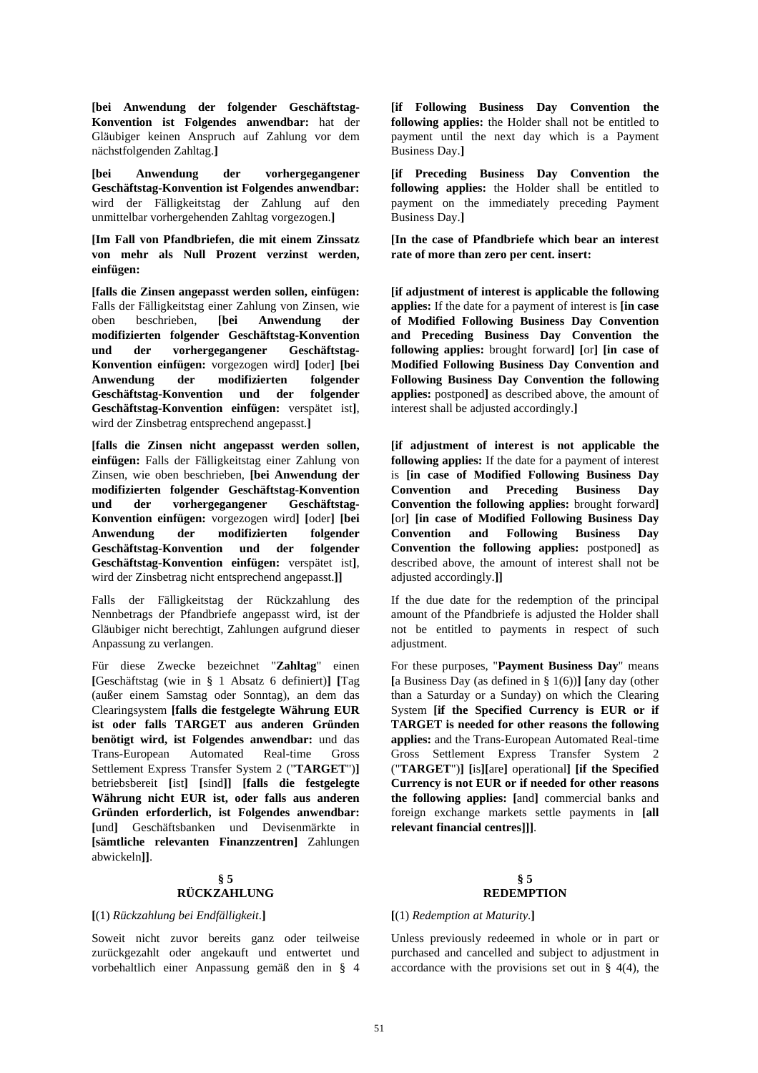**[bei Anwendung der folgender Geschäftstag-Konvention ist Folgendes anwendbar:** hat der Gläubiger keinen Anspruch auf Zahlung vor dem nächstfolgenden Zahltag.**]**

**[bei Anwendung der vorhergegangener Geschäftstag-Konvention ist Folgendes anwendbar:** wird der Fälligkeitstag der Zahlung auf den unmittelbar vorhergehenden Zahltag vorgezogen.**]**

**[Im Fall von Pfandbriefen, die mit einem Zinssatz von mehr als Null Prozent verzinst werden, einfügen:**

**[falls die Zinsen angepasst werden sollen, einfügen:** Falls der Fälligkeitstag einer Zahlung von Zinsen, wie oben beschrieben, **[bei Anwendung der modifizierten folgender Geschäftstag-Konvention und der vorhergegangener Geschäftstag-Konvention einfügen:** vorgezogen wird**] [**oder**] [bei Anwendung der modifizierten folgender Geschäftstag-Konvention und der folgender Geschäftstag-Konvention einfügen:** verspätet ist**]**, wird der Zinsbetrag entsprechend angepasst.**]**

**[falls die Zinsen nicht angepasst werden sollen, einfügen:** Falls der Fälligkeitstag einer Zahlung von Zinsen, wie oben beschrieben, **[bei Anwendung der modifizierten folgender Geschäftstag-Konvention und der vorhergegangener Geschäftstag-Konvention einfügen:** vorgezogen wird**] [**oder**] [bei Anwendung der modifizierten folgender Geschäftstag-Konvention und der folgender Geschäftstag-Konvention einfügen:** verspätet ist**]**, wird der Zinsbetrag nicht entsprechend angepasst.**]]**

Falls der Fälligkeitstag der Rückzahlung des Nennbetrags der Pfandbriefe angepasst wird, ist der Gläubiger nicht berechtigt, Zahlungen aufgrund dieser Anpassung zu verlangen.

Für diese Zwecke bezeichnet "**Zahltag**" einen **[**Geschäftstag (wie in § 1 Absatz 6 definiert)**] [**Tag (außer einem Samstag oder Sonntag), an dem das Clearingsystem **[falls die festgelegte Währung EUR ist oder falls TARGET aus anderen Gründen benötigt wird, ist Folgendes anwendbar:** und das Trans-European Automated Real-time Gross Settlement Express Transfer System 2 ("**TARGET**")**]** betriebsbereit **[**ist**] [**sind**]] [falls die festgelegte Währung nicht EUR ist, oder falls aus anderen Gründen erforderlich, ist Folgendes anwendbar: [**und**]** Geschäftsbanken und Devisenmärkte in **[sämtliche relevanten Finanzzentren]** Zahlungen abwickeln**]]**.

## **§ 5 RÜCKZAHLUNG**

#### **[**(1) *Rückzahlung bei Endfälligkeit*.**] [**(1) *Redemption at Maturity*.**]**

Soweit nicht zuvor bereits ganz oder teilweise zurückgezahlt oder angekauft und entwertet und vorbehaltlich einer Anpassung gemäß den in § 4 **[if Following Business Day Convention the following applies:** the Holder shall not be entitled to payment until the next day which is a Payment Business Day.**]**

**[if Preceding Business Day Convention the following applies:** the Holder shall be entitled to payment on the immediately preceding Payment Business Day.**]**

**[In the case of Pfandbriefe which bear an interest rate of more than zero per cent. insert:**

**[if adjustment of interest is applicable the following applies:** If the date for a payment of interest is **[in case of Modified Following Business Day Convention and Preceding Business Day Convention the following applies:** brought forward**] [**or**] [in case of Modified Following Business Day Convention and Following Business Day Convention the following applies:** postponed**]** as described above, the amount of interest shall be adjusted accordingly.**]**

**[if adjustment of interest is not applicable the following applies:** If the date for a payment of interest is **[in case of Modified Following Business Day Convention and Preceding Business Day Convention the following applies:** brought forward**] [**or**] [in case of Modified Following Business Day Convention and Following Business Day Convention the following applies:** postponed**]** as described above, the amount of interest shall not be adjusted accordingly.**]]**

If the due date for the redemption of the principal amount of the Pfandbriefe is adjusted the Holder shall not be entitled to payments in respect of such adjustment.

For these purposes, "**Payment Business Day**" means **[**a Business Day (as defined in § 1(6))**] [**any day (other than a Saturday or a Sunday) on which the Clearing System **[if the Specified Currency is EUR or if TARGET is needed for other reasons the following applies:** and the Trans-European Automated Real-time Gross Settlement Express Transfer System 2 ("**TARGET**")**] [**is**][**are**]** operational**] [if the Specified Currency is not EUR or if needed for other reasons the following applies: [**and**]** commercial banks and foreign exchange markets settle payments in **[all relevant financial centres]]]**.

#### **§ 5 REDEMPTION**

 Unless previously redeemed in whole or in part or purchased and cancelled and subject to adjustment in accordance with the provisions set out in  $\S$  4(4), the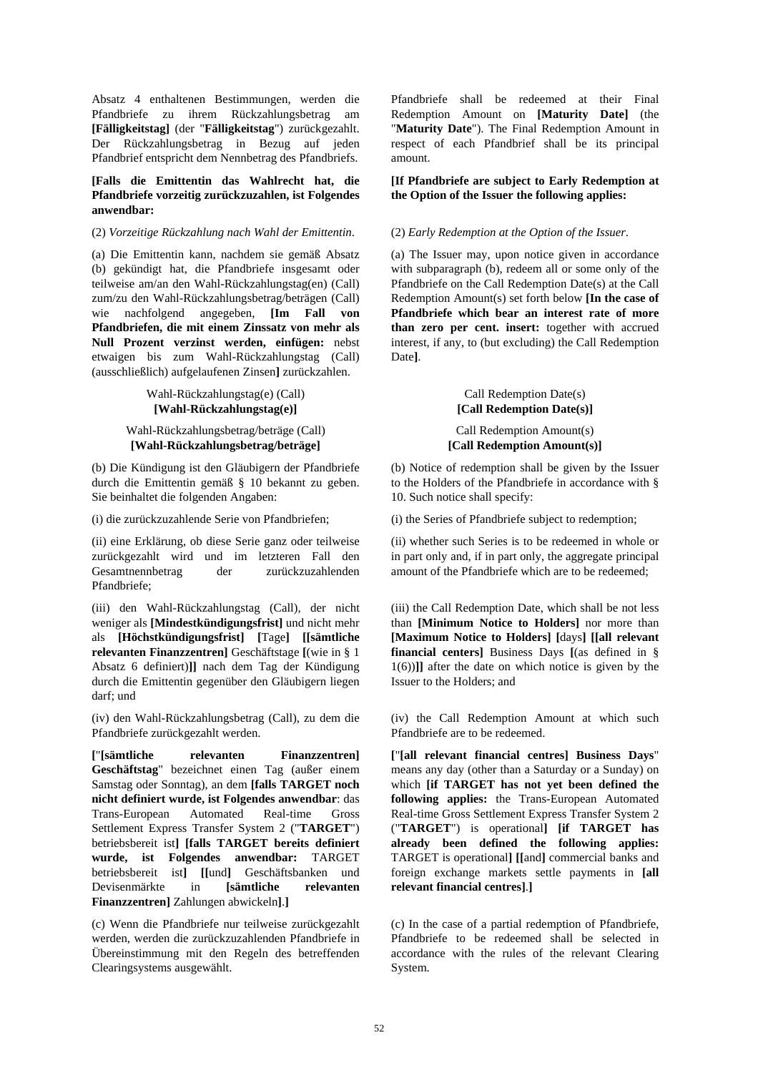Absatz 4 enthaltenen Bestimmungen, werden die Pfandbriefe zu ihrem Rückzahlungsbetrag am **[Fälligkeitstag]** (der "**Fälligkeitstag**") zurückgezahlt. Der Rückzahlungsbetrag in Bezug auf jeden Pfandbrief entspricht dem Nennbetrag des Pfandbriefs.

## **[Falls die Emittentin das Wahlrecht hat, die Pfandbriefe vorzeitig zurückzuzahlen, ist Folgendes anwendbar:**

#### (2) *Vorzeitige Rückzahlung nach Wahl der Emittentin*. (2) *Early Redemption at the Option of the Issuer*.

(a) Die Emittentin kann, nachdem sie gemäß Absatz (b) gekündigt hat, die Pfandbriefe insgesamt oder teilweise am/an den Wahl-Rückzahlungstag(en) (Call) zum/zu den Wahl-Rückzahlungsbetrag/beträgen (Call) wie nachfolgend angegeben, **[Im Fall von Pfandbriefen, die mit einem Zinssatz von mehr als Null Prozent verzinst werden, einfügen:** nebst etwaigen bis zum Wahl-Rückzahlungstag (Call) (ausschließlich) aufgelaufenen Zinsen**]** zurückzahlen.

> Wahl-Rückzahlungstag(e) (Call) **[Wahl-Rückzahlungstag(e)]**

## Wahl-Rückzahlungsbetrag/beträge (Call) **[Wahl-Rückzahlungsbetrag/beträge]**

(b) Die Kündigung ist den Gläubigern der Pfandbriefe durch die Emittentin gemäß § 10 bekannt zu geben. Sie beinhaltet die folgenden Angaben:

(ii) eine Erklärung, ob diese Serie ganz oder teilweise zurückgezahlt wird und im letzteren Fall den Gesamtnennbetrag der zurückzuzahlenden Pfandbriefe;

(iii) den Wahl-Rückzahlungstag (Call), der nicht weniger als **[Mindestkündigungsfrist]** und nicht mehr als **[Höchstkündigungsfrist] [**Tage**] [[sämtliche relevanten Finanzzentren]** Geschäftstage **[**(wie in § 1 Absatz 6 definiert)**]]** nach dem Tag der Kündigung durch die Emittentin gegenüber den Gläubigern liegen darf; und

(iv) den Wahl-Rückzahlungsbetrag (Call), zu dem die Pfandbriefe zurückgezahlt werden.

**[**"**[sämtliche relevanten Finanzzentren] Geschäftstag**" bezeichnet einen Tag (außer einem Samstag oder Sonntag), an dem **[falls TARGET noch nicht definiert wurde, ist Folgendes anwendbar**: das Trans-European Automated Real-time Gross Settlement Express Transfer System 2 ("**TARGET**") betriebsbereit ist**] [falls TARGET bereits definiert wurde, ist Folgendes anwendbar:** TARGET betriebsbereit ist**] [[**und**]** Geschäftsbanken und Devisenmärkte in **[sämtliche relevanten Finanzzentren]** Zahlungen abwickeln**]**.**]**

(c) Wenn die Pfandbriefe nur teilweise zurückgezahlt werden, werden die zurückzuzahlenden Pfandbriefe in Übereinstimmung mit den Regeln des betreffenden Clearingsystems ausgewählt.

Pfandbriefe shall be redeemed at their Final Redemption Amount on **[Maturity Date]** (the "**Maturity Date**"). The Final Redemption Amount in respect of each Pfandbrief shall be its principal amount.

**[If Pfandbriefe are subject to Early Redemption at the Option of the Issuer the following applies:**

(a) The Issuer may, upon notice given in accordance with subparagraph (b), redeem all or some only of the Pfandbriefe on the Call Redemption Date(s) at the Call Redemption Amount(s) set forth below **[In the case of Pfandbriefe which bear an interest rate of more than zero per cent. insert:** together with accrued interest, if any, to (but excluding) the Call Redemption Date**]**.

> Call Redemption Date(s) **[Call Redemption Date(s)]**

Call Redemption Amount(s) **[Call Redemption Amount(s)]**

(b) Notice of redemption shall be given by the Issuer to the Holders of the Pfandbriefe in accordance with § 10. Such notice shall specify:

(i) die zurückzuzahlende Serie von Pfandbriefen; (i) the Series of Pfandbriefe subject to redemption;

(ii) whether such Series is to be redeemed in whole or in part only and, if in part only, the aggregate principal amount of the Pfandbriefe which are to be redeemed;

(iii) the Call Redemption Date, which shall be not less than **[Minimum Notice to Holders]** nor more than **[Maximum Notice to Holders] [**days**] [[all relevant financial centers]** Business Days **[**(as defined in § 1(6))**]]** after the date on which notice is given by the Issuer to the Holders; and

(iv) the Call Redemption Amount at which such Pfandbriefe are to be redeemed.

**[**"**[all relevant financial centres] Business Days**" means any day (other than a Saturday or a Sunday) on which **[if TARGET has not yet been defined the following applies:** the Trans-European Automated Real-time Gross Settlement Express Transfer System 2 ("**TARGET**") is operational**] [if TARGET has already been defined the following applies:** TARGET is operational**] [[**and**]** commercial banks and foreign exchange markets settle payments in **[all relevant financial centres]**.**]**

(c) In the case of a partial redemption of Pfandbriefe, Pfandbriefe to be redeemed shall be selected in accordance with the rules of the relevant Clearing System.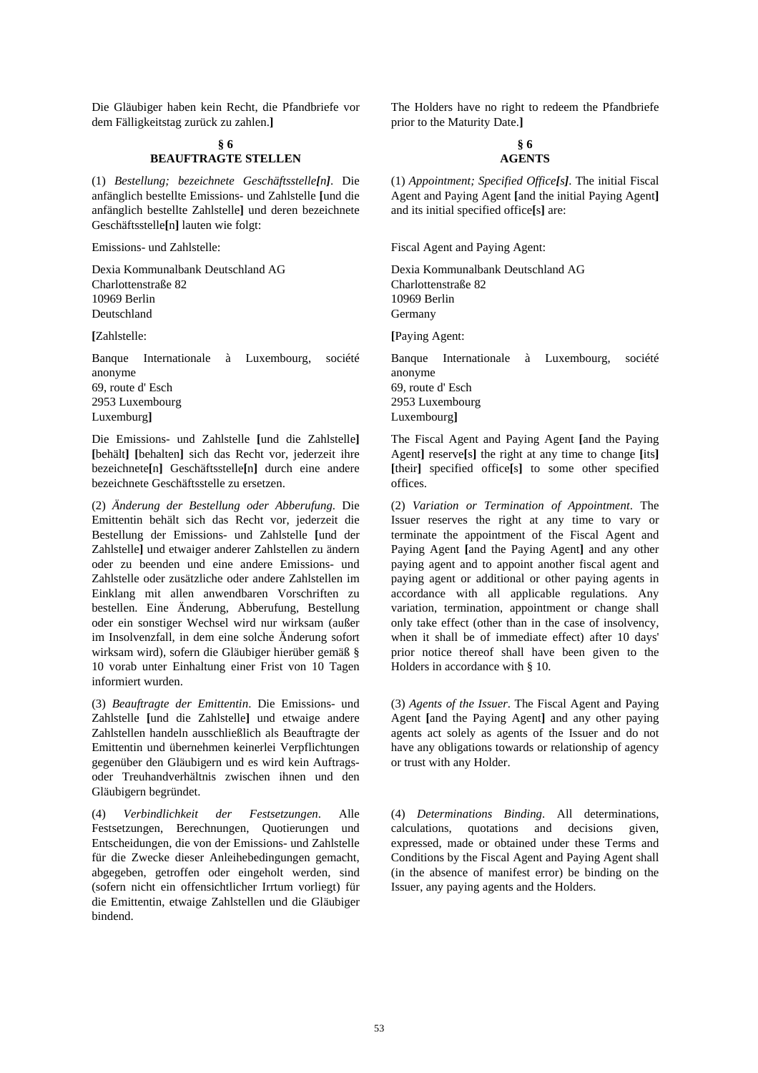Die Gläubiger haben kein Recht, die Pfandbriefe vor dem Fälligkeitstag zurück zu zahlen.**]**

## **§ 6 BEAUFTRAGTE STELLEN**

(1) *Bestellung; bezeichnete Geschäftsstelle[n]*. Die anfänglich bestellte Emissions- und Zahlstelle **[**und die anfänglich bestellte Zahlstelle**]** und deren bezeichnete Geschäftsstelle**[**n**]** lauten wie folgt:

Emissions- und Zahlstelle:

Dexia Kommunalbank Deutschland AG Charlottenstraße 82 10969 Berlin Deutschland

**[**Zahlstelle:

Banque Internationale à Luxembourg, société anonyme 69, route d' Esch 2953 Luxembourg Luxemburg**]**

Die Emissions- und Zahlstelle **[**und die Zahlstelle**] [**behält**] [**behalten**]** sich das Recht vor, jederzeit ihre bezeichnete**[**n**]** Geschäftsstelle**[**n**]** durch eine andere bezeichnete Geschäftsstelle zu ersetzen.

(2) *Änderung der Bestellung oder Abberufung*. Die Emittentin behält sich das Recht vor, jederzeit die Bestellung der Emissions- und Zahlstelle **[**und der Zahlstelle**]** und etwaiger anderer Zahlstellen zu ändern oder zu beenden und eine andere Emissions- und Zahlstelle oder zusätzliche oder andere Zahlstellen im Einklang mit allen anwendbaren Vorschriften zu bestellen. Eine Änderung, Abberufung, Bestellung oder ein sonstiger Wechsel wird nur wirksam (außer im Insolvenzfall, in dem eine solche Änderung sofort wirksam wird), sofern die Gläubiger hierüber gemäß § 10 vorab unter Einhaltung einer Frist von 10 Tagen informiert wurden.

(3) *Beauftragte der Emittentin*. Die Emissions- und Zahlstelle **[**und die Zahlstelle**]** und etwaige andere Zahlstellen handeln ausschließlich als Beauftragte der Emittentin und übernehmen keinerlei Verpflichtungen gegenüber den Gläubigern und es wird kein Auftragsoder Treuhandverhältnis zwischen ihnen und den Gläubigern begründet.

(4) *Verbindlichkeit der Festsetzungen*. Alle Festsetzungen, Berechnungen, Quotierungen und Entscheidungen, die von der Emissions- und Zahlstelle für die Zwecke dieser Anleihebedingungen gemacht, abgegeben, getroffen oder eingeholt werden, sind (sofern nicht ein offensichtlicher Irrtum vorliegt) für die Emittentin, etwaige Zahlstellen und die Gläubiger bindend.

The Holders have no right to redeem the Pfandbriefe prior to the Maturity Date.**]**

## **§ 6 AGENTS**

(1) *Appointment; Specified Office[s]*. The initial Fiscal Agent and Paying Agent **[**and the initial Paying Agent**]** and its initial specified office**[**s**]** are:

Fiscal Agent and Paying Agent:

Dexia Kommunalbank Deutschland AG Charlottenstraße 82 10969 Berlin Germany **[**Paying Agent:

Banque Internationale à Luxembourg, société anonyme 69, route d' Esch 2953 Luxembourg Luxembourg**]**

The Fiscal Agent and Paying Agent **[**and the Paying Agent**]** reserve**[**s**]** the right at any time to change **[**its**] [**their**]** specified office**[**s**]** to some other specified offices.

(2) *Variation or Termination of Appointment*. The Issuer reserves the right at any time to vary or terminate the appointment of the Fiscal Agent and Paying Agent **[**and the Paying Agent**]** and any other paying agent and to appoint another fiscal agent and paying agent or additional or other paying agents in accordance with all applicable regulations. Any variation, termination, appointment or change shall only take effect (other than in the case of insolvency, when it shall be of immediate effect) after 10 days' prior notice thereof shall have been given to the Holders in accordance with § 10.

(3) *Agents of the Issuer*. The Fiscal Agent and Paying Agent **[**and the Paying Agent**]** and any other paying agents act solely as agents of the Issuer and do not have any obligations towards or relationship of agency or trust with any Holder.

(4) *Determinations Binding*. All determinations, calculations, quotations and decisions given, expressed, made or obtained under these Terms and Conditions by the Fiscal Agent and Paying Agent shall (in the absence of manifest error) be binding on the Issuer, any paying agents and the Holders.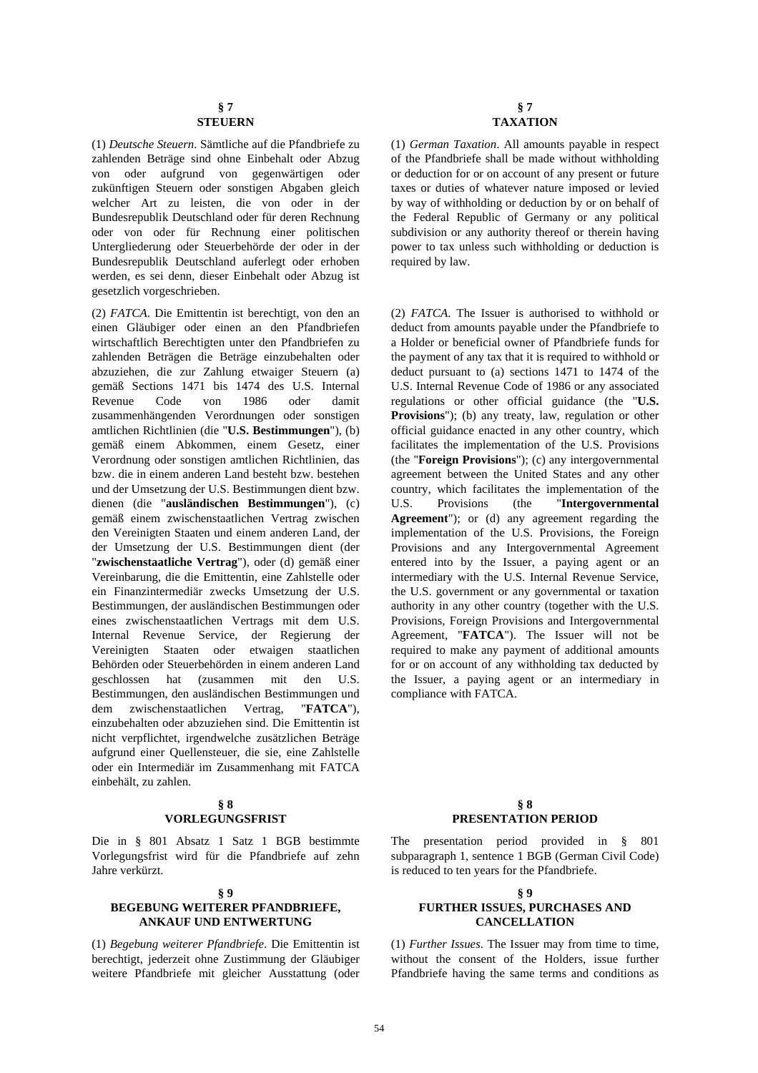(1) *Deutsche Steuern*. Sämtliche auf die Pfandbriefe zu zahlenden Beträge sind ohne Einbehalt oder Abzug von oder aufgrund von gegenwärtigen oder zukünftigen Steuern oder sonstigen Abgaben gleich welcher Art zu leisten, die von oder in der Bundesrepublik Deutschland oder für deren Rechnung oder von oder für Rechnung einer politischen Untergliederung oder Steuerbehörde der oder in der Bundesrepublik Deutschland auferlegt oder erhoben werden, es sei denn, dieser Einbehalt oder Abzug ist gesetzlich vorgeschrieben.

(2) *FATCA*. Die Emittentin ist berechtigt, von den an einen Gläubiger oder einen an den Pfandbriefen wirtschaftlich Berechtigten unter den Pfandbriefen zu zahlenden Beträgen die Beträge einzubehalten oder abzuziehen, die zur Zahlung etwaiger Steuern (a) gemäß Sections 1471 bis 1474 des U.S. Internal Revenue Code von 1986 oder damit zusammenhängenden Verordnungen oder sonstigen amtlichen Richtlinien (die "**U.S. Bestimmungen**"), (b) gemäß einem Abkommen, einem Gesetz, einer Verordnung oder sonstigen amtlichen Richtlinien, das bzw. die in einem anderen Land besteht bzw. bestehen und der Umsetzung der U.S. Bestimmungen dient bzw. dienen (die "**ausländischen Bestimmungen**"), (c) gemäß einem zwischenstaatlichen Vertrag zwischen den Vereinigten Staaten und einem anderen Land, der der Umsetzung der U.S. Bestimmungen dient (der "**zwischenstaatliche Vertrag**"), oder (d) gemäß einer Vereinbarung, die die Emittentin, eine Zahlstelle oder ein Finanzintermediär zwecks Umsetzung der U.S. Bestimmungen, der ausländischen Bestimmungen oder eines zwischenstaatlichen Vertrags mit dem U.S. Internal Revenue Service, der Regierung der Vereinigten Staaten oder etwaigen staatlichen Behörden oder Steuerbehörden in einem anderen Land geschlossen hat (zusammen mit den U.S. Bestimmungen, den ausländischen Bestimmungen und dem zwischenstaatlichen Vertrag, "**FATCA**"), einzubehalten oder abzuziehen sind. Die Emittentin ist nicht verpflichtet, irgendwelche zusätzlichen Beträge aufgrund einer Quellensteuer, die sie, eine Zahlstelle oder ein Intermediär im Zusammenhang mit FATCA einbehält, zu zahlen.

## **§ 8 VORLEGUNGSFRIST**

Die in § 801 Absatz 1 Satz 1 BGB bestimmte Vorlegungsfrist wird für die Pfandbriefe auf zehn Jahre verkürzt.

#### **§ 9**

# **BEGEBUNG WEITERER PFANDBRIEFE, ANKAUF UND ENTWERTUNG**

(1) *Begebung weiterer Pfandbriefe*. Die Emittentin ist berechtigt, jederzeit ohne Zustimmung der Gläubiger weitere Pfandbriefe mit gleicher Ausstattung (oder

(1) *German Taxation*. All amounts payable in respect of the Pfandbriefe shall be made without withholding or deduction for or on account of any present or future taxes or duties of whatever nature imposed or levied by way of withholding or deduction by or on behalf of the Federal Republic of Germany or any political subdivision or any authority thereof or therein having power to tax unless such withholding or deduction is required by law.

(2) *FATCA*. The Issuer is authorised to withhold or deduct from amounts payable under the Pfandbriefe to a Holder or beneficial owner of Pfandbriefe funds for the payment of any tax that it is required to withhold or deduct pursuant to (a) sections 1471 to 1474 of the U.S. Internal Revenue Code of 1986 or any associated regulations or other official guidance (the "**U.S. Provisions**"); (b) any treaty, law, regulation or other official guidance enacted in any other country, which facilitates the implementation of the U.S. Provisions (the "**Foreign Provisions**"); (c) any intergovernmental agreement between the United States and any other country, which facilitates the implementation of the U.S. Provisions (the "**Intergovernmental Agreement**"); or (d) any agreement regarding the implementation of the U.S. Provisions, the Foreign Provisions and any Intergovernmental Agreement entered into by the Issuer, a paying agent or an intermediary with the U.S. Internal Revenue Service, the U.S. government or any governmental or taxation authority in any other country (together with the U.S. Provisions, Foreign Provisions and Intergovernmental Agreement, "**FATCA**"). The Issuer will not be required to make any payment of additional amounts for or on account of any withholding tax deducted by the Issuer, a paying agent or an intermediary in compliance with FATCA.

## **§ 8 PRESENTATION PERIOD**

The presentation period provided in § 801 subparagraph 1, sentence 1 BGB (German Civil Code) is reduced to ten years for the Pfandbriefe.

## **§ 9 FURTHER ISSUES, PURCHASES AND CANCELLATION**

 (1) *Further Issues*. The Issuer may from time to time, without the consent of the Holders, issue further Pfandbriefe having the same terms and conditions as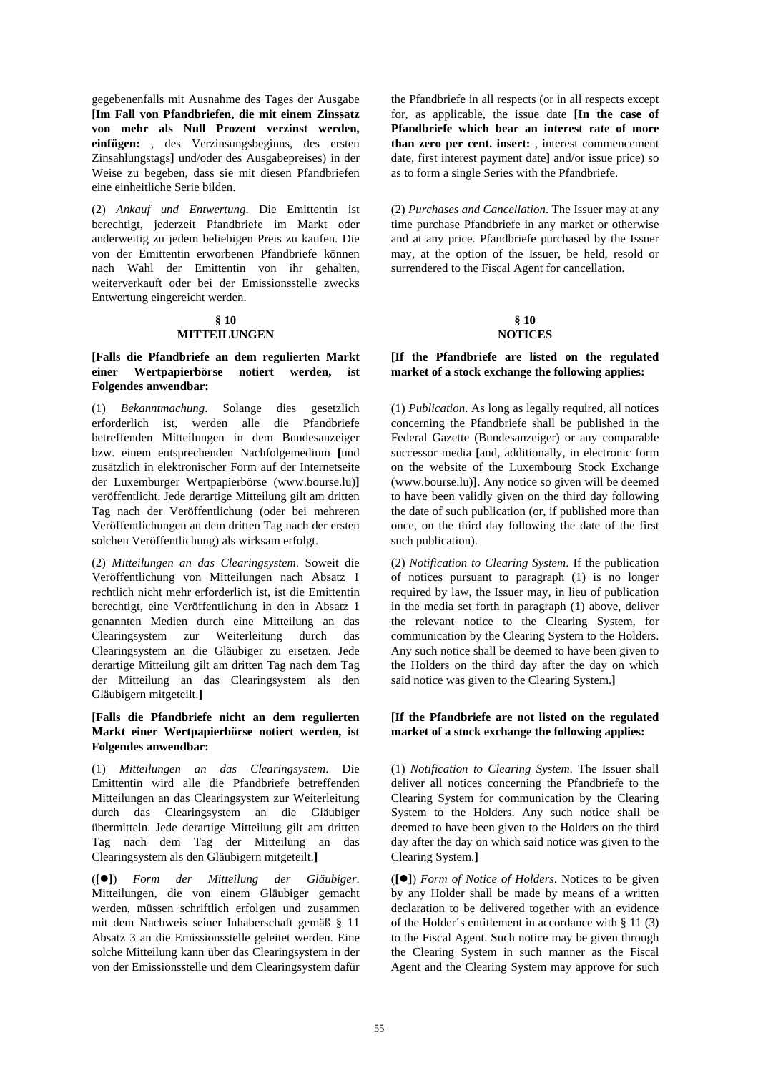gegebenenfalls mit Ausnahme des Tages der Ausgabe **[Im Fall von Pfandbriefen, die mit einem Zinssatz von mehr als Null Prozent verzinst werden, einfügen:** , des Verzinsungsbeginns, des ersten Zinsahlungstags**]** und/oder des Ausgabepreises) in der Weise zu begeben, dass sie mit diesen Pfandbriefen eine einheitliche Serie bilden.

(2) *Ankauf und Entwertung*. Die Emittentin ist berechtigt, jederzeit Pfandbriefe im Markt oder anderweitig zu jedem beliebigen Preis zu kaufen. Die von der Emittentin erworbenen Pfandbriefe können nach Wahl der Emittentin von ihr gehalten, weiterverkauft oder bei der Emissionsstelle zwecks Entwertung eingereicht werden.

# **§ 10**

## **MITTEILUNGEN**

#### **[Falls die Pfandbriefe an dem regulierten Markt einer Wertpapierbörse notiert werden, ist Folgendes anwendbar:**

(1) *Bekanntmachung*. Solange dies gesetzlich erforderlich ist, werden alle die Pfandbriefe betreffenden Mitteilungen in dem Bundesanzeiger bzw. einem entsprechenden Nachfolgemedium **[**und zusätzlich in elektronischer Form auf der Internetseite der Luxemburger Wertpapierbörse (www.bourse.lu)**]** veröffentlicht. Jede derartige Mitteilung gilt am dritten Tag nach der Veröffentlichung (oder bei mehreren Veröffentlichungen an dem dritten Tag nach der ersten solchen Veröffentlichung) als wirksam erfolgt.

(2) *Mitteilungen an das Clearingsystem*. Soweit die Veröffentlichung von Mitteilungen nach Absatz 1 rechtlich nicht mehr erforderlich ist, ist die Emittentin berechtigt, eine Veröffentlichung in den in Absatz 1 genannten Medien durch eine Mitteilung an das Clearingsystem zur Weiterleitung durch das Clearingsystem an die Gläubiger zu ersetzen. Jede derartige Mitteilung gilt am dritten Tag nach dem Tag der Mitteilung an das Clearingsystem als den Gläubigern mitgeteilt.**]**

## **[Falls die Pfandbriefe nicht an dem regulierten Markt einer Wertpapierbörse notiert werden, ist Folgendes anwendbar:**

(1) *Mitteilungen an das Clearingsystem*. Die Emittentin wird alle die Pfandbriefe betreffenden Mitteilungen an das Clearingsystem zur Weiterleitung durch das Clearingsystem an die Gläubiger übermitteln. Jede derartige Mitteilung gilt am dritten Tag nach dem Tag der Mitteilung an das Clearingsystem als den Gläubigern mitgeteilt.**]**

(**[]**) *Form der Mitteilung der Gläubiger*. Mitteilungen, die von einem Gläubiger gemacht werden, müssen schriftlich erfolgen und zusammen mit dem Nachweis seiner Inhaberschaft gemäß § 11 Absatz 3 an die Emissionsstelle geleitet werden. Eine solche Mitteilung kann über das Clearingsystem in der von der Emissionsstelle und dem Clearingsystem dafür

the Pfandbriefe in all respects (or in all respects except for, as applicable, the issue date **[In the case of Pfandbriefe which bear an interest rate of more than zero per cent. insert:** , interest commencement date, first interest payment date**]** and/or issue price) so as to form a single Series with the Pfandbriefe.

 (2) *Purchases and Cancellation*. The Issuer may at any time purchase Pfandbriefe in any market or otherwise and at any price. Pfandbriefe purchased by the Issuer may, at the option of the Issuer, be held, resold or surrendered to the Fiscal Agent for cancellation.

#### **§ 10 NOTICES**

## **[If the Pfandbriefe are listed on the regulated market of a stock exchange the following applies:**

 (1) *Publication*. As long as legally required, all notices concerning the Pfandbriefe shall be published in the Federal Gazette (Bundesanzeiger) or any comparable successor media **[**and, additionally, in electronic form on the website of the Luxembourg Stock Exchange (www.bourse.lu)**]**. Any notice so given will be deemed to have been validly given on the third day following the date of such publication (or, if published more than once, on the third day following the date of the first such publication).

 (2) *Notification to Clearing System*. If the publication of notices pursuant to paragraph (1) is no longer required by law, the Issuer may, in lieu of publication in the media set forth in paragraph (1) above, deliver the relevant notice to the Clearing System, for communication by the Clearing System to the Holders. Any such notice shall be deemed to have been given to the Holders on the third day after the day on which said notice was given to the Clearing System.**]**

## **[If the Pfandbriefe are not listed on the regulated market of a stock exchange the following applies:**

 (1) *Notification to Clearing System*. The Issuer shall deliver all notices concerning the Pfandbriefe to the Clearing System for communication by the Clearing System to the Holders. Any such notice shall be deemed to have been given to the Holders on the third day after the day on which said notice was given to the Clearing System.**]**

 (**[]**) *Form of Notice of Holders*. Notices to be given by any Holder shall be made by means of a written declaration to be delivered together with an evidence of the Holder´s entitlement in accordance with § 11 (3) to the Fiscal Agent. Such notice may be given through the Clearing System in such manner as the Fiscal Agent and the Clearing System may approve for such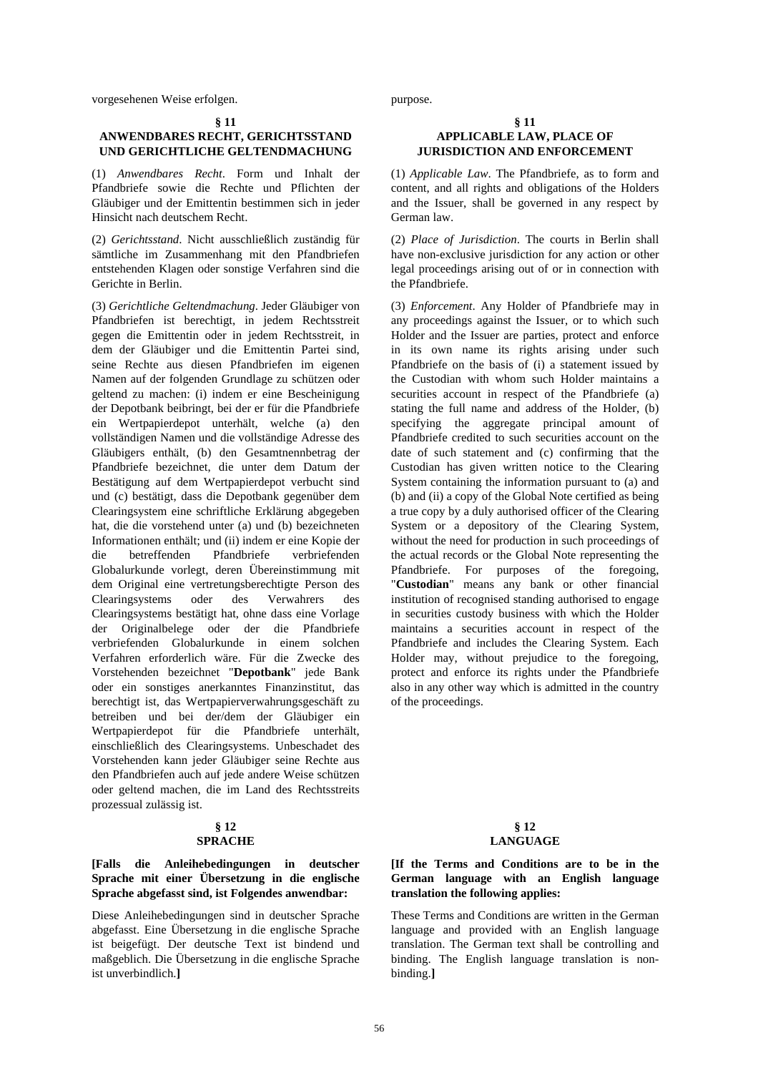vorgesehenen Weise erfolgen. purpose.

#### **§ 11**

## **ANWENDBARES RECHT, GERICHTSSTAND UND GERICHTLICHE GELTENDMACHUNG**

(1) *Anwendbares Recht*. Form und Inhalt der Pfandbriefe sowie die Rechte und Pflichten der Gläubiger und der Emittentin bestimmen sich in jeder Hinsicht nach deutschem Recht.

(2) *Gerichtsstand*. Nicht ausschließlich zuständig für sämtliche im Zusammenhang mit den Pfandbriefen entstehenden Klagen oder sonstige Verfahren sind die Gerichte in Berlin.

(3) *Gerichtliche Geltendmachung*. Jeder Gläubiger von Pfandbriefen ist berechtigt, in jedem Rechtsstreit gegen die Emittentin oder in jedem Rechtsstreit, in dem der Gläubiger und die Emittentin Partei sind, seine Rechte aus diesen Pfandbriefen im eigenen Namen auf der folgenden Grundlage zu schützen oder geltend zu machen: (i) indem er eine Bescheinigung der Depotbank beibringt, bei der er für die Pfandbriefe ein Wertpapierdepot unterhält, welche (a) den vollständigen Namen und die vollständige Adresse des Gläubigers enthält, (b) den Gesamtnennbetrag der Pfandbriefe bezeichnet, die unter dem Datum der Bestätigung auf dem Wertpapierdepot verbucht sind und (c) bestätigt, dass die Depotbank gegenüber dem Clearingsystem eine schriftliche Erklärung abgegeben hat, die die vorstehend unter (a) und (b) bezeichneten Informationen enthält; und (ii) indem er eine Kopie der die betreffenden Pfandbriefe verbriefenden Globalurkunde vorlegt, deren Übereinstimmung mit dem Original eine vertretungsberechtigte Person des Clearingsystems oder des Verwahrers des Clearingsystems bestätigt hat, ohne dass eine Vorlage der Originalbelege oder der die Pfandbriefe verbriefenden Globalurkunde in einem solchen Verfahren erforderlich wäre. Für die Zwecke des Vorstehenden bezeichnet "**Depotbank**" jede Bank oder ein sonstiges anerkanntes Finanzinstitut, das berechtigt ist, das Wertpapierverwahrungsgeschäft zu betreiben und bei der/dem der Gläubiger ein Wertpapierdepot für die Pfandbriefe unterhält, einschließlich des Clearingsystems. Unbeschadet des Vorstehenden kann jeder Gläubiger seine Rechte aus den Pfandbriefen auch auf jede andere Weise schützen oder geltend machen, die im Land des Rechtsstreits prozessual zulässig ist.

## **§ 12 SPRACHE**

## **[Falls die Anleihebedingungen in deutscher Sprache mit einer Übersetzung in die englische Sprache abgefasst sind, ist Folgendes anwendbar:**

Diese Anleihebedingungen sind in deutscher Sprache abgefasst. Eine Übersetzung in die englische Sprache ist beigefügt. Der deutsche Text ist bindend und maßgeblich. Die Übersetzung in die englische Sprache ist unverbindlich.**]**

#### **§ 11 APPLICABLE LAW, PLACE OF JURISDICTION AND ENFORCEMENT**

 (1) *Applicable Law*. The Pfandbriefe, as to form and content, and all rights and obligations of the Holders and the Issuer, shall be governed in any respect by German law.

 (2) *Place of Jurisdiction*. The courts in Berlin shall have non-exclusive jurisdiction for any action or other legal proceedings arising out of or in connection with the Pfandbriefe.

 (3) *Enforcement*. Any Holder of Pfandbriefe may in any proceedings against the Issuer, or to which such Holder and the Issuer are parties, protect and enforce in its own name its rights arising under such Pfandbriefe on the basis of (i) a statement issued by the Custodian with whom such Holder maintains a securities account in respect of the Pfandbriefe (a) stating the full name and address of the Holder, (b) specifying the aggregate principal amount of Pfandbriefe credited to such securities account on the date of such statement and (c) confirming that the Custodian has given written notice to the Clearing System containing the information pursuant to (a) and (b) and (ii) a copy of the Global Note certified as being a true copy by a duly authorised officer of the Clearing System or a depository of the Clearing System, without the need for production in such proceedings of the actual records or the Global Note representing the Pfandbriefe. For purposes of the foregoing, "**Custodian**" means any bank or other financial institution of recognised standing authorised to engage in securities custody business with which the Holder maintains a securities account in respect of the Pfandbriefe and includes the Clearing System. Each Holder may, without prejudice to the foregoing, protect and enforce its rights under the Pfandbriefe also in any other way which is admitted in the country of the proceedings.

#### **§ 12 LANGUAGE**

## **[If the Terms and Conditions are to be in the German language with an English language translation the following applies:**

These Terms and Conditions are written in the German language and provided with an English language translation. The German text shall be controlling and binding. The English language translation is nonbinding.**]**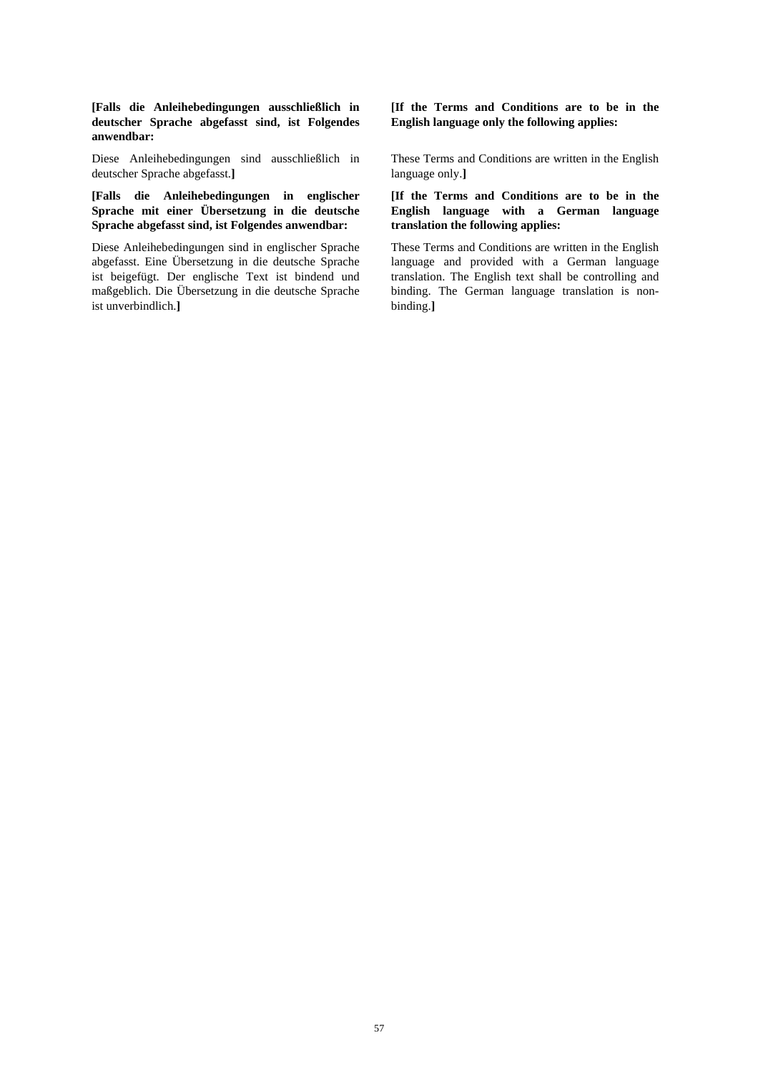#### **[Falls die Anleihebedingungen ausschließlich in deutscher Sprache abgefasst sind, ist Folgendes anwendbar:**

Diese Anleihebedingungen sind ausschließlich in deutscher Sprache abgefasst.**]**

## **[Falls die Anleihebedingungen in englischer Sprache mit einer Übersetzung in die deutsche Sprache abgefasst sind, ist Folgendes anwendbar:**

Diese Anleihebedingungen sind in englischer Sprache abgefasst. Eine Übersetzung in die deutsche Sprache ist beigefügt. Der englische Text ist bindend und maßgeblich. Die Übersetzung in die deutsche Sprache ist unverbindlich.**]**

**[If the Terms and Conditions are to be in the English language only the following applies:**

These Terms and Conditions are written in the English language only.**]**

## **[If the Terms and Conditions are to be in the English language with a German language translation the following applies:**

These Terms and Conditions are written in the English language and provided with a German language translation. The English text shall be controlling and binding. The German language translation is nonbinding.**]**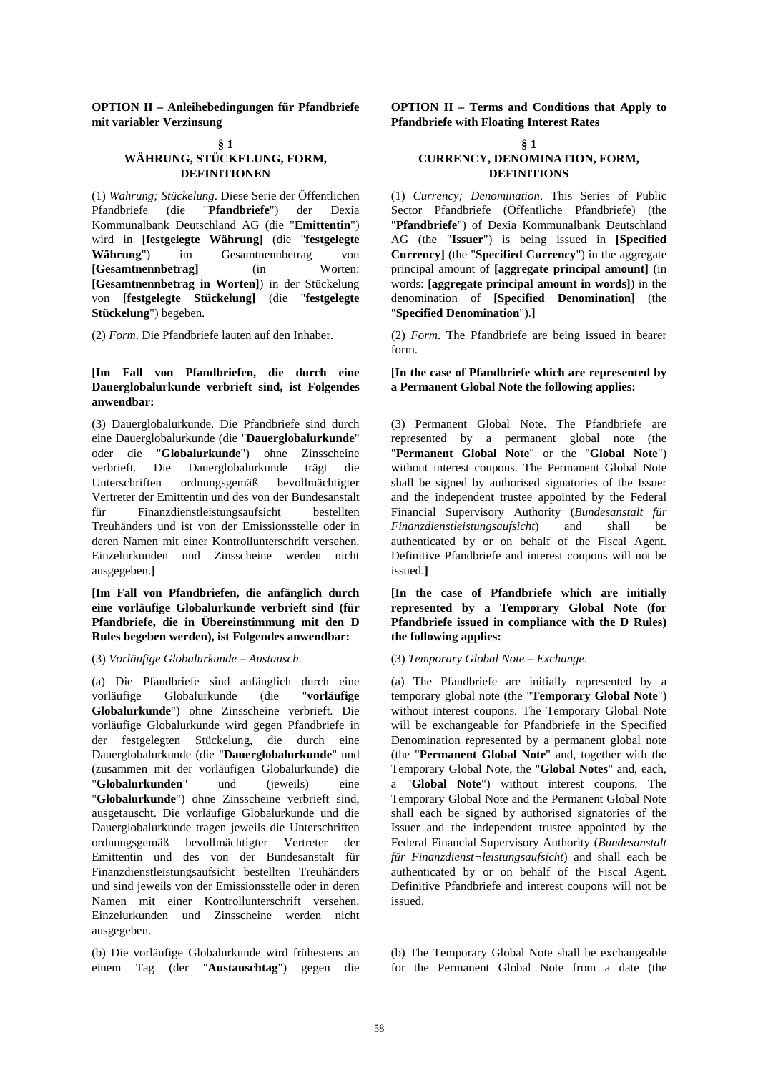**OPTION II – Anleihebedingungen für Pfandbriefe mit variabler Verzinsung** 

## **§ 1 WÄHRUNG, STÜCKELUNG, FORM, DEFINITIONEN**

(1) *Währung; Stückelung*. Diese Serie der Öffentlichen Pfandbriefe (die "**Pfandbriefe**") der Dexia Kommunalbank Deutschland AG (die "**Emittentin**") wird in **[festgelegte Währung]** (die "**festgelegte Währung**") im Gesamtnennbetrag von **[Gesamtnennbetrag]** (in Worten: **[Gesamtnennbetrag in Worten]**) in der Stückelung von **[festgelegte Stückelung]** (die "**festgelegte Stückelung**") begeben.

## **[Im Fall von Pfandbriefen, die durch eine Dauerglobalurkunde verbrieft sind, ist Folgendes anwendbar:**

(3) Dauerglobalurkunde. Die Pfandbriefe sind durch eine Dauerglobalurkunde (die "**Dauerglobalurkunde**" oder die "**Globalurkunde**") ohne Zinsscheine verbrieft. Die Dauerglobalurkunde trägt die Unterschriften ordnungsgemäß bevollmächtigter Vertreter der Emittentin und des von der Bundesanstalt für Finanzdienstleistungsaufsicht bestellten Treuhänders und ist von der Emissionsstelle oder in deren Namen mit einer Kontrollunterschrift versehen. Einzelurkunden und Zinsscheine werden nicht ausgegeben.**]**

**[Im Fall von Pfandbriefen, die anfänglich durch eine vorläufige Globalurkunde verbrieft sind (für Pfandbriefe, die in Übereinstimmung mit den D Rules begeben werden), ist Folgendes anwendbar:**

#### (3) *Vorläufige Globalurkunde – Austausch*. (3) *Temporary Global Note – Exchange*.

(a) Die Pfandbriefe sind anfänglich durch eine vorläufige Globalurkunde (die "**vorläufige Globalurkunde**") ohne Zinsscheine verbrieft. Die vorläufige Globalurkunde wird gegen Pfandbriefe in der festgelegten Stückelung, die durch eine Dauerglobalurkunde (die "**Dauerglobalurkunde**" und (zusammen mit der vorläufigen Globalurkunde) die "**Globalurkunden**" und (jeweils) eine "**Globalurkunde**") ohne Zinsscheine verbrieft sind, ausgetauscht. Die vorläufige Globalurkunde und die Dauerglobalurkunde tragen jeweils die Unterschriften ordnungsgemäß bevollmächtigter Vertreter der Emittentin und des von der Bundesanstalt für Finanzdienstleistungsaufsicht bestellten Treuhänders und sind jeweils von der Emissionsstelle oder in deren Namen mit einer Kontrollunterschrift versehen. Einzelurkunden und Zinsscheine werden nicht ausgegeben.

(b) Die vorläufige Globalurkunde wird frühestens an einem Tag (der "**Austauschtag**") gegen die  **OPTION II – Terms and Conditions that Apply to Pfandbriefe with Floating Interest Rates** 

#### **§ 1 CURRENCY, DENOMINATION, FORM, DEFINITIONS**

 (1) *Currency; Denomination*. This Series of Public Sector Pfandbriefe (Öffentliche Pfandbriefe) (the "**Pfandbriefe**") of Dexia Kommunalbank Deutschland AG (the "**Issuer**") is being issued in **[Specified Currency]** (the "**Specified Currency**") in the aggregate principal amount of **[aggregate principal amount]** (in words: **[aggregate principal amount in words]**) in the denomination of **[Specified Denomination]** (the "**Specified Denomination**").**]**

(2) *Form*. Die Pfandbriefe lauten auf den Inhaber. (2) *Form*. The Pfandbriefe are being issued in bearer form.

### **[In the case of Pfandbriefe which are represented by a Permanent Global Note the following applies:**

 (3) Permanent Global Note. The Pfandbriefe are represented by a permanent global note (the "**Permanent Global Note**" or the "**Global Note**") without interest coupons. The Permanent Global Note shall be signed by authorised signatories of the Issuer and the independent trustee appointed by the Federal Financial Supervisory Authority (*Bundesanstalt für Finanzdienstleistungsaufsicht*) and shall be authenticated by or on behalf of the Fiscal Agent. Definitive Pfandbriefe and interest coupons will not be issued.**]**

**[In the case of Pfandbriefe which are initially represented by a Temporary Global Note (for Pfandbriefe issued in compliance with the D Rules) the following applies:**

 (a) The Pfandbriefe are initially represented by a temporary global note (the "**Temporary Global Note**") without interest coupons. The Temporary Global Note will be exchangeable for Pfandbriefe in the Specified Denomination represented by a permanent global note (the "**Permanent Global Note**" and, together with the Temporary Global Note, the "**Global Notes**" and, each, a "**Global Note**") without interest coupons. The Temporary Global Note and the Permanent Global Note shall each be signed by authorised signatories of the Issuer and the independent trustee appointed by the Federal Financial Supervisory Authority (*Bundesanstalt für Finanzdienst¬leistungsaufsicht*) and shall each be authenticated by or on behalf of the Fiscal Agent. Definitive Pfandbriefe and interest coupons will not be issued.

 (b) The Temporary Global Note shall be exchangeable for the Permanent Global Note from a date (the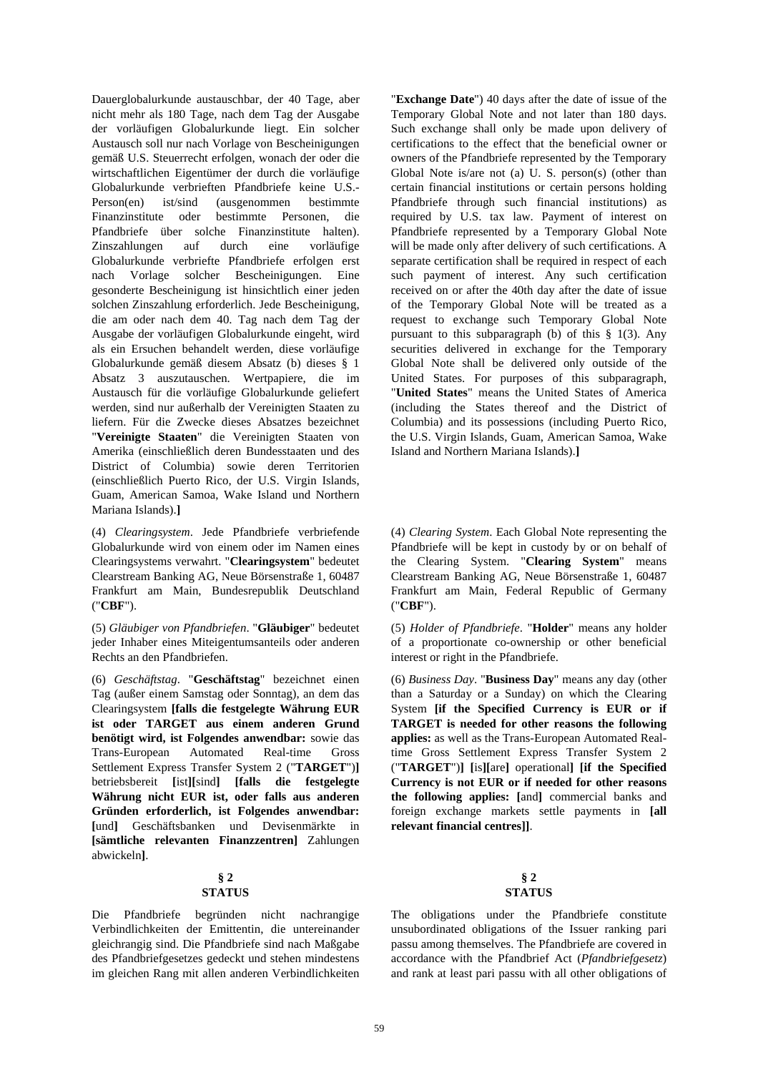Dauerglobalurkunde austauschbar, der 40 Tage, aber nicht mehr als 180 Tage, nach dem Tag der Ausgabe der vorläufigen Globalurkunde liegt. Ein solcher Austausch soll nur nach Vorlage von Bescheinigungen gemäß U.S. Steuerrecht erfolgen, wonach der oder die wirtschaftlichen Eigentümer der durch die vorläufige Globalurkunde verbrieften Pfandbriefe keine U.S.- Person(en) ist/sind (ausgenommen bestimmte Finanzinstitute oder bestimmte Personen, die Pfandbriefe über solche Finanzinstitute halten). Zinszahlungen auf durch eine vorläufige Globalurkunde verbriefte Pfandbriefe erfolgen erst nach Vorlage solcher Bescheinigungen. Eine gesonderte Bescheinigung ist hinsichtlich einer jeden solchen Zinszahlung erforderlich. Jede Bescheinigung, die am oder nach dem 40. Tag nach dem Tag der Ausgabe der vorläufigen Globalurkunde eingeht, wird als ein Ersuchen behandelt werden, diese vorläufige Globalurkunde gemäß diesem Absatz (b) dieses § 1 Absatz 3 auszutauschen. Wertpapiere, die im Austausch für die vorläufige Globalurkunde geliefert werden, sind nur außerhalb der Vereinigten Staaten zu liefern. Für die Zwecke dieses Absatzes bezeichnet "**Vereinigte Staaten**" die Vereinigten Staaten von Amerika (einschließlich deren Bundesstaaten und des District of Columbia) sowie deren Territorien (einschließlich Puerto Rico, der U.S. Virgin Islands, Guam, American Samoa, Wake Island und Northern Mariana Islands).**]**

(4) *Clearingsystem*. Jede Pfandbriefe verbriefende Globalurkunde wird von einem oder im Namen eines Clearingsystems verwahrt. "**Clearingsystem**" bedeutet Clearstream Banking AG, Neue Börsenstraße 1, 60487 Frankfurt am Main, Bundesrepublik Deutschland ("**CBF**").

(5) *Gläubiger von Pfandbriefen*. "**Gläubiger**" bedeutet jeder Inhaber eines Miteigentumsanteils oder anderen Rechts an den Pfandbriefen.

(6) *Geschäftstag*. "**Geschäftstag**" bezeichnet einen Tag (außer einem Samstag oder Sonntag), an dem das Clearingsystem **[falls die festgelegte Währung EUR ist oder TARGET aus einem anderen Grund benötigt wird, ist Folgendes anwendbar:** sowie das Trans-European Automated Real-time Gross Settlement Express Transfer System 2 ("**TARGET**")**]** betriebsbereit **[**ist**][**sind**] [falls die festgelegte Währung nicht EUR ist, oder falls aus anderen Gründen erforderlich, ist Folgendes anwendbar: [**und**]** Geschäftsbanken und Devisenmärkte in **[sämtliche relevanten Finanzzentren]** Zahlungen abwickeln**]**.

#### **§ 2 STATUS**

Die Pfandbriefe begründen nicht nachrangige Verbindlichkeiten der Emittentin, die untereinander gleichrangig sind. Die Pfandbriefe sind nach Maßgabe des Pfandbriefgesetzes gedeckt und stehen mindestens im gleichen Rang mit allen anderen Verbindlichkeiten

"**Exchange Date**") 40 days after the date of issue of the Temporary Global Note and not later than 180 days. Such exchange shall only be made upon delivery of certifications to the effect that the beneficial owner or owners of the Pfandbriefe represented by the Temporary Global Note is/are not (a) U. S. person(s) (other than certain financial institutions or certain persons holding Pfandbriefe through such financial institutions) as required by U.S. tax law. Payment of interest on Pfandbriefe represented by a Temporary Global Note will be made only after delivery of such certifications. A separate certification shall be required in respect of each such payment of interest. Any such certification received on or after the 40th day after the date of issue of the Temporary Global Note will be treated as a request to exchange such Temporary Global Note pursuant to this subparagraph (b) of this § 1(3). Any securities delivered in exchange for the Temporary Global Note shall be delivered only outside of the United States. For purposes of this subparagraph, "**United States**" means the United States of America (including the States thereof and the District of Columbia) and its possessions (including Puerto Rico, the U.S. Virgin Islands, Guam, American Samoa, Wake Island and Northern Mariana Islands).**]**

 (4) *Clearing System*. Each Global Note representing the Pfandbriefe will be kept in custody by or on behalf of the Clearing System. "**Clearing System**" means Clearstream Banking AG, Neue Börsenstraße 1, 60487 Frankfurt am Main, Federal Republic of Germany ("**CBF**").

 (5) *Holder of Pfandbriefe*. "**Holder**" means any holder of a proportionate co-ownership or other beneficial interest or right in the Pfandbriefe.

 (6) *Business Day*. "**Business Day**" means any day (other than a Saturday or a Sunday) on which the Clearing System **[if the Specified Currency is EUR or if TARGET is needed for other reasons the following applies:** as well as the Trans-European Automated Realtime Gross Settlement Express Transfer System 2 ("**TARGET**")**] [**is**][**are**]** operational**] [if the Specified Currency is not EUR or if needed for other reasons the following applies: [**and**]** commercial banks and foreign exchange markets settle payments in **[all relevant financial centres]]**.

#### **§ 2 STATUS**

 The obligations under the Pfandbriefe constitute unsubordinated obligations of the Issuer ranking pari passu among themselves. The Pfandbriefe are covered in accordance with the Pfandbrief Act (*Pfandbriefgesetz*) and rank at least pari passu with all other obligations of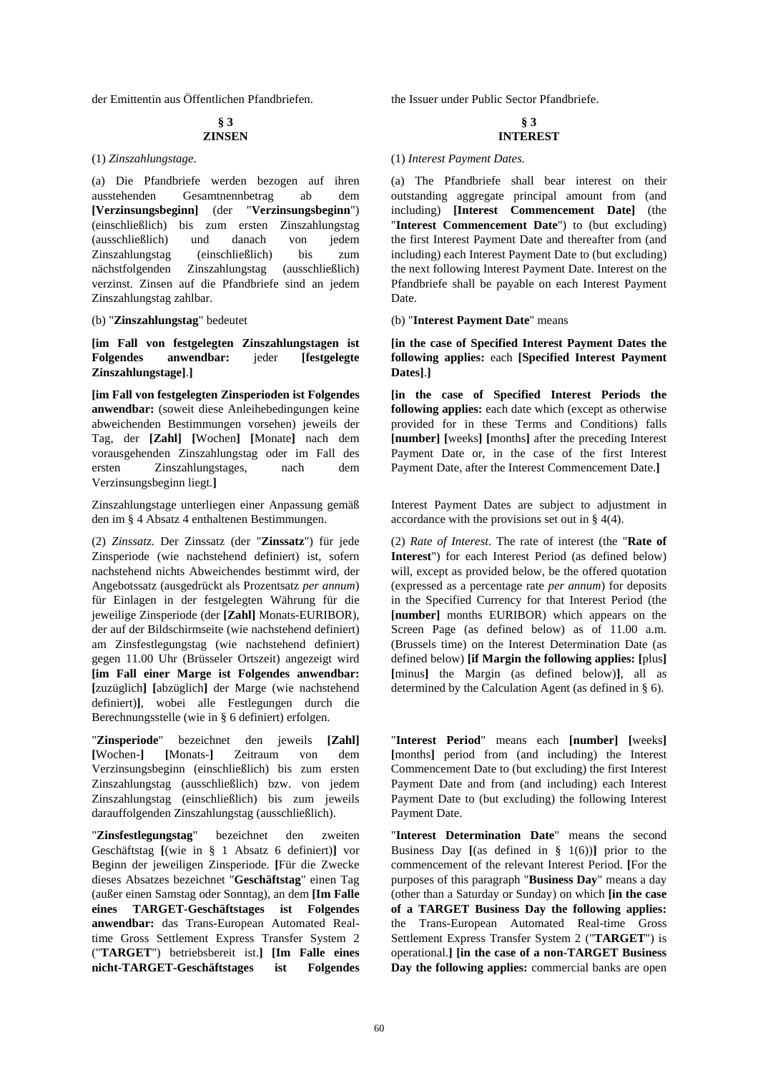der Emittentin aus Öffentlichen Pfandbriefen. the Issuer under Public Sector Pfandbriefe.

#### **§ 3 ZINSEN**

(a) Die Pfandbriefe werden bezogen auf ihren ausstehenden Gesamtnennbetrag ab dem **[Verzinsungsbeginn]** (der "**Verzinsungsbeginn**") (einschließlich) bis zum ersten Zinszahlungstag (ausschließlich) und danach von jedem Zinszahlungstag (einschließlich) bis zum nächstfolgenden Zinszahlungstag (ausschließlich) verzinst. Zinsen auf die Pfandbriefe sind an jedem Zinszahlungstag zahlbar.

**[im Fall von festgelegten Zinszahlungstagen ist Folgendes anwendbar:** jeder **[festgelegte Zinszahlungstage]**.**]**

**[im Fall von festgelegten Zinsperioden ist Folgendes anwendbar:** (soweit diese Anleihebedingungen keine abweichenden Bestimmungen vorsehen) jeweils der Tag, der **[Zahl] [**Wochen**] [**Monate**]** nach dem vorausgehenden Zinszahlungstag oder im Fall des ersten Zinszahlungstages, nach dem Verzinsungsbeginn liegt.**]**

Zinszahlungstage unterliegen einer Anpassung gemäß den im § 4 Absatz 4 enthaltenen Bestimmungen.

(2) *Zinssatz*. Der Zinssatz (der "**Zinssatz**") für jede Zinsperiode (wie nachstehend definiert) ist, sofern nachstehend nichts Abweichendes bestimmt wird, der Angebotssatz (ausgedrückt als Prozentsatz *per annum*) für Einlagen in der festgelegten Währung für die jeweilige Zinsperiode (der **[Zahl]** Monats-EURIBOR), der auf der Bildschirmseite (wie nachstehend definiert) am Zinsfestlegungstag (wie nachstehend definiert) gegen 11.00 Uhr (Brüsseler Ortszeit) angezeigt wird **[im Fall einer Marge ist Folgendes anwendbar: [**zuzüglich**] [**abzüglich**]** der Marge (wie nachstehend definiert)**]**, wobei alle Festlegungen durch die Berechnungsstelle (wie in § 6 definiert) erfolgen.

"**Zinsperiode**" bezeichnet den jeweils **[Zahl] [**Wochen-**] [**Monats-**]** Zeitraum von dem Verzinsungsbeginn (einschließlich) bis zum ersten Zinszahlungstag (ausschließlich) bzw. von jedem Zinszahlungstag (einschließlich) bis zum jeweils darauffolgenden Zinszahlungstag (ausschließlich).

"**Zinsfestlegungstag**" bezeichnet den zweiten Geschäftstag **[**(wie in § 1 Absatz 6 definiert)**]** vor Beginn der jeweiligen Zinsperiode. **[**Für die Zwecke dieses Absatzes bezeichnet "**Geschäftstag**" einen Tag (außer einen Samstag oder Sonntag), an dem **[Im Falle eines TARGET-Geschäftstages ist Folgendes anwendbar:** das Trans-European Automated Realtime Gross Settlement Express Transfer System 2 ("**TARGET**") betriebsbereit ist.**] [Im Falle eines nicht-TARGET-Geschäftstages ist Folgendes** 

#### **§ 3 INTEREST**

#### (1) *Zinszahlungstage*. (1) *Interest Payment Dates*.

 (a) The Pfandbriefe shall bear interest on their outstanding aggregate principal amount from (and including) **[Interest Commencement Date]** (the "**Interest Commencement Date**") to (but excluding) the first Interest Payment Date and thereafter from (and including) each Interest Payment Date to (but excluding) the next following Interest Payment Date. Interest on the Pfandbriefe shall be payable on each Interest Payment Date.

(b) "**Zinszahlungstag**" bedeutet (b) "**Interest Payment Date**" means

**[in the case of Specified Interest Payment Dates the following applies:** each **[Specified Interest Payment Dates]**.**]**

**[in the case of Specified Interest Periods the following applies:** each date which (except as otherwise provided for in these Terms and Conditions) falls **[number] [**weeks**] [**months**]** after the preceding Interest Payment Date or, in the case of the first Interest Payment Date, after the Interest Commencement Date.**]**

 Interest Payment Dates are subject to adjustment in accordance with the provisions set out in § 4(4).

 (2) *Rate of Interest*. The rate of interest (the "**Rate of Interest**") for each Interest Period (as defined below) will, except as provided below, be the offered quotation (expressed as a percentage rate *per annum*) for deposits in the Specified Currency for that Interest Period (the **[number]** months EURIBOR) which appears on the Screen Page (as defined below) as of 11.00 a.m. (Brussels time) on the Interest Determination Date (as defined below) **[if Margin the following applies: [**plus**] [**minus**]** the Margin (as defined below)**]**, all as determined by the Calculation Agent (as defined in § 6).

 "**Interest Period**" means each **[number] [**weeks**] [**months**]** period from (and including) the Interest Commencement Date to (but excluding) the first Interest Payment Date and from (and including) each Interest Payment Date to (but excluding) the following Interest Payment Date.

 "**Interest Determination Date**" means the second Business Day  $[(as defined in § 1(6))]$  prior to the commencement of the relevant Interest Period. **[**For the purposes of this paragraph "**Business Day**" means a day (other than a Saturday or Sunday) on which **[in the case of a TARGET Business Day the following applies:** the Trans-European Automated Real-time Gross Settlement Express Transfer System 2 ("**TARGET**") is operational.**] [in the case of a non-TARGET Business Day the following applies:** commercial banks are open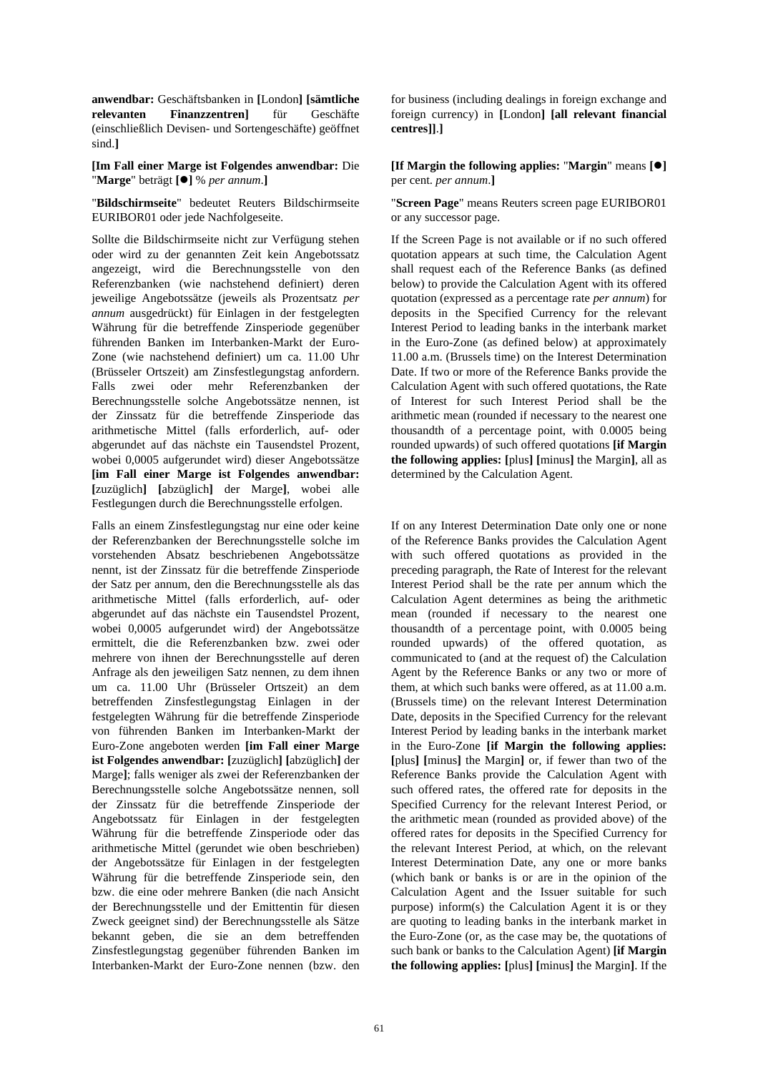**anwendbar:** Geschäftsbanken in **[**London**] [sämtliche relevanten Finanzzentren]** für Geschäfte (einschließlich Devisen- und Sortengeschäfte) geöffnet sind.**]**

**[Im Fall einer Marge ist Folgendes anwendbar:** Die "**Marge**" beträgt **[]** % *per annum*.**]**

"**Bildschirmseite**" bedeutet Reuters Bildschirmseite EURIBOR01 oder jede Nachfolgeseite.

Sollte die Bildschirmseite nicht zur Verfügung stehen oder wird zu der genannten Zeit kein Angebotssatz angezeigt, wird die Berechnungsstelle von den Referenzbanken (wie nachstehend definiert) deren jeweilige Angebotssätze (jeweils als Prozentsatz *per annum* ausgedrückt) für Einlagen in der festgelegten Währung für die betreffende Zinsperiode gegenüber führenden Banken im Interbanken-Markt der Euro-Zone (wie nachstehend definiert) um ca. 11.00 Uhr (Brüsseler Ortszeit) am Zinsfestlegungstag anfordern. Falls zwei oder mehr Referenzbanken der Berechnungsstelle solche Angebotssätze nennen, ist der Zinssatz für die betreffende Zinsperiode das arithmetische Mittel (falls erforderlich, auf- oder abgerundet auf das nächste ein Tausendstel Prozent, wobei 0,0005 aufgerundet wird) dieser Angebotssätze **[im Fall einer Marge ist Folgendes anwendbar: [**zuzüglich**] [**abzüglich**]** der Marge**]**, wobei alle Festlegungen durch die Berechnungsstelle erfolgen.

Falls an einem Zinsfestlegungstag nur eine oder keine der Referenzbanken der Berechnungsstelle solche im vorstehenden Absatz beschriebenen Angebotssätze nennt, ist der Zinssatz für die betreffende Zinsperiode der Satz per annum, den die Berechnungsstelle als das arithmetische Mittel (falls erforderlich, auf- oder abgerundet auf das nächste ein Tausendstel Prozent, wobei 0,0005 aufgerundet wird) der Angebotssätze ermittelt, die die Referenzbanken bzw. zwei oder mehrere von ihnen der Berechnungsstelle auf deren Anfrage als den jeweiligen Satz nennen, zu dem ihnen um ca. 11.00 Uhr (Brüsseler Ortszeit) an dem betreffenden Zinsfestlegungstag Einlagen in der festgelegten Währung für die betreffende Zinsperiode von führenden Banken im Interbanken-Markt der Euro-Zone angeboten werden **[im Fall einer Marge ist Folgendes anwendbar: [**zuzüglich**] [**abzüglich**]** der Marge**]**; falls weniger als zwei der Referenzbanken der Berechnungsstelle solche Angebotssätze nennen, soll der Zinssatz für die betreffende Zinsperiode der Angebotssatz für Einlagen in der festgelegten Währung für die betreffende Zinsperiode oder das arithmetische Mittel (gerundet wie oben beschrieben) der Angebotssätze für Einlagen in der festgelegten Währung für die betreffende Zinsperiode sein, den bzw. die eine oder mehrere Banken (die nach Ansicht der Berechnungsstelle und der Emittentin für diesen Zweck geeignet sind) der Berechnungsstelle als Sätze bekannt geben, die sie an dem betreffenden Zinsfestlegungstag gegenüber führenden Banken im Interbanken-Markt der Euro-Zone nennen (bzw. den

for business (including dealings in foreign exchange and foreign currency) in **[**London**] [all relevant financial centres]]**.**]**

**[If Margin the following applies:** "**Margin**" means **[]** per cent. *per annum*.**]**

 "**Screen Page**" means Reuters screen page EURIBOR01 or any successor page.

 If the Screen Page is not available or if no such offered quotation appears at such time, the Calculation Agent shall request each of the Reference Banks (as defined below) to provide the Calculation Agent with its offered quotation (expressed as a percentage rate *per annum*) for deposits in the Specified Currency for the relevant Interest Period to leading banks in the interbank market in the Euro-Zone (as defined below) at approximately 11.00 a.m. (Brussels time) on the Interest Determination Date. If two or more of the Reference Banks provide the Calculation Agent with such offered quotations, the Rate of Interest for such Interest Period shall be the arithmetic mean (rounded if necessary to the nearest one thousandth of a percentage point, with 0.0005 being rounded upwards) of such offered quotations **[if Margin the following applies: [**plus**] [**minus**]** the Margin**]**, all as determined by the Calculation Agent.

 If on any Interest Determination Date only one or none of the Reference Banks provides the Calculation Agent with such offered quotations as provided in the preceding paragraph, the Rate of Interest for the relevant Interest Period shall be the rate per annum which the Calculation Agent determines as being the arithmetic mean (rounded if necessary to the nearest one thousandth of a percentage point, with 0.0005 being rounded upwards) of the offered quotation, as communicated to (and at the request of) the Calculation Agent by the Reference Banks or any two or more of them, at which such banks were offered, as at 11.00 a.m. (Brussels time) on the relevant Interest Determination Date, deposits in the Specified Currency for the relevant Interest Period by leading banks in the interbank market in the Euro-Zone **[if Margin the following applies: [**plus**] [**minus**]** the Margin**]** or, if fewer than two of the Reference Banks provide the Calculation Agent with such offered rates, the offered rate for deposits in the Specified Currency for the relevant Interest Period, or the arithmetic mean (rounded as provided above) of the offered rates for deposits in the Specified Currency for the relevant Interest Period, at which, on the relevant Interest Determination Date, any one or more banks (which bank or banks is or are in the opinion of the Calculation Agent and the Issuer suitable for such purpose) inform(s) the Calculation Agent it is or they are quoting to leading banks in the interbank market in the Euro-Zone (or, as the case may be, the quotations of such bank or banks to the Calculation Agent) **[if Margin the following applies: [**plus**] [**minus**]** the Margin**]**. If the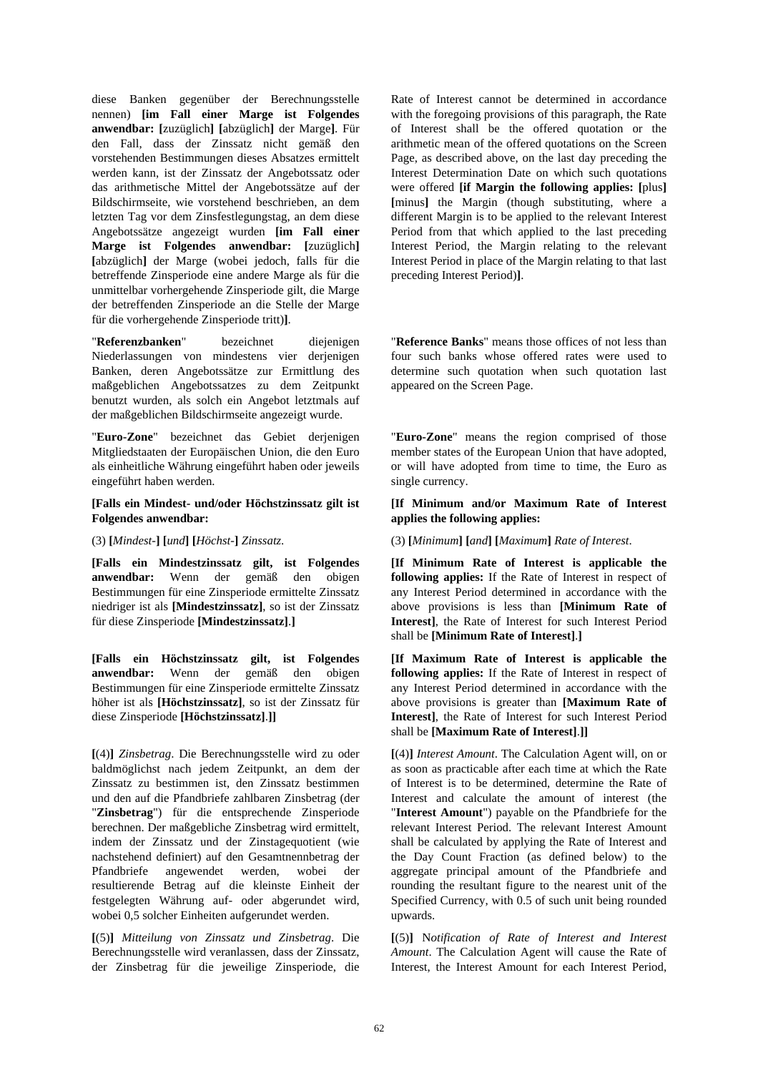diese Banken gegenüber der Berechnungsstelle nennen) **[im Fall einer Marge ist Folgendes anwendbar: [**zuzüglich**] [**abzüglich**]** der Marge**]**. Für den Fall, dass der Zinssatz nicht gemäß den vorstehenden Bestimmungen dieses Absatzes ermittelt werden kann, ist der Zinssatz der Angebotssatz oder das arithmetische Mittel der Angebotssätze auf der Bildschirmseite, wie vorstehend beschrieben, an dem letzten Tag vor dem Zinsfestlegungstag, an dem diese Angebotssätze angezeigt wurden **[im Fall einer Marge ist Folgendes anwendbar: [**zuzüglich**] [**abzüglich**]** der Marge (wobei jedoch, falls für die betreffende Zinsperiode eine andere Marge als für die unmittelbar vorhergehende Zinsperiode gilt, die Marge der betreffenden Zinsperiode an die Stelle der Marge für die vorhergehende Zinsperiode tritt)**]**.

"**Referenzbanken**" bezeichnet diejenigen Niederlassungen von mindestens vier derjenigen Banken, deren Angebotssätze zur Ermittlung des maßgeblichen Angebotssatzes zu dem Zeitpunkt benutzt wurden, als solch ein Angebot letztmals auf der maßgeblichen Bildschirmseite angezeigt wurde.

"**Euro-Zone**" bezeichnet das Gebiet derjenigen Mitgliedstaaten der Europäischen Union, die den Euro als einheitliche Währung eingeführt haben oder jeweils eingeführt haben werden.

#### **[Falls ein Mindest- und/oder Höchstzinssatz gilt ist Folgendes anwendbar:**

**[Falls ein Mindestzinssatz gilt, ist Folgendes anwendbar:** Wenn der gemäß den obigen Bestimmungen für eine Zinsperiode ermittelte Zinssatz niedriger ist als **[Mindestzinssatz]**, so ist der Zinssatz für diese Zinsperiode **[Mindestzinssatz]**.**]**

**[Falls ein Höchstzinssatz gilt, ist Folgendes anwendbar:** Wenn der gemäß den obigen Bestimmungen für eine Zinsperiode ermittelte Zinssatz höher ist als **[Höchstzinssatz]**, so ist der Zinssatz für diese Zinsperiode **[Höchstzinssatz]**.**]]**

**[**(4)**]** *Zinsbetrag*. Die Berechnungsstelle wird zu oder baldmöglichst nach jedem Zeitpunkt, an dem der Zinssatz zu bestimmen ist, den Zinssatz bestimmen und den auf die Pfandbriefe zahlbaren Zinsbetrag (der "**Zinsbetrag**") für die entsprechende Zinsperiode berechnen. Der maßgebliche Zinsbetrag wird ermittelt, indem der Zinssatz und der Zinstagequotient (wie nachstehend definiert) auf den Gesamtnennbetrag der Pfandbriefe angewendet werden, wobei der resultierende Betrag auf die kleinste Einheit der festgelegten Währung auf- oder abgerundet wird, wobei 0,5 solcher Einheiten aufgerundet werden.

**[**(5)**]** *Mitteilung von Zinssatz und Zinsbetrag*. Die Berechnungsstelle wird veranlassen, dass der Zinssatz, der Zinsbetrag für die jeweilige Zinsperiode, die

Rate of Interest cannot be determined in accordance with the foregoing provisions of this paragraph, the Rate of Interest shall be the offered quotation or the arithmetic mean of the offered quotations on the Screen Page, as described above, on the last day preceding the Interest Determination Date on which such quotations were offered **[if Margin the following applies: [**plus**] [**minus**]** the Margin (though substituting, where a different Margin is to be applied to the relevant Interest Period from that which applied to the last preceding Interest Period, the Margin relating to the relevant Interest Period in place of the Margin relating to that last preceding Interest Period)**]**.

 "**Reference Banks**" means those offices of not less than four such banks whose offered rates were used to determine such quotation when such quotation last appeared on the Screen Page.

 "**Euro-Zone**" means the region comprised of those member states of the European Union that have adopted, or will have adopted from time to time, the Euro as single currency.

## **[If Minimum and/or Maximum Rate of Interest applies the following applies:**

(3) [Minimum] [and] [Maximum] Rate of Interest. (3) [Minimum] [and] [Maximum] Rate of Interest.

**[If Minimum Rate of Interest is applicable the following applies:** If the Rate of Interest in respect of any Interest Period determined in accordance with the above provisions is less than **[Minimum Rate of Interest]**, the Rate of Interest for such Interest Period shall be **[Minimum Rate of Interest]**.**]**

**[If Maximum Rate of Interest is applicable the following applies:** If the Rate of Interest in respect of any Interest Period determined in accordance with the above provisions is greater than **[Maximum Rate of Interest]**, the Rate of Interest for such Interest Period shall be **[Maximum Rate of Interest]**.**]]**

**[**(4)**]** *Interest Amount*. The Calculation Agent will, on or as soon as practicable after each time at which the Rate of Interest is to be determined, determine the Rate of Interest and calculate the amount of interest (the "**Interest Amount**") payable on the Pfandbriefe for the relevant Interest Period. The relevant Interest Amount shall be calculated by applying the Rate of Interest and the Day Count Fraction (as defined below) to the aggregate principal amount of the Pfandbriefe and rounding the resultant figure to the nearest unit of the Specified Currency, with 0.5 of such unit being rounded upwards.

**[**(5)**]** N*otification of Rate of Interest and Interest Amount*. The Calculation Agent will cause the Rate of Interest, the Interest Amount for each Interest Period,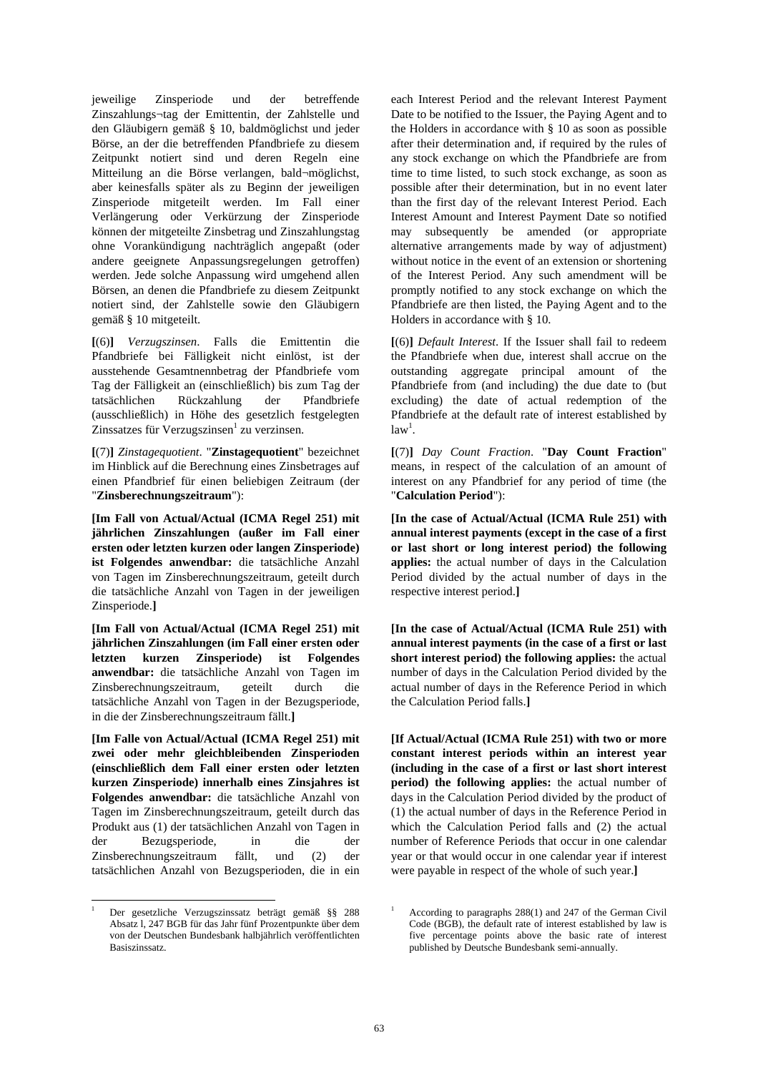jeweilige Zinsperiode und der betreffende Zinszahlungs¬tag der Emittentin, der Zahlstelle und den Gläubigern gemäß § 10, baldmöglichst und jeder Börse, an der die betreffenden Pfandbriefe zu diesem Zeitpunkt notiert sind und deren Regeln eine Mitteilung an die Börse verlangen, bald¬möglichst, aber keinesfalls später als zu Beginn der jeweiligen Zinsperiode mitgeteilt werden. Im Fall einer Verlängerung oder Verkürzung der Zinsperiode können der mitgeteilte Zinsbetrag und Zinszahlungstag ohne Vorankündigung nachträglich angepaßt (oder andere geeignete Anpassungsregelungen getroffen) werden. Jede solche Anpassung wird umgehend allen Börsen, an denen die Pfandbriefe zu diesem Zeitpunkt notiert sind, der Zahlstelle sowie den Gläubigern gemäß § 10 mitgeteilt.

**[**(6)**]** *Verzugszinsen*. Falls die Emittentin die Pfandbriefe bei Fälligkeit nicht einlöst, ist der ausstehende Gesamtnennbetrag der Pfandbriefe vom Tag der Fälligkeit an (einschließlich) bis zum Tag der tatsächlichen Rückzahlung der Pfandbriefe (ausschließlich) in Höhe des gesetzlich festgelegten Zinssatzes für Verzugszinsen<sup>1</sup> zu verzinsen.

**[**(7)**]** *Zinstagequotient*. "**Zinstagequotient**" bezeichnet im Hinblick auf die Berechnung eines Zinsbetrages auf einen Pfandbrief für einen beliebigen Zeitraum (der "**Zinsberechnungszeitraum**"):

**[Im Fall von Actual/Actual (ICMA Regel 251) mit jährlichen Zinszahlungen (außer im Fall einer ersten oder letzten kurzen oder langen Zinsperiode) ist Folgendes anwendbar:** die tatsächliche Anzahl von Tagen im Zinsberechnungszeitraum, geteilt durch die tatsächliche Anzahl von Tagen in der jeweiligen Zinsperiode.**]**

**[Im Fall von Actual/Actual (ICMA Regel 251) mit jährlichen Zinszahlungen (im Fall einer ersten oder letzten kurzen Zinsperiode) ist Folgendes anwendbar:** die tatsächliche Anzahl von Tagen im Zinsberechnungszeitraum, geteilt durch die tatsächliche Anzahl von Tagen in der Bezugsperiode, in die der Zinsberechnungszeitraum fällt.**]**

**[Im Falle von Actual/Actual (ICMA Regel 251) mit zwei oder mehr gleichbleibenden Zinsperioden (einschließlich dem Fall einer ersten oder letzten kurzen Zinsperiode) innerhalb eines Zinsjahres ist Folgendes anwendbar:** die tatsächliche Anzahl von Tagen im Zinsberechnungszeitraum, geteilt durch das Produkt aus (1) der tatsächlichen Anzahl von Tagen in der Bezugsperiode, in die der Zinsberechnungszeitraum fällt, und (2) der tatsächlichen Anzahl von Bezugsperioden, die in ein

each Interest Period and the relevant Interest Payment Date to be notified to the Issuer, the Paying Agent and to the Holders in accordance with § 10 as soon as possible after their determination and, if required by the rules of any stock exchange on which the Pfandbriefe are from time to time listed, to such stock exchange, as soon as possible after their determination, but in no event later than the first day of the relevant Interest Period. Each Interest Amount and Interest Payment Date so notified may subsequently be amended (or appropriate alternative arrangements made by way of adjustment) without notice in the event of an extension or shortening of the Interest Period. Any such amendment will be promptly notified to any stock exchange on which the Pfandbriefe are then listed, the Paying Agent and to the Holders in accordance with § 10.

**[**(6)**]** *Default Interest*. If the Issuer shall fail to redeem the Pfandbriefe when due, interest shall accrue on the outstanding aggregate principal amount of the Pfandbriefe from (and including) the due date to (but excluding) the date of actual redemption of the Pfandbriefe at the default rate of interest established by  $law<sup>1</sup>$ .

**[**(7)**]** *Day Count Fraction*. "**Day Count Fraction**" means, in respect of the calculation of an amount of interest on any Pfandbrief for any period of time (the "**Calculation Period**"):

**[In the case of Actual/Actual (ICMA Rule 251) with annual interest payments (except in the case of a first or last short or long interest period) the following applies:** the actual number of days in the Calculation Period divided by the actual number of days in the respective interest period.**]**

**[In the case of Actual/Actual (ICMA Rule 251) with annual interest payments (in the case of a first or last short interest period) the following applies:** the actual number of days in the Calculation Period divided by the actual number of days in the Reference Period in which the Calculation Period falls.**]**

**[If Actual/Actual (ICMA Rule 251) with two or more constant interest periods within an interest year (including in the case of a first or last short interest period) the following applies:** the actual number of days in the Calculation Period divided by the product of (1) the actual number of days in the Reference Period in which the Calculation Period falls and (2) the actual number of Reference Periods that occur in one calendar year or that would occur in one calendar year if interest were payable in respect of the whole of such year.**]**

l 1 Der gesetzliche Verzugszinssatz beträgt gemäß §§ 288 Absatz l, 247 BGB für das Jahr fünf Prozentpunkte über dem von der Deutschen Bundesbank halbjährlich veröffentlichten Basiszinssatz.

<sup>1</sup> According to paragraphs 288(1) and 247 of the German Civil Code (BGB), the default rate of interest established by law is five percentage points above the basic rate of interest published by Deutsche Bundesbank semi-annually.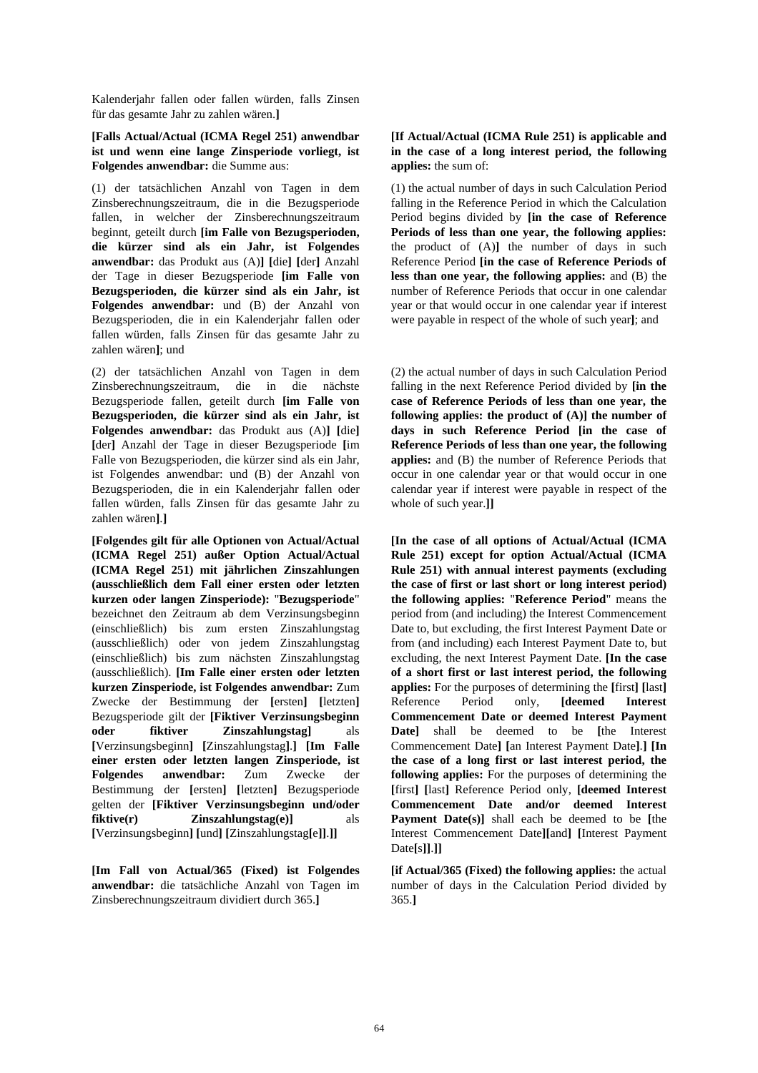Kalenderjahr fallen oder fallen würden, falls Zinsen für das gesamte Jahr zu zahlen wären.**]**

**[Falls Actual/Actual (ICMA Regel 251) anwendbar ist und wenn eine lange Zinsperiode vorliegt, ist Folgendes anwendbar:** die Summe aus:

(1) der tatsächlichen Anzahl von Tagen in dem Zinsberechnungszeitraum, die in die Bezugsperiode fallen, in welcher der Zinsberechnungszeitraum beginnt, geteilt durch **[im Falle von Bezugsperioden, die kürzer sind als ein Jahr, ist Folgendes anwendbar:** das Produkt aus (A)**] [**die**] [**der**]** Anzahl der Tage in dieser Bezugsperiode **[im Falle von Bezugsperioden, die kürzer sind als ein Jahr, ist Folgendes anwendbar:** und (B) der Anzahl von Bezugsperioden, die in ein Kalenderjahr fallen oder fallen würden, falls Zinsen für das gesamte Jahr zu zahlen wären**]**; und

(2) der tatsächlichen Anzahl von Tagen in dem Zinsberechnungszeitraum, die in die nächste Bezugsperiode fallen, geteilt durch **[im Falle von Bezugsperioden, die kürzer sind als ein Jahr, ist Folgendes anwendbar:** das Produkt aus (A)**] [**die**] [**der**]** Anzahl der Tage in dieser Bezugsperiode **[**im Falle von Bezugsperioden, die kürzer sind als ein Jahr, ist Folgendes anwendbar: und (B) der Anzahl von Bezugsperioden, die in ein Kalenderjahr fallen oder fallen würden, falls Zinsen für das gesamte Jahr zu zahlen wären**]**.**]**

**[Folgendes gilt für alle Optionen von Actual/Actual (ICMA Regel 251) außer Option Actual/Actual (ICMA Regel 251) mit jährlichen Zinszahlungen (ausschließlich dem Fall einer ersten oder letzten kurzen oder langen Zinsperiode):** "**Bezugsperiode**" bezeichnet den Zeitraum ab dem Verzinsungsbeginn (einschließlich) bis zum ersten Zinszahlungstag (ausschließlich) oder von jedem Zinszahlungstag (einschließlich) bis zum nächsten Zinszahlungstag (ausschließlich). **[Im Falle einer ersten oder letzten kurzen Zinsperiode, ist Folgendes anwendbar:** Zum Zwecke der Bestimmung der **[**ersten**] [**letzten**]** Bezugsperiode gilt der **[Fiktiver Verzinsungsbeginn oder fiktiver Zinszahlungstag]** als **[**Verzinsungsbeginn**] [**Zinszahlungstag**]**.**] [Im Falle einer ersten oder letzten langen Zinsperiode, ist Folgendes anwendbar:** Zum Zwecke der Bestimmung der **[**ersten**] [**letzten**]** Bezugsperiode gelten der **[Fiktiver Verzinsungsbeginn und/oder fiktive(r) Zinszahlungstag(e)]** als **[**Verzinsungsbeginn**] [**und**] [**Zinszahlungstag**[**e**]]**.**]]**

**[Im Fall von Actual/365 (Fixed) ist Folgendes anwendbar:** die tatsächliche Anzahl von Tagen im Zinsberechnungszeitraum dividiert durch 365.**]**

## **[If Actual/Actual (ICMA Rule 251) is applicable and in the case of a long interest period, the following applies:** the sum of:

 (1) the actual number of days in such Calculation Period falling in the Reference Period in which the Calculation Period begins divided by **[in the case of Reference Periods of less than one year, the following applies:** the product of (A)**]** the number of days in such Reference Period **[in the case of Reference Periods of less than one year, the following applies:** and (B) the number of Reference Periods that occur in one calendar year or that would occur in one calendar year if interest were payable in respect of the whole of such year**]**; and

 (2) the actual number of days in such Calculation Period falling in the next Reference Period divided by **[in the case of Reference Periods of less than one year, the following applies: the product of (A)] the number of days in such Reference Period [in the case of Reference Periods of less than one year, the following applies:** and (B) the number of Reference Periods that occur in one calendar year or that would occur in one calendar year if interest were payable in respect of the whole of such year.**]]**

**[In the case of all options of Actual/Actual (ICMA Rule 251) except for option Actual/Actual (ICMA Rule 251) with annual interest payments (excluding the case of first or last short or long interest period) the following applies:** "**Reference Period**" means the period from (and including) the Interest Commencement Date to, but excluding, the first Interest Payment Date or from (and including) each Interest Payment Date to, but excluding, the next Interest Payment Date. **[In the case of a short first or last interest period, the following applies:** For the purposes of determining the **[**first**] [**last**]** Reference Period only, **[deemed Interest Commencement Date or deemed Interest Payment Date]** shall be deemed to be **[**the Interest Commencement Date**] [**an Interest Payment Date**]**.**] [In the case of a long first or last interest period, the following applies:** For the purposes of determining the **[**first**] [**last**]** Reference Period only, **[deemed Interest Commencement Date and/or deemed Interest Payment Date(s)]** shall each be deemed to be **[**the Interest Commencement Date**][**and**] [**Interest Payment Date**[**s**]]**.**]]**

**[if Actual/365 (Fixed) the following applies:** the actual number of days in the Calculation Period divided by 365.**]**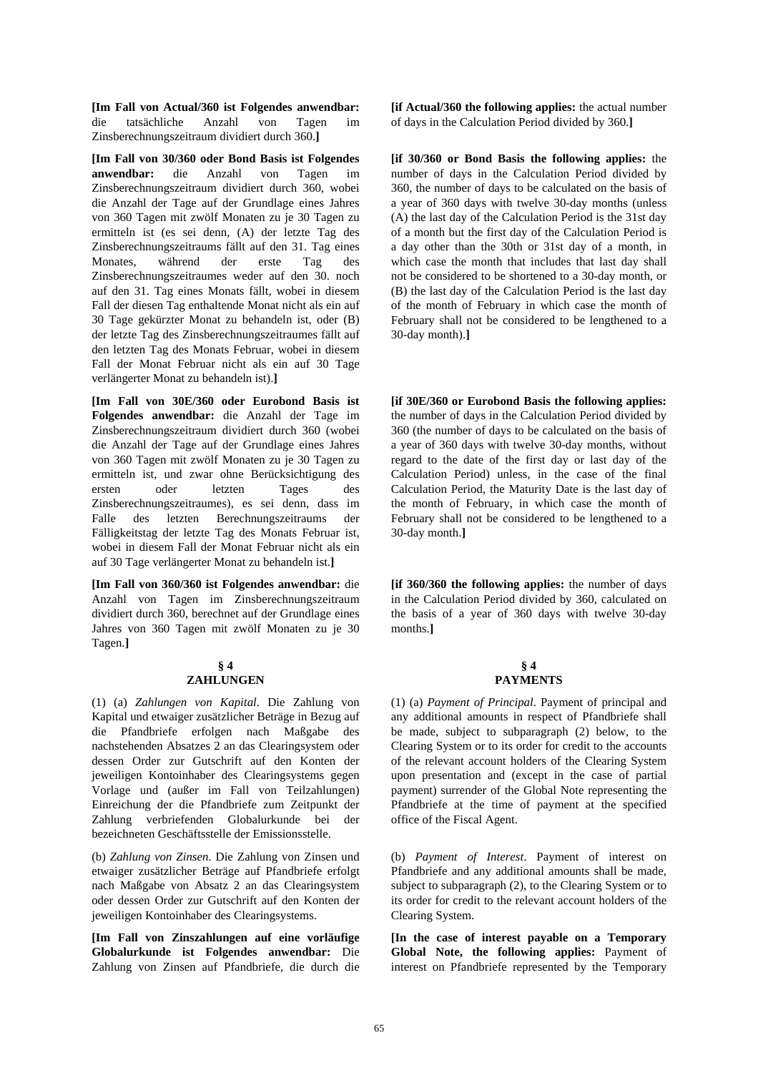**[Im Fall von Actual/360 ist Folgendes anwendbar:** die tatsächliche Anzahl von Tagen im Zinsberechnungszeitraum dividiert durch 360.**]**

**[Im Fall von 30/360 oder Bond Basis ist Folgendes anwendbar:** die Anzahl von Tagen im Zinsberechnungszeitraum dividiert durch 360, wobei die Anzahl der Tage auf der Grundlage eines Jahres von 360 Tagen mit zwölf Monaten zu je 30 Tagen zu ermitteln ist (es sei denn, (A) der letzte Tag des Zinsberechnungszeitraums fällt auf den 31. Tag eines Monates, während der erste Tag des Zinsberechnungszeitraumes weder auf den 30. noch auf den 31. Tag eines Monats fällt, wobei in diesem Fall der diesen Tag enthaltende Monat nicht als ein auf 30 Tage gekürzter Monat zu behandeln ist, oder (B) der letzte Tag des Zinsberechnungszeitraumes fällt auf den letzten Tag des Monats Februar, wobei in diesem Fall der Monat Februar nicht als ein auf 30 Tage verlängerter Monat zu behandeln ist).**]**

**[Im Fall von 30E/360 oder Eurobond Basis ist Folgendes anwendbar:** die Anzahl der Tage im Zinsberechnungszeitraum dividiert durch 360 (wobei die Anzahl der Tage auf der Grundlage eines Jahres von 360 Tagen mit zwölf Monaten zu je 30 Tagen zu ermitteln ist, und zwar ohne Berücksichtigung des ersten oder letzten Tages des Zinsberechnungszeitraumes), es sei denn, dass im Falle des letzten Berechnungszeitraums der Fälligkeitstag der letzte Tag des Monats Februar ist, wobei in diesem Fall der Monat Februar nicht als ein auf 30 Tage verlängerter Monat zu behandeln ist.**]**

**[Im Fall von 360/360 ist Folgendes anwendbar:** die Anzahl von Tagen im Zinsberechnungszeitraum dividiert durch 360, berechnet auf der Grundlage eines Jahres von 360 Tagen mit zwölf Monaten zu je 30 Tagen.**]**

## **§ 4 ZAHLUNGEN**

(1) (a) *Zahlungen von Kapital*. Die Zahlung von Kapital und etwaiger zusätzlicher Beträge in Bezug auf die Pfandbriefe erfolgen nach Maßgabe des nachstehenden Absatzes 2 an das Clearingsystem oder dessen Order zur Gutschrift auf den Konten der jeweiligen Kontoinhaber des Clearingsystems gegen Vorlage und (außer im Fall von Teilzahlungen) Einreichung der die Pfandbriefe zum Zeitpunkt der Zahlung verbriefenden Globalurkunde bei der bezeichneten Geschäftsstelle der Emissionsstelle.

(b) *Zahlung von Zinsen*. Die Zahlung von Zinsen und etwaiger zusätzlicher Beträge auf Pfandbriefe erfolgt nach Maßgabe von Absatz 2 an das Clearingsystem oder dessen Order zur Gutschrift auf den Konten der jeweiligen Kontoinhaber des Clearingsystems.

**[Im Fall von Zinszahlungen auf eine vorläufige Globalurkunde ist Folgendes anwendbar:** Die Zahlung von Zinsen auf Pfandbriefe, die durch die **[if Actual/360 the following applies:** the actual number of days in the Calculation Period divided by 360.**]**

**[if 30/360 or Bond Basis the following applies:** the number of days in the Calculation Period divided by 360, the number of days to be calculated on the basis of a year of 360 days with twelve 30-day months (unless (A) the last day of the Calculation Period is the 31st day of a month but the first day of the Calculation Period is a day other than the 30th or 31st day of a month, in which case the month that includes that last day shall not be considered to be shortened to a 30-day month, or (B) the last day of the Calculation Period is the last day of the month of February in which case the month of February shall not be considered to be lengthened to a 30-day month).**]**

**[if 30E/360 or Eurobond Basis the following applies:** the number of days in the Calculation Period divided by 360 (the number of days to be calculated on the basis of a year of 360 days with twelve 30-day months, without regard to the date of the first day or last day of the Calculation Period) unless, in the case of the final Calculation Period, the Maturity Date is the last day of the month of February, in which case the month of February shall not be considered to be lengthened to a 30-day month.**]**

**[if 360/360 the following applies:** the number of days in the Calculation Period divided by 360, calculated on the basis of a year of 360 days with twelve 30-day months.**]**

## **§ 4 PAYMENTS**

 (1) (a) *Payment of Principal*. Payment of principal and any additional amounts in respect of Pfandbriefe shall be made, subject to subparagraph (2) below, to the Clearing System or to its order for credit to the accounts of the relevant account holders of the Clearing System upon presentation and (except in the case of partial payment) surrender of the Global Note representing the Pfandbriefe at the time of payment at the specified office of the Fiscal Agent.

 (b) *Payment of Interest*. Payment of interest on Pfandbriefe and any additional amounts shall be made, subject to subparagraph (2), to the Clearing System or to its order for credit to the relevant account holders of the Clearing System.

**[In the case of interest payable on a Temporary Global Note, the following applies:** Payment of interest on Pfandbriefe represented by the Temporary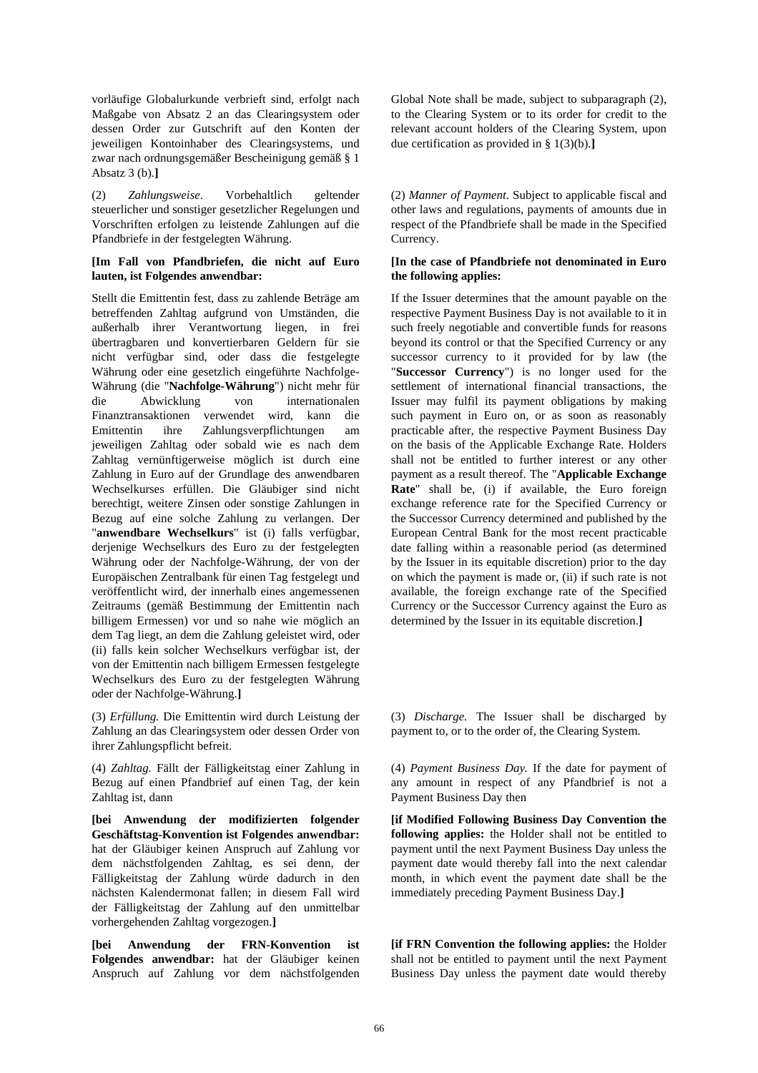vorläufige Globalurkunde verbrieft sind, erfolgt nach Maßgabe von Absatz 2 an das Clearingsystem oder dessen Order zur Gutschrift auf den Konten der jeweiligen Kontoinhaber des Clearingsystems, und zwar nach ordnungsgemäßer Bescheinigung gemäß § 1 Absatz 3 (b).**]**

(2) *Zahlungsweise*. Vorbehaltlich geltender steuerlicher und sonstiger gesetzlicher Regelungen und Vorschriften erfolgen zu leistende Zahlungen auf die Pfandbriefe in der festgelegten Währung.

## **[Im Fall von Pfandbriefen, die nicht auf Euro lauten, ist Folgendes anwendbar:**

Stellt die Emittentin fest, dass zu zahlende Beträge am betreffenden Zahltag aufgrund von Umständen, die außerhalb ihrer Verantwortung liegen, in frei übertragbaren und konvertierbaren Geldern für sie nicht verfügbar sind, oder dass die festgelegte Währung oder eine gesetzlich eingeführte Nachfolge-Währung (die "**Nachfolge-Währung**") nicht mehr für die Abwicklung von internationalen Finanztransaktionen verwendet wird, kann die Emittentin ihre Zahlungsverpflichtungen am jeweiligen Zahltag oder sobald wie es nach dem Zahltag vernünftigerweise möglich ist durch eine Zahlung in Euro auf der Grundlage des anwendbaren Wechselkurses erfüllen. Die Gläubiger sind nicht berechtigt, weitere Zinsen oder sonstige Zahlungen in Bezug auf eine solche Zahlung zu verlangen. Der "**anwendbare Wechselkurs**" ist (i) falls verfügbar, derjenige Wechselkurs des Euro zu der festgelegten Währung oder der Nachfolge-Währung, der von der Europäischen Zentralbank für einen Tag festgelegt und veröffentlicht wird, der innerhalb eines angemessenen Zeitraums (gemäß Bestimmung der Emittentin nach billigem Ermessen) vor und so nahe wie möglich an dem Tag liegt, an dem die Zahlung geleistet wird, oder (ii) falls kein solcher Wechselkurs verfügbar ist, der von der Emittentin nach billigem Ermessen festgelegte Wechselkurs des Euro zu der festgelegten Währung oder der Nachfolge-Währung.**]**

(3) *Erfüllung.* Die Emittentin wird durch Leistung der Zahlung an das Clearingsystem oder dessen Order von ihrer Zahlungspflicht befreit.

(4) *Zahltag.* Fällt der Fälligkeitstag einer Zahlung in Bezug auf einen Pfandbrief auf einen Tag, der kein Zahltag ist, dann

**[bei Anwendung der modifizierten folgender Geschäftstag-Konvention ist Folgendes anwendbar:** hat der Gläubiger keinen Anspruch auf Zahlung vor dem nächstfolgenden Zahltag, es sei denn, der Fälligkeitstag der Zahlung würde dadurch in den nächsten Kalendermonat fallen; in diesem Fall wird der Fälligkeitstag der Zahlung auf den unmittelbar vorhergehenden Zahltag vorgezogen.**]**

**[bei Anwendung der FRN-Konvention ist Folgendes anwendbar:** hat der Gläubiger keinen Anspruch auf Zahlung vor dem nächstfolgenden

Global Note shall be made, subject to subparagraph (2), to the Clearing System or to its order for credit to the relevant account holders of the Clearing System, upon due certification as provided in § 1(3)(b).**]**

 (2) *Manner of Payment*. Subject to applicable fiscal and other laws and regulations, payments of amounts due in respect of the Pfandbriefe shall be made in the Specified Currency.

## **[In the case of Pfandbriefe not denominated in Euro the following applies:**

If the Issuer determines that the amount payable on the respective Payment Business Day is not available to it in such freely negotiable and convertible funds for reasons beyond its control or that the Specified Currency or any successor currency to it provided for by law (the "**Successor Currency**") is no longer used for the settlement of international financial transactions, the Issuer may fulfil its payment obligations by making such payment in Euro on, or as soon as reasonably practicable after, the respective Payment Business Day on the basis of the Applicable Exchange Rate. Holders shall not be entitled to further interest or any other payment as a result thereof. The "**Applicable Exchange Rate**" shall be, (i) if available, the Euro foreign exchange reference rate for the Specified Currency or the Successor Currency determined and published by the European Central Bank for the most recent practicable date falling within a reasonable period (as determined by the Issuer in its equitable discretion) prior to the day on which the payment is made or, (ii) if such rate is not available, the foreign exchange rate of the Specified Currency or the Successor Currency against the Euro as determined by the Issuer in its equitable discretion.**]**

 (3) *Discharge.* The Issuer shall be discharged by payment to, or to the order of, the Clearing System.

 (4) *Payment Business Day.* If the date for payment of any amount in respect of any Pfandbrief is not a Payment Business Day then

**[if Modified Following Business Day Convention the following applies:** the Holder shall not be entitled to payment until the next Payment Business Day unless the payment date would thereby fall into the next calendar month, in which event the payment date shall be the immediately preceding Payment Business Day.**]**

**[if FRN Convention the following applies:** the Holder shall not be entitled to payment until the next Payment Business Day unless the payment date would thereby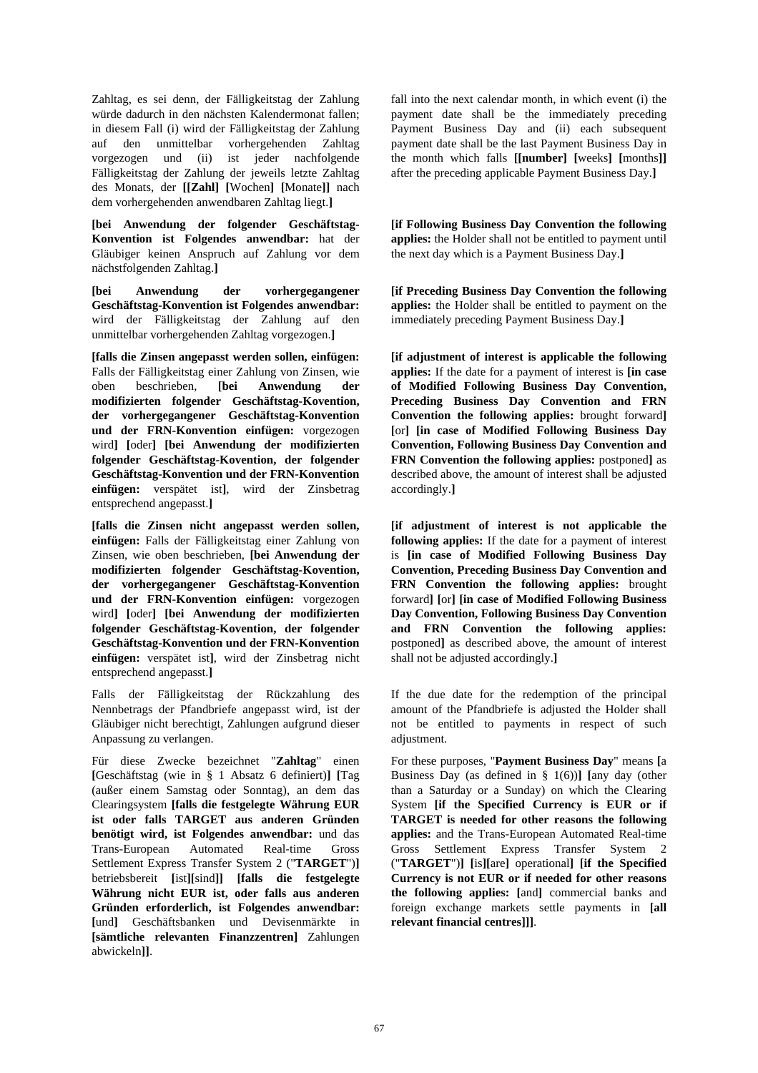Zahltag, es sei denn, der Fälligkeitstag der Zahlung würde dadurch in den nächsten Kalendermonat fallen; in diesem Fall (i) wird der Fälligkeitstag der Zahlung auf den unmittelbar vorhergehenden Zahltag vorgezogen und (ii) ist jeder nachfolgende Fälligkeitstag der Zahlung der jeweils letzte Zahltag des Monats, der **[[Zahl] [**Wochen**] [**Monate**]]** nach dem vorhergehenden anwendbaren Zahltag liegt.**]**

**[bei Anwendung der folgender Geschäftstag-Konvention ist Folgendes anwendbar:** hat der Gläubiger keinen Anspruch auf Zahlung vor dem nächstfolgenden Zahltag.**]**

**[bei Anwendung der vorhergegangener Geschäftstag-Konvention ist Folgendes anwendbar:** wird der Fälligkeitstag der Zahlung auf den unmittelbar vorhergehenden Zahltag vorgezogen.**]**

**[falls die Zinsen angepasst werden sollen, einfügen:** Falls der Fälligkeitstag einer Zahlung von Zinsen, wie oben beschrieben, **[bei Anwendung der modifizierten folgender Geschäftstag-Kovention, der vorhergegangener Geschäftstag-Konvention und der FRN-Konvention einfügen:** vorgezogen wird**] [**oder**] [bei Anwendung der modifizierten folgender Geschäftstag-Kovention, der folgender Geschäftstag-Konvention und der FRN-Konvention einfügen:** verspätet ist**]**, wird der Zinsbetrag entsprechend angepasst.**]**

**[falls die Zinsen nicht angepasst werden sollen, einfügen:** Falls der Fälligkeitstag einer Zahlung von Zinsen, wie oben beschrieben, **[bei Anwendung der modifizierten folgender Geschäftstag-Kovention, der vorhergegangener Geschäftstag-Konvention und der FRN-Konvention einfügen:** vorgezogen wird**] [**oder**] [bei Anwendung der modifizierten folgender Geschäftstag-Kovention, der folgender Geschäftstag-Konvention und der FRN-Konvention einfügen:** verspätet ist**]**, wird der Zinsbetrag nicht entsprechend angepasst.**]**

Falls der Fälligkeitstag der Rückzahlung des Nennbetrags der Pfandbriefe angepasst wird, ist der Gläubiger nicht berechtigt, Zahlungen aufgrund dieser Anpassung zu verlangen.

Für diese Zwecke bezeichnet "**Zahltag**" einen **[**Geschäftstag (wie in § 1 Absatz 6 definiert)**] [**Tag (außer einem Samstag oder Sonntag), an dem das Clearingsystem **[falls die festgelegte Währung EUR ist oder falls TARGET aus anderen Gründen benötigt wird, ist Folgendes anwendbar:** und das Trans-European Automated Real-time Gross Settlement Express Transfer System 2 ("**TARGET**")**]** betriebsbereit **[**ist**][**sind**]] [falls die festgelegte Währung nicht EUR ist, oder falls aus anderen Gründen erforderlich, ist Folgendes anwendbar: [**und**]** Geschäftsbanken und Devisenmärkte in **[sämtliche relevanten Finanzzentren]** Zahlungen abwickeln**]]**.

fall into the next calendar month, in which event (i) the payment date shall be the immediately preceding Payment Business Day and (ii) each subsequent payment date shall be the last Payment Business Day in the month which falls **[[number] [**weeks**] [**months**]]** after the preceding applicable Payment Business Day.**]**

**[if Following Business Day Convention the following applies:** the Holder shall not be entitled to payment until the next day which is a Payment Business Day.**]**

**[if Preceding Business Day Convention the following applies:** the Holder shall be entitled to payment on the immediately preceding Payment Business Day.**]**

**[if adjustment of interest is applicable the following applies:** If the date for a payment of interest is **[in case of Modified Following Business Day Convention, Preceding Business Day Convention and FRN Convention the following applies:** brought forward**] [**or**] [in case of Modified Following Business Day Convention, Following Business Day Convention and FRN Convention the following applies:** postponed**]** as described above, the amount of interest shall be adjusted accordingly.**]**

**[if adjustment of interest is not applicable the following applies:** If the date for a payment of interest is **[in case of Modified Following Business Day Convention, Preceding Business Day Convention and FRN Convention the following applies:** brought forward**] [**or**] [in case of Modified Following Business Day Convention, Following Business Day Convention and FRN Convention the following applies:** postponed**]** as described above, the amount of interest shall not be adjusted accordingly.**]**

If the due date for the redemption of the principal amount of the Pfandbriefe is adjusted the Holder shall not be entitled to payments in respect of such adjustment.

 For these purposes, "**Payment Business Day**" means **[**a Business Day (as defined in § 1(6))**] [**any day (other than a Saturday or a Sunday) on which the Clearing System **[if the Specified Currency is EUR or if TARGET is needed for other reasons the following applies:** and the Trans-European Automated Real-time Gross Settlement Express Transfer System 2 ("**TARGET**")**] [**is**][**are**]** operational**] [if the Specified Currency is not EUR or if needed for other reasons the following applies: [**and**]** commercial banks and foreign exchange markets settle payments in **[all relevant financial centres]]]**.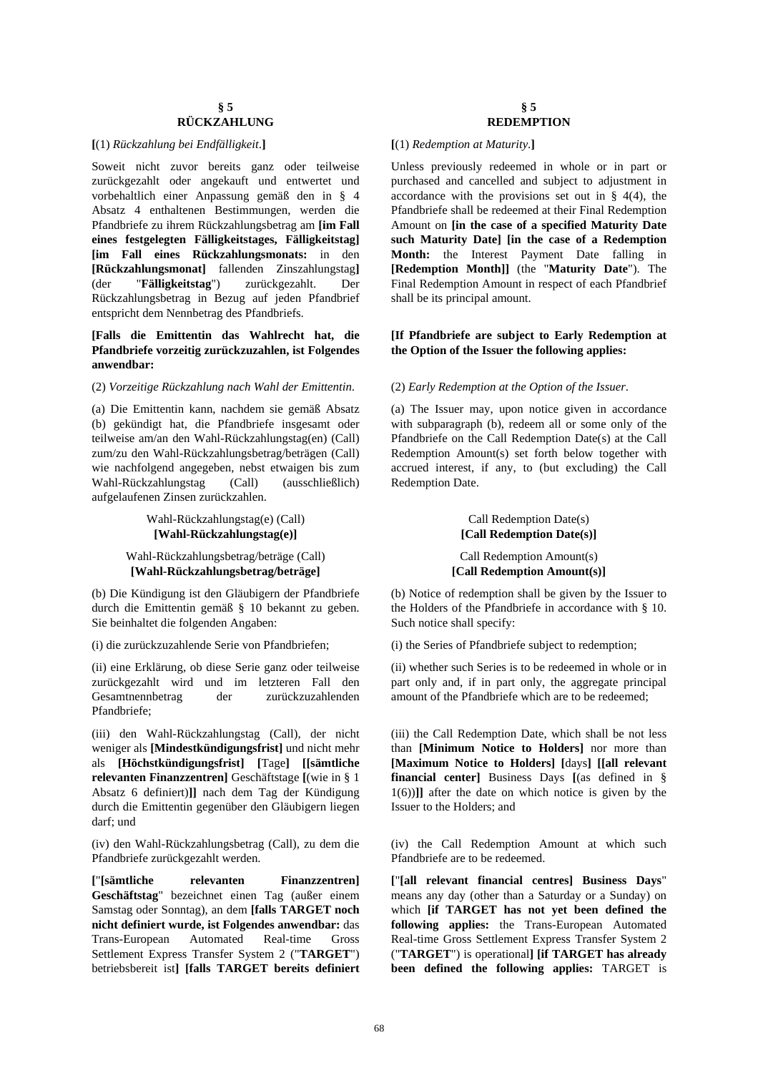## **§ 5 RÜCKZAHLUNG**

#### **[**(1) *Rückzahlung bei Endfälligkeit*.**] [**(1) *Redemption at Maturity*.**]**

Soweit nicht zuvor bereits ganz oder teilweise zurückgezahlt oder angekauft und entwertet und vorbehaltlich einer Anpassung gemäß den in § 4 Absatz 4 enthaltenen Bestimmungen, werden die Pfandbriefe zu ihrem Rückzahlungsbetrag am **[im Fall eines festgelegten Fälligkeitstages, Fälligkeitstag] [im Fall eines Rückzahlungsmonats:** in den **[Rückzahlungsmonat]** fallenden Zinszahlungstag**]** (der "**Fälligkeitstag**") zurückgezahlt. Der Rückzahlungsbetrag in Bezug auf jeden Pfandbrief entspricht dem Nennbetrag des Pfandbriefs.

### **[Falls die Emittentin das Wahlrecht hat, die Pfandbriefe vorzeitig zurückzuzahlen, ist Folgendes anwendbar:**

## (2) *Vorzeitige Rückzahlung nach Wahl der Emittentin*. (2) *Early Redemption at the Option of the Issuer*.

(a) Die Emittentin kann, nachdem sie gemäß Absatz (b) gekündigt hat, die Pfandbriefe insgesamt oder teilweise am/an den Wahl-Rückzahlungstag(en) (Call) zum/zu den Wahl-Rückzahlungsbetrag/beträgen (Call) wie nachfolgend angegeben, nebst etwaigen bis zum Wahl-Rückzahlungstag (Call) (ausschließlich) aufgelaufenen Zinsen zurückzahlen.

#### Wahl-Rückzahlungstag(e) (Call) **[Wahl-Rückzahlungstag(e)]**

#### Wahl-Rückzahlungsbetrag/beträge (Call) **[Wahl-Rückzahlungsbetrag/beträge]**

(b) Die Kündigung ist den Gläubigern der Pfandbriefe durch die Emittentin gemäß § 10 bekannt zu geben. Sie beinhaltet die folgenden Angaben:

(ii) eine Erklärung, ob diese Serie ganz oder teilweise zurückgezahlt wird und im letzteren Fall den Gesamtnennbetrag der zurückzuzahlenden Pfandbriefe;

(iii) den Wahl-Rückzahlungstag (Call), der nicht weniger als **[Mindestkündigungsfrist]** und nicht mehr als **[Höchstkündigungsfrist] [**Tage**] [[sämtliche relevanten Finanzzentren]** Geschäftstage **[**(wie in § 1 Absatz 6 definiert)**]]** nach dem Tag der Kündigung durch die Emittentin gegenüber den Gläubigern liegen darf; und

(iv) den Wahl-Rückzahlungsbetrag (Call), zu dem die Pfandbriefe zurückgezahlt werden.

**[**"**[sämtliche relevanten Finanzzentren] Geschäftstag**" bezeichnet einen Tag (außer einem Samstag oder Sonntag), an dem **[falls TARGET noch nicht definiert wurde, ist Folgendes anwendbar:** das Trans-European Automated Real-time Gross Settlement Express Transfer System 2 ("**TARGET**") betriebsbereit ist**] [falls TARGET bereits definiert** 

## **§ 5 REDEMPTION**

 Unless previously redeemed in whole or in part or purchased and cancelled and subject to adjustment in accordance with the provisions set out in  $\S$  4(4), the Pfandbriefe shall be redeemed at their Final Redemption Amount on **[in the case of a specified Maturity Date such Maturity Date] [in the case of a Redemption Month:** the Interest Payment Date falling in **[Redemption Month]]** (the "**Maturity Date**"). The Final Redemption Amount in respect of each Pfandbrief shall be its principal amount.

### **[If Pfandbriefe are subject to Early Redemption at the Option of the Issuer the following applies:**

 (a) The Issuer may, upon notice given in accordance with subparagraph (b), redeem all or some only of the Pfandbriefe on the Call Redemption Date(s) at the Call Redemption Amount(s) set forth below together with accrued interest, if any, to (but excluding) the Call Redemption Date.

## Call Redemption Date(s) **[Call Redemption Date(s)]**

#### Call Redemption Amount(s) **[Call Redemption Amount(s)]**

 (b) Notice of redemption shall be given by the Issuer to the Holders of the Pfandbriefe in accordance with § 10. Such notice shall specify:

(i) die zurückzuzahlende Serie von Pfandbriefen; (i) the Series of Pfandbriefe subject to redemption;

(ii) whether such Series is to be redeemed in whole or in part only and, if in part only, the aggregate principal amount of the Pfandbriefe which are to be redeemed;

(iii) the Call Redemption Date, which shall be not less than **[Minimum Notice to Holders]** nor more than **[Maximum Notice to Holders] [**days**] [[all relevant financial center]** Business Days **[**(as defined in § 1(6))**]]** after the date on which notice is given by the Issuer to the Holders; and

(iv) the Call Redemption Amount at which such Pfandbriefe are to be redeemed.

**[**"**[all relevant financial centres] Business Days**" means any day (other than a Saturday or a Sunday) on which **[if TARGET has not yet been defined the following applies:** the Trans-European Automated Real-time Gross Settlement Express Transfer System 2 ("**TARGET**") is operational**] [if TARGET has already been defined the following applies:** TARGET is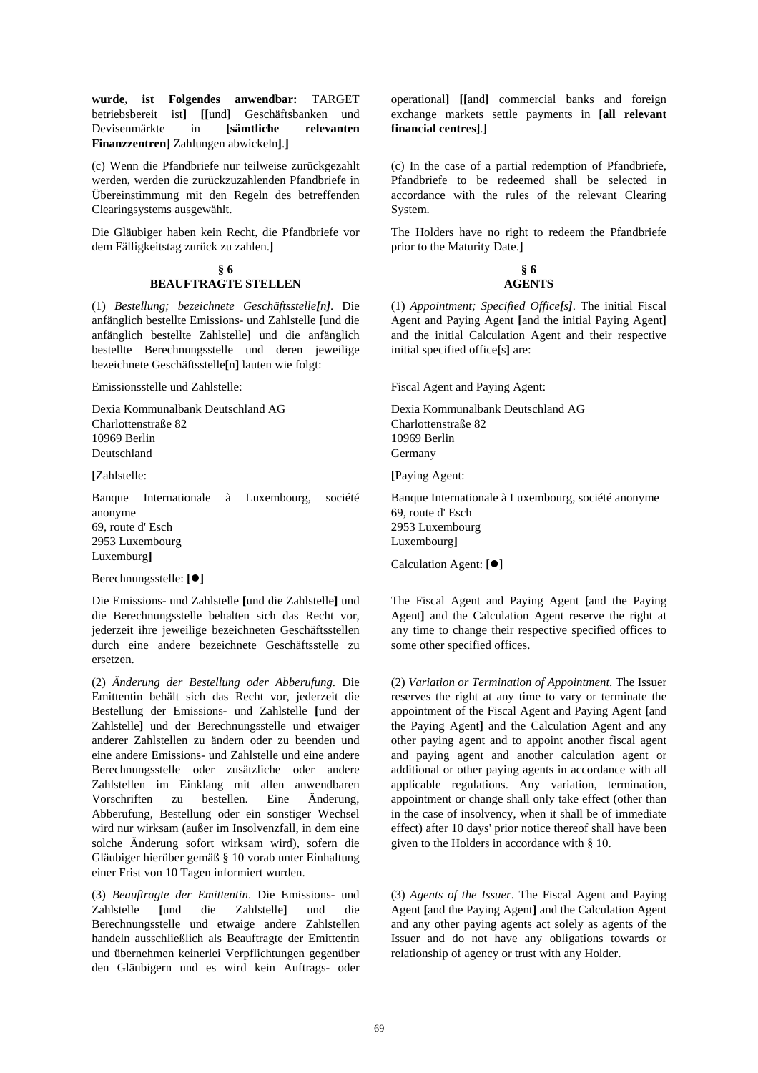**wurde, ist Folgendes anwendbar:** TARGET betriebsbereit ist**] [[**und**]** Geschäftsbanken und Devisenmärkte in **[sämtliche relevanten Finanzzentren]** Zahlungen abwickeln**]**.**]**

(c) Wenn die Pfandbriefe nur teilweise zurückgezahlt werden, werden die zurückzuzahlenden Pfandbriefe in Übereinstimmung mit den Regeln des betreffenden Clearingsystems ausgewählt.

Die Gläubiger haben kein Recht, die Pfandbriefe vor dem Fälligkeitstag zurück zu zahlen.**]**

#### **§ 6 BEAUFTRAGTE STELLEN**

(1) *Bestellung; bezeichnete Geschäftsstelle[n]*. Die anfänglich bestellte Emissions- und Zahlstelle **[**und die anfänglich bestellte Zahlstelle**]** und die anfänglich bestellte Berechnungsstelle und deren jeweilige bezeichnete Geschäftsstelle**[**n**]** lauten wie folgt:

Emissionsstelle und Zahlstelle:

Dexia Kommunalbank Deutschland AG Charlottenstraße 82 10969 Berlin Deutschland

**[**Zahlstelle:

Banque Internationale à Luxembourg, société anonyme 69, route d' Esch 2953 Luxembourg Luxemburg**]**

Berechnungsstelle: **[]**

Die Emissions- und Zahlstelle **[**und die Zahlstelle**]** und die Berechnungsstelle behalten sich das Recht vor, jederzeit ihre jeweilige bezeichneten Geschäftsstellen durch eine andere bezeichnete Geschäftsstelle zu ersetzen.

(2) *Änderung der Bestellung oder Abberufung*. Die Emittentin behält sich das Recht vor, jederzeit die Bestellung der Emissions- und Zahlstelle **[**und der Zahlstelle**]** und der Berechnungsstelle und etwaiger anderer Zahlstellen zu ändern oder zu beenden und eine andere Emissions- und Zahlstelle und eine andere Berechnungsstelle oder zusätzliche oder andere Zahlstellen im Einklang mit allen anwendbaren Vorschriften zu bestellen. Eine Änderung, Abberufung, Bestellung oder ein sonstiger Wechsel wird nur wirksam (außer im Insolvenzfall, in dem eine solche Änderung sofort wirksam wird), sofern die Gläubiger hierüber gemäß § 10 vorab unter Einhaltung einer Frist von 10 Tagen informiert wurden.

(3) *Beauftragte der Emittentin*. Die Emissions- und Zahlstelle **[**und die Zahlstelle**]** und die Berechnungsstelle und etwaige andere Zahlstellen handeln ausschließlich als Beauftragte der Emittentin und übernehmen keinerlei Verpflichtungen gegenüber den Gläubigern und es wird kein Auftrags- oder

operational**] [[**and**]** commercial banks and foreign exchange markets settle payments in **[all relevant financial centres]**.**]**

 (c) In the case of a partial redemption of Pfandbriefe, Pfandbriefe to be redeemed shall be selected in accordance with the rules of the relevant Clearing System.

The Holders have no right to redeem the Pfandbriefe prior to the Maturity Date.**]**

#### **§ 6 AGENTS**

 (1) *Appointment; Specified Office[s]*. The initial Fiscal Agent and Paying Agent **[**and the initial Paying Agent**]** and the initial Calculation Agent and their respective initial specified office**[**s**]** are:

Fiscal Agent and Paying Agent:

Dexia Kommunalbank Deutschland AG Charlottenstraße 82 10969 Berlin Germany

**[**Paying Agent:

Banque Internationale à Luxembourg, société anonyme 69, route d' Esch 2953 Luxembourg Luxembourg**]**

Calculation Agent: **[]**

 The Fiscal Agent and Paying Agent **[**and the Paying Agent**]** and the Calculation Agent reserve the right at any time to change their respective specified offices to some other specified offices.

 (2) *Variation or Termination of Appointment*. The Issuer reserves the right at any time to vary or terminate the appointment of the Fiscal Agent and Paying Agent **[**and the Paying Agent**]** and the Calculation Agent and any other paying agent and to appoint another fiscal agent and paying agent and another calculation agent or additional or other paying agents in accordance with all applicable regulations. Any variation, termination, appointment or change shall only take effect (other than in the case of insolvency, when it shall be of immediate effect) after 10 days' prior notice thereof shall have been given to the Holders in accordance with § 10.

 (3) *Agents of the Issuer*. The Fiscal Agent and Paying Agent **[**and the Paying Agent**]** and the Calculation Agent and any other paying agents act solely as agents of the Issuer and do not have any obligations towards or relationship of agency or trust with any Holder.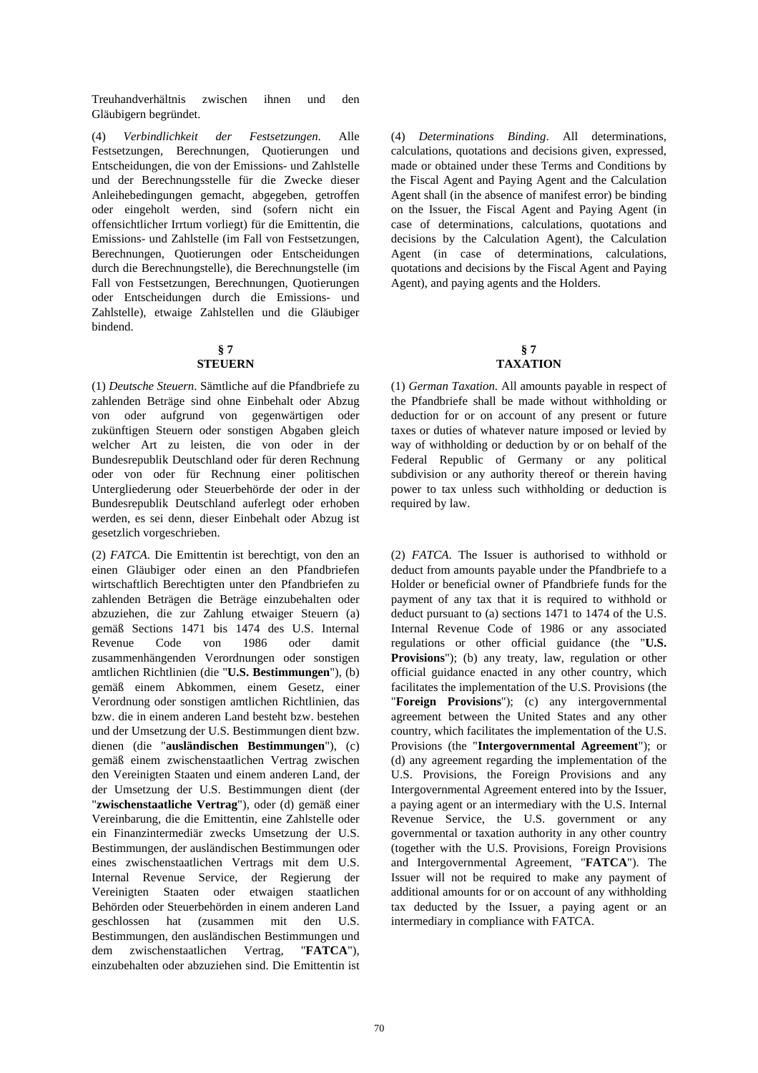Treuhandverhältnis zwischen ihnen und den Gläubigern begründet.

(4) *Verbindlichkeit der Festsetzungen*. Alle Festsetzungen, Berechnungen, Quotierungen und Entscheidungen, die von der Emissions- und Zahlstelle und der Berechnungsstelle für die Zwecke dieser Anleihebedingungen gemacht, abgegeben, getroffen oder eingeholt werden, sind (sofern nicht ein offensichtlicher Irrtum vorliegt) für die Emittentin, die Emissions- und Zahlstelle (im Fall von Festsetzungen, Berechnungen, Quotierungen oder Entscheidungen durch die Berechnungstelle), die Berechnungstelle (im Fall von Festsetzungen, Berechnungen, Quotierungen oder Entscheidungen durch die Emissions- und Zahlstelle), etwaige Zahlstellen und die Gläubiger bindend.

#### **§ 7 STEUERN**

## (1) *Deutsche Steuern*. Sämtliche auf die Pfandbriefe zu zahlenden Beträge sind ohne Einbehalt oder Abzug von oder aufgrund von gegenwärtigen oder zukünftigen Steuern oder sonstigen Abgaben gleich welcher Art zu leisten, die von oder in der Bundesrepublik Deutschland oder für deren Rechnung oder von oder für Rechnung einer politischen Untergliederung oder Steuerbehörde der oder in der Bundesrepublik Deutschland auferlegt oder erhoben werden, es sei denn, dieser Einbehalt oder Abzug ist gesetzlich vorgeschrieben.

(2) *FATCA*. Die Emittentin ist berechtigt, von den an einen Gläubiger oder einen an den Pfandbriefen wirtschaftlich Berechtigten unter den Pfandbriefen zu zahlenden Beträgen die Beträge einzubehalten oder abzuziehen, die zur Zahlung etwaiger Steuern (a) gemäß Sections 1471 bis 1474 des U.S. Internal Revenue Code von 1986 oder damit zusammenhängenden Verordnungen oder sonstigen amtlichen Richtlinien (die "**U.S. Bestimmungen**"), (b) gemäß einem Abkommen, einem Gesetz, einer Verordnung oder sonstigen amtlichen Richtlinien, das bzw. die in einem anderen Land besteht bzw. bestehen und der Umsetzung der U.S. Bestimmungen dient bzw. dienen (die "**ausländischen Bestimmungen**"), (c) gemäß einem zwischenstaatlichen Vertrag zwischen den Vereinigten Staaten und einem anderen Land, der der Umsetzung der U.S. Bestimmungen dient (der "**zwischenstaatliche Vertrag**"), oder (d) gemäß einer Vereinbarung, die die Emittentin, eine Zahlstelle oder ein Finanzintermediär zwecks Umsetzung der U.S. Bestimmungen, der ausländischen Bestimmungen oder eines zwischenstaatlichen Vertrags mit dem U.S. Internal Revenue Service, der Regierung der Vereinigten Staaten oder etwaigen staatlichen Behörden oder Steuerbehörden in einem anderen Land geschlossen hat (zusammen mit den U.S. Bestimmungen, den ausländischen Bestimmungen und dem zwischenstaatlichen Vertrag, "**FATCA**"), einzubehalten oder abzuziehen sind. Die Emittentin ist  (4) *Determinations Binding*. All determinations, calculations, quotations and decisions given, expressed, made or obtained under these Terms and Conditions by the Fiscal Agent and Paying Agent and the Calculation Agent shall (in the absence of manifest error) be binding on the Issuer, the Fiscal Agent and Paying Agent (in case of determinations, calculations, quotations and decisions by the Calculation Agent), the Calculation Agent (in case of determinations, calculations, quotations and decisions by the Fiscal Agent and Paying Agent), and paying agents and the Holders.

### **§ 7 TAXATION**

 (1) *German Taxation*. All amounts payable in respect of the Pfandbriefe shall be made without withholding or deduction for or on account of any present or future taxes or duties of whatever nature imposed or levied by way of withholding or deduction by or on behalf of the Federal Republic of Germany or any political subdivision or any authority thereof or therein having power to tax unless such withholding or deduction is required by law.

 (2) *FATCA*. The Issuer is authorised to withhold or deduct from amounts payable under the Pfandbriefe to a Holder or beneficial owner of Pfandbriefe funds for the payment of any tax that it is required to withhold or deduct pursuant to (a) sections 1471 to 1474 of the U.S. Internal Revenue Code of 1986 or any associated regulations or other official guidance (the "**U.S. Provisions**"); (b) any treaty, law, regulation or other official guidance enacted in any other country, which facilitates the implementation of the U.S. Provisions (the "**Foreign Provisions**"); (c) any intergovernmental agreement between the United States and any other country, which facilitates the implementation of the U.S. Provisions (the "**Intergovernmental Agreement**"); or (d) any agreement regarding the implementation of the U.S. Provisions, the Foreign Provisions and any Intergovernmental Agreement entered into by the Issuer, a paying agent or an intermediary with the U.S. Internal Revenue Service, the U.S. government or any governmental or taxation authority in any other country (together with the U.S. Provisions, Foreign Provisions and Intergovernmental Agreement, "**FATCA**"). The Issuer will not be required to make any payment of additional amounts for or on account of any withholding tax deducted by the Issuer, a paying agent or an intermediary in compliance with FATCA.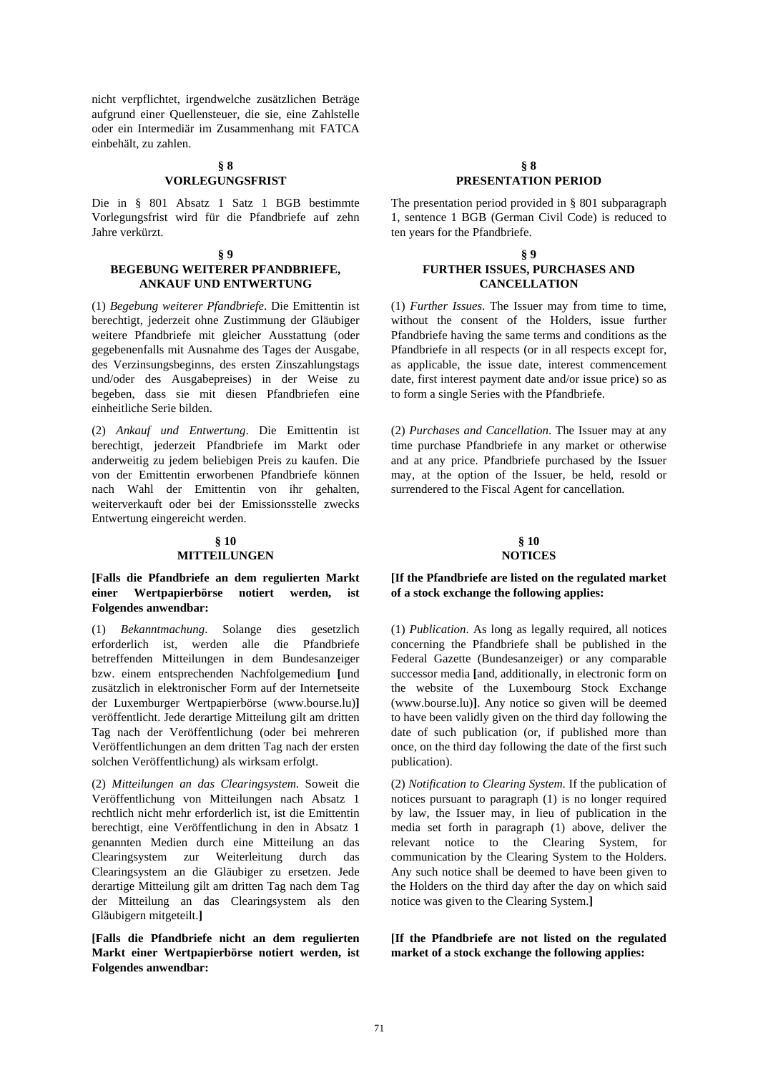nicht verpflichtet, irgendwelche zusätzlichen Beträge aufgrund einer Quellensteuer, die sie, eine Zahlstelle oder ein Intermediär im Zusammenhang mit FATCA einbehält, zu zahlen.

## **§ 8 VORLEGUNGSFRIST**

Die in § 801 Absatz 1 Satz 1 BGB bestimmte Vorlegungsfrist wird für die Pfandbriefe auf zehn Jahre verkürzt.

#### **§ 9 BEGEBUNG WEITERER PFANDBRIEFE, ANKAUF UND ENTWERTUNG**

(1) *Begebung weiterer Pfandbriefe*. Die Emittentin ist berechtigt, jederzeit ohne Zustimmung der Gläubiger weitere Pfandbriefe mit gleicher Ausstattung (oder gegebenenfalls mit Ausnahme des Tages der Ausgabe, des Verzinsungsbeginns, des ersten Zinszahlungstags und/oder des Ausgabepreises) in der Weise zu begeben, dass sie mit diesen Pfandbriefen eine einheitliche Serie bilden.

(2) *Ankauf und Entwertung*. Die Emittentin ist berechtigt, jederzeit Pfandbriefe im Markt oder anderweitig zu jedem beliebigen Preis zu kaufen. Die von der Emittentin erworbenen Pfandbriefe können nach Wahl der Emittentin von ihr gehalten, weiterverkauft oder bei der Emissionsstelle zwecks Entwertung eingereicht werden.

#### **§ 10 MITTEILUNGEN**

## **[Falls die Pfandbriefe an dem regulierten Markt einer Wertpapierbörse notiert werden, ist Folgendes anwendbar:**

(1) *Bekanntmachung*. Solange dies gesetzlich erforderlich ist, werden alle die Pfandbriefe betreffenden Mitteilungen in dem Bundesanzeiger bzw. einem entsprechenden Nachfolgemedium **[**und zusätzlich in elektronischer Form auf der Internetseite der Luxemburger Wertpapierbörse (www.bourse.lu)**]** veröffentlicht. Jede derartige Mitteilung gilt am dritten Tag nach der Veröffentlichung (oder bei mehreren Veröffentlichungen an dem dritten Tag nach der ersten solchen Veröffentlichung) als wirksam erfolgt.

(2) *Mitteilungen an das Clearingsystem*. Soweit die Veröffentlichung von Mitteilungen nach Absatz 1 rechtlich nicht mehr erforderlich ist, ist die Emittentin berechtigt, eine Veröffentlichung in den in Absatz 1 genannten Medien durch eine Mitteilung an das Clearingsystem zur Weiterleitung durch das Clearingsystem an die Gläubiger zu ersetzen. Jede derartige Mitteilung gilt am dritten Tag nach dem Tag der Mitteilung an das Clearingsystem als den Gläubigern mitgeteilt.**]**

**[Falls die Pfandbriefe nicht an dem regulierten Markt einer Wertpapierbörse notiert werden, ist Folgendes anwendbar:**

## **§ 8 PRESENTATION PERIOD**

 The presentation period provided in § 801 subparagraph 1, sentence 1 BGB (German Civil Code) is reduced to ten years for the Pfandbriefe.

#### **§ 9 FURTHER ISSUES, PURCHASES AND CANCELLATION**

 (1) *Further Issues*. The Issuer may from time to time, without the consent of the Holders, issue further Pfandbriefe having the same terms and conditions as the Pfandbriefe in all respects (or in all respects except for, as applicable, the issue date, interest commencement date, first interest payment date and/or issue price) so as to form a single Series with the Pfandbriefe.

 (2) *Purchases and Cancellation*. The Issuer may at any time purchase Pfandbriefe in any market or otherwise and at any price. Pfandbriefe purchased by the Issuer may, at the option of the Issuer, be held, resold or surrendered to the Fiscal Agent for cancellation.

#### **§ 10 NOTICES**

## **[If the Pfandbriefe are listed on the regulated market of a stock exchange the following applies:**

 (1) *Publication*. As long as legally required, all notices concerning the Pfandbriefe shall be published in the Federal Gazette (Bundesanzeiger) or any comparable successor media **[**and, additionally, in electronic form on the website of the Luxembourg Stock Exchange (www.bourse.lu)**]**. Any notice so given will be deemed to have been validly given on the third day following the date of such publication (or, if published more than once, on the third day following the date of the first such publication).

 (2) *Notification to Clearing System*. If the publication of notices pursuant to paragraph (1) is no longer required by law, the Issuer may, in lieu of publication in the media set forth in paragraph (1) above, deliver the relevant notice to the Clearing System, for communication by the Clearing System to the Holders. Any such notice shall be deemed to have been given to the Holders on the third day after the day on which said notice was given to the Clearing System.**]**

**[If the Pfandbriefe are not listed on the regulated market of a stock exchange the following applies:**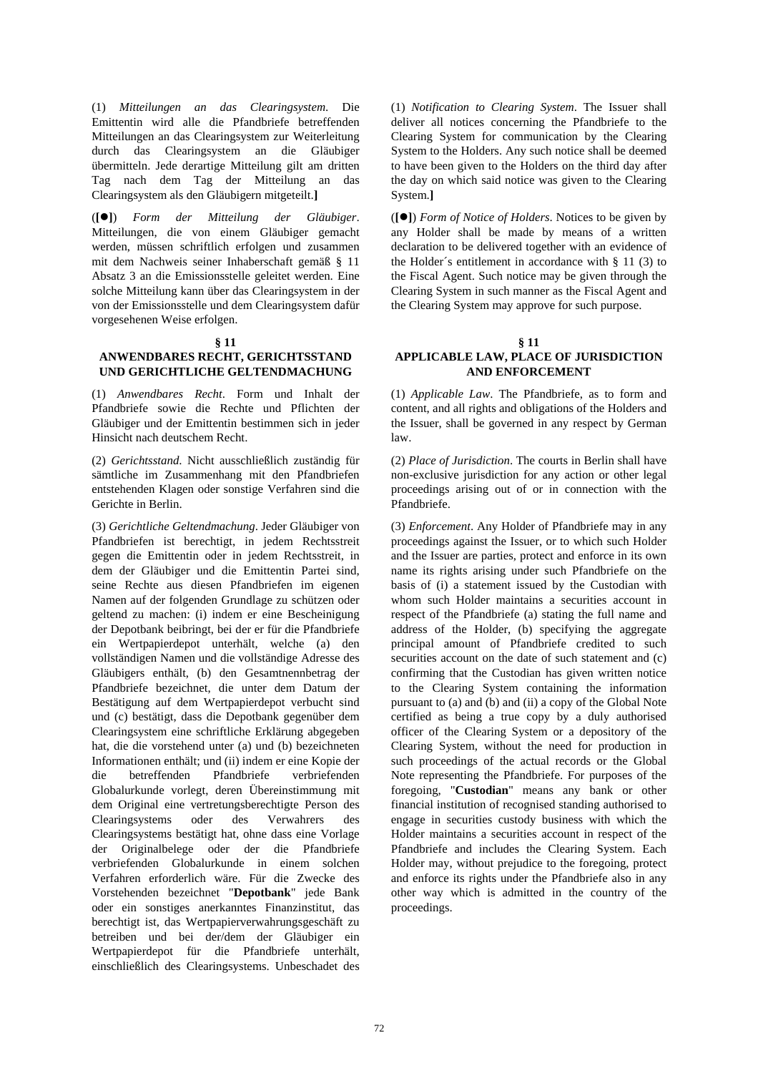(1) *Mitteilungen an das Clearingsystem*. Die Emittentin wird alle die Pfandbriefe betreffenden Mitteilungen an das Clearingsystem zur Weiterleitung durch das Clearingsystem an die Gläubiger übermitteln. Jede derartige Mitteilung gilt am dritten Tag nach dem Tag der Mitteilung an das Clearingsystem als den Gläubigern mitgeteilt.**]**

(**[]**) *Form der Mitteilung der Gläubiger*. Mitteilungen, die von einem Gläubiger gemacht werden, müssen schriftlich erfolgen und zusammen mit dem Nachweis seiner Inhaberschaft gemäß § 11 Absatz 3 an die Emissionsstelle geleitet werden. Eine solche Mitteilung kann über das Clearingsystem in der von der Emissionsstelle und dem Clearingsystem dafür vorgesehenen Weise erfolgen.

#### **§ 11**

## **ANWENDBARES RECHT, GERICHTSSTAND UND GERICHTLICHE GELTENDMACHUNG**

(1) *Anwendbares Recht*. Form und Inhalt der Pfandbriefe sowie die Rechte und Pflichten der Gläubiger und der Emittentin bestimmen sich in jeder Hinsicht nach deutschem Recht.

(2) *Gerichtsstand*. Nicht ausschließlich zuständig für sämtliche im Zusammenhang mit den Pfandbriefen entstehenden Klagen oder sonstige Verfahren sind die Gerichte in Berlin.

(3) *Gerichtliche Geltendmachung*. Jeder Gläubiger von Pfandbriefen ist berechtigt, in jedem Rechtsstreit gegen die Emittentin oder in jedem Rechtsstreit, in dem der Gläubiger und die Emittentin Partei sind, seine Rechte aus diesen Pfandbriefen im eigenen Namen auf der folgenden Grundlage zu schützen oder geltend zu machen: (i) indem er eine Bescheinigung der Depotbank beibringt, bei der er für die Pfandbriefe ein Wertpapierdepot unterhält, welche (a) den vollständigen Namen und die vollständige Adresse des Gläubigers enthält, (b) den Gesamtnennbetrag der Pfandbriefe bezeichnet, die unter dem Datum der Bestätigung auf dem Wertpapierdepot verbucht sind und (c) bestätigt, dass die Depotbank gegenüber dem Clearingsystem eine schriftliche Erklärung abgegeben hat, die die vorstehend unter (a) und (b) bezeichneten Informationen enthält; und (ii) indem er eine Kopie der die betreffenden Pfandbriefe verbriefenden Globalurkunde vorlegt, deren Übereinstimmung mit dem Original eine vertretungsberechtigte Person des Clearingsystems oder des Verwahrers des Clearingsystems bestätigt hat, ohne dass eine Vorlage der Originalbelege oder der die Pfandbriefe verbriefenden Globalurkunde in einem solchen Verfahren erforderlich wäre. Für die Zwecke des Vorstehenden bezeichnet "**Depotbank**" jede Bank oder ein sonstiges anerkanntes Finanzinstitut, das berechtigt ist, das Wertpapierverwahrungsgeschäft zu betreiben und bei der/dem der Gläubiger ein Wertpapierdepot für die Pfandbriefe unterhält, einschließlich des Clearingsystems. Unbeschadet des  (1) *Notification to Clearing System*. The Issuer shall deliver all notices concerning the Pfandbriefe to the Clearing System for communication by the Clearing System to the Holders. Any such notice shall be deemed to have been given to the Holders on the third day after the day on which said notice was given to the Clearing System.**]**

 (**[]**) *Form of Notice of Holders*. Notices to be given by any Holder shall be made by means of a written declaration to be delivered together with an evidence of the Holder´s entitlement in accordance with § 11 (3) to the Fiscal Agent. Such notice may be given through the Clearing System in such manner as the Fiscal Agent and the Clearing System may approve for such purpose.

#### **§ 11 APPLICABLE LAW, PLACE OF JURISDICTION AND ENFORCEMENT**

 (1) *Applicable Law*. The Pfandbriefe, as to form and content, and all rights and obligations of the Holders and the Issuer, shall be governed in any respect by German law.

 (2) *Place of Jurisdiction*. The courts in Berlin shall have non-exclusive jurisdiction for any action or other legal proceedings arising out of or in connection with the Pfandbriefe.

 (3) *Enforcement*. Any Holder of Pfandbriefe may in any proceedings against the Issuer, or to which such Holder and the Issuer are parties, protect and enforce in its own name its rights arising under such Pfandbriefe on the basis of (i) a statement issued by the Custodian with whom such Holder maintains a securities account in respect of the Pfandbriefe (a) stating the full name and address of the Holder, (b) specifying the aggregate principal amount of Pfandbriefe credited to such securities account on the date of such statement and (c) confirming that the Custodian has given written notice to the Clearing System containing the information pursuant to (a) and (b) and (ii) a copy of the Global Note certified as being a true copy by a duly authorised officer of the Clearing System or a depository of the Clearing System, without the need for production in such proceedings of the actual records or the Global Note representing the Pfandbriefe. For purposes of the foregoing, "**Custodian**" means any bank or other financial institution of recognised standing authorised to engage in securities custody business with which the Holder maintains a securities account in respect of the Pfandbriefe and includes the Clearing System. Each Holder may, without prejudice to the foregoing, protect and enforce its rights under the Pfandbriefe also in any other way which is admitted in the country of the proceedings.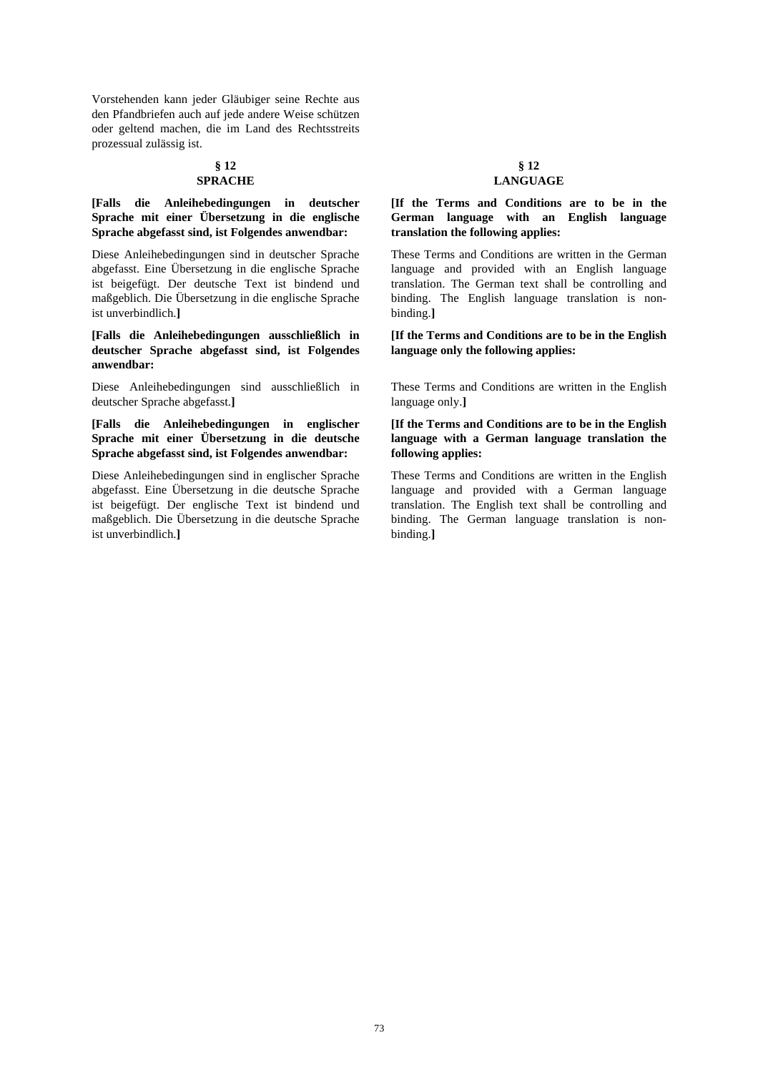Vorstehenden kann jeder Gläubiger seine Rechte aus den Pfandbriefen auch auf jede andere Weise schützen oder geltend machen, die im Land des Rechtsstreits prozessual zulässig ist.

#### **§ 12 SPRACHE**

# **[Falls die Anleihebedingungen in deutscher Sprache mit einer Übersetzung in die englische Sprache abgefasst sind, ist Folgendes anwendbar:**

Diese Anleihebedingungen sind in deutscher Sprache abgefasst. Eine Übersetzung in die englische Sprache ist beigefügt. Der deutsche Text ist bindend und maßgeblich. Die Übersetzung in die englische Sprache ist unverbindlich.**]**

**[Falls die Anleihebedingungen ausschließlich in deutscher Sprache abgefasst sind, ist Folgendes anwendbar:**

Diese Anleihebedingungen sind ausschließlich in deutscher Sprache abgefasst.**]**

**[Falls die Anleihebedingungen in englischer Sprache mit einer Übersetzung in die deutsche Sprache abgefasst sind, ist Folgendes anwendbar:**

Diese Anleihebedingungen sind in englischer Sprache abgefasst. Eine Übersetzung in die deutsche Sprache ist beigefügt. Der englische Text ist bindend und maßgeblich. Die Übersetzung in die deutsche Sprache ist unverbindlich.**]**

### **§ 12 LANGUAGE**

### **[If the Terms and Conditions are to be in the German language with an English language translation the following applies:**

These Terms and Conditions are written in the German language and provided with an English language translation. The German text shall be controlling and binding. The English language translation is nonbinding.**]**

**[If the Terms and Conditions are to be in the English language only the following applies:**

These Terms and Conditions are written in the English language only.**]**

# **[If the Terms and Conditions are to be in the English language with a German language translation the following applies:**

These Terms and Conditions are written in the English language and provided with a German language translation. The English text shall be controlling and binding. The German language translation is nonbinding.**]**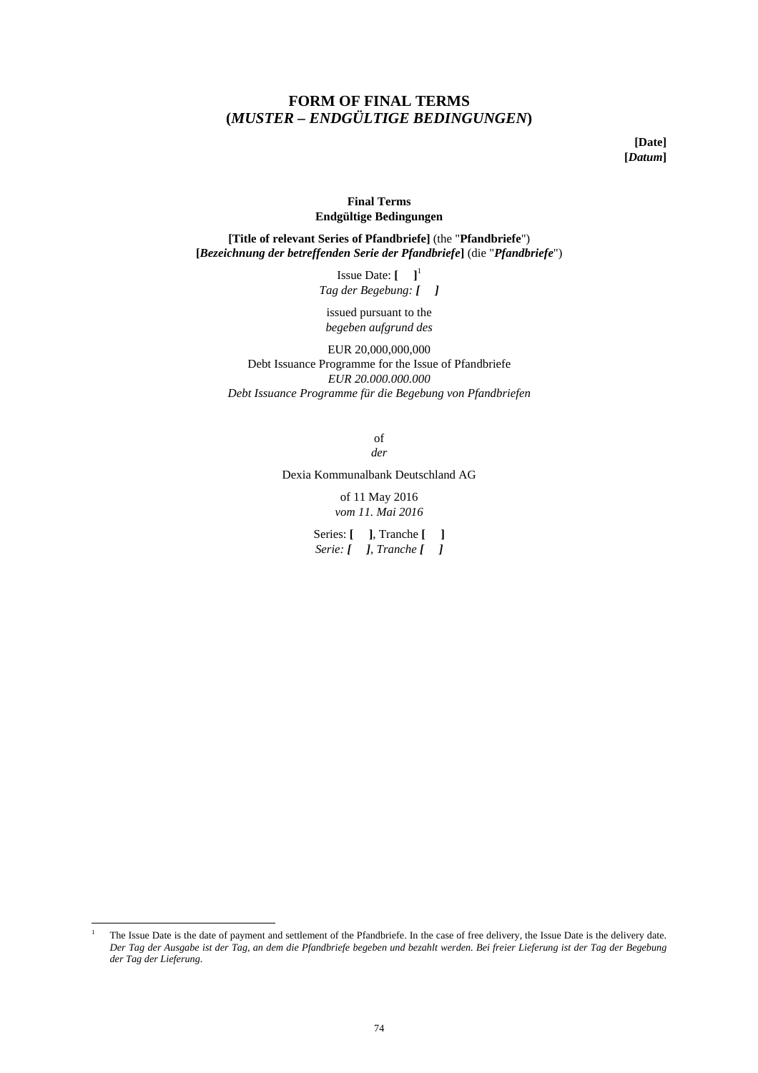# **FORM OF FINAL TERMS (***MUSTER – ENDGÜLTIGE BEDINGUNGEN***)**

**[Date] [***Datum***]** 

# **Final Terms Endgültige Bedingungen**

**[Title of relevant Series of Pfandbriefe]** (the "**Pfandbriefe**") **[***Bezeichnung der betreffenden Serie der Pfandbriefe***]** (die "*Pfandbriefe*")

> **Issue Date:**  $\begin{bmatrix} 1 \end{bmatrix}^1$ *Tag der Begebung: [**]*

issued pursuant to the *begeben aufgrund des*

EUR 20,000,000,000 Debt Issuance Programme for the Issue of Pfandbriefe *EUR 20.000.000.000 Debt Issuance Programme für die Begebung von Pfandbriefen* 

> of *der*

Dexia Kommunalbank Deutschland AG

of 11 May 2016 *vom 11. Mai 2016*

Series: **[ ]**, Tranche **[ ]** *Serie: [**], Tranche [**]*

 $\frac{1}{1}$  The Issue Date is the date of payment and settlement of the Pfandbriefe. In the case of free delivery, the Issue Date is the delivery date. *Der Tag der Ausgabe ist der Tag, an dem die Pfandbriefe begeben und bezahlt werden. Bei freier Lieferung ist der Tag der Begebung der Tag der Lieferung*.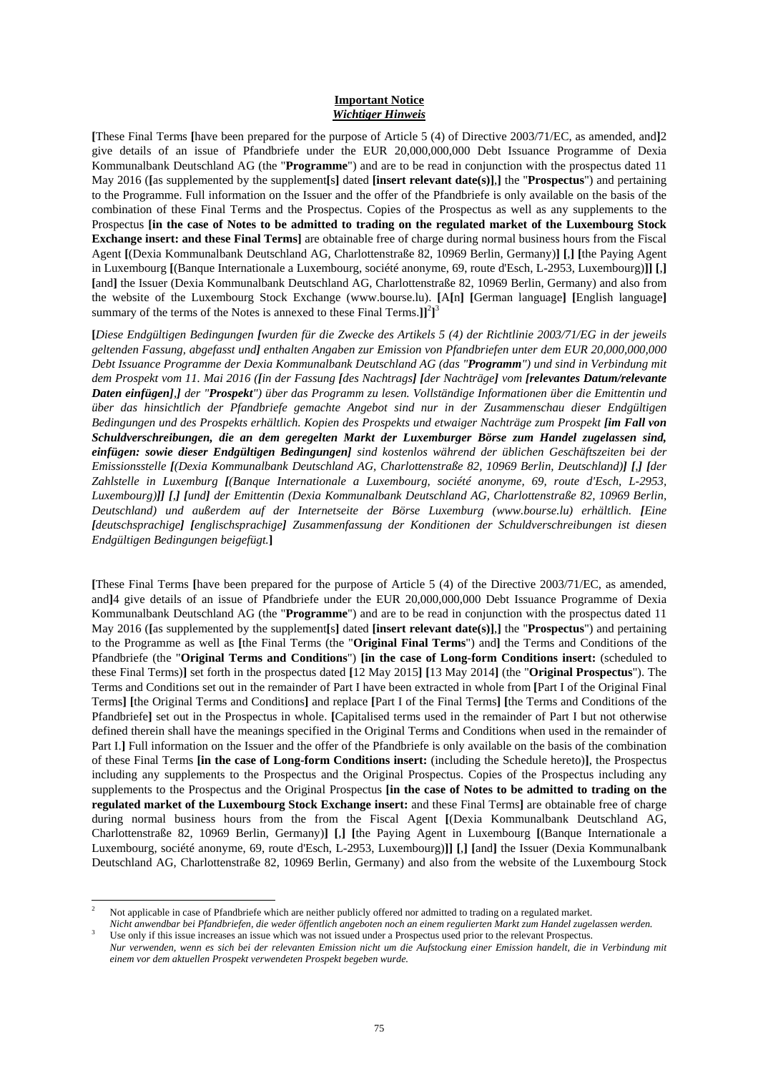### **Important Notice**  *Wichtiger Hinweis*

**[**These Final Terms **[**have been prepared for the purpose of Article 5 (4) of Directive 2003/71/EC, as amended, and**]**2 give details of an issue of Pfandbriefe under the EUR 20,000,000,000 Debt Issuance Programme of Dexia Kommunalbank Deutschland AG (the "**Programme**") and are to be read in conjunction with the prospectus dated 11 May 2016 (**[**as supplemented by the supplement**[**s**]** dated **[insert relevant date(s)]**,**]** the "**Prospectus**") and pertaining to the Programme. Full information on the Issuer and the offer of the Pfandbriefe is only available on the basis of the combination of these Final Terms and the Prospectus. Copies of the Prospectus as well as any supplements to the Prospectus **[in the case of Notes to be admitted to trading on the regulated market of the Luxembourg Stock Exchange insert: and these Final Terms]** are obtainable free of charge during normal business hours from the Fiscal Agent **[**(Dexia Kommunalbank Deutschland AG, Charlottenstraße 82, 10969 Berlin, Germany)**] [**,**] [**the Paying Agent in Luxembourg **[**(Banque Internationale a Luxembourg, société anonyme, 69, route d'Esch, L-2953, Luxembourg)**]] [**,**] [**and**]** the Issuer (Dexia Kommunalbank Deutschland AG, Charlottenstraße 82, 10969 Berlin, Germany) and also from the website of the Luxembourg Stock Exchange (www.bourse.lu). **[**A**[**n**] [**German language**] [**English language**]** summary of the terms of the Notes is annexed to these Final Terms.]<sup>[2</sup>]<sup>3</sup>

**[***Diese Endgültigen Bedingungen [wurden für die Zwecke des Artikels 5 (4) der Richtlinie 2003/71/EG in der jeweils geltenden Fassung, abgefasst und] enthalten Angaben zur Emission von Pfandbriefen unter dem EUR 20,000,000,000 Debt Issuance Programme der Dexia Kommunalbank Deutschland AG (das "Programm") und sind in Verbindung mit dem Prospekt vom 11. Mai 2016 ([in der Fassung [des Nachtrags] [der Nachträge] vom [relevantes Datum/relevante Daten einfügen],] der "Prospekt") über das Programm zu lesen. Vollständige Informationen über die Emittentin und über das hinsichtlich der Pfandbriefe gemachte Angebot sind nur in der Zusammenschau dieser Endgültigen Bedingungen und des Prospekts erhältlich. Kopien des Prospekts und etwaiger Nachträge zum Prospekt [im Fall von Schuldverschreibungen, die an dem geregelten Markt der Luxemburger Börse zum Handel zugelassen sind, einfügen: sowie dieser Endgültigen Bedingungen] sind kostenlos während der üblichen Geschäftszeiten bei der Emissionsstelle [(Dexia Kommunalbank Deutschland AG, Charlottenstraße 82, 10969 Berlin, Deutschland)] [,] [der Zahlstelle in Luxemburg [(Banque Internationale a Luxembourg, société anonyme, 69, route d'Esch, L-2953, Luxembourg)]] [,] [und] der Emittentin (Dexia Kommunalbank Deutschland AG, Charlottenstraße 82, 10969 Berlin, Deutschland) und außerdem auf der Internetseite der Börse Luxemburg (www.bourse.lu) erhältlich. [Eine [deutschsprachige] [englischsprachige] Zusammenfassung der Konditionen der Schuldverschreibungen ist diesen Endgültigen Bedingungen beigefügt.***]**

**[**These Final Terms **[**have been prepared for the purpose of Article 5 (4) of the Directive 2003/71/EC, as amended, and**]**4 give details of an issue of Pfandbriefe under the EUR 20,000,000,000 Debt Issuance Programme of Dexia Kommunalbank Deutschland AG (the "**Programme**") and are to be read in conjunction with the prospectus dated 11 May 2016 (**[**as supplemented by the supplement**[**s**]** dated **[insert relevant date(s)]**,**]** the "**Prospectus**") and pertaining to the Programme as well as **[**the Final Terms (the "**Original Final Terms**") and**]** the Terms and Conditions of the Pfandbriefe (the "**Original Terms and Conditions**") **[in the case of Long-form Conditions insert:** (scheduled to these Final Terms)**]** set forth in the prospectus dated **[**12 May 2015**] [**13 May 2014**]** (the "**Original Prospectus**"). The Terms and Conditions set out in the remainder of Part I have been extracted in whole from **[**Part I of the Original Final Terms**] [**the Original Terms and Conditions**]** and replace **[**Part I of the Final Terms**] [**the Terms and Conditions of the Pfandbriefe**]** set out in the Prospectus in whole. **[**Capitalised terms used in the remainder of Part I but not otherwise defined therein shall have the meanings specified in the Original Terms and Conditions when used in the remainder of Part I.] Full information on the Issuer and the offer of the Pfandbriefe is only available on the basis of the combination of these Final Terms **[in the case of Long-form Conditions insert:** (including the Schedule hereto)**]**, the Prospectus including any supplements to the Prospectus and the Original Prospectus. Copies of the Prospectus including any supplements to the Prospectus and the Original Prospectus **[in the case of Notes to be admitted to trading on the regulated market of the Luxembourg Stock Exchange insert:** and these Final Terms**]** are obtainable free of charge during normal business hours from the from the Fiscal Agent **[**(Dexia Kommunalbank Deutschland AG, Charlottenstraße 82, 10969 Berlin, Germany)**] [**,**] [**the Paying Agent in Luxembourg **[**(Banque Internationale a Luxembourg, société anonyme, 69, route d'Esch, L-2953, Luxembourg)**]] [**,**] [**and**]** the Issuer (Dexia Kommunalbank Deutschland AG, Charlottenstraße 82, 10969 Berlin, Germany) and also from the website of the Luxembourg Stock

l 2 Not applicable in case of Pfandbriefe which are neither publicly offered nor admitted to trading on a regulated market.

*Nicht anwendbar bei Pfandbriefen, die weder öffentlich angeboten noch an einem regulierten Markt zum Handel zugelassen werden.* 3 Use only if this issue increases an issue which was not issued under a Prospectus used prior to the relevant Prospectus.

*Nur verwenden, wenn es sich bei der relevanten Emission nicht um die Aufstockung einer Emission handelt, die in Verbindung mit einem vor dem aktuellen Prospekt verwendeten Prospekt begeben wurde.*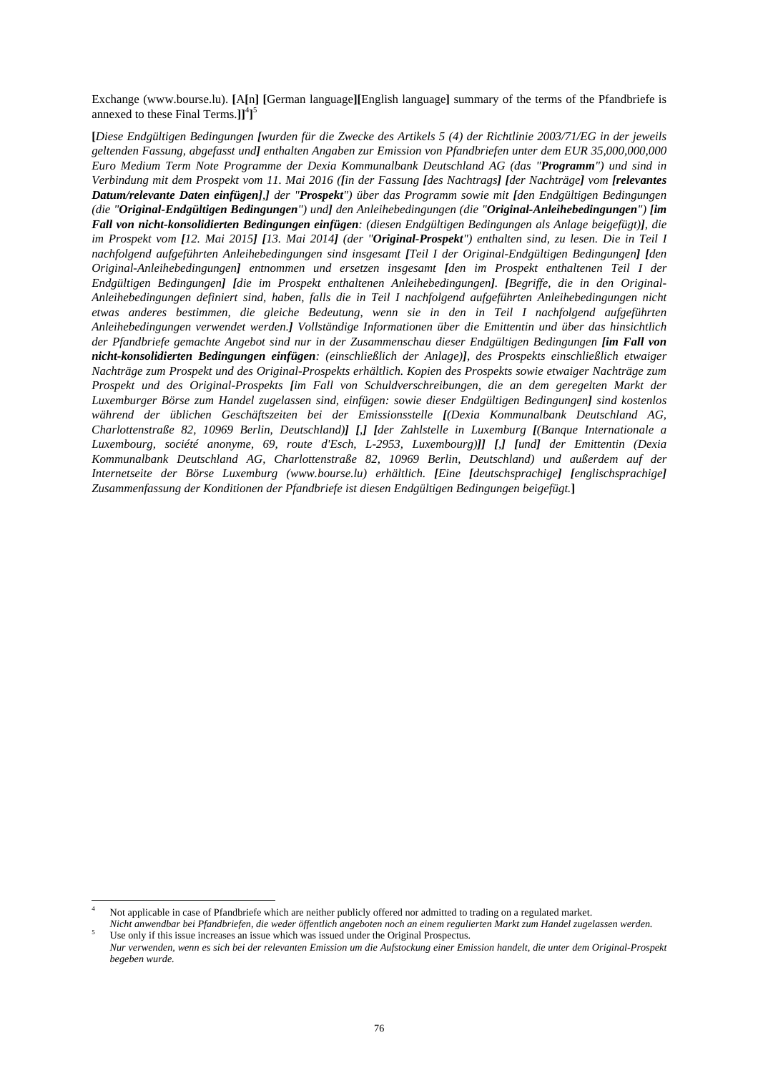Exchange (www.bourse.lu). **[**A**[**n**] [**German language**][**English language**]** summary of the terms of the Pfandbriefe is annexed to these Final Terms.**]]**<sup>4</sup> **]** 5

**[***Diese Endgültigen Bedingungen [wurden für die Zwecke des Artikels 5 (4) der Richtlinie 2003/71/EG in der jeweils geltenden Fassung, abgefasst und] enthalten Angaben zur Emission von Pfandbriefen unter dem EUR 35,000,000,000 Euro Medium Term Note Programme der Dexia Kommunalbank Deutschland AG (das "Programm") und sind in Verbindung mit dem Prospekt vom 11. Mai 2016 ([in der Fassung [des Nachtrags] [der Nachträge] vom [relevantes Datum/relevante Daten einfügen],] der "Prospekt") über das Programm sowie mit [den Endgültigen Bedingungen (die "Original-Endgültigen Bedingungen") und] den Anleihebedingungen (die "Original-Anleihebedingungen") [im Fall von nicht-konsolidierten Bedingungen einfügen: (diesen Endgültigen Bedingungen als Anlage beigefügt)], die im Prospekt vom [12. Mai 2015] [13. Mai 2014] (der "Original-Prospekt") enthalten sind, zu lesen. Die in Teil I nachfolgend aufgeführten Anleihebedingungen sind insgesamt [Teil I der Original-Endgültigen Bedingungen] [den Original-Anleihebedingungen] entnommen und ersetzen insgesamt [den im Prospekt enthaltenen Teil I der Endgültigen Bedingungen] [die im Prospekt enthaltenen Anleihebedingungen]. [Begriffe, die in den Original-Anleihebedingungen definiert sind, haben, falls die in Teil I nachfolgend aufgeführten Anleihebedingungen nicht etwas anderes bestimmen, die gleiche Bedeutung, wenn sie in den in Teil I nachfolgend aufgeführten Anleihebedingungen verwendet werden.] Vollständige Informationen über die Emittentin und über das hinsichtlich der Pfandbriefe gemachte Angebot sind nur in der Zusammenschau dieser Endgültigen Bedingungen [im Fall von nicht-konsolidierten Bedingungen einfügen: (einschließlich der Anlage)], des Prospekts einschließlich etwaiger Nachträge zum Prospekt und des Original-Prospekts erhältlich. Kopien des Prospekts sowie etwaiger Nachträge zum Prospekt und des Original-Prospekts [im Fall von Schuldverschreibungen, die an dem geregelten Markt der Luxemburger Börse zum Handel zugelassen sind, einfügen: sowie dieser Endgültigen Bedingungen] sind kostenlos während der üblichen Geschäftszeiten bei der Emissionsstelle [(Dexia Kommunalbank Deutschland AG, Charlottenstraße 82, 10969 Berlin, Deutschland)] [,] [der Zahlstelle in Luxemburg [(Banque Internationale a Luxembourg, société anonyme, 69, route d'Esch, L-2953, Luxembourg)]] [,] [und] der Emittentin (Dexia Kommunalbank Deutschland AG, Charlottenstraße 82, 10969 Berlin, Deutschland) und außerdem auf der Internetseite der Börse Luxemburg (www.bourse.lu) erhältlich. [Eine [deutschsprachige] [englischsprachige] Zusammenfassung der Konditionen der Pfandbriefe ist diesen Endgültigen Bedingungen beigefügt.***]**

l 4 Not applicable in case of Pfandbriefe which are neither publicly offered nor admitted to trading on a regulated market.

*Nicht anwendbar bei Pfandbriefen, die weder öffentlich angeboten noch an einem regulierten Markt zum Handel zugelassen werden.* 5 Use only if this issue increases an issue which was issued under the Original Prospectus.

*Nur verwenden, wenn es sich bei der relevanten Emission um die Aufstockung einer Emission handelt, die unter dem Original-Prospekt begeben wurde.*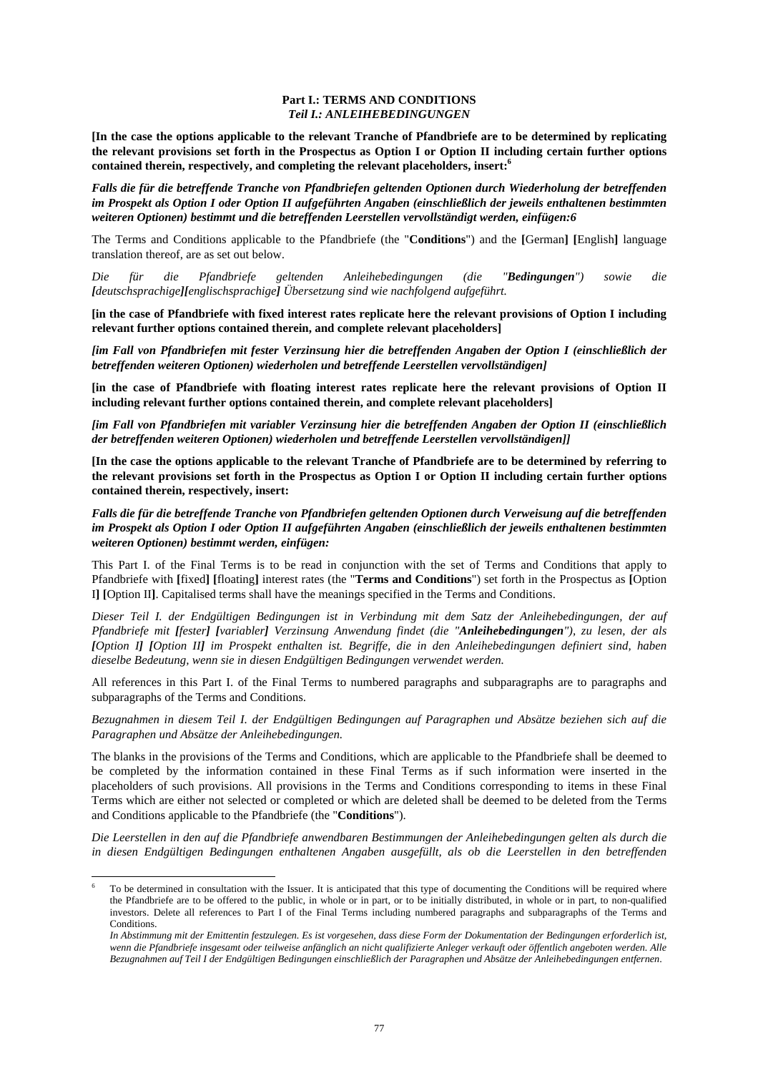### **Part I.: TERMS AND CONDITIONS**  *Teil I.: ANLEIHEBEDINGUNGEN*

**[In the case the options applicable to the relevant Tranche of Pfandbriefe are to be determined by replicating the relevant provisions set forth in the Prospectus as Option I or Option II including certain further options contained therein, respectively, and completing the relevant placeholders, insert:6**

*Falls die für die betreffende Tranche von Pfandbriefen geltenden Optionen durch Wiederholung der betreffenden im Prospekt als Option I oder Option II aufgeführten Angaben (einschließlich der jeweils enthaltenen bestimmten weiteren Optionen) bestimmt und die betreffenden Leerstellen vervollständigt werden, einfügen:6* 

The Terms and Conditions applicable to the Pfandbriefe (the "**Conditions**") and the **[**German**] [**English**]** language translation thereof, are as set out below.

*Die für die Pfandbriefe geltenden Anleihebedingungen (die "Bedingungen") sowie die [deutschsprachige][englischsprachige] Übersetzung sind wie nachfolgend aufgeführt.* 

**[in the case of Pfandbriefe with fixed interest rates replicate here the relevant provisions of Option I including relevant further options contained therein, and complete relevant placeholders]** 

*[im Fall von Pfandbriefen mit fester Verzinsung hier die betreffenden Angaben der Option I (einschließlich der betreffenden weiteren Optionen) wiederholen und betreffende Leerstellen vervollständigen]* 

**[in the case of Pfandbriefe with floating interest rates replicate here the relevant provisions of Option II including relevant further options contained therein, and complete relevant placeholders]** 

*[im Fall von Pfandbriefen mit variabler Verzinsung hier die betreffenden Angaben der Option II (einschließlich der betreffenden weiteren Optionen) wiederholen und betreffende Leerstellen vervollständigen]]* 

**[In the case the options applicable to the relevant Tranche of Pfandbriefe are to be determined by referring to the relevant provisions set forth in the Prospectus as Option I or Option II including certain further options contained therein, respectively, insert:** 

*Falls die für die betreffende Tranche von Pfandbriefen geltenden Optionen durch Verweisung auf die betreffenden im Prospekt als Option I oder Option II aufgeführten Angaben (einschließlich der jeweils enthaltenen bestimmten weiteren Optionen) bestimmt werden, einfügen:* 

This Part I. of the Final Terms is to be read in conjunction with the set of Terms and Conditions that apply to Pfandbriefe with **[**fixed**] [**floating**]** interest rates (the "**Terms and Conditions**") set forth in the Prospectus as **[**Option I**] [**Option II**]**. Capitalised terms shall have the meanings specified in the Terms and Conditions.

*Dieser Teil I. der Endgültigen Bedingungen ist in Verbindung mit dem Satz der Anleihebedingungen, der auf Pfandbriefe mit [fester] [variabler] Verzinsung Anwendung findet (die "Anleihebedingungen"), zu lesen, der als [Option I] [Option II] im Prospekt enthalten ist. Begriffe, die in den Anleihebedingungen definiert sind, haben dieselbe Bedeutung, wenn sie in diesen Endgültigen Bedingungen verwendet werden.* 

All references in this Part I. of the Final Terms to numbered paragraphs and subparagraphs are to paragraphs and subparagraphs of the Terms and Conditions.

*Bezugnahmen in diesem Teil I. der Endgültigen Bedingungen auf Paragraphen und Absätze beziehen sich auf die Paragraphen und Absätze der Anleihebedingungen.* 

The blanks in the provisions of the Terms and Conditions, which are applicable to the Pfandbriefe shall be deemed to be completed by the information contained in these Final Terms as if such information were inserted in the placeholders of such provisions. All provisions in the Terms and Conditions corresponding to items in these Final Terms which are either not selected or completed or which are deleted shall be deemed to be deleted from the Terms and Conditions applicable to the Pfandbriefe (the "**Conditions**").

*Die Leerstellen in den auf die Pfandbriefe anwendbaren Bestimmungen der Anleihebedingungen gelten als durch die in diesen Endgültigen Bedingungen enthaltenen Angaben ausgefüllt, als ob die Leerstellen in den betreffenden* 

l

<sup>6</sup> To be determined in consultation with the Issuer. It is anticipated that this type of documenting the Conditions will be required where the Pfandbriefe are to be offered to the public, in whole or in part, or to be initially distributed, in whole or in part, to non-qualified investors. Delete all references to Part I of the Final Terms including numbered paragraphs and subparagraphs of the Terms and Conditions.

*In Abstimmung mit der Emittentin festzulegen. Es ist vorgesehen, dass diese Form der Dokumentation der Bedingungen erforderlich ist, wenn die Pfandbriefe insgesamt oder teilweise anfänglich an nicht qualifizierte Anleger verkauft oder öffentlich angeboten werden. Alle Bezugnahmen auf Teil I der Endgültigen Bedingungen einschließlich der Paragraphen und Absätze der Anleihebedingungen entfernen*.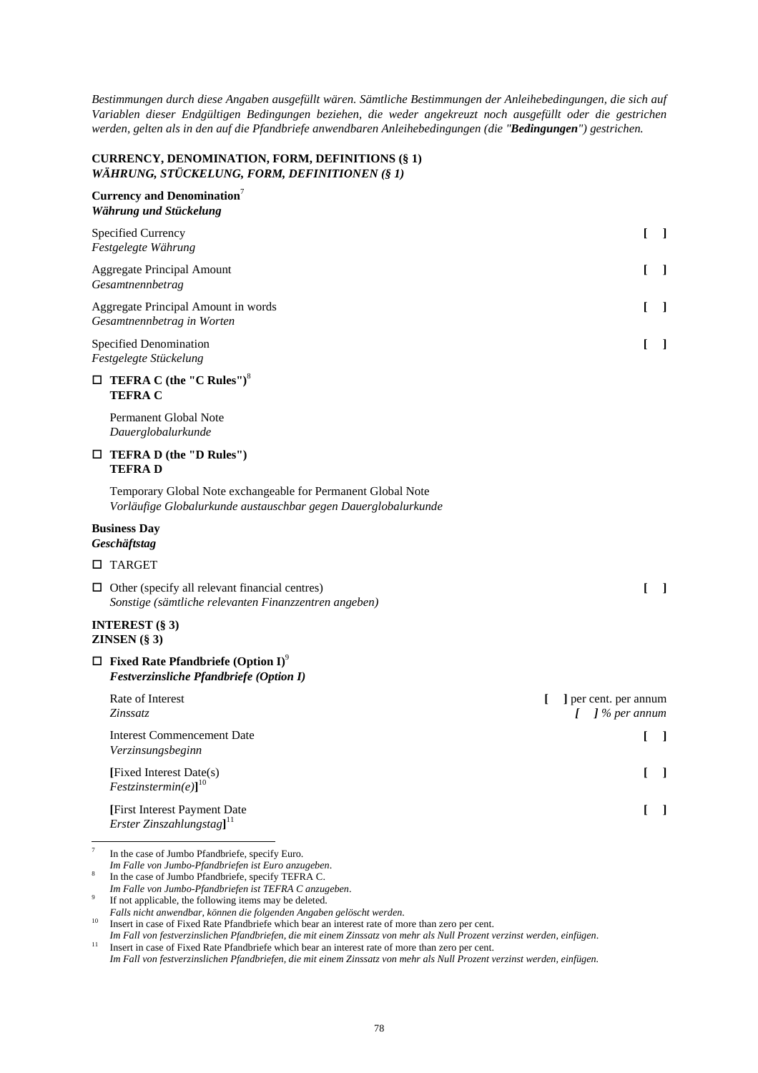*Bestimmungen durch diese Angaben ausgefüllt wären. Sämtliche Bestimmungen der Anleihebedingungen, die sich auf Variablen dieser Endgültigen Bedingungen beziehen, die weder angekreuzt noch ausgefüllt oder die gestrichen werden, gelten als in den auf die Pfandbriefe anwendbaren Anleihebedingungen (die "Bedingungen") gestrichen.* 

# **CURRENCY, DENOMINATION, FORM, DEFINITIONS (§ 1)**  *WÄHRUNG, STÜCKELUNG, FORM, DEFINITIONEN (§ 1)*

# **Currency and Denomination**<sup>7</sup> *Währung und Stückelung*

|        | Specified Currency<br>Festgelegte Währung                                                                                      |   | L<br>$\perp$                                  |  |
|--------|--------------------------------------------------------------------------------------------------------------------------------|---|-----------------------------------------------|--|
|        | <b>Aggregate Principal Amount</b><br>Gesamtnennbetrag                                                                          |   | L<br>- 1                                      |  |
|        | Aggregate Principal Amount in words<br>Gesamtnennbetrag in Worten                                                              |   | L<br>$\mathbf{I}$                             |  |
|        | Specified Denomination<br>Festgelegte Stückelung                                                                               |   | L<br>$\blacksquare$                           |  |
|        | $\Box$ TEFRA C (the "C Rules") <sup>8</sup><br><b>TEFRAC</b>                                                                   |   |                                               |  |
|        | Permanent Global Note<br>Dauerglobalurkunde                                                                                    |   |                                               |  |
|        | $\Box$ TEFRA D (the "D Rules")<br><b>TEFRAD</b>                                                                                |   |                                               |  |
|        | Temporary Global Note exchangeable for Permanent Global Note<br>Vorläufige Globalurkunde austauschbar gegen Dauerglobalurkunde |   |                                               |  |
|        | <b>Business Day</b><br>Geschäftstag                                                                                            |   |                                               |  |
|        | □ TARGET                                                                                                                       |   |                                               |  |
|        | $\Box$ Other (specify all relevant financial centres)<br>Sonstige (sämtliche relevanten Finanzzentren angeben)                 |   | $\overline{1}$<br>L                           |  |
|        | INTEREST $(\S 3)$<br><b>ZINSEN</b> $(\S 3)$                                                                                    |   |                                               |  |
|        | $\Box$ Fixed Rate Pfandbriefe (Option I) <sup>9</sup><br>Festverzinsliche Pfandbriefe (Option I)                               |   |                                               |  |
|        | Rate of Interest<br>Zinssatz                                                                                                   | T | ] per cent. per annum<br>$\int$ ] % per annum |  |
|        | <b>Interest Commencement Date</b><br>Verzinsungsbeginn                                                                         |   | L<br>- 1                                      |  |
|        | [Fixed Interest Date(s)<br>$Festzinstein.$ [est $z$ instermin(e)] <sup>10</sup>                                                |   | L<br>$\perp$                                  |  |
|        | [First Interest Payment Date<br>Erster Zinszahlungstag] $^{11}$                                                                |   | L<br>- 1                                      |  |
| $\tau$ | In the case of Jumbo Pfandbriefe, specify Euro.                                                                                |   |                                               |  |

*Im Falle von Jumbo-Pfandbriefen ist Euro anzugeben*. 8

In the case of Jumbo Pfandbriefe, specify TEFRA C.

*Im Falle von Jumbo-Pfandbriefen ist TEFRA C anzugeben*. 9

If not applicable, the following items may be deleted.

<sup>10</sup> Insert in case of Fixed Rate Pfandbriefe which bear an interest rate of more than zero per cent.

Im Fall von festverzinslichen Pfandbriefen, die mit einem Zinssatz von mehr als Null Prozent verzinst werden, einfügen.<br><sup>11</sup> Insert in case of Fixed Rate Pfandbriefe which bear an interest rate of more than zero per cent.

*Falls nicht anwendbar, können die folgenden Angaben gelöscht werden.*

*Im Fall von festverzinslichen Pfandbriefen, die mit einem Zinssatz von mehr als Null Prozent verzinst werden, einfügen.*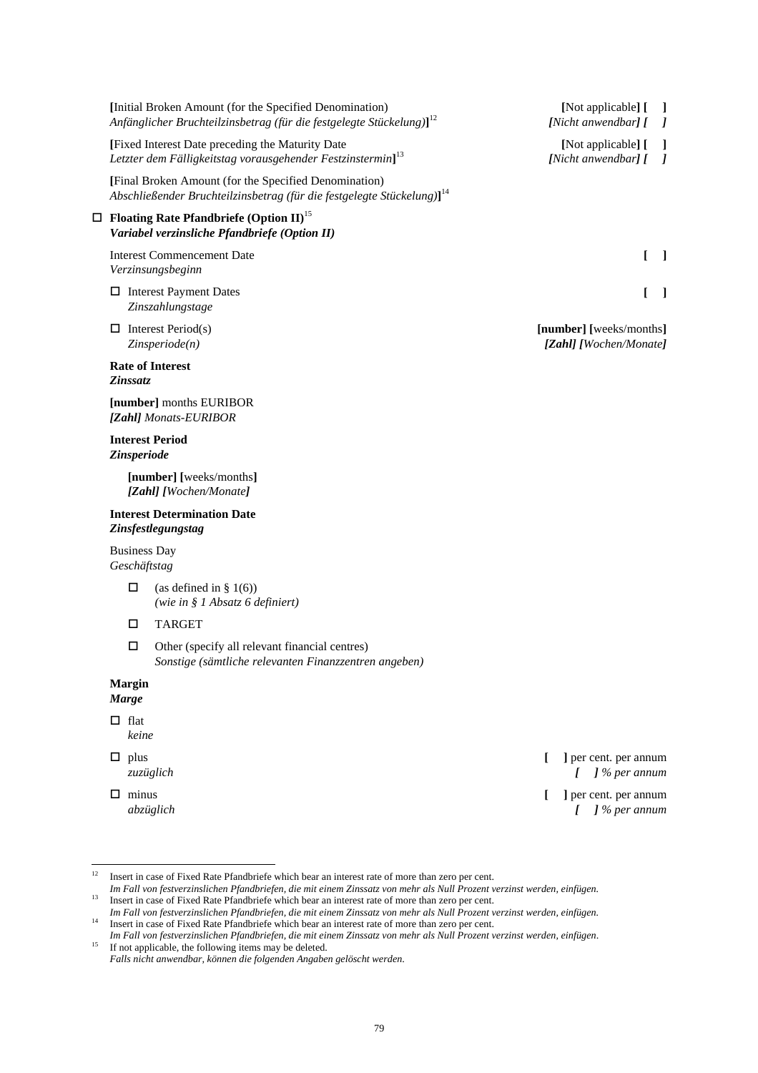|          |                                     | [Initial Broken Amount (for the Specified Denomination)<br>Anfänglicher Bruchteilzinsbetrag (für die festgelegte Stückelung)] <sup>12</sup>                                                                                                                                                                                     |   | [Not applicable] [<br>-1<br>[Nicht anwendbar] [<br>$\prime$      |
|----------|-------------------------------------|---------------------------------------------------------------------------------------------------------------------------------------------------------------------------------------------------------------------------------------------------------------------------------------------------------------------------------|---|------------------------------------------------------------------|
|          |                                     | [Fixed Interest Date preceding the Maturity Date<br>Letzter dem Fälligkeitstag vorausgehender Festzinstermin] <sup>13</sup>                                                                                                                                                                                                     |   | [Not applicable] [<br>1<br>[Nicht anwendbar] [<br>$\overline{I}$ |
|          |                                     | [Final Broken Amount (for the Specified Denomination)<br>Abschließender Bruchteilzinsbetrag (für die festgelegte Stückelung)] <sup>14</sup>                                                                                                                                                                                     |   |                                                                  |
|          |                                     | $\Box$ Floating Rate Pfandbriefe (Option II) <sup>15</sup><br>Variabel verzinsliche Pfandbriefe (Option II)                                                                                                                                                                                                                     |   |                                                                  |
|          |                                     | <b>Interest Commencement Date</b><br>Verzinsungsbeginn                                                                                                                                                                                                                                                                          |   | L<br>$\perp$                                                     |
|          |                                     | $\Box$ Interest Payment Dates<br>Zinszahlungstage                                                                                                                                                                                                                                                                               |   | ſ<br>$\mathbf{I}$                                                |
|          |                                     | $\Box$ Interest Period(s)<br>Zinsperiode(n)                                                                                                                                                                                                                                                                                     |   | [number] [weeks/months]<br>[Zahl] [Wochen/Monate]                |
|          | Zinssatz                            | <b>Rate of Interest</b>                                                                                                                                                                                                                                                                                                         |   |                                                                  |
|          |                                     | [number] months EURIBOR<br>[Zahl] Monats-EURIBOR                                                                                                                                                                                                                                                                                |   |                                                                  |
|          | Zinsperiode                         | <b>Interest Period</b>                                                                                                                                                                                                                                                                                                          |   |                                                                  |
|          |                                     | [number] [weeks/months]<br>[Zahl] [Wochen/Monate]                                                                                                                                                                                                                                                                               |   |                                                                  |
|          |                                     | <b>Interest Determination Date</b><br>Zinsfestlegungstag                                                                                                                                                                                                                                                                        |   |                                                                  |
|          | <b>Business Day</b><br>Geschäftstag |                                                                                                                                                                                                                                                                                                                                 |   |                                                                  |
|          | $\Box$                              | (as defined in $\S$ 1(6))<br>(wie in § 1 Absatz 6 definiert)                                                                                                                                                                                                                                                                    |   |                                                                  |
|          | □                                   | <b>TARGET</b>                                                                                                                                                                                                                                                                                                                   |   |                                                                  |
|          | □                                   | Other (specify all relevant financial centres)<br>Sonstige (sämtliche relevanten Finanzzentren angeben)                                                                                                                                                                                                                         |   |                                                                  |
|          | <b>Margin</b><br><b>Marge</b>       |                                                                                                                                                                                                                                                                                                                                 |   |                                                                  |
|          | $\Box$ flat<br>keine                |                                                                                                                                                                                                                                                                                                                                 |   |                                                                  |
|          | $\Box$ plus                         | zuzüglich                                                                                                                                                                                                                                                                                                                       | f | ] per cent. per annum<br>$\int$ % per annum                      |
|          | $\Box$ minus                        | abzüglich                                                                                                                                                                                                                                                                                                                       | L | ] per cent. per annum<br>$\int$ % per annum<br>L                 |
| 12<br>13 |                                     | Insert in case of Fixed Rate Pfandbriefe which bear an interest rate of more than zero per cent.<br>Im Fall von festverzinslichen Pfandbriefen, die mit einem Zinssatz von mehr als Null Prozent verzinst werden, einfügen.<br>Insert in case of Fixed Rate Pfandbriefe which bear an interest rate of more than zero per cent. |   |                                                                  |
|          |                                     | Im Fall von festverzinslichen Pfandbriefen, die mit einem Zinssatz von mehr als Null Prozent verzinst werden, einfügen.                                                                                                                                                                                                         |   |                                                                  |

<sup>&</sup>lt;sup>14</sup> Insert in case of Fixed Rate Pfandbriefe which bear an interest rate of more than zero per cent. *Im Fall von festverzinslichen Pfandbriefen, die mit einem Zinssatz von mehr als Null Prozent verzinst werden, einfügen.*<br><sup>15</sup> If not applicable, the following items may be deleted.

*Falls nicht anwendbar, können die folgenden Angaben gelöscht werden*.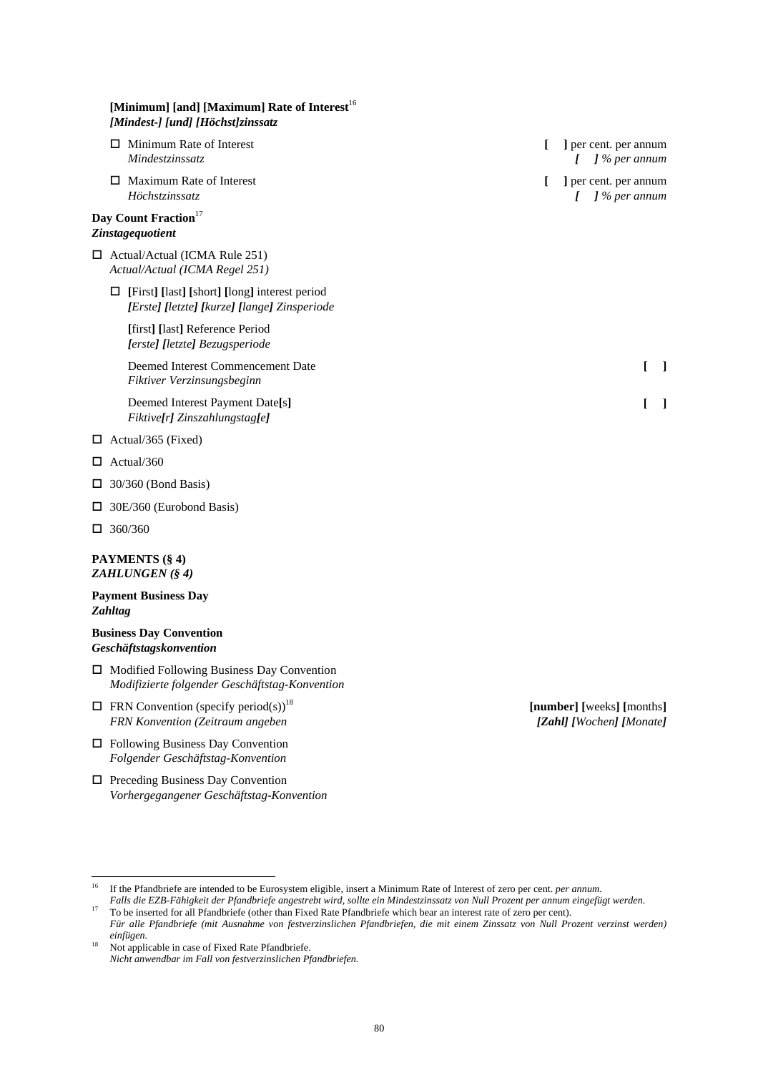| [Minimum] [and] [Maximum] Rate of Interest <sup>16</sup><br>[Mindest-] [und] [Höchst]zinssatz        |                                               |
|------------------------------------------------------------------------------------------------------|-----------------------------------------------|
| $\Box$ Minimum Rate of Interest<br>Mindestzinssatz                                                   | ] per cent. per annum<br>$\int$ ] % per annum |
| $\Box$ Maximum Rate of Interest<br>Höchstzinssatz                                                    | ] per cent. per annum<br>$\int$ % per annum   |
| Day Count Fraction <sup>17</sup><br><b>Zinstagequotient</b>                                          |                                               |
| $\Box$ Actual/Actual (ICMA Rule 251)<br>Actual/Actual (ICMA Regel 251)                               |                                               |
| $\Box$ [First] [last] [short] [long] interest period<br>[Erste] [letzte] [kurze] [lange] Zinsperiode |                                               |
| [first] [last] Reference Period<br>[erste] [letzte] Bezugsperiode                                    |                                               |
| Deemed Interest Commencement Date<br>Fiktiver Verzinsungsbeginn                                      | L<br><sup>1</sup>                             |
| Deemed Interest Payment Date[s]<br>Fiktive[r] Zinszahlungstag[e]                                     | ı                                             |
| $\Box$ Actual/365 (Fixed)                                                                            |                                               |
| $\Box$ Actual/360                                                                                    |                                               |
| $\Box$ 30/360 (Bond Basis)                                                                           |                                               |
| $\Box$ 30E/360 (Eurobond Basis)                                                                      |                                               |
| $\Box$ 360/360                                                                                       |                                               |

# **PAYMENTS (§ 4)**  *ZAHLUNGEN (§ 4)*

# **Payment Business Day**  *Zahltag*

# **Business Day Convention**  *Geschäftstagskonvention*

- $\Box$  Modified Following Business Day Convention *Modifizierte folgender Geschäftstag-Konvention*
- $\Box$  FRN Convention (specify period(s))<sup>18</sup> *FRN Konvention (Zeitraum angeben*
- □ Following Business Day Convention *Folgender Geschäftstag-Konvention*
- Preceding Business Day Convention *Vorhergegangener Geschäftstag-Konvention*

**[number] [**weeks**] [**months**]** *[Zahl] [Wochen] [Monate]*

 $16\,$ 16 If the Pfandbriefe are intended to be Eurosystem eligible, insert a Minimum Rate of Interest of zero per cent. *per annum*. *Falls die EZB-Fähigkeit der Pfandbriefe angestrebt wird, sollte ein Mindestzinssatz von Null Prozent per annum eingefügt werden.*

<sup>18</sup> Not applicable in case of Fixed Rate Pfandbriefe. *Nicht anwendbar im Fall von festverzinslichen Pfandbriefen.*

<sup>&</sup>lt;sup>17</sup> To be inserted for all Pfandbriefe (other than Fixed Rate Pfandbriefe which bear an interest rate of zero per cent). *Für alle Pfandbriefe (mit Ausnahme von festverzinslichen Pfandbriefen, die mit einem Zinssatz von Null Prozent verzinst werden) einfügen.*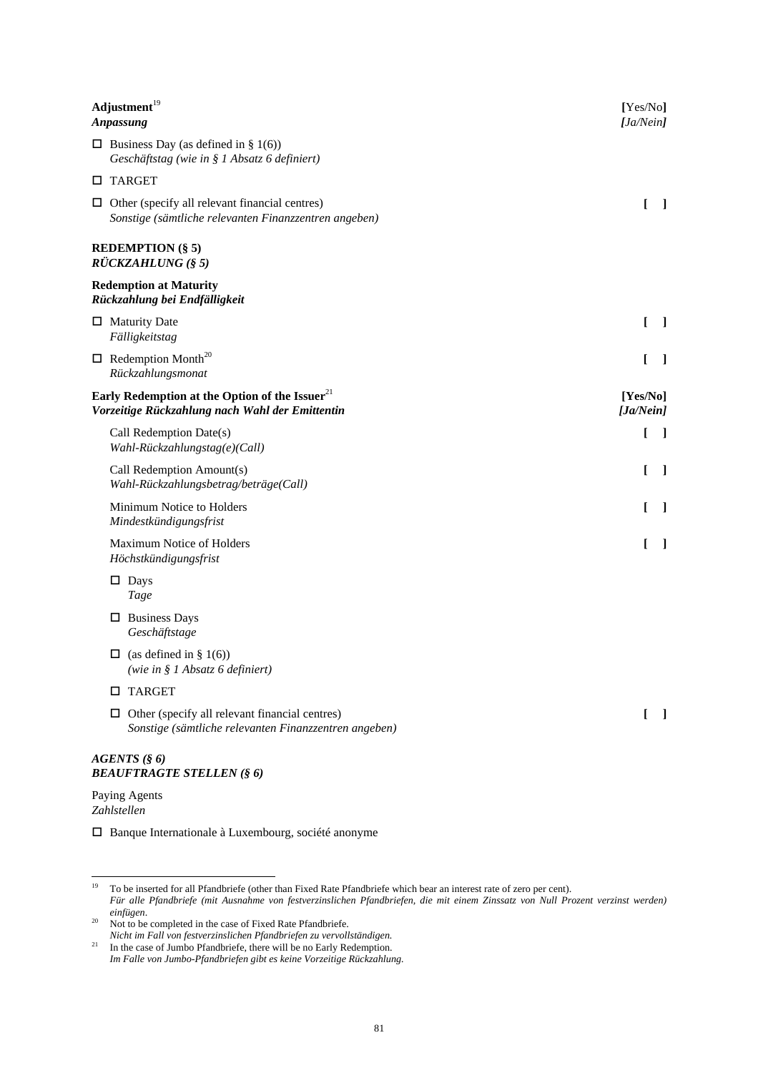| Adjustment <sup>19</sup><br>Anpassung                                                                          | [Yes/No]<br>[Ja/Nein] |                |
|----------------------------------------------------------------------------------------------------------------|-----------------------|----------------|
| $\Box$ Business Day (as defined in § 1(6))<br>Geschäftstag (wie in § 1 Absatz 6 definiert)                     |                       |                |
| <b>D</b> TARGET                                                                                                |                       |                |
| $\Box$ Other (specify all relevant financial centres)<br>Sonstige (sämtliche relevanten Finanzzentren angeben) | $\mathbf{r}$          | $\perp$        |
| <b>REDEMPTION (§ 5)</b><br>$\overrightarrow{RUCKZAHLUNG}$ (§ 5)                                                |                       |                |
| <b>Redemption at Maturity</b><br>Rückzahlung bei Endfälligkeit                                                 |                       |                |
| $\Box$ Maturity Date<br>Fälligkeitstag                                                                         | L                     | $\blacksquare$ |
| $\Box$ Redemption Month <sup>20</sup><br>Rückzahlungsmonat                                                     | L                     | $\perp$        |
| Early Redemption at the Option of the Issuer <sup>21</sup><br>Vorzeitige Rückzahlung nach Wahl der Emittentin  | [Yes/No]<br>[Ja/Nein] |                |
| Call Redemption Date(s)<br>Wahl-Rückzahlungstag(e)(Call)                                                       | L                     | $\mathbf{I}$   |
| Call Redemption Amount(s)<br>Wahl-Rückzahlungsbetrag/beträge(Call)                                             | L                     | $\perp$        |
| Minimum Notice to Holders<br>Mindestkündigungsfrist                                                            | L                     | -1             |
| Maximum Notice of Holders<br>Höchstkündigungsfrist                                                             | L                     | - 1            |
| $\square$ Days<br><b>Tage</b>                                                                                  |                       |                |
| $\Box$ Business Days<br>Geschäftstage                                                                          |                       |                |
| $\Box$ (as defined in § 1(6))<br>(wie in § 1 Absatz 6 definiert)                                               |                       |                |
| <b>TARGET</b><br>⊔                                                                                             |                       |                |
| $\Box$ Other (specify all relevant financial centres)<br>Sonstige (sämtliche relevanten Finanzzentren angeben) | L                     | $\mathbf{I}$   |
| $AGENTS$ (§ 6)<br><b>BEAUFTRAGTE STELLEN (§ 6)</b>                                                             |                       |                |

Paying Agents *Zahlstellen* 

Banque Internationale à Luxembourg, société anonyme

*Nicht im Fall von festverzinslichen Pfandbriefen zu vervollständigen.*

 $19$ 19 To be inserted for all Pfandbriefe (other than Fixed Rate Pfandbriefe which bear an interest rate of zero per cent). *Für alle Pfandbriefe (mit Ausnahme von festverzinslichen Pfandbriefen, die mit einem Zinssatz von Null Prozent verzinst werden) einfügen*.<br><sup>20</sup> Not to be completed in the case of Fixed Rate Pfandbriefe.

 $21$  In the case of Jumbo Pfandbriefe, there will be no Early Redemption. *Im Falle von Jumbo-Pfandbriefen gibt es keine Vorzeitige Rückzahlung.*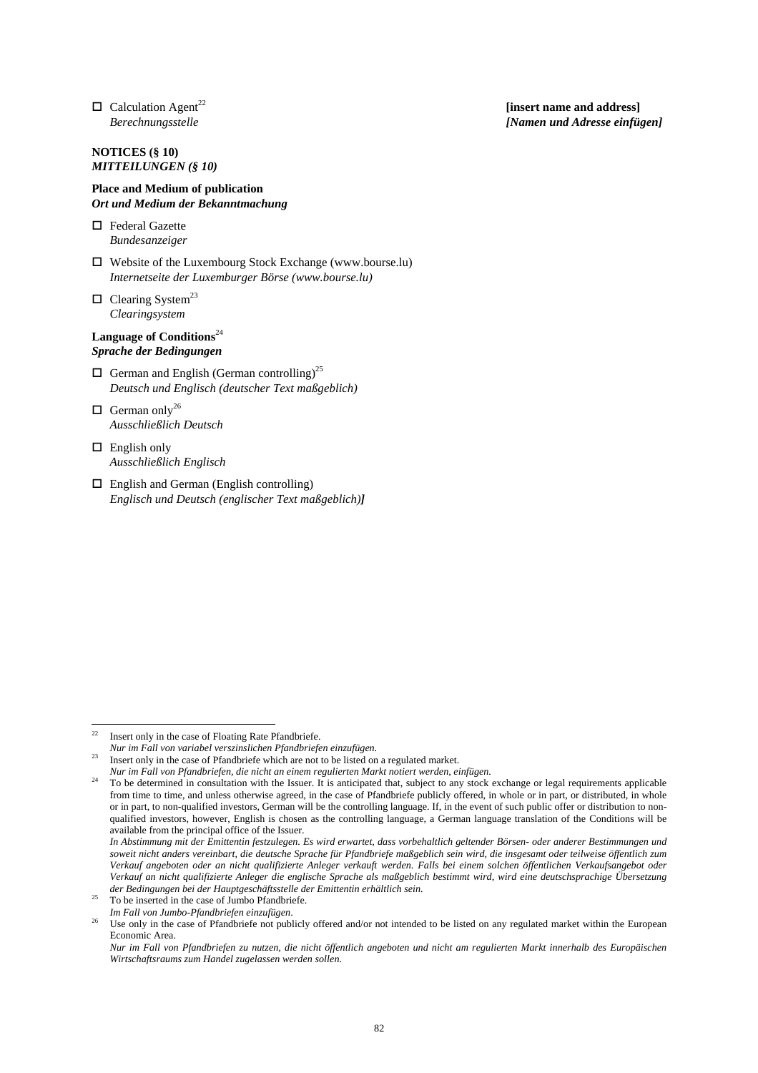$\Box$  Calculation Agent<sup>22</sup> *Berechnungsstelle*

# **NOTICES (§ 10)**  *MITTEILUNGEN (§ 10)*

### **Place and Medium of publication**  *Ort und Medium der Bekanntmachung*

□ Federal Gazette *Bundesanzeiger*

- $\Box$  Website of the Luxembourg Stock Exchange (www.bourse.lu) *Internetseite der Luxemburger Börse (www.bourse.lu)*
- $\Box$  Clearing System<sup>23</sup> *Clearingsystem*

# **Language of Conditions**<sup>24</sup> *Sprache der Bedingungen*

- $\Box$  German and English (German controlling)<sup>25</sup> *Deutsch und Englisch (deutscher Text maßgeblich)*
- $\Box$  German only<sup>26</sup> *Ausschließlich Deutsch*
- $\Box$  English only *Ausschließlich Englisch*
- English and German (English controlling) *Englisch und Deutsch (englischer Text maßgeblich)]*

l

**[insert name and address]**  *[Namen und Adresse einfügen]*

Insert only in the case of Floating Rate Pfandbriefe.

*Nur im Fall von variabel verszinslichen Pfandbriefen einzufügen.*

<sup>&</sup>lt;sup>23</sup> Insert only in the case of Pfandbriefe which are not to be listed on a regulated market.

*Nur im Fall von Pfandbriefen, die nicht an einem regulierten Markt notiert werden, einfügen.*

<sup>&</sup>lt;sup>24</sup> To be determined in consultation with the Issuer. It is anticipated that, subject to any stock exchange or legal requirements applicable from time to time, and unless otherwise agreed, in the case of Pfandbriefe publicly offered, in whole or in part, or distributed, in whole or in part, to non-qualified investors, German will be the controlling language. If, in the event of such public offer or distribution to nonqualified investors, however, English is chosen as the controlling language, a German language translation of the Conditions will be available from the principal office of the Issuer.

*In Abstimmung mit der Emittentin festzulegen. Es wird erwartet, dass vorbehaltlich geltender Börsen- oder anderer Bestimmungen und soweit nicht anders vereinbart, die deutsche Sprache für Pfandbriefe maßgeblich sein wird, die insgesamt oder teilweise öffentlich zum Verkauf angeboten oder an nicht qualifizierte Anleger verkauft werden. Falls bei einem solchen öffentlichen Verkaufsangebot oder Verkauf an nicht qualifizierte Anleger die englische Sprache als maßgeblich bestimmt wird, wird eine deutschsprachige Übersetzung der Bedingungen bei der Hauptgeschäftsstelle der Emittentin erhältlich sein.*

<sup>&</sup>lt;sup>25</sup> To be inserted in the case of Jumbo Pfandbriefe.<br>*Im Fall von Jumbo-Pfandbriefen einzufügen*.

Use only in the case of Pfandbriefe not publicly offered and/or not intended to be listed on any regulated market within the European Economic Area.

*Nur im Fall von Pfandbriefen zu nutzen, die nicht öffentlich angeboten und nicht am regulierten Markt innerhalb des Europäischen Wirtschaftsraums zum Handel zugelassen werden sollen.*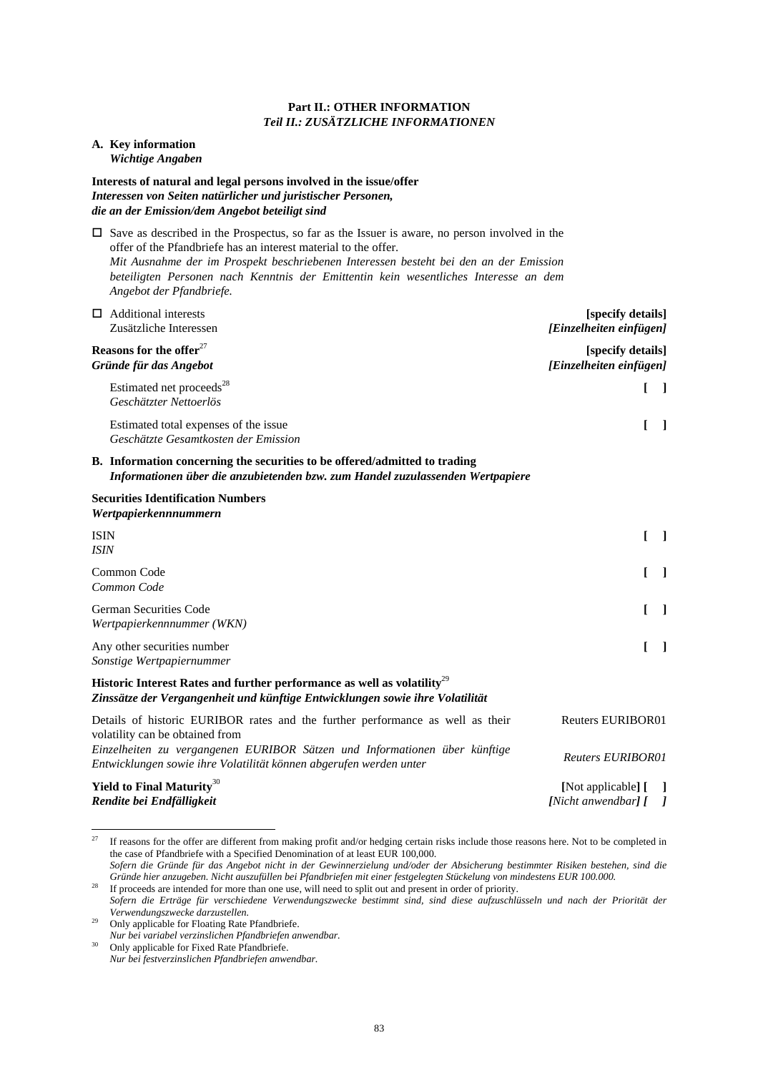### **Part II.: OTHER INFORMATION**  *Teil II.: ZUSÄTZLICHE INFORMATIONEN*

### **A. Key information**  *Wichtige Angaben*

# **Interests of natural and legal persons involved in the issue/offer**  *Interessen von Seiten natürlicher und juristischer Personen, die an der Emission/dem Angebot beteiligt sind*

 $\square$  Save as described in the Prospectus, so far as the Issuer is aware, no person involved in the offer of the Pfandbriefe has an interest material to the offer. *Mit Ausnahme der im Prospekt beschriebenen Interessen besteht bei den an der Emission beteiligten Personen nach Kenntnis der Emittentin kein wesentliches Interesse an dem Angebot der Pfandbriefe.*

| Additional interests                                                           | [specify details]                            |
|--------------------------------------------------------------------------------|----------------------------------------------|
| Zusätzliche Interessen                                                         | [Einzelheiten einfügen]                      |
| Reasons for the offer $27$<br>Gründe für das Angebot                           | [specify details]<br>[Einzelheiten einfügen] |
| Estimated net proceeds <sup>28</sup><br>Geschätzter Nettoerlös                 |                                              |
| Estimated total expenses of the issue.<br>Geschätzte Gesamtkosten der Emission |                                              |
| B. Information concerning the securities to be offered/admitted to trading     |                                              |

*Informationen über die anzubietenden bzw. zum Handel zuzulassenden Wertpapiere*

# **Securities Identification Numbers**  *Wertpapierkennnummern*

| <b>ISIN</b><br><i><b>ISIN</b></i>                                                                                                                                    |                                                 |
|----------------------------------------------------------------------------------------------------------------------------------------------------------------------|-------------------------------------------------|
| Common Code<br>Common Code                                                                                                                                           |                                                 |
| <b>German Securities Code</b><br>Wertpapierkennnummer (WKN)                                                                                                          |                                                 |
| Any other securities number<br>Sonstige Wertpapiernummer                                                                                                             |                                                 |
| Historic Interest Rates and further performance as well as volatility <sup>29</sup><br>Zinssätze der Vergangenheit und künftige Entwicklungen sowie ihre Volatilität |                                                 |
| Details of historic EURIBOR rates and the further performance as well as their<br>volatility can be obtained from                                                    | <b>Reuters EURIBOR01</b>                        |
| Einzelheiten zu vergangenen EURIBOR Sätzen und Informationen über künftige<br>Entwicklungen sowie ihre Volatilität können abgerufen werden unter                     | <b>Reuters EURIBOR01</b>                        |
| Yield to Final Maturity <sup>30</sup><br>Rendite bei Endfälligkeit                                                                                                   | [Not applicable] [ ]<br>[Nicht anwendbar] $[$ ] |

27 27 If reasons for the offer are different from making profit and/or hedging certain risks include those reasons here. Not to be completed in the case of Pfandbriefe with a Specified Denomination of at least EUR 100,000.

*Sofern die Gründe für das Angebot nicht in der Gewinnerzielung und/oder der Absicherung bestimmter Risiken bestehen, sind die Gründe hier anzugeben. Nicht auszufüllen bei Pfandbriefen mit einer festgelegten Stückelung von mindestens EUR 100.000.* <sup>28</sup> If proceeds are intended for more than one use, will need to split out and present in order of priority.

*Sofern die Erträge für verschiedene Verwendungszwecke bestimmt sind, sind diese aufzuschlüsseln und nach der Priorität der Verwendungszwecke darzustellen.*

<sup>30</sup> Only applicable for Fixed Rate Pfandbriefe. *Nur bei festverzinslichen Pfandbriefen anwendbar.*

<sup>&</sup>lt;sup>29</sup> Only applicable for Floating Rate Pfandbriefe. *Nur bei variabel verzinslichen Pfandbriefen anwendbar.*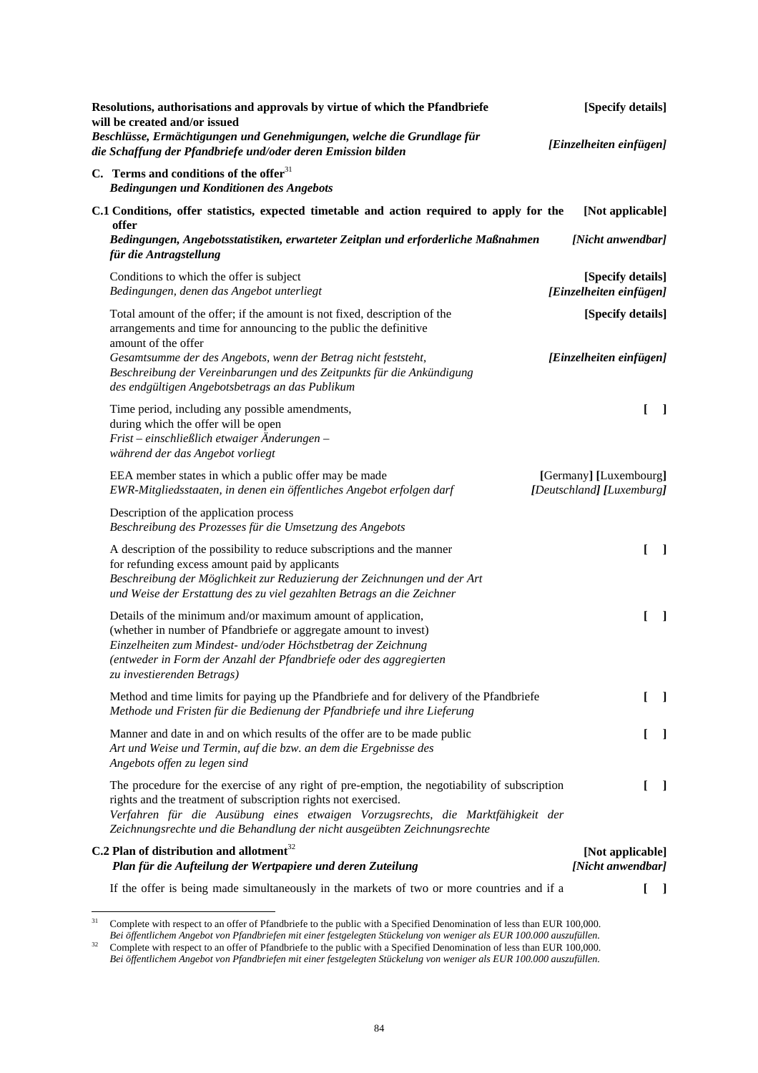| Resolutions, authorisations and approvals by virtue of which the Pfandbriefe<br>will be created and/or issued<br>Beschlüsse, Ermächtigungen und Genehmigungen, welche die Grundlage für                                                                                                                                         | [Specify details]<br>[Einzelheiten einfügen]        |         |
|---------------------------------------------------------------------------------------------------------------------------------------------------------------------------------------------------------------------------------------------------------------------------------------------------------------------------------|-----------------------------------------------------|---------|
| die Schaffung der Pfandbriefe und/oder deren Emission bilden<br>C. Terms and conditions of the offer $31$                                                                                                                                                                                                                       |                                                     |         |
| Bedingungen und Konditionen des Angebots                                                                                                                                                                                                                                                                                        |                                                     |         |
| C.1 Conditions, offer statistics, expected timetable and action required to apply for the<br>offer                                                                                                                                                                                                                              | [Not applicable]                                    |         |
| Bedingungen, Angebotsstatistiken, erwarteter Zeitplan und erforderliche Maßnahmen<br>für die Antragstellung                                                                                                                                                                                                                     | [Nicht anwendbar]                                   |         |
| Conditions to which the offer is subject<br>Bedingungen, denen das Angebot unterliegt                                                                                                                                                                                                                                           | [Specify details]<br>[Einzelheiten einfügen]        |         |
| Total amount of the offer; if the amount is not fixed, description of the<br>arrangements and time for announcing to the public the definitive<br>amount of the offer                                                                                                                                                           | [Specify details]                                   |         |
| Gesamtsumme der des Angebots, wenn der Betrag nicht feststeht,<br>Beschreibung der Vereinbarungen und des Zeitpunkts für die Ankündigung<br>des endgültigen Angebotsbetrags an das Publikum                                                                                                                                     | [Einzelheiten einfügen]                             |         |
| Time period, including any possible amendments,<br>during which the offer will be open<br>Frist – einschließlich etwaiger Änderungen –<br>während der das Angebot vorliegt                                                                                                                                                      | L                                                   | $\perp$ |
| EEA member states in which a public offer may be made<br>EWR-Mitgliedsstaaten, in denen ein öffentliches Angebot erfolgen darf                                                                                                                                                                                                  | [Germany] [Luxembourg]<br>[Deutschland] [Luxemburg] |         |
| Description of the application process<br>Beschreibung des Prozesses für die Umsetzung des Angebots                                                                                                                                                                                                                             |                                                     |         |
| A description of the possibility to reduce subscriptions and the manner<br>for refunding excess amount paid by applicants<br>Beschreibung der Möglichkeit zur Reduzierung der Zeichnungen und der Art<br>und Weise der Erstattung des zu viel gezahlten Betrags an die Zeichner                                                 | L                                                   | - 1     |
| Details of the minimum and/or maximum amount of application,<br>(whether in number of Pfandbriefe or aggregate amount to invest)<br>Einzelheiten zum Mindest- und/oder Höchstbetrag der Zeichnung<br>(entweder in Form der Anzahl der Pfandbriefe oder des aggregierten<br>zu investierenden Betrags)                           | ſ                                                   | - 1     |
| Method and time limits for paying up the Pfandbriefe and for delivery of the Pfandbriefe<br>Methode und Fristen für die Bedienung der Pfandbriefe und ihre Lieferung                                                                                                                                                            | L                                                   | $\perp$ |
| Manner and date in and on which results of the offer are to be made public<br>Art und Weise und Termin, auf die bzw. an dem die Ergebnisse des<br>Angebots offen zu legen sind                                                                                                                                                  | L                                                   | $\perp$ |
| The procedure for the exercise of any right of pre-emption, the negotiability of subscription<br>rights and the treatment of subscription rights not exercised.<br>Verfahren für die Ausübung eines etwaigen Vorzugsrechts, die Marktfähigkeit der<br>Zeichnungsrechte und die Behandlung der nicht ausgeübten Zeichnungsrechte | L                                                   | - 1     |
| C.2 Plan of distribution and allotment $32$<br>Plan für die Aufteilung der Wertpapiere und deren Zuteilung                                                                                                                                                                                                                      | [Not applicable]<br>[Nicht anwendbar]               |         |
| If the offer is being made simultaneously in the markets of two or more countries and if a                                                                                                                                                                                                                                      |                                                     |         |

 $31$ <sup>31</sup> Complete with respect to an offer of Pfandbriefe to the public with a Specified Denomination of less than EUR 100,000.

*Bei öffentlichem Angebot von Pfandbriefen mit einer festgelegten Stückelung von weniger als EUR 100.000 auszufüllen.*  $32$  Complete with respect to an offer of Pfandbriefe to the public with a Specified Denomination of less than EUR 100,000. *Bei öffentlichem Angebot von Pfandbriefen mit einer festgelegten Stückelung von weniger als EUR 100.000 auszufüllen.*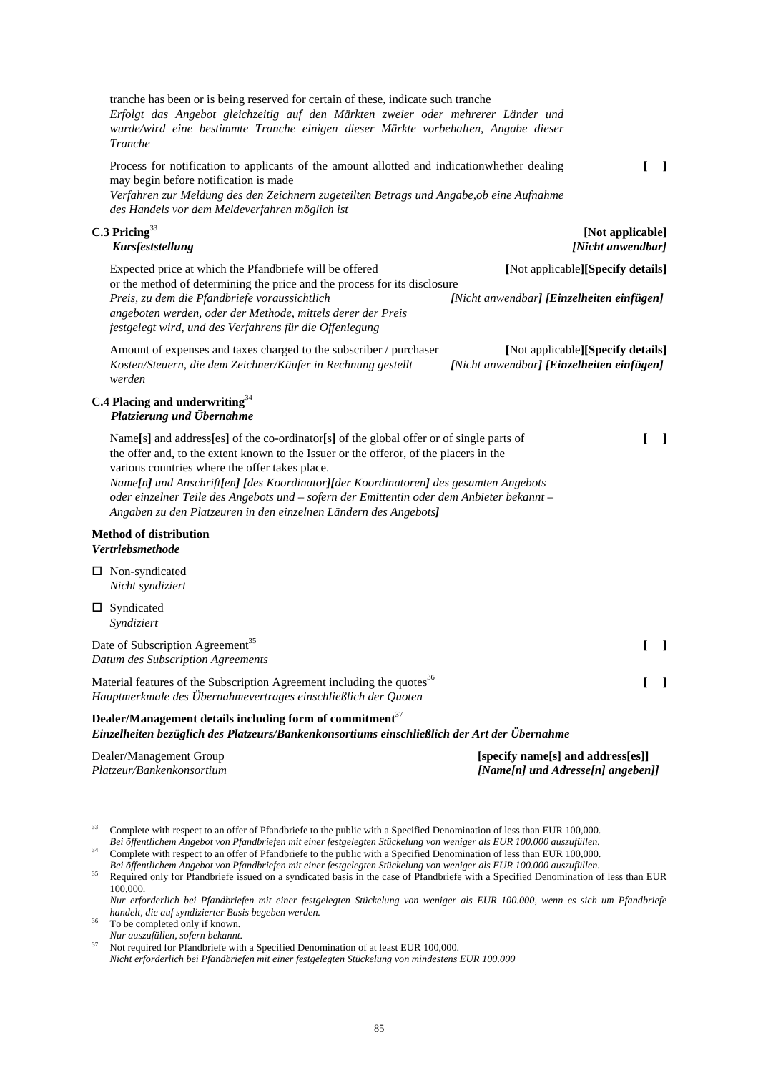tranche has been or is being reserved for certain of these, indicate such tranche *Erfolgt das Angebot gleichzeitig auf den Märkten zweier oder mehrerer Länder und wurde/wird eine bestimmte Tranche einigen dieser Märkte vorbehalten, Angabe dieser Tranche* Process for notification to applicants of the amount allotted and indicationwhether dealing may begin before notification is made *Verfahren zur Meldung des den Zeichnern zugeteilten Betrags und Angabe,ob eine Aufnahme des Handels vor dem Meldeverfahren möglich ist* **[ ] C.3 Pricing**<sup>33</sup> *Kursfeststellung* **[Not applicable]**  *[Nicht anwendbar]*  Expected price at which the Pfandbriefe will be offered or the method of determining the price and the process for its disclosure **[**Not applicable**][Specify details]** *Preis, zu dem die Pfandbriefe voraussichtlich angeboten werden, oder der Methode, mittels derer der Preis festgelegt wird, und des Verfahrens für die Offenlegung [Nicht anwendbar] [Einzelheiten einfügen]* Amount of expenses and taxes charged to the subscriber / purchaser **[**Not applicable**][Specify details]** *Kosten/Steuern, die dem Zeichner/Käufer in Rechnung gestellt werden [Nicht anwendbar] [Einzelheiten einfügen]* **C.4 Placing and underwriting**<sup>34</sup> *Platzierung und Übernahme* Name**[**s**]** and address**[**es**]** of the co-ordinator**[**s**]** of the global offer or of single parts of the offer and, to the extent known to the Issuer or the offeror, of the placers in the various countries where the offer takes place. *Name[n] und Anschrift[en] [des Koordinator][der Koordinatoren] des gesamten Angebots oder einzelner Teile des Angebots und – sofern der Emittentin oder dem Anbieter bekannt – Angaben zu den Platzeuren in den einzelnen Ländern des Angebots]* **[ ] Method of distribution**  *Vertriebsmethode* □ Non-syndicated *Nicht syndiziert*  □ Syndicated *Syndiziert*  Date of Subscription Agreement<sup>35</sup> *Datum des Subscription Agreements*  **[ ]** Material features of the Subscription Agreement including the quotes $36$ *Hauptmerkmale des Übernahmevertrages einschließlich der Quoten*  **[ ]**

### **Dealer/Management details including form of commitment**<sup>37</sup> *Einzelheiten bezüglich des Platzeurs/Bankenkonsortiums einschließlich der Art der Übernahme*

Dealer/Management Group *Platzeur/Bankenkonsortium*  **[specify name[s] and address[es]]**  *[Name[n] und Adresse[n] angeben]]* 

To be completed only if known. *Nur auszufüllen, sofern bekannt.*

 $33$ 33 Complete with respect to an offer of Pfandbriefe to the public with a Specified Denomination of less than EUR 100,000. *Bei öffentlichem Angebot von Pfandbriefen mit einer festgelegten Stückelung von weniger als EUR 100.000 auszufüllen.*

<sup>&</sup>lt;sup>34</sup> Complete with respect to an offer of Pfandbriefe to the public with a Specified Denomination of less than EUR 100,000. *Bei öffentlichem Angebot von Pfandbriefen mit einer festgelegten Stückelung von weniger als EUR 100.000 auszufüllen.*

<sup>&</sup>lt;sup>35</sup> Required only for Pfandbriefe issued on a syndicated basis in the case of Pfandbriefe with a Specified Denomination of less than EUR 100,000.

*Nur erforderlich bei Pfandbriefen mit einer festgelegten Stückelung von weniger als EUR 100.000, wenn es sich um Pfandbriefe handelt, die auf syndizierter Basis begeben werden.*

<sup>37</sup> Not required for Pfandbriefe with a Specified Denomination of at least EUR 100,000. *Nicht erforderlich bei Pfandbriefen mit einer festgelegten Stückelung von mindestens EUR 100.000*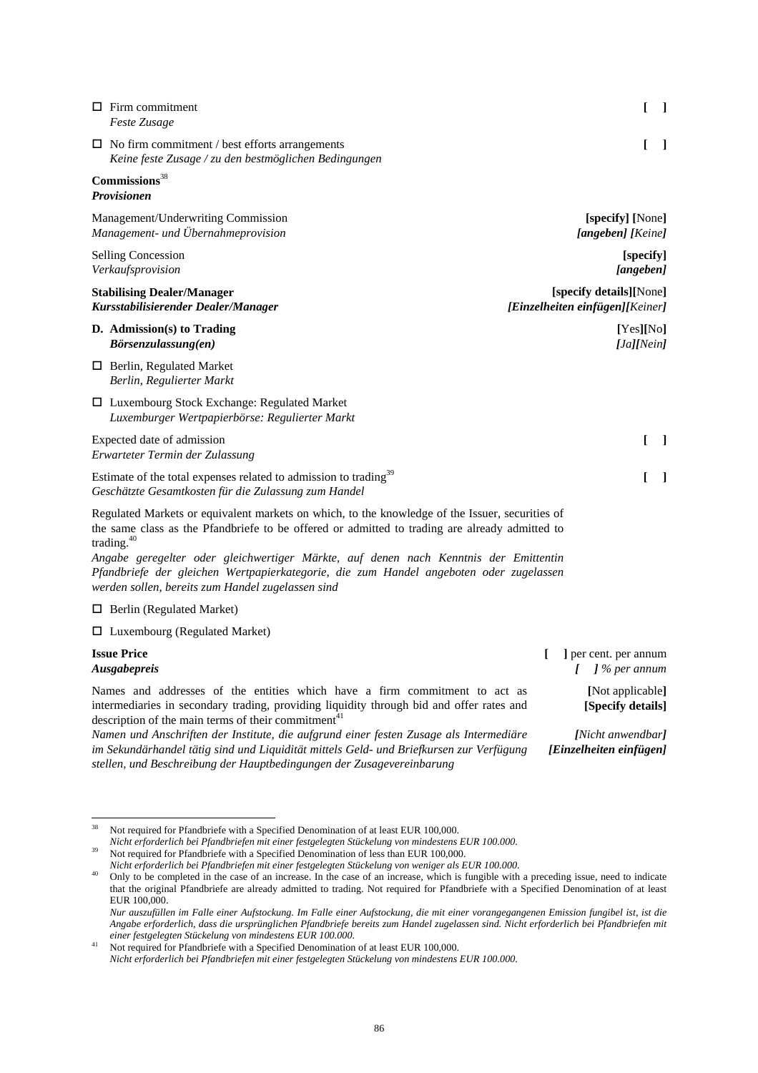| $\Box$ Firm commitment<br>Feste Zusage                                                                                               |                                                                                                                                                                                                   | L<br>$\Box$                                                |
|--------------------------------------------------------------------------------------------------------------------------------------|---------------------------------------------------------------------------------------------------------------------------------------------------------------------------------------------------|------------------------------------------------------------|
| $\Box$ No firm commitment / best efforts arrangements                                                                                | Keine feste Zusage / zu den bestmöglichen Bedingungen                                                                                                                                             | L<br>$\blacksquare$                                        |
| Commission <sup>38</sup><br>Provisionen                                                                                              |                                                                                                                                                                                                   |                                                            |
| Management/Underwriting Commission<br>Management- und Übernahmeprovision                                                             |                                                                                                                                                                                                   | [specify] [None]<br>[angeben] [Keine]                      |
| <b>Selling Concession</b><br>Verkaufsprovision                                                                                       |                                                                                                                                                                                                   | [specify]<br>[angeben]                                     |
| <b>Stabilising Dealer/Manager</b><br>Kursstabilisierender Dealer/Manager                                                             |                                                                                                                                                                                                   | [specify details][None]<br>[Einzelheiten einfügen][Keiner] |
| D. Admission(s) to Trading<br>Börsenzulassung(en)                                                                                    |                                                                                                                                                                                                   | [Yes][No]<br>[Ja][Nein]                                    |
| $\Box$ Berlin, Regulated Market<br>Berlin, Regulierter Markt                                                                         |                                                                                                                                                                                                   |                                                            |
| $\Box$ Luxembourg Stock Exchange: Regulated Market<br>Luxemburger Wertpapierbörse: Regulierter Markt                                 |                                                                                                                                                                                                   |                                                            |
| Expected date of admission<br>Erwarteter Termin der Zulassung                                                                        |                                                                                                                                                                                                   | L<br>$\blacksquare$                                        |
| Estimate of the total expenses related to admission to trading <sup>39</sup><br>Geschätzte Gesamtkosten für die Zulassung zum Handel |                                                                                                                                                                                                   | L<br>$\blacksquare$                                        |
| trading. $40$                                                                                                                        | Regulated Markets or equivalent markets on which, to the knowledge of the Issuer, securities of<br>the same class as the Pfandbriefe to be offered or admitted to trading are already admitted to |                                                            |
| werden sollen, bereits zum Handel zugelassen sind                                                                                    | Angabe geregelter oder gleichwertiger Märkte, auf denen nach Kenntnis der Emittentin<br>Pfandbriefe der gleichen Wertpapierkategorie, die zum Handel angeboten oder zugelassen                    |                                                            |
| $\Box$ Berlin (Regulated Market)                                                                                                     |                                                                                                                                                                                                   |                                                            |
| $\Box$ Luxembourg (Regulated Market)                                                                                                 |                                                                                                                                                                                                   |                                                            |
| <b>Issue Price</b><br>Ausgabepreis                                                                                                   |                                                                                                                                                                                                   | ] per cent. per annum<br>$\int$ % per annum<br>L           |

Names and addresses of the entities which have a firm commitment to act as intermediaries in secondary trading, providing liquidity through bid and offer rates and description of the main terms of their commitment $41$ 

*Namen und Anschriften der Institute, die aufgrund einer festen Zusage als Intermediäre im Sekundärhandel tätig sind und Liquidität mittels Geld- und Briefkursen zur Verfügung stellen, und Beschreibung der Hauptbedingungen der Zusagevereinbarung*

**[**Not applicable**] [Specify details]** 

*[Nicht anwendbar] [Einzelheiten einfügen]* 

<sup>38</sup> 38 Not required for Pfandbriefe with a Specified Denomination of at least EUR 100,000.

*Nicht erforderlich bei Pfandbriefen mit einer festgelegten Stückelung von mindestens EUR 100.000.*

<sup>&</sup>lt;sup>39</sup> Not required for Pfandbriefe with a Specified Denomination of less than EUR 100,000.

*Nicht erforderlich bei Pfandbriefen mit einer festgelegten Stückelung von weniger als EUR 100.000.*

<sup>&</sup>lt;sup>40</sup> Only to be completed in the case of an increase. In the case of an increase, which is fungible with a preceding issue, need to indicate that the original Pfandbriefe are already admitted to trading. Not required for Pfandbriefe with a Specified Denomination of at least EUR 100,000.

*Nur auszufüllen im Falle einer Aufstockung. Im Falle einer Aufstockung, die mit einer vorangegangenen Emission fungibel ist, ist die Angabe erforderlich, dass die ursprünglichen Pfandbriefe bereits zum Handel zugelassen sind. Nicht erforderlich bei Pfandbriefen mit einer festgelegten Stückelung von mindestens EUR 100.000.* 

<sup>&</sup>lt;sup>41</sup> Not required for Pfandbriefe with a Specified Denomination of at least EUR 100,000. *Nicht erforderlich bei Pfandbriefen mit einer festgelegten Stückelung von mindestens EUR 100.000.*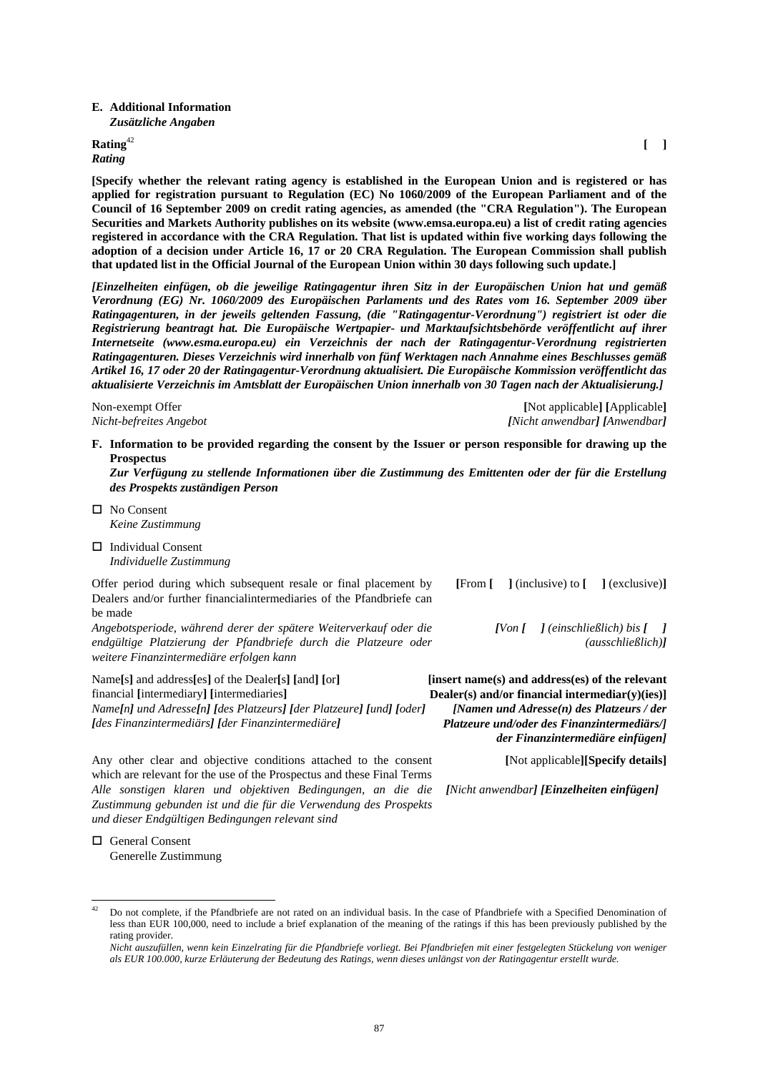#### **E. Additional Information**  *Zusätzliche Angaben*

**Rating**<sup>42</sup>

# *Rating*

**[Specify whether the relevant rating agency is established in the European Union and is registered or has applied for registration pursuant to Regulation (EC) No 1060/2009 of the European Parliament and of the Council of 16 September 2009 on credit rating agencies, as amended (the "CRA Regulation"). The European Securities and Markets Authority publishes on its website (www.emsa.europa.eu) a list of credit rating agencies registered in accordance with the CRA Regulation. That list is updated within five working days following the adoption of a decision under Article 16, 17 or 20 CRA Regulation. The European Commission shall publish that updated list in the Official Journal of the European Union within 30 days following such update.]**

*[Einzelheiten einfügen, ob die jeweilige Ratingagentur ihren Sitz in der Europäischen Union hat und gemäß Verordnung (EG) Nr. 1060/2009 des Europäischen Parlaments und des Rates vom 16. September 2009 über Ratingagenturen, in der jeweils geltenden Fassung, (die "Ratingagentur-Verordnung") registriert ist oder die Registrierung beantragt hat. Die Europäische Wertpapier- und Marktaufsichtsbehörde veröffentlicht auf ihrer Internetseite (www.esma.europa.eu) ein Verzeichnis der nach der Ratingagentur-Verordnung registrierten Ratingagenturen. Dieses Verzeichnis wird innerhalb von fünf Werktagen nach Annahme eines Beschlusses gemäß Artikel 16, 17 oder 20 der Ratingagentur-Verordnung aktualisiert. Die Europäische Kommission veröffentlicht das aktualisierte Verzeichnis im Amtsblatt der Europäischen Union innerhalb von 30 Tagen nach der Aktualisierung.]*

Non-exempt Offer *Nicht-befreites Angebot* 

**[**Not applicable**] [**Applicable**]** *[Nicht anwendbar] [Anwendbar]*

**[ ]**

**F. Information to be provided regarding the consent by the Issuer or person responsible for drawing up the Prospectus** 

*Zur Verfügung zu stellende Informationen über die Zustimmung des Emittenten oder der für die Erstellung des Prospekts zuständigen Person*

- □ No Consent *Keine Zustimmung*
- □ Individual Consent *Individuelle Zustimmung*

Offer period during which subsequent resale or final placement by Dealers and/or further financialintermediaries of the Pfandbriefe can be made

*Angebotsperiode, während derer der spätere Weiterverkauf oder die endgültige Platzierung der Pfandbriefe durch die Platzeure oder weitere Finanzintermediäre erfolgen kann*

Name**[**s**]** and address**[**es**]** of the Dealer**[**s**] [**and**] [**or**]** financial **[**intermediary**] [**intermediaries**]** *Name[n] und Adresse[n] [des Platzeurs] [der Platzeure] [und] [oder] [des Finanzintermediärs] [der Finanzintermediäre]*

**[**From **[ ]** (inclusive) to **[ ]** (exclusive)**]**

*[Von [**] (einschließlich) bis [**] (ausschließlich)]*

**[insert name(s) and address(es) of the relevant Dealer(s) and/or financial intermediar(y)(ies)]**  *[Namen und Adresse(n) des Platzeurs / der Platzeure und/oder des Finanzintermediärs/] der Finanzintermediäre einfügen]* 

**[**Not applicable**][Specify details]**

*[Nicht anwendbar] [Einzelheiten einfügen]*

Any other clear and objective conditions attached to the consent which are relevant for the use of the Prospectus and these Final Terms *Alle sonstigen klaren und objektiven Bedingungen, an die die Zustimmung gebunden ist und die für die Verwendung des Prospekts und dieser Endgültigen Bedingungen relevant sind* 

 General Consent Generelle Zustimmung

l

<sup>42</sup> Do not complete, if the Pfandbriefe are not rated on an individual basis. In the case of Pfandbriefe with a Specified Denomination of less than EUR 100,000, need to include a brief explanation of the meaning of the ratings if this has been previously published by the rating provider.

*Nicht auszufüllen, wenn kein Einzelrating für die Pfandbriefe vorliegt. Bei Pfandbriefen mit einer festgelegten Stückelung von weniger als EUR 100.000, kurze Erläuterung der Bedeutung des Ratings, wenn dieses unlängst von der Ratingagentur erstellt wurde.*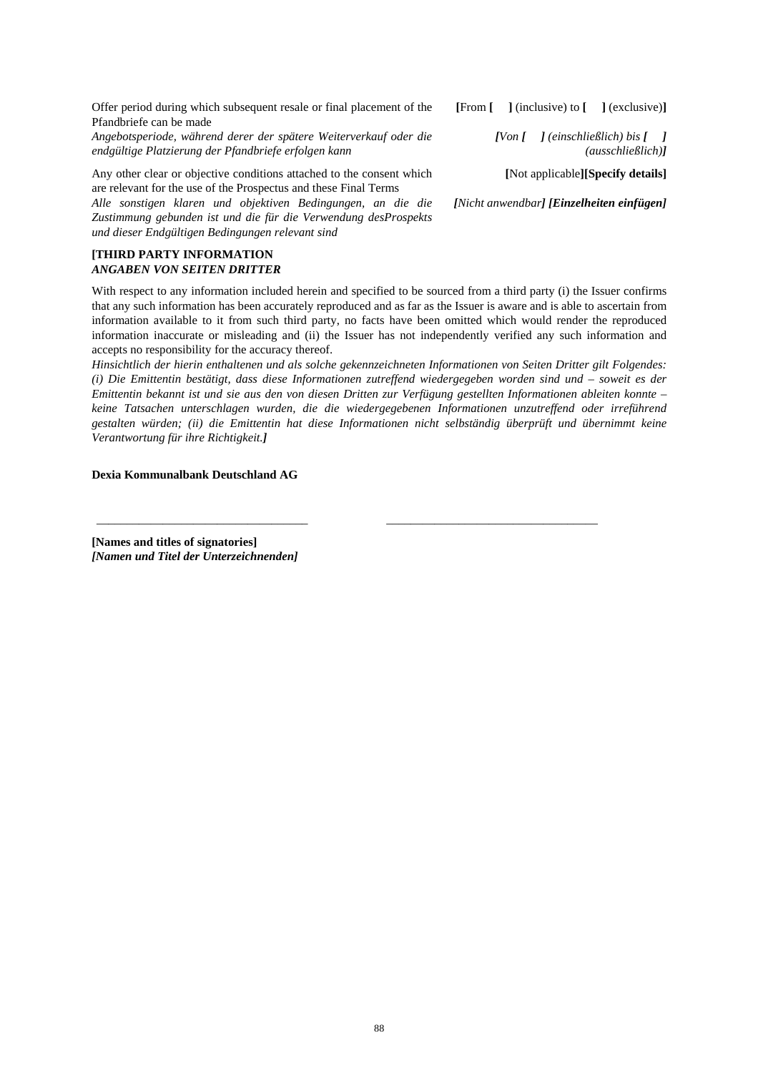Offer period during which subsequent resale or final placement of the Pfandbriefe can be made

*Angebotsperiode, während derer der spätere Weiterverkauf oder die endgültige Platzierung der Pfandbriefe erfolgen kann* 

Any other clear or objective conditions attached to the consent which are relevant for the use of the Prospectus and these Final Terms *Alle sonstigen klaren und objektiven Bedingungen, an die die Zustimmung gebunden ist und die für die Verwendung desProspekts und dieser Endgültigen Bedingungen relevant sind* 

# **[THIRD PARTY INFORMATION**  *ANGABEN VON SEITEN DRITTER*

**[**From **[ ]** (inclusive) to **[ ]** (exclusive)**]**

*[Von [**] (einschließlich) bis [**] (ausschließlich)]*

**[**Not applicable**][Specify details]**

*[Nicht anwendbar] [Einzelheiten einfügen]*

With respect to any information included herein and specified to be sourced from a third party (i) the Issuer confirms that any such information has been accurately reproduced and as far as the Issuer is aware and is able to ascertain from information available to it from such third party, no facts have been omitted which would render the reproduced information inaccurate or misleading and (ii) the Issuer has not independently verified any such information and accepts no responsibility for the accuracy thereof.

*Hinsichtlich der hierin enthaltenen und als solche gekennzeichneten Informationen von Seiten Dritter gilt Folgendes: (i) Die Emittentin bestätigt, dass diese Informationen zutreffend wiedergegeben worden sind und – soweit es der Emittentin bekannt ist und sie aus den von diesen Dritten zur Verfügung gestellten Informationen ableiten konnte – keine Tatsachen unterschlagen wurden, die die wiedergegebenen Informationen unzutreffend oder irreführend gestalten würden; (ii) die Emittentin hat diese Informationen nicht selbständig überprüft und übernimmt keine Verantwortung für ihre Richtigkeit.]* 

\_\_\_\_\_\_\_\_\_\_\_\_\_\_\_\_\_\_\_\_\_\_\_\_\_\_\_\_\_\_\_\_\_\_\_ \_\_\_\_\_\_\_\_\_\_\_\_\_\_\_\_\_\_\_\_\_\_\_\_\_\_\_\_\_\_\_\_\_\_\_

### **Dexia Kommunalbank Deutschland AG**

**[Names and titles of signatories]**  *[Namen und Titel der Unterzeichnenden]*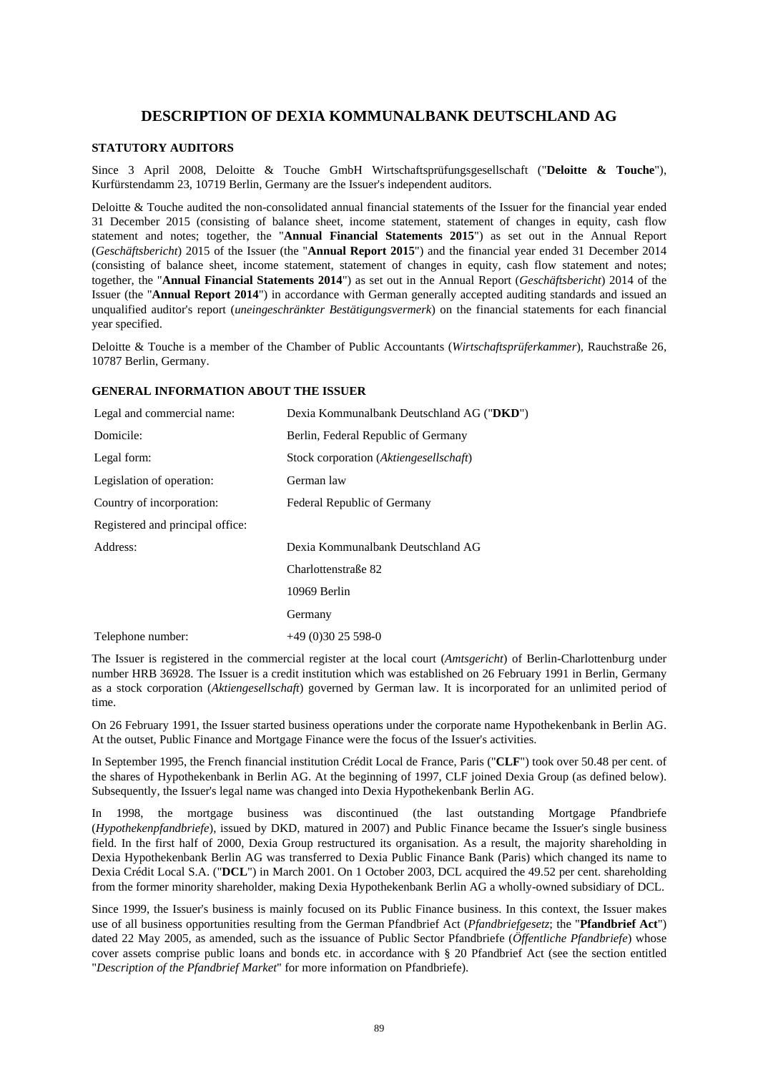# **DESCRIPTION OF DEXIA KOMMUNALBANK DEUTSCHLAND AG**

# **STATUTORY AUDITORS**

Since 3 April 2008, Deloitte & Touche GmbH Wirtschaftsprüfungsgesellschaft ("**Deloitte & Touche**"), Kurfürstendamm 23, 10719 Berlin, Germany are the Issuer's independent auditors.

Deloitte & Touche audited the non-consolidated annual financial statements of the Issuer for the financial year ended 31 December 2015 (consisting of balance sheet, income statement, statement of changes in equity, cash flow statement and notes; together, the "**Annual Financial Statements 2015**") as set out in the Annual Report (*Geschäftsbericht*) 2015 of the Issuer (the "**Annual Report 2015**") and the financial year ended 31 December 2014 (consisting of balance sheet, income statement, statement of changes in equity, cash flow statement and notes; together, the "**Annual Financial Statements 2014**") as set out in the Annual Report (*Geschäftsbericht*) 2014 of the Issuer (the "**Annual Report 2014**") in accordance with German generally accepted auditing standards and issued an unqualified auditor's report (*uneingeschränkter Bestätigungsvermerk*) on the financial statements for each financial year specified.

Deloitte & Touche is a member of the Chamber of Public Accountants (*Wirtschaftsprüferkammer*), Rauchstraße 26, 10787 Berlin, Germany.

# **GENERAL INFORMATION ABOUT THE ISSUER**

| Legal and commercial name:       | Dexia Kommunalbank Deutschland AG ("DKD") |
|----------------------------------|-------------------------------------------|
| Domicile:                        | Berlin, Federal Republic of Germany       |
| Legal form:                      | Stock corporation (Aktiengesellschaft)    |
| Legislation of operation:        | German law                                |
| Country of incorporation:        | Federal Republic of Germany               |
| Registered and principal office: |                                           |
| Address:                         | Dexia Kommunalbank Deutschland AG         |
|                                  | Charlottenstraße 82                       |
|                                  | 10969 Berlin                              |
|                                  | Germany                                   |
| Telephone number:                | $+49(0)3025598-0$                         |

The Issuer is registered in the commercial register at the local court (*Amtsgericht*) of Berlin-Charlottenburg under number HRB 36928. The Issuer is a credit institution which was established on 26 February 1991 in Berlin, Germany as a stock corporation (*Aktiengesellschaft*) governed by German law. It is incorporated for an unlimited period of time.

On 26 February 1991, the Issuer started business operations under the corporate name Hypothekenbank in Berlin AG. At the outset, Public Finance and Mortgage Finance were the focus of the Issuer's activities.

In September 1995, the French financial institution Crédit Local de France, Paris ("**CLF**") took over 50.48 per cent. of the shares of Hypothekenbank in Berlin AG. At the beginning of 1997, CLF joined Dexia Group (as defined below). Subsequently, the Issuer's legal name was changed into Dexia Hypothekenbank Berlin AG.

In 1998, the mortgage business was discontinued (the last outstanding Mortgage Pfandbriefe (*Hypothekenpfandbriefe*), issued by DKD, matured in 2007) and Public Finance became the Issuer's single business field. In the first half of 2000, Dexia Group restructured its organisation. As a result, the majority shareholding in Dexia Hypothekenbank Berlin AG was transferred to Dexia Public Finance Bank (Paris) which changed its name to Dexia Crédit Local S.A. ("**DCL**") in March 2001. On 1 October 2003, DCL acquired the 49.52 per cent. shareholding from the former minority shareholder, making Dexia Hypothekenbank Berlin AG a wholly-owned subsidiary of DCL.

Since 1999, the Issuer's business is mainly focused on its Public Finance business. In this context, the Issuer makes use of all business opportunities resulting from the German Pfandbrief Act (*Pfandbriefgesetz*; the "**Pfandbrief Act**") dated 22 May 2005, as amended, such as the issuance of Public Sector Pfandbriefe (*Öffentliche Pfandbriefe*) whose cover assets comprise public loans and bonds etc. in accordance with § 20 Pfandbrief Act (see the section entitled "*Description of the Pfandbrief Market*" for more information on Pfandbriefe).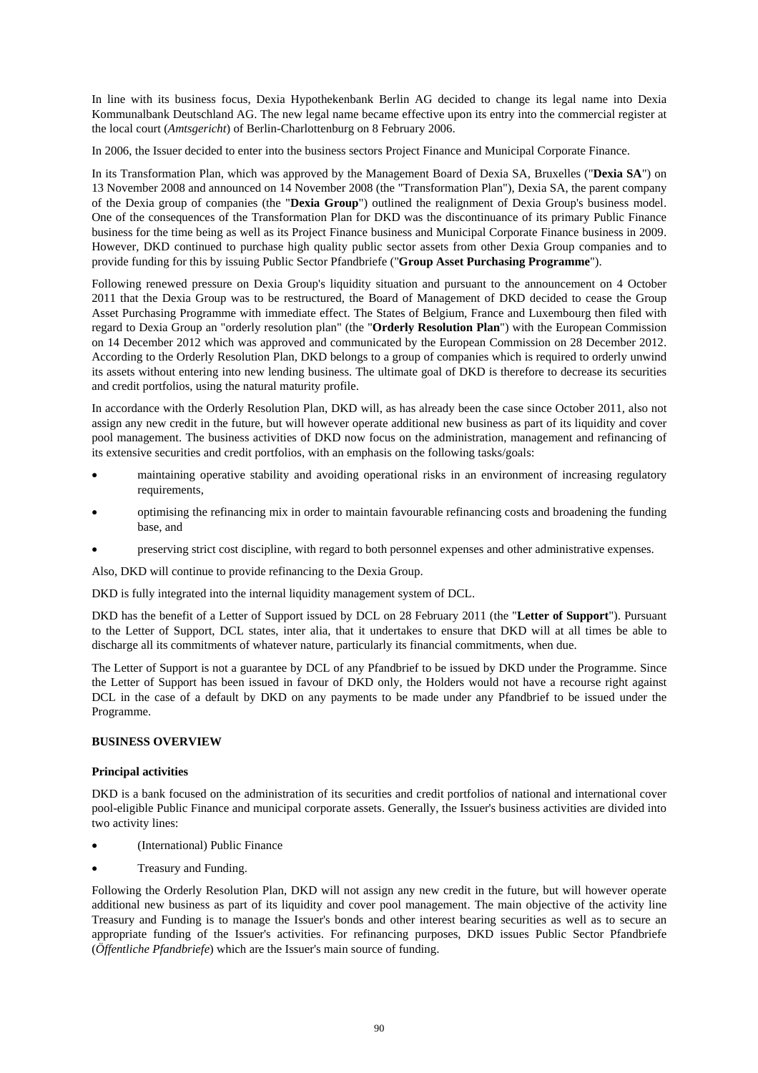In line with its business focus, Dexia Hypothekenbank Berlin AG decided to change its legal name into Dexia Kommunalbank Deutschland AG. The new legal name became effective upon its entry into the commercial register at the local court (*Amtsgericht*) of Berlin-Charlottenburg on 8 February 2006.

In 2006, the Issuer decided to enter into the business sectors Project Finance and Municipal Corporate Finance.

In its Transformation Plan, which was approved by the Management Board of Dexia SA, Bruxelles ("**Dexia SA**") on 13 November 2008 and announced on 14 November 2008 (the "Transformation Plan"), Dexia SA, the parent company of the Dexia group of companies (the "**Dexia Group**") outlined the realignment of Dexia Group's business model. One of the consequences of the Transformation Plan for DKD was the discontinuance of its primary Public Finance business for the time being as well as its Project Finance business and Municipal Corporate Finance business in 2009. However, DKD continued to purchase high quality public sector assets from other Dexia Group companies and to provide funding for this by issuing Public Sector Pfandbriefe ("**Group Asset Purchasing Programme**").

Following renewed pressure on Dexia Group's liquidity situation and pursuant to the announcement on 4 October 2011 that the Dexia Group was to be restructured, the Board of Management of DKD decided to cease the Group Asset Purchasing Programme with immediate effect. The States of Belgium, France and Luxembourg then filed with regard to Dexia Group an "orderly resolution plan" (the "**Orderly Resolution Plan**") with the European Commission on 14 December 2012 which was approved and communicated by the European Commission on 28 December 2012. According to the Orderly Resolution Plan, DKD belongs to a group of companies which is required to orderly unwind its assets without entering into new lending business. The ultimate goal of DKD is therefore to decrease its securities and credit portfolios, using the natural maturity profile.

In accordance with the Orderly Resolution Plan, DKD will, as has already been the case since October 2011, also not assign any new credit in the future, but will however operate additional new business as part of its liquidity and cover pool management. The business activities of DKD now focus on the administration, management and refinancing of its extensive securities and credit portfolios, with an emphasis on the following tasks/goals:

- maintaining operative stability and avoiding operational risks in an environment of increasing regulatory requirements,
- optimising the refinancing mix in order to maintain favourable refinancing costs and broadening the funding base, and
- preserving strict cost discipline, with regard to both personnel expenses and other administrative expenses.

Also, DKD will continue to provide refinancing to the Dexia Group.

DKD is fully integrated into the internal liquidity management system of DCL.

DKD has the benefit of a Letter of Support issued by DCL on 28 February 2011 (the "**Letter of Support**"). Pursuant to the Letter of Support, DCL states, inter alia, that it undertakes to ensure that DKD will at all times be able to discharge all its commitments of whatever nature, particularly its financial commitments, when due.

The Letter of Support is not a guarantee by DCL of any Pfandbrief to be issued by DKD under the Programme. Since the Letter of Support has been issued in favour of DKD only, the Holders would not have a recourse right against DCL in the case of a default by DKD on any payments to be made under any Pfandbrief to be issued under the Programme.

# **BUSINESS OVERVIEW**

### **Principal activities**

DKD is a bank focused on the administration of its securities and credit portfolios of national and international cover pool-eligible Public Finance and municipal corporate assets. Generally, the Issuer's business activities are divided into two activity lines:

- (International) Public Finance
- Treasury and Funding.

Following the Orderly Resolution Plan, DKD will not assign any new credit in the future, but will however operate additional new business as part of its liquidity and cover pool management. The main objective of the activity line Treasury and Funding is to manage the Issuer's bonds and other interest bearing securities as well as to secure an appropriate funding of the Issuer's activities. For refinancing purposes, DKD issues Public Sector Pfandbriefe (*Öffentliche Pfandbriefe*) which are the Issuer's main source of funding.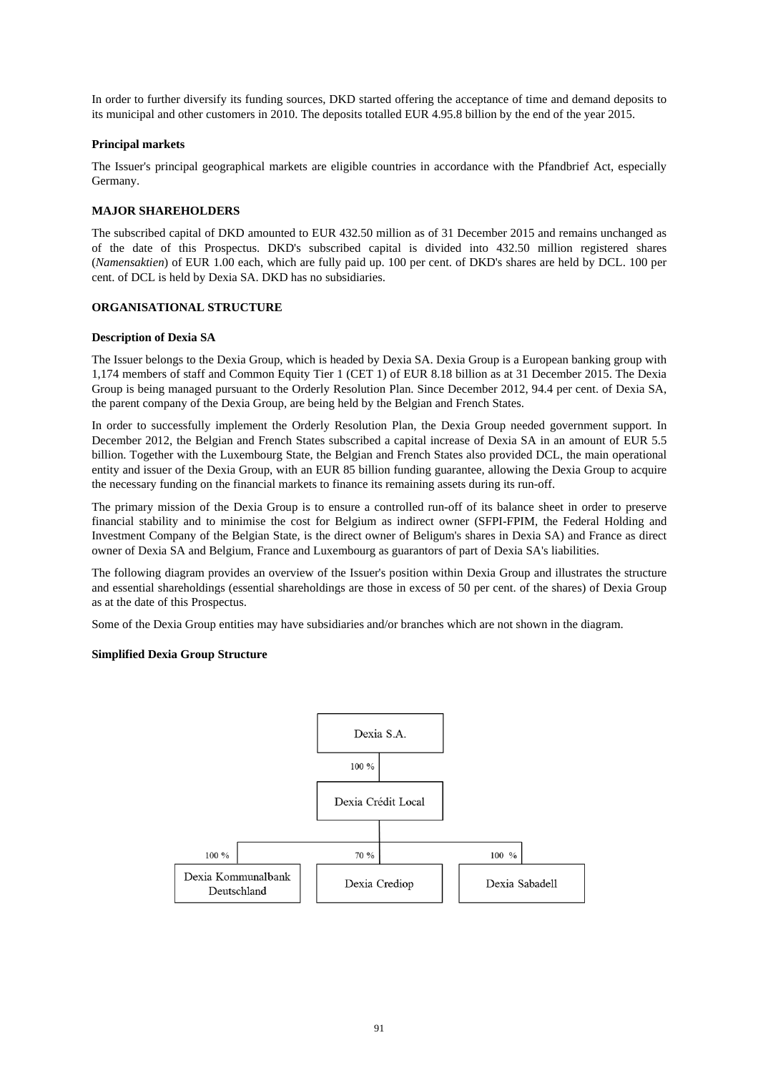In order to further diversify its funding sources, DKD started offering the acceptance of time and demand deposits to its municipal and other customers in 2010. The deposits totalled EUR 4.95.8 billion by the end of the year 2015.

## **Principal markets**

The Issuer's principal geographical markets are eligible countries in accordance with the Pfandbrief Act, especially Germany.

# **MAJOR SHAREHOLDERS**

The subscribed capital of DKD amounted to EUR 432.50 million as of 31 December 2015 and remains unchanged as of the date of this Prospectus. DKD's subscribed capital is divided into 432.50 million registered shares (*Namensaktien*) of EUR 1.00 each, which are fully paid up. 100 per cent. of DKD's shares are held by DCL. 100 per cent. of DCL is held by Dexia SA. DKD has no subsidiaries.

## **ORGANISATIONAL STRUCTURE**

### **Description of Dexia SA**

The Issuer belongs to the Dexia Group, which is headed by Dexia SA. Dexia Group is a European banking group with 1,174 members of staff and Common Equity Tier 1 (CET 1) of EUR 8.18 billion as at 31 December 2015. The Dexia Group is being managed pursuant to the Orderly Resolution Plan. Since December 2012, 94.4 per cent. of Dexia SA, the parent company of the Dexia Group, are being held by the Belgian and French States.

In order to successfully implement the Orderly Resolution Plan, the Dexia Group needed government support. In December 2012, the Belgian and French States subscribed a capital increase of Dexia SA in an amount of EUR 5.5 billion. Together with the Luxembourg State, the Belgian and French States also provided DCL, the main operational entity and issuer of the Dexia Group, with an EUR 85 billion funding guarantee, allowing the Dexia Group to acquire the necessary funding on the financial markets to finance its remaining assets during its run-off.

The primary mission of the Dexia Group is to ensure a controlled run-off of its balance sheet in order to preserve financial stability and to minimise the cost for Belgium as indirect owner (SFPI-FPIM, the Federal Holding and Investment Company of the Belgian State, is the direct owner of Beligum's shares in Dexia SA) and France as direct owner of Dexia SA and Belgium, France and Luxembourg as guarantors of part of Dexia SA's liabilities.

The following diagram provides an overview of the Issuer's position within Dexia Group and illustrates the structure and essential shareholdings (essential shareholdings are those in excess of 50 per cent. of the shares) of Dexia Group as at the date of this Prospectus.

Some of the Dexia Group entities may have subsidiaries and/or branches which are not shown in the diagram.

### **Simplified Dexia Group Structure**

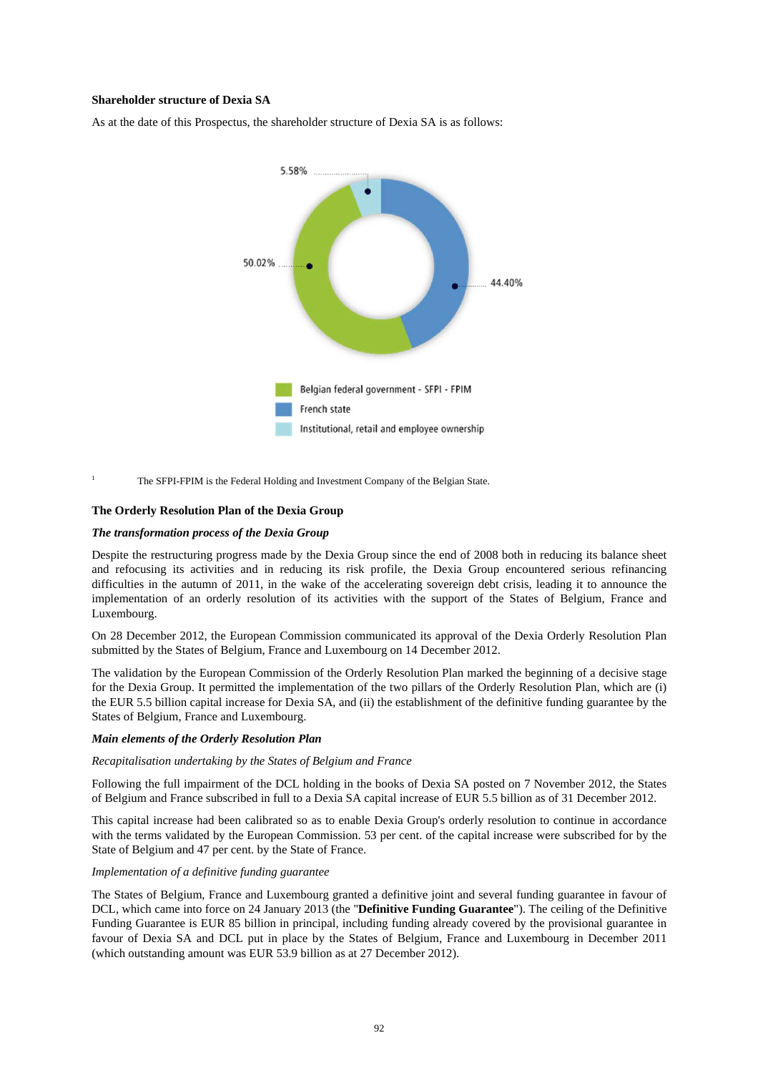## **Shareholder structure of Dexia SA**

As at the date of this Prospectus, the shareholder structure of Dexia SA is as follows:



<sup>1</sup> The SFPI-FPIM is the Federal Holding and Investment Company of the Belgian State.

### **The Orderly Resolution Plan of the Dexia Group**

#### *The transformation process of the Dexia Group*

Despite the restructuring progress made by the Dexia Group since the end of 2008 both in reducing its balance sheet and refocusing its activities and in reducing its risk profile, the Dexia Group encountered serious refinancing difficulties in the autumn of 2011, in the wake of the accelerating sovereign debt crisis, leading it to announce the implementation of an orderly resolution of its activities with the support of the States of Belgium, France and Luxembourg.

On 28 December 2012, the European Commission communicated its approval of the Dexia Orderly Resolution Plan submitted by the States of Belgium, France and Luxembourg on 14 December 2012.

The validation by the European Commission of the Orderly Resolution Plan marked the beginning of a decisive stage for the Dexia Group. It permitted the implementation of the two pillars of the Orderly Resolution Plan, which are (i) the EUR 5.5 billion capital increase for Dexia SA, and (ii) the establishment of the definitive funding guarantee by the States of Belgium, France and Luxembourg.

#### *Main elements of the Orderly Resolution Plan*

#### *Recapitalisation undertaking by the States of Belgium and France*

Following the full impairment of the DCL holding in the books of Dexia SA posted on 7 November 2012, the States of Belgium and France subscribed in full to a Dexia SA capital increase of EUR 5.5 billion as of 31 December 2012.

This capital increase had been calibrated so as to enable Dexia Group's orderly resolution to continue in accordance with the terms validated by the European Commission. 53 per cent. of the capital increase were subscribed for by the State of Belgium and 47 per cent. by the State of France.

### *Implementation of a definitive funding guarantee*

The States of Belgium, France and Luxembourg granted a definitive joint and several funding guarantee in favour of DCL, which came into force on 24 January 2013 (the "**Definitive Funding Guarantee**"). The ceiling of the Definitive Funding Guarantee is EUR 85 billion in principal, including funding already covered by the provisional guarantee in favour of Dexia SA and DCL put in place by the States of Belgium, France and Luxembourg in December 2011 (which outstanding amount was EUR 53.9 billion as at 27 December 2012).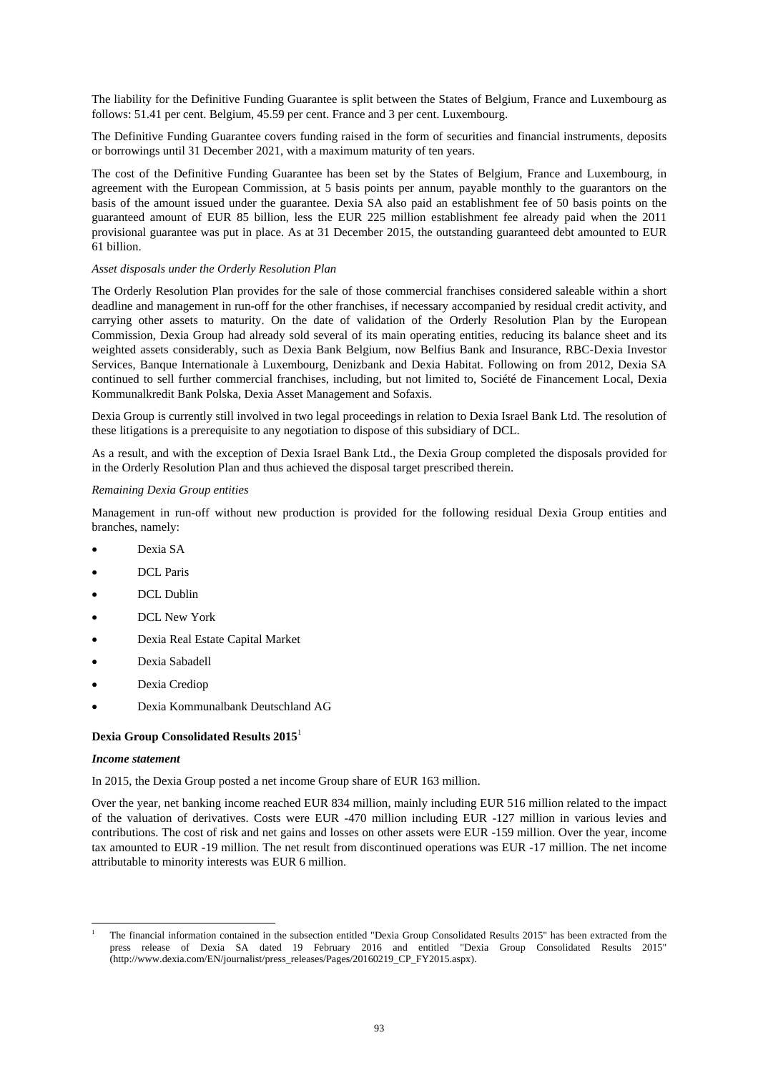The liability for the Definitive Funding Guarantee is split between the States of Belgium, France and Luxembourg as follows: 51.41 per cent. Belgium, 45.59 per cent. France and 3 per cent. Luxembourg.

The Definitive Funding Guarantee covers funding raised in the form of securities and financial instruments, deposits or borrowings until 31 December 2021, with a maximum maturity of ten years.

The cost of the Definitive Funding Guarantee has been set by the States of Belgium, France and Luxembourg, in agreement with the European Commission, at 5 basis points per annum, payable monthly to the guarantors on the basis of the amount issued under the guarantee. Dexia SA also paid an establishment fee of 50 basis points on the guaranteed amount of EUR 85 billion, less the EUR 225 million establishment fee already paid when the 2011 provisional guarantee was put in place. As at 31 December 2015, the outstanding guaranteed debt amounted to EUR 61 billion.

# *Asset disposals under the Orderly Resolution Plan*

The Orderly Resolution Plan provides for the sale of those commercial franchises considered saleable within a short deadline and management in run-off for the other franchises, if necessary accompanied by residual credit activity, and carrying other assets to maturity. On the date of validation of the Orderly Resolution Plan by the European Commission, Dexia Group had already sold several of its main operating entities, reducing its balance sheet and its weighted assets considerably, such as Dexia Bank Belgium, now Belfius Bank and Insurance, RBC-Dexia Investor Services, Banque Internationale à Luxembourg, Denizbank and Dexia Habitat. Following on from 2012, Dexia SA continued to sell further commercial franchises, including, but not limited to, Société de Financement Local, Dexia Kommunalkredit Bank Polska, Dexia Asset Management and Sofaxis.

Dexia Group is currently still involved in two legal proceedings in relation to Dexia Israel Bank Ltd. The resolution of these litigations is a prerequisite to any negotiation to dispose of this subsidiary of DCL.

As a result, and with the exception of Dexia Israel Bank Ltd., the Dexia Group completed the disposals provided for in the Orderly Resolution Plan and thus achieved the disposal target prescribed therein.

#### *Remaining Dexia Group entities*

Management in run-off without new production is provided for the following residual Dexia Group entities and branches, namely:

- Dexia SA
- DCL Paris
- DCL Dublin
- DCL New York
- Dexia Real Estate Capital Market
- Dexia Sabadell
- Dexia Crediop
- Dexia Kommunalbank Deutschland AG

#### **Dexia Group Consolidated Results 2015**<sup>1</sup>

#### *Income statement*

l

In 2015, the Dexia Group posted a net income Group share of EUR 163 million.

Over the year, net banking income reached EUR 834 million, mainly including EUR 516 million related to the impact of the valuation of derivatives. Costs were EUR -470 million including EUR -127 million in various levies and contributions. The cost of risk and net gains and losses on other assets were EUR -159 million. Over the year, income tax amounted to EUR -19 million. The net result from discontinued operations was EUR -17 million. The net income attributable to minority interests was EUR 6 million.

<sup>1</sup> The financial information contained in the subsection entitled "Dexia Group Consolidated Results 2015" has been extracted from the press release of Dexia SA dated 19 February 2016 and entitled "Dexia Group Consolidated Results 2015" (http://www.dexia.com/EN/journalist/press\_releases/Pages/20160219\_CP\_FY2015.aspx).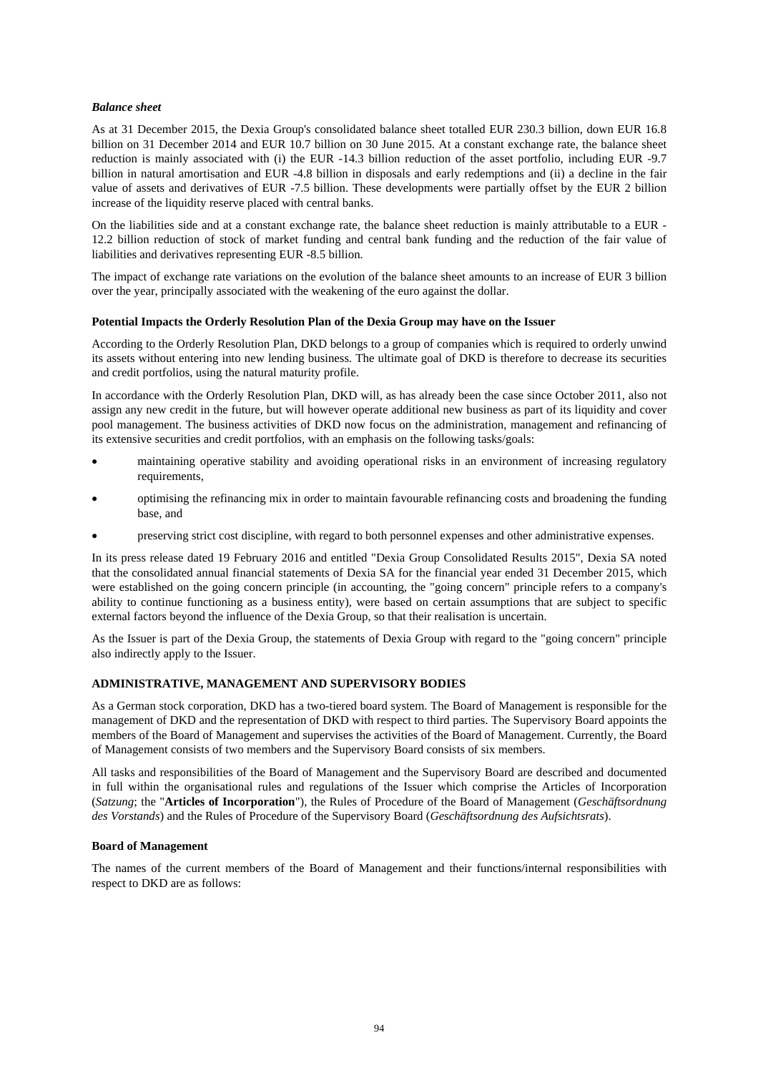## *Balance sheet*

As at 31 December 2015, the Dexia Group's consolidated balance sheet totalled EUR 230.3 billion, down EUR 16.8 billion on 31 December 2014 and EUR 10.7 billion on 30 June 2015. At a constant exchange rate, the balance sheet reduction is mainly associated with (i) the EUR -14.3 billion reduction of the asset portfolio, including EUR -9.7 billion in natural amortisation and EUR -4.8 billion in disposals and early redemptions and (ii) a decline in the fair value of assets and derivatives of EUR -7.5 billion. These developments were partially offset by the EUR 2 billion increase of the liquidity reserve placed with central banks.

On the liabilities side and at a constant exchange rate, the balance sheet reduction is mainly attributable to a EUR - 12.2 billion reduction of stock of market funding and central bank funding and the reduction of the fair value of liabilities and derivatives representing EUR -8.5 billion.

The impact of exchange rate variations on the evolution of the balance sheet amounts to an increase of EUR 3 billion over the year, principally associated with the weakening of the euro against the dollar.

### **Potential Impacts the Orderly Resolution Plan of the Dexia Group may have on the Issuer**

According to the Orderly Resolution Plan, DKD belongs to a group of companies which is required to orderly unwind its assets without entering into new lending business. The ultimate goal of DKD is therefore to decrease its securities and credit portfolios, using the natural maturity profile.

In accordance with the Orderly Resolution Plan, DKD will, as has already been the case since October 2011, also not assign any new credit in the future, but will however operate additional new business as part of its liquidity and cover pool management. The business activities of DKD now focus on the administration, management and refinancing of its extensive securities and credit portfolios, with an emphasis on the following tasks/goals:

- maintaining operative stability and avoiding operational risks in an environment of increasing regulatory requirements,
- optimising the refinancing mix in order to maintain favourable refinancing costs and broadening the funding base, and
- preserving strict cost discipline, with regard to both personnel expenses and other administrative expenses.

In its press release dated 19 February 2016 and entitled "Dexia Group Consolidated Results 2015", Dexia SA noted that the consolidated annual financial statements of Dexia SA for the financial year ended 31 December 2015, which were established on the going concern principle (in accounting, the "going concern" principle refers to a company's ability to continue functioning as a business entity), were based on certain assumptions that are subject to specific external factors beyond the influence of the Dexia Group, so that their realisation is uncertain.

As the Issuer is part of the Dexia Group, the statements of Dexia Group with regard to the "going concern" principle also indirectly apply to the Issuer.

### **ADMINISTRATIVE, MANAGEMENT AND SUPERVISORY BODIES**

As a German stock corporation, DKD has a two-tiered board system. The Board of Management is responsible for the management of DKD and the representation of DKD with respect to third parties. The Supervisory Board appoints the members of the Board of Management and supervises the activities of the Board of Management. Currently, the Board of Management consists of two members and the Supervisory Board consists of six members.

All tasks and responsibilities of the Board of Management and the Supervisory Board are described and documented in full within the organisational rules and regulations of the Issuer which comprise the Articles of Incorporation (*Satzung*; the "**Articles of Incorporation**"), the Rules of Procedure of the Board of Management (*Geschäftsordnung des Vorstands*) and the Rules of Procedure of the Supervisory Board (*Geschäftsordnung des Aufsichtsrats*).

### **Board of Management**

The names of the current members of the Board of Management and their functions/internal responsibilities with respect to DKD are as follows: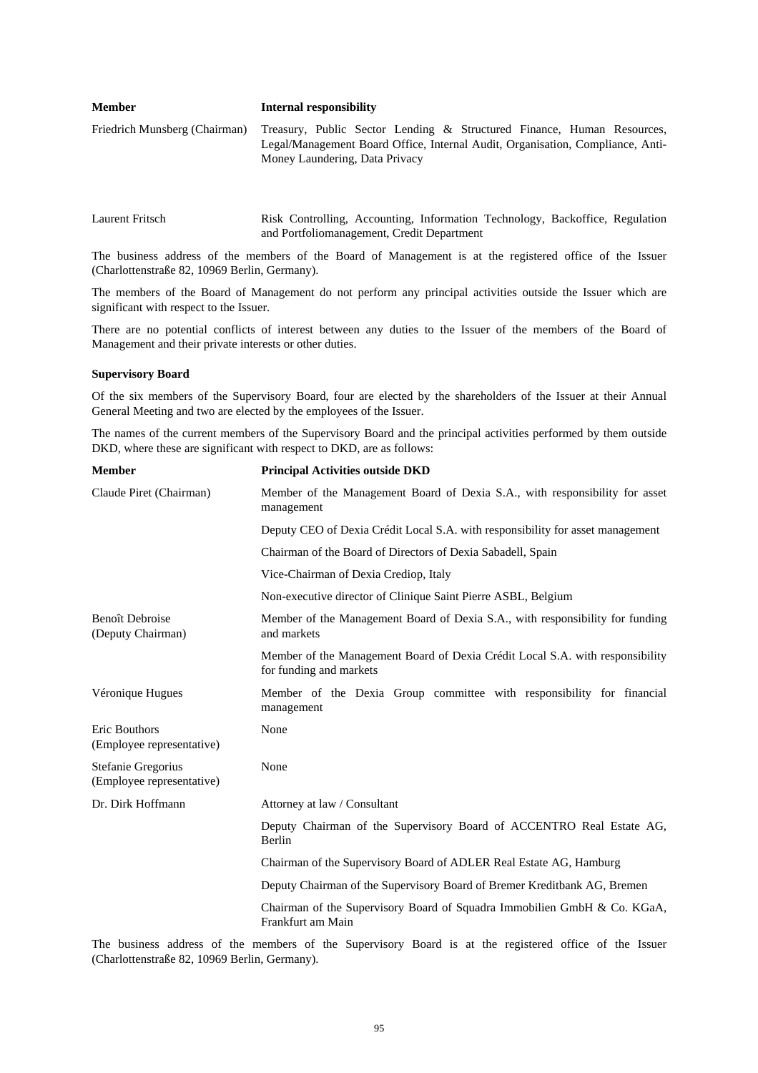| Friedrich Munsberg (Chairman) Treasury, Public Sector Lending & Structured Finance, Human Resources,<br>Money Laundering, Data Privacy | <b>Member</b> | Internal responsibility                                                        |
|----------------------------------------------------------------------------------------------------------------------------------------|---------------|--------------------------------------------------------------------------------|
|                                                                                                                                        |               | Legal/Management Board Office, Internal Audit, Organisation, Compliance, Anti- |

| Laurent Fritsch | Risk Controlling, Accounting, Information Technology, Backoffice, Regulation |  |  |  |
|-----------------|------------------------------------------------------------------------------|--|--|--|
|                 | and Portfoliomanagement, Credit Department                                   |  |  |  |

The business address of the members of the Board of Management is at the registered office of the Issuer (Charlottenstraße 82, 10969 Berlin, Germany).

The members of the Board of Management do not perform any principal activities outside the Issuer which are significant with respect to the Issuer.

There are no potential conflicts of interest between any duties to the Issuer of the members of the Board of Management and their private interests or other duties.

# **Supervisory Board**

Of the six members of the Supervisory Board, four are elected by the shareholders of the Issuer at their Annual General Meeting and two are elected by the employees of the Issuer.

The names of the current members of the Supervisory Board and the principal activities performed by them outside DKD, where these are significant with respect to DKD, are as follows:

| <b>Member</b>                                     | <b>Principal Activities outside DKD</b>                                                                  |
|---------------------------------------------------|----------------------------------------------------------------------------------------------------------|
| Claude Piret (Chairman)                           | Member of the Management Board of Dexia S.A., with responsibility for asset<br>management                |
|                                                   | Deputy CEO of Dexia Crédit Local S.A. with responsibility for asset management                           |
|                                                   | Chairman of the Board of Directors of Dexia Sabadell, Spain                                              |
|                                                   | Vice-Chairman of Dexia Crediop, Italy                                                                    |
|                                                   | Non-executive director of Clinique Saint Pierre ASBL, Belgium                                            |
| <b>Benoît Debroise</b><br>(Deputy Chairman)       | Member of the Management Board of Dexia S.A., with responsibility for funding<br>and markets             |
|                                                   | Member of the Management Board of Dexia Crédit Local S.A. with responsibility<br>for funding and markets |
| Véronique Hugues                                  | Member of the Dexia Group committee with responsibility for financial<br>management                      |
| <b>Eric Bouthors</b><br>(Employee representative) | None                                                                                                     |
| Stefanie Gregorius<br>(Employee representative)   | None                                                                                                     |
| Dr. Dirk Hoffmann                                 | Attorney at law / Consultant                                                                             |
|                                                   | Deputy Chairman of the Supervisory Board of ACCENTRO Real Estate AG,<br>Berlin                           |
|                                                   | Chairman of the Supervisory Board of ADLER Real Estate AG, Hamburg                                       |
|                                                   | Deputy Chairman of the Supervisory Board of Bremer Kreditbank AG, Bremen                                 |
|                                                   | Chairman of the Supervisory Board of Squadra Immobilien GmbH & Co. KGaA,<br>Frankfurt am Main            |

The business address of the members of the Supervisory Board is at the registered office of the Issuer (Charlottenstraße 82, 10969 Berlin, Germany).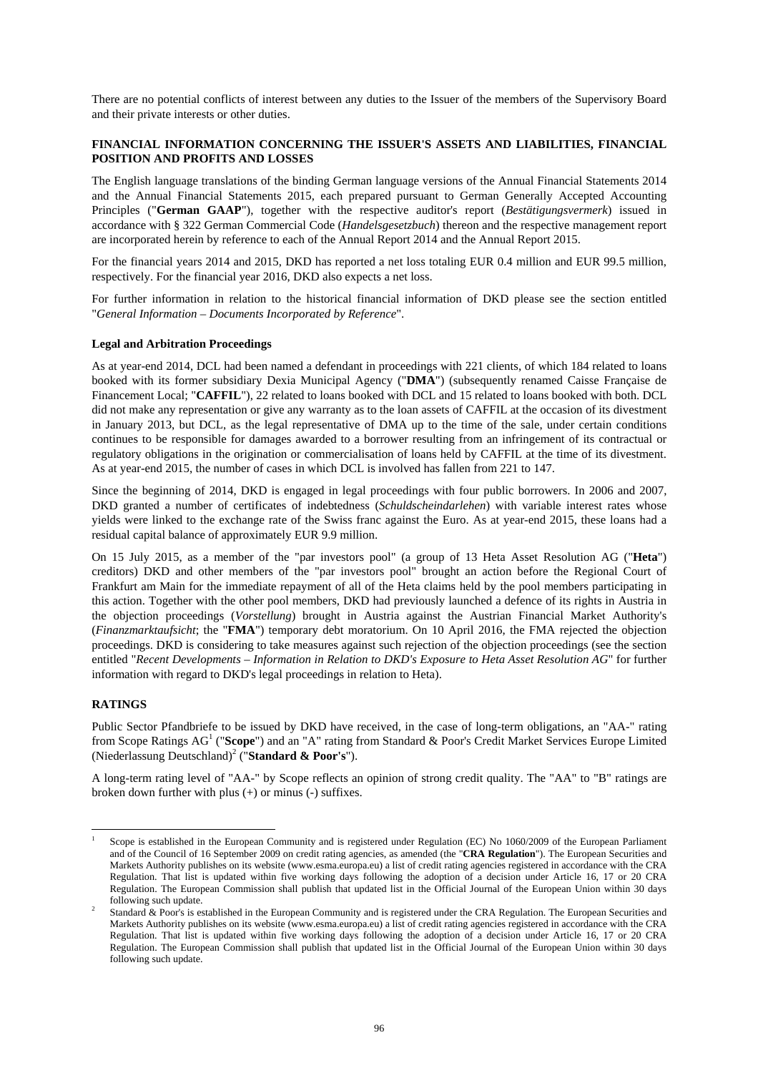There are no potential conflicts of interest between any duties to the Issuer of the members of the Supervisory Board and their private interests or other duties.

# **FINANCIAL INFORMATION CONCERNING THE ISSUER'S ASSETS AND LIABILITIES, FINANCIAL POSITION AND PROFITS AND LOSSES**

The English language translations of the binding German language versions of the Annual Financial Statements 2014 and the Annual Financial Statements 2015, each prepared pursuant to German Generally Accepted Accounting Principles ("**German GAAP**"), together with the respective auditor's report (*Bestätigungsvermerk*) issued in accordance with § 322 German Commercial Code (*Handelsgesetzbuch*) thereon and the respective management report are incorporated herein by reference to each of the Annual Report 2014 and the Annual Report 2015.

For the financial years 2014 and 2015, DKD has reported a net loss totaling EUR 0.4 million and EUR 99.5 million, respectively. For the financial year 2016, DKD also expects a net loss.

For further information in relation to the historical financial information of DKD please see the section entitled "*General Information – Documents Incorporated by Reference*".

### **Legal and Arbitration Proceedings**

As at year-end 2014, DCL had been named a defendant in proceedings with 221 clients, of which 184 related to loans booked with its former subsidiary Dexia Municipal Agency ("**DMA**") (subsequently renamed Caisse Française de Financement Local; "**CAFFIL**"), 22 related to loans booked with DCL and 15 related to loans booked with both. DCL did not make any representation or give any warranty as to the loan assets of CAFFIL at the occasion of its divestment in January 2013, but DCL, as the legal representative of DMA up to the time of the sale, under certain conditions continues to be responsible for damages awarded to a borrower resulting from an infringement of its contractual or regulatory obligations in the origination or commercialisation of loans held by CAFFIL at the time of its divestment. As at year-end 2015, the number of cases in which DCL is involved has fallen from 221 to 147.

Since the beginning of 2014, DKD is engaged in legal proceedings with four public borrowers. In 2006 and 2007, DKD granted a number of certificates of indebtedness (*Schuldscheindarlehen*) with variable interest rates whose yields were linked to the exchange rate of the Swiss franc against the Euro. As at year-end 2015, these loans had a residual capital balance of approximately EUR 9.9 million.

On 15 July 2015, as a member of the "par investors pool" (a group of 13 Heta Asset Resolution AG ("**Heta**") creditors) DKD and other members of the "par investors pool" brought an action before the Regional Court of Frankfurt am Main for the immediate repayment of all of the Heta claims held by the pool members participating in this action. Together with the other pool members, DKD had previously launched a defence of its rights in Austria in the objection proceedings (*Vorstellung*) brought in Austria against the Austrian Financial Market Authority's (*Finanzmarktaufsicht*; the "**FMA**") temporary debt moratorium. On 10 April 2016, the FMA rejected the objection proceedings. DKD is considering to take measures against such rejection of the objection proceedings (see the section entitled "*Recent Developments – Information in Relation to DKD's Exposure to Heta Asset Resolution AG*" for further information with regard to DKD's legal proceedings in relation to Heta).

### **RATINGS**

l

Public Sector Pfandbriefe to be issued by DKD have received, in the case of long-term obligations, an "AA-" rating from Scope Ratings AG<sup>1</sup> ("Scope") and an "A" rating from Standard & Poor's Credit Market Services Europe Limited (Niederlassung Deutschland)<sup>2</sup> ("**Standard & Poor's**").

A long-term rating level of "AA-" by Scope reflects an opinion of strong credit quality. The "AA" to "B" ratings are broken down further with plus (+) or minus (-) suffixes.

<sup>1</sup> Scope is established in the European Community and is registered under Regulation (EC) No 1060/2009 of the European Parliament and of the Council of 16 September 2009 on credit rating agencies, as amended (the "**CRA Regulation**"). The European Securities and Markets Authority publishes on its website (www.esma.europa.eu) a list of credit rating agencies registered in accordance with the CRA Regulation. That list is updated within five working days following the adoption of a decision under Article 16, 17 or 20 CRA Regulation. The European Commission shall publish that updated list in the Official Journal of the European Union within 30 days following such update.

Standard & Poor's is established in the European Community and is registered under the CRA Regulation. The European Securities and Markets Authority publishes on its website (www.esma.europa.eu) a list of credit rating agencies registered in accordance with the CRA Regulation. That list is updated within five working days following the adoption of a decision under Article 16, 17 or 20 CRA Regulation. The European Commission shall publish that updated list in the Official Journal of the European Union within 30 days following such update.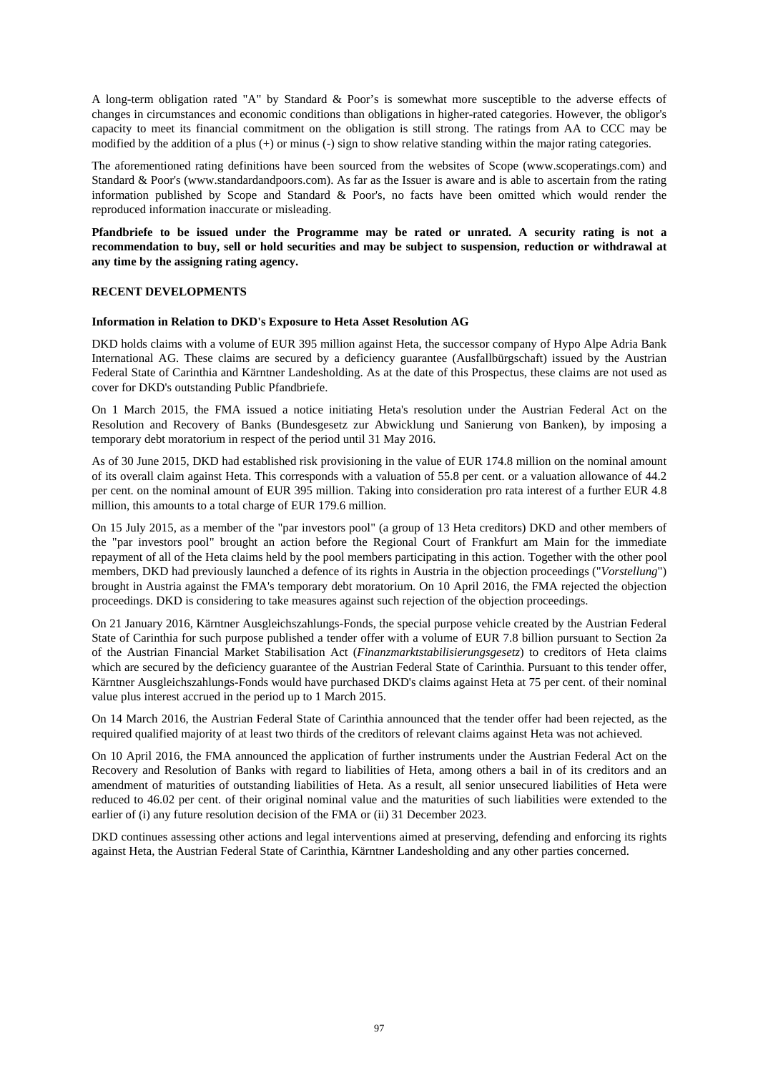A long-term obligation rated "A" by Standard & Poor's is somewhat more susceptible to the adverse effects of changes in circumstances and economic conditions than obligations in higher-rated categories. However, the obligor's capacity to meet its financial commitment on the obligation is still strong. The ratings from AA to CCC may be modified by the addition of a plus  $(+)$  or minus  $(-)$  sign to show relative standing within the major rating categories.

The aforementioned rating definitions have been sourced from the websites of Scope (www.scoperatings.com) and Standard & Poor's (www.standardandpoors.com). As far as the Issuer is aware and is able to ascertain from the rating information published by Scope and Standard & Poor's, no facts have been omitted which would render the reproduced information inaccurate or misleading.

**Pfandbriefe to be issued under the Programme may be rated or unrated. A security rating is not a recommendation to buy, sell or hold securities and may be subject to suspension, reduction or withdrawal at any time by the assigning rating agency.** 

### **RECENT DEVELOPMENTS**

#### **Information in Relation to DKD's Exposure to Heta Asset Resolution AG**

DKD holds claims with a volume of EUR 395 million against Heta, the successor company of Hypo Alpe Adria Bank International AG. These claims are secured by a deficiency guarantee (Ausfallbürgschaft) issued by the Austrian Federal State of Carinthia and Kärntner Landesholding. As at the date of this Prospectus, these claims are not used as cover for DKD's outstanding Public Pfandbriefe.

On 1 March 2015, the FMA issued a notice initiating Heta's resolution under the Austrian Federal Act on the Resolution and Recovery of Banks (Bundesgesetz zur Abwicklung und Sanierung von Banken), by imposing a temporary debt moratorium in respect of the period until 31 May 2016.

As of 30 June 2015, DKD had established risk provisioning in the value of EUR 174.8 million on the nominal amount of its overall claim against Heta. This corresponds with a valuation of 55.8 per cent. or a valuation allowance of 44.2 per cent. on the nominal amount of EUR 395 million. Taking into consideration pro rata interest of a further EUR 4.8 million, this amounts to a total charge of EUR 179.6 million.

On 15 July 2015, as a member of the "par investors pool" (a group of 13 Heta creditors) DKD and other members of the "par investors pool" brought an action before the Regional Court of Frankfurt am Main for the immediate repayment of all of the Heta claims held by the pool members participating in this action. Together with the other pool members, DKD had previously launched a defence of its rights in Austria in the objection proceedings ("*Vorstellung*") brought in Austria against the FMA's temporary debt moratorium. On 10 April 2016, the FMA rejected the objection proceedings. DKD is considering to take measures against such rejection of the objection proceedings.

On 21 January 2016, Kärntner Ausgleichszahlungs-Fonds, the special purpose vehicle created by the Austrian Federal State of Carinthia for such purpose published a tender offer with a volume of EUR 7.8 billion pursuant to Section 2a of the Austrian Financial Market Stabilisation Act (*Finanzmarktstabilisierungsgesetz*) to creditors of Heta claims which are secured by the deficiency guarantee of the Austrian Federal State of Carinthia. Pursuant to this tender offer, Kärntner Ausgleichszahlungs-Fonds would have purchased DKD's claims against Heta at 75 per cent. of their nominal value plus interest accrued in the period up to 1 March 2015.

On 14 March 2016, the Austrian Federal State of Carinthia announced that the tender offer had been rejected, as the required qualified majority of at least two thirds of the creditors of relevant claims against Heta was not achieved.

On 10 April 2016, the FMA announced the application of further instruments under the Austrian Federal Act on the Recovery and Resolution of Banks with regard to liabilities of Heta, among others a bail in of its creditors and an amendment of maturities of outstanding liabilities of Heta. As a result, all senior unsecured liabilities of Heta were reduced to 46.02 per cent. of their original nominal value and the maturities of such liabilities were extended to the earlier of (i) any future resolution decision of the FMA or (ii) 31 December 2023.

DKD continues assessing other actions and legal interventions aimed at preserving, defending and enforcing its rights against Heta, the Austrian Federal State of Carinthia, Kärntner Landesholding and any other parties concerned.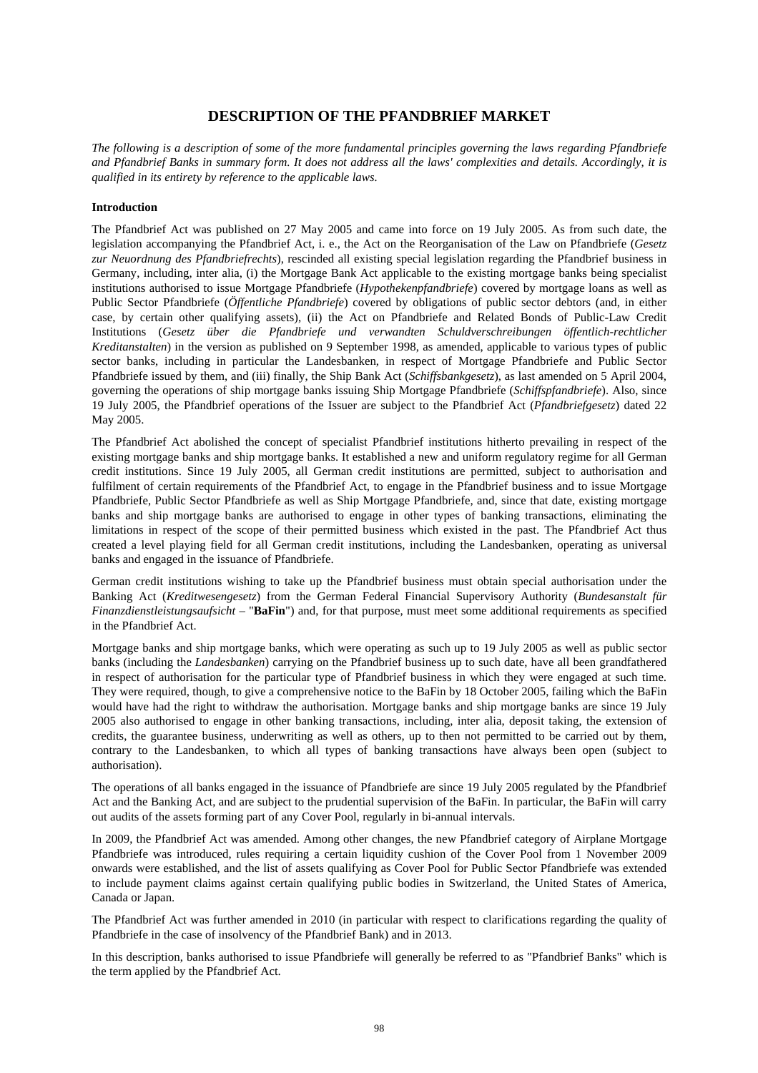# **DESCRIPTION OF THE PFANDBRIEF MARKET**

*The following is a description of some of the more fundamental principles governing the laws regarding Pfandbriefe and Pfandbrief Banks in summary form. It does not address all the laws' complexities and details. Accordingly, it is qualified in its entirety by reference to the applicable laws.* 

## **Introduction**

The Pfandbrief Act was published on 27 May 2005 and came into force on 19 July 2005. As from such date, the legislation accompanying the Pfandbrief Act, i. e., the Act on the Reorganisation of the Law on Pfandbriefe (*Gesetz zur Neuordnung des Pfandbriefrechts*), rescinded all existing special legislation regarding the Pfandbrief business in Germany, including, inter alia, (i) the Mortgage Bank Act applicable to the existing mortgage banks being specialist institutions authorised to issue Mortgage Pfandbriefe (*Hypothekenpfandbriefe*) covered by mortgage loans as well as Public Sector Pfandbriefe (*Öffentliche Pfandbriefe*) covered by obligations of public sector debtors (and, in either case, by certain other qualifying assets), (ii) the Act on Pfandbriefe and Related Bonds of Public-Law Credit Institutions (*Gesetz über die Pfandbriefe und verwandten Schuldverschreibungen öffentlich-rechtlicher Kreditanstalten*) in the version as published on 9 September 1998, as amended, applicable to various types of public sector banks, including in particular the Landesbanken, in respect of Mortgage Pfandbriefe and Public Sector Pfandbriefe issued by them, and (iii) finally, the Ship Bank Act (*Schiffsbankgesetz*), as last amended on 5 April 2004, governing the operations of ship mortgage banks issuing Ship Mortgage Pfandbriefe (*Schiffspfandbriefe*). Also, since 19 July 2005, the Pfandbrief operations of the Issuer are subject to the Pfandbrief Act (*Pfandbriefgesetz*) dated 22 May 2005.

The Pfandbrief Act abolished the concept of specialist Pfandbrief institutions hitherto prevailing in respect of the existing mortgage banks and ship mortgage banks. It established a new and uniform regulatory regime for all German credit institutions. Since 19 July 2005, all German credit institutions are permitted, subject to authorisation and fulfilment of certain requirements of the Pfandbrief Act, to engage in the Pfandbrief business and to issue Mortgage Pfandbriefe, Public Sector Pfandbriefe as well as Ship Mortgage Pfandbriefe, and, since that date, existing mortgage banks and ship mortgage banks are authorised to engage in other types of banking transactions, eliminating the limitations in respect of the scope of their permitted business which existed in the past. The Pfandbrief Act thus created a level playing field for all German credit institutions, including the Landesbanken, operating as universal banks and engaged in the issuance of Pfandbriefe.

German credit institutions wishing to take up the Pfandbrief business must obtain special authorisation under the Banking Act (*Kreditwesengesetz*) from the German Federal Financial Supervisory Authority (*Bundesanstalt für Finanzdienstleistungsaufsicht* – "**BaFin**") and, for that purpose, must meet some additional requirements as specified in the Pfandbrief Act.

Mortgage banks and ship mortgage banks, which were operating as such up to 19 July 2005 as well as public sector banks (including the *Landesbanken*) carrying on the Pfandbrief business up to such date, have all been grandfathered in respect of authorisation for the particular type of Pfandbrief business in which they were engaged at such time. They were required, though, to give a comprehensive notice to the BaFin by 18 October 2005, failing which the BaFin would have had the right to withdraw the authorisation. Mortgage banks and ship mortgage banks are since 19 July 2005 also authorised to engage in other banking transactions, including, inter alia, deposit taking, the extension of credits, the guarantee business, underwriting as well as others, up to then not permitted to be carried out by them, contrary to the Landesbanken, to which all types of banking transactions have always been open (subject to authorisation).

The operations of all banks engaged in the issuance of Pfandbriefe are since 19 July 2005 regulated by the Pfandbrief Act and the Banking Act, and are subject to the prudential supervision of the BaFin. In particular, the BaFin will carry out audits of the assets forming part of any Cover Pool, regularly in bi-annual intervals.

In 2009, the Pfandbrief Act was amended. Among other changes, the new Pfandbrief category of Airplane Mortgage Pfandbriefe was introduced, rules requiring a certain liquidity cushion of the Cover Pool from 1 November 2009 onwards were established, and the list of assets qualifying as Cover Pool for Public Sector Pfandbriefe was extended to include payment claims against certain qualifying public bodies in Switzerland, the United States of America, Canada or Japan.

The Pfandbrief Act was further amended in 2010 (in particular with respect to clarifications regarding the quality of Pfandbriefe in the case of insolvency of the Pfandbrief Bank) and in 2013.

In this description, banks authorised to issue Pfandbriefe will generally be referred to as "Pfandbrief Banks" which is the term applied by the Pfandbrief Act.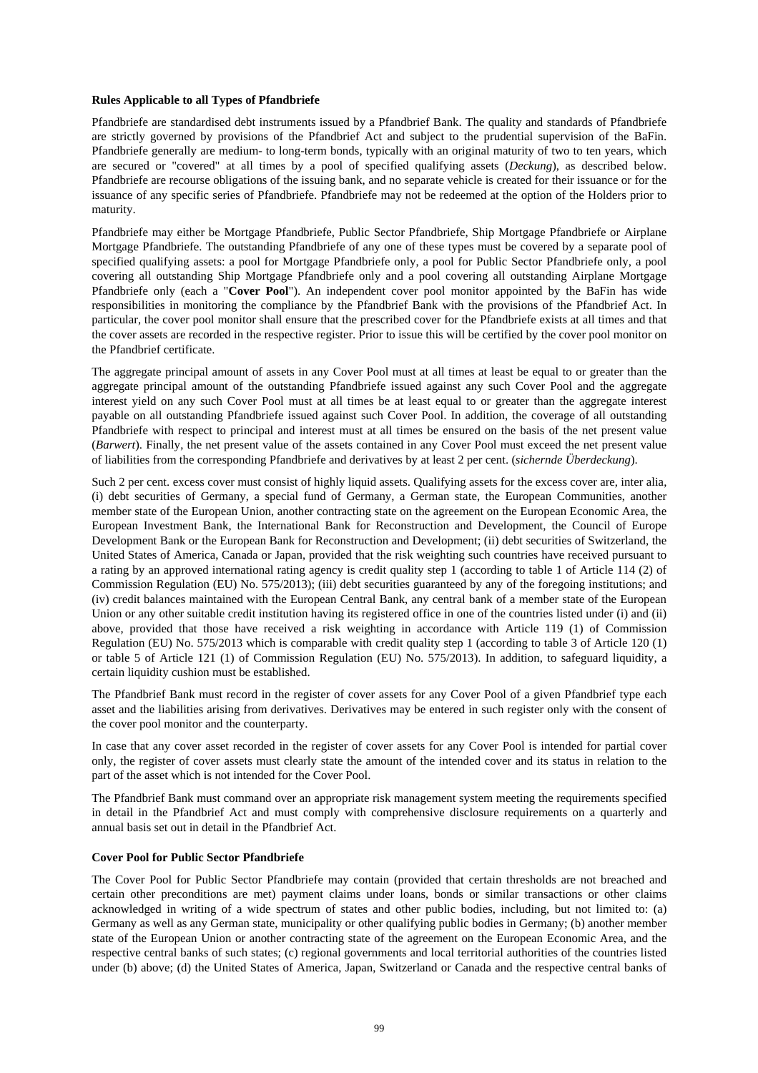### **Rules Applicable to all Types of Pfandbriefe**

Pfandbriefe are standardised debt instruments issued by a Pfandbrief Bank. The quality and standards of Pfandbriefe are strictly governed by provisions of the Pfandbrief Act and subject to the prudential supervision of the BaFin. Pfandbriefe generally are medium- to long-term bonds, typically with an original maturity of two to ten years, which are secured or "covered" at all times by a pool of specified qualifying assets (*Deckung*), as described below. Pfandbriefe are recourse obligations of the issuing bank, and no separate vehicle is created for their issuance or for the issuance of any specific series of Pfandbriefe. Pfandbriefe may not be redeemed at the option of the Holders prior to maturity.

Pfandbriefe may either be Mortgage Pfandbriefe, Public Sector Pfandbriefe, Ship Mortgage Pfandbriefe or Airplane Mortgage Pfandbriefe. The outstanding Pfandbriefe of any one of these types must be covered by a separate pool of specified qualifying assets: a pool for Mortgage Pfandbriefe only, a pool for Public Sector Pfandbriefe only, a pool covering all outstanding Ship Mortgage Pfandbriefe only and a pool covering all outstanding Airplane Mortgage Pfandbriefe only (each a "**Cover Pool**"). An independent cover pool monitor appointed by the BaFin has wide responsibilities in monitoring the compliance by the Pfandbrief Bank with the provisions of the Pfandbrief Act. In particular, the cover pool monitor shall ensure that the prescribed cover for the Pfandbriefe exists at all times and that the cover assets are recorded in the respective register. Prior to issue this will be certified by the cover pool monitor on the Pfandbrief certificate.

The aggregate principal amount of assets in any Cover Pool must at all times at least be equal to or greater than the aggregate principal amount of the outstanding Pfandbriefe issued against any such Cover Pool and the aggregate interest yield on any such Cover Pool must at all times be at least equal to or greater than the aggregate interest payable on all outstanding Pfandbriefe issued against such Cover Pool. In addition, the coverage of all outstanding Pfandbriefe with respect to principal and interest must at all times be ensured on the basis of the net present value (*Barwert*). Finally, the net present value of the assets contained in any Cover Pool must exceed the net present value of liabilities from the corresponding Pfandbriefe and derivatives by at least 2 per cent. (*sichernde Überdeckung*).

Such 2 per cent. excess cover must consist of highly liquid assets. Qualifying assets for the excess cover are, inter alia, (i) debt securities of Germany, a special fund of Germany, a German state, the European Communities, another member state of the European Union, another contracting state on the agreement on the European Economic Area, the European Investment Bank, the International Bank for Reconstruction and Development, the Council of Europe Development Bank or the European Bank for Reconstruction and Development; (ii) debt securities of Switzerland, the United States of America, Canada or Japan, provided that the risk weighting such countries have received pursuant to a rating by an approved international rating agency is credit quality step 1 (according to table 1 of Article 114 (2) of Commission Regulation (EU) No. 575/2013); (iii) debt securities guaranteed by any of the foregoing institutions; and (iv) credit balances maintained with the European Central Bank, any central bank of a member state of the European Union or any other suitable credit institution having its registered office in one of the countries listed under (i) and (ii) above, provided that those have received a risk weighting in accordance with Article 119 (1) of Commission Regulation (EU) No. 575/2013 which is comparable with credit quality step 1 (according to table 3 of Article 120 (1) or table 5 of Article 121 (1) of Commission Regulation (EU) No. 575/2013). In addition, to safeguard liquidity, a certain liquidity cushion must be established.

The Pfandbrief Bank must record in the register of cover assets for any Cover Pool of a given Pfandbrief type each asset and the liabilities arising from derivatives. Derivatives may be entered in such register only with the consent of the cover pool monitor and the counterparty.

In case that any cover asset recorded in the register of cover assets for any Cover Pool is intended for partial cover only, the register of cover assets must clearly state the amount of the intended cover and its status in relation to the part of the asset which is not intended for the Cover Pool.

The Pfandbrief Bank must command over an appropriate risk management system meeting the requirements specified in detail in the Pfandbrief Act and must comply with comprehensive disclosure requirements on a quarterly and annual basis set out in detail in the Pfandbrief Act.

## **Cover Pool for Public Sector Pfandbriefe**

The Cover Pool for Public Sector Pfandbriefe may contain (provided that certain thresholds are not breached and certain other preconditions are met) payment claims under loans, bonds or similar transactions or other claims acknowledged in writing of a wide spectrum of states and other public bodies, including, but not limited to: (a) Germany as well as any German state, municipality or other qualifying public bodies in Germany; (b) another member state of the European Union or another contracting state of the agreement on the European Economic Area, and the respective central banks of such states; (c) regional governments and local territorial authorities of the countries listed under (b) above; (d) the United States of America, Japan, Switzerland or Canada and the respective central banks of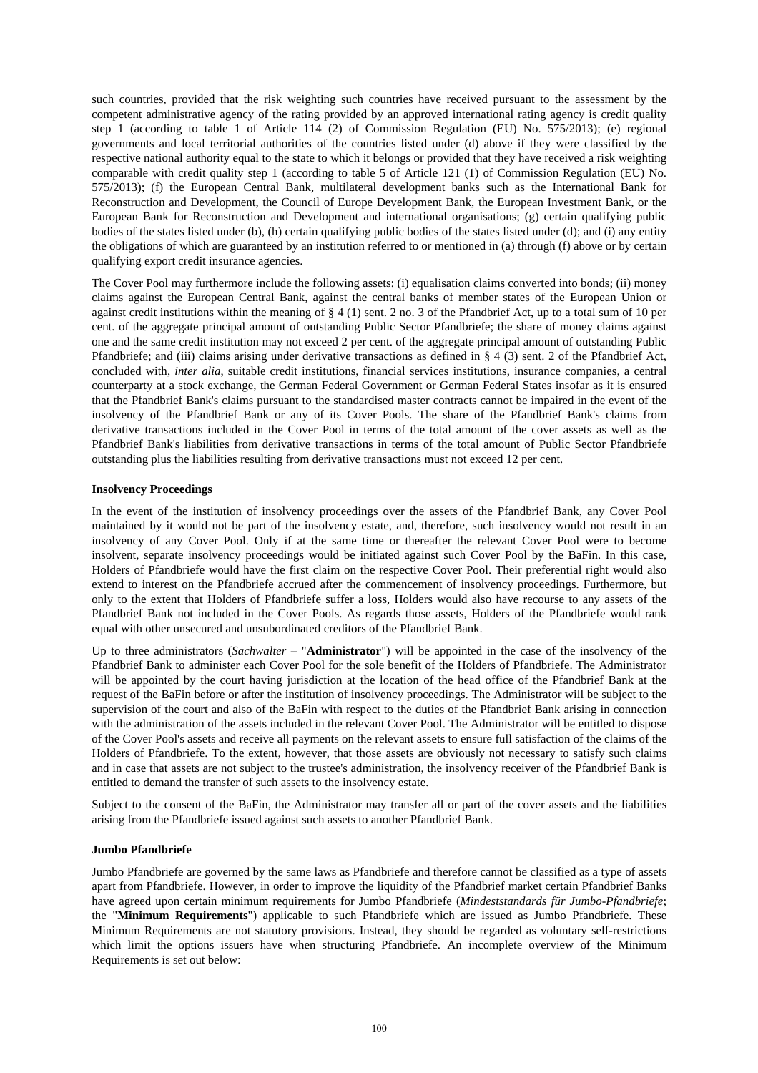such countries, provided that the risk weighting such countries have received pursuant to the assessment by the competent administrative agency of the rating provided by an approved international rating agency is credit quality step 1 (according to table 1 of Article 114 (2) of Commission Regulation (EU) No. 575/2013); (e) regional governments and local territorial authorities of the countries listed under (d) above if they were classified by the respective national authority equal to the state to which it belongs or provided that they have received a risk weighting comparable with credit quality step 1 (according to table 5 of Article 121 (1) of Commission Regulation (EU) No. 575/2013); (f) the European Central Bank, multilateral development banks such as the International Bank for Reconstruction and Development, the Council of Europe Development Bank, the European Investment Bank, or the European Bank for Reconstruction and Development and international organisations; (g) certain qualifying public bodies of the states listed under (b), (h) certain qualifying public bodies of the states listed under (d); and (i) any entity the obligations of which are guaranteed by an institution referred to or mentioned in (a) through (f) above or by certain qualifying export credit insurance agencies.

The Cover Pool may furthermore include the following assets: (i) equalisation claims converted into bonds; (ii) money claims against the European Central Bank, against the central banks of member states of the European Union or against credit institutions within the meaning of § 4 (1) sent. 2 no. 3 of the Pfandbrief Act, up to a total sum of 10 per cent. of the aggregate principal amount of outstanding Public Sector Pfandbriefe; the share of money claims against one and the same credit institution may not exceed 2 per cent. of the aggregate principal amount of outstanding Public Pfandbriefe; and (iii) claims arising under derivative transactions as defined in § 4 (3) sent. 2 of the Pfandbrief Act, concluded with, *inter alia*, suitable credit institutions, financial services institutions, insurance companies, a central counterparty at a stock exchange, the German Federal Government or German Federal States insofar as it is ensured that the Pfandbrief Bank's claims pursuant to the standardised master contracts cannot be impaired in the event of the insolvency of the Pfandbrief Bank or any of its Cover Pools. The share of the Pfandbrief Bank's claims from derivative transactions included in the Cover Pool in terms of the total amount of the cover assets as well as the Pfandbrief Bank's liabilities from derivative transactions in terms of the total amount of Public Sector Pfandbriefe outstanding plus the liabilities resulting from derivative transactions must not exceed 12 per cent.

## **Insolvency Proceedings**

In the event of the institution of insolvency proceedings over the assets of the Pfandbrief Bank, any Cover Pool maintained by it would not be part of the insolvency estate, and, therefore, such insolvency would not result in an insolvency of any Cover Pool. Only if at the same time or thereafter the relevant Cover Pool were to become insolvent, separate insolvency proceedings would be initiated against such Cover Pool by the BaFin. In this case, Holders of Pfandbriefe would have the first claim on the respective Cover Pool. Their preferential right would also extend to interest on the Pfandbriefe accrued after the commencement of insolvency proceedings. Furthermore, but only to the extent that Holders of Pfandbriefe suffer a loss, Holders would also have recourse to any assets of the Pfandbrief Bank not included in the Cover Pools. As regards those assets, Holders of the Pfandbriefe would rank equal with other unsecured and unsubordinated creditors of the Pfandbrief Bank.

Up to three administrators (*Sachwalter* – "**Administrator**") will be appointed in the case of the insolvency of the Pfandbrief Bank to administer each Cover Pool for the sole benefit of the Holders of Pfandbriefe. The Administrator will be appointed by the court having jurisdiction at the location of the head office of the Pfandbrief Bank at the request of the BaFin before or after the institution of insolvency proceedings. The Administrator will be subject to the supervision of the court and also of the BaFin with respect to the duties of the Pfandbrief Bank arising in connection with the administration of the assets included in the relevant Cover Pool. The Administrator will be entitled to dispose of the Cover Pool's assets and receive all payments on the relevant assets to ensure full satisfaction of the claims of the Holders of Pfandbriefe. To the extent, however, that those assets are obviously not necessary to satisfy such claims and in case that assets are not subject to the trustee's administration, the insolvency receiver of the Pfandbrief Bank is entitled to demand the transfer of such assets to the insolvency estate.

Subject to the consent of the BaFin, the Administrator may transfer all or part of the cover assets and the liabilities arising from the Pfandbriefe issued against such assets to another Pfandbrief Bank.

### **Jumbo Pfandbriefe**

Jumbo Pfandbriefe are governed by the same laws as Pfandbriefe and therefore cannot be classified as a type of assets apart from Pfandbriefe. However, in order to improve the liquidity of the Pfandbrief market certain Pfandbrief Banks have agreed upon certain minimum requirements for Jumbo Pfandbriefe (*Mindeststandards für Jumbo-Pfandbriefe*; the "**Minimum Requirements**") applicable to such Pfandbriefe which are issued as Jumbo Pfandbriefe. These Minimum Requirements are not statutory provisions. Instead, they should be regarded as voluntary self-restrictions which limit the options issuers have when structuring Pfandbriefe. An incomplete overview of the Minimum Requirements is set out below: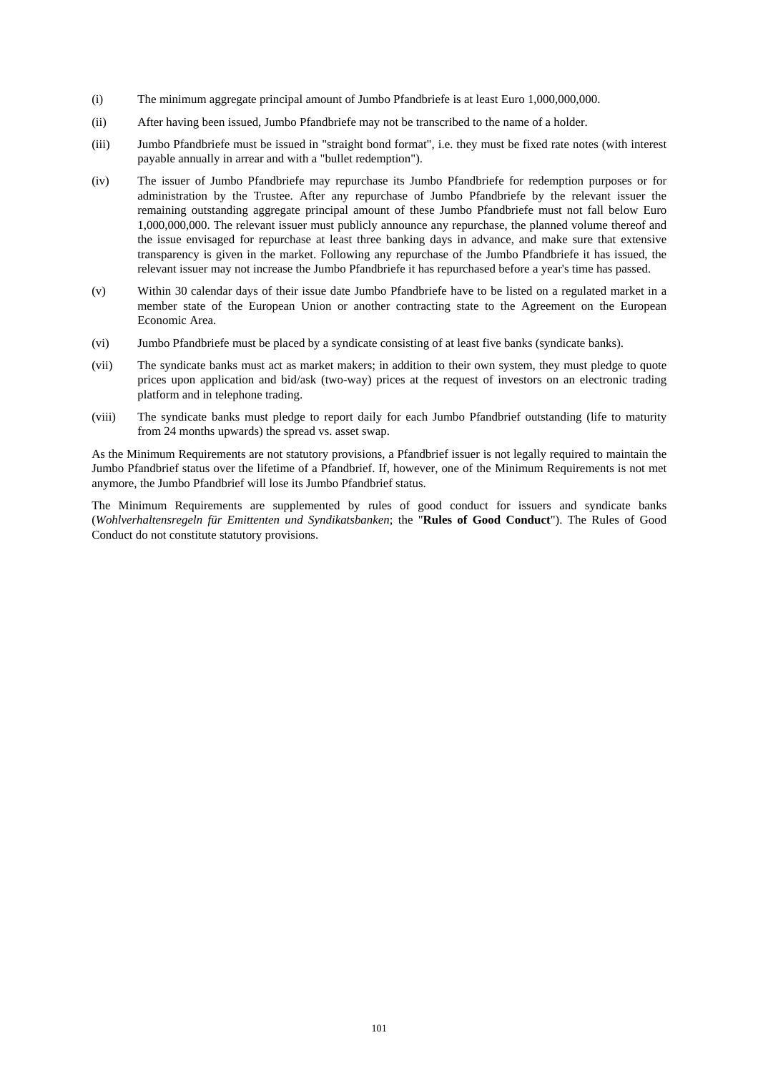- (i) The minimum aggregate principal amount of Jumbo Pfandbriefe is at least Euro 1,000,000,000.
- (ii) After having been issued, Jumbo Pfandbriefe may not be transcribed to the name of a holder.
- (iii) Jumbo Pfandbriefe must be issued in "straight bond format", i.e. they must be fixed rate notes (with interest payable annually in arrear and with a "bullet redemption").
- (iv) The issuer of Jumbo Pfandbriefe may repurchase its Jumbo Pfandbriefe for redemption purposes or for administration by the Trustee. After any repurchase of Jumbo Pfandbriefe by the relevant issuer the remaining outstanding aggregate principal amount of these Jumbo Pfandbriefe must not fall below Euro 1,000,000,000. The relevant issuer must publicly announce any repurchase, the planned volume thereof and the issue envisaged for repurchase at least three banking days in advance, and make sure that extensive transparency is given in the market. Following any repurchase of the Jumbo Pfandbriefe it has issued, the relevant issuer may not increase the Jumbo Pfandbriefe it has repurchased before a year's time has passed.
- (v) Within 30 calendar days of their issue date Jumbo Pfandbriefe have to be listed on a regulated market in a member state of the European Union or another contracting state to the Agreement on the European Economic Area.
- (vi) Jumbo Pfandbriefe must be placed by a syndicate consisting of at least five banks (syndicate banks).
- (vii) The syndicate banks must act as market makers; in addition to their own system, they must pledge to quote prices upon application and bid/ask (two-way) prices at the request of investors on an electronic trading platform and in telephone trading.
- (viii) The syndicate banks must pledge to report daily for each Jumbo Pfandbrief outstanding (life to maturity from 24 months upwards) the spread vs. asset swap.

As the Minimum Requirements are not statutory provisions, a Pfandbrief issuer is not legally required to maintain the Jumbo Pfandbrief status over the lifetime of a Pfandbrief. If, however, one of the Minimum Requirements is not met anymore, the Jumbo Pfandbrief will lose its Jumbo Pfandbrief status.

The Minimum Requirements are supplemented by rules of good conduct for issuers and syndicate banks (*Wohlverhaltensregeln für Emittenten und Syndikatsbanken*; the "**Rules of Good Conduct**"). The Rules of Good Conduct do not constitute statutory provisions.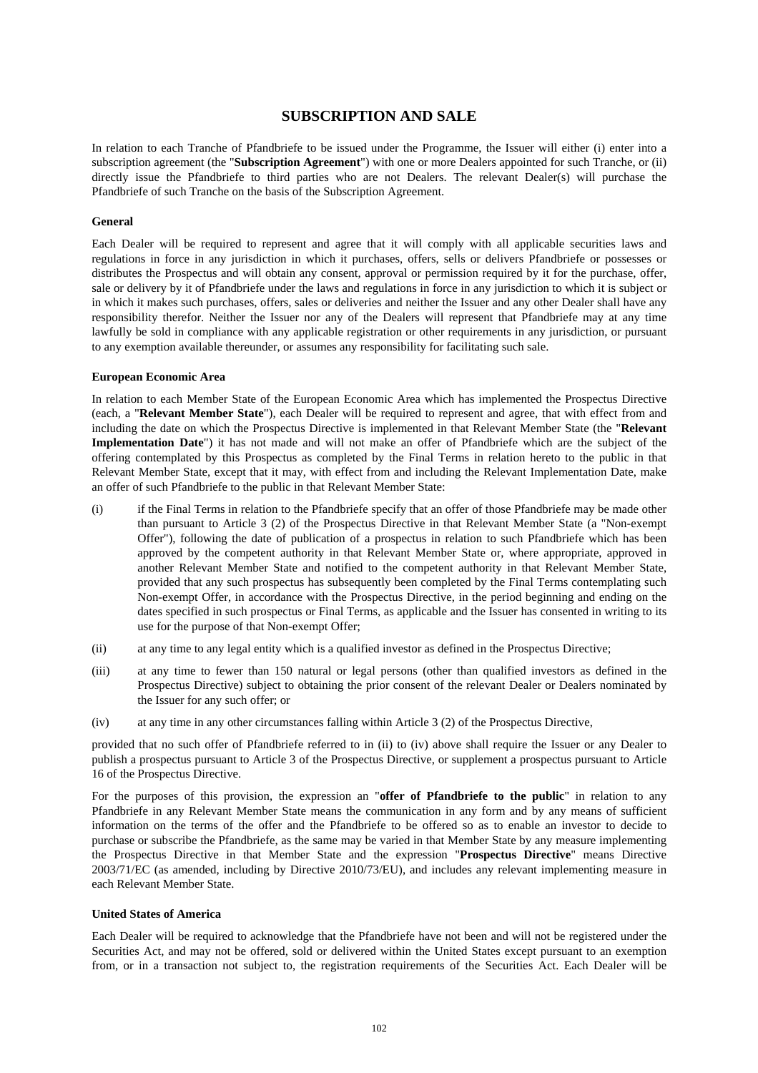# **SUBSCRIPTION AND SALE**

In relation to each Tranche of Pfandbriefe to be issued under the Programme, the Issuer will either (i) enter into a subscription agreement (the "**Subscription Agreement**") with one or more Dealers appointed for such Tranche, or (ii) directly issue the Pfandbriefe to third parties who are not Dealers. The relevant Dealer(s) will purchase the Pfandbriefe of such Tranche on the basis of the Subscription Agreement.

### **General**

Each Dealer will be required to represent and agree that it will comply with all applicable securities laws and regulations in force in any jurisdiction in which it purchases, offers, sells or delivers Pfandbriefe or possesses or distributes the Prospectus and will obtain any consent, approval or permission required by it for the purchase, offer, sale or delivery by it of Pfandbriefe under the laws and regulations in force in any jurisdiction to which it is subject or in which it makes such purchases, offers, sales or deliveries and neither the Issuer and any other Dealer shall have any responsibility therefor. Neither the Issuer nor any of the Dealers will represent that Pfandbriefe may at any time lawfully be sold in compliance with any applicable registration or other requirements in any jurisdiction, or pursuant to any exemption available thereunder, or assumes any responsibility for facilitating such sale.

### **European Economic Area**

In relation to each Member State of the European Economic Area which has implemented the Prospectus Directive (each, a "**Relevant Member State**"), each Dealer will be required to represent and agree, that with effect from and including the date on which the Prospectus Directive is implemented in that Relevant Member State (the "**Relevant Implementation Date**") it has not made and will not make an offer of Pfandbriefe which are the subject of the offering contemplated by this Prospectus as completed by the Final Terms in relation hereto to the public in that Relevant Member State, except that it may, with effect from and including the Relevant Implementation Date, make an offer of such Pfandbriefe to the public in that Relevant Member State:

- (i) if the Final Terms in relation to the Pfandbriefe specify that an offer of those Pfandbriefe may be made other than pursuant to Article 3 (2) of the Prospectus Directive in that Relevant Member State (a "Non-exempt Offer"), following the date of publication of a prospectus in relation to such Pfandbriefe which has been approved by the competent authority in that Relevant Member State or, where appropriate, approved in another Relevant Member State and notified to the competent authority in that Relevant Member State, provided that any such prospectus has subsequently been completed by the Final Terms contemplating such Non-exempt Offer, in accordance with the Prospectus Directive, in the period beginning and ending on the dates specified in such prospectus or Final Terms, as applicable and the Issuer has consented in writing to its use for the purpose of that Non-exempt Offer;
- (ii) at any time to any legal entity which is a qualified investor as defined in the Prospectus Directive;
- (iii) at any time to fewer than 150 natural or legal persons (other than qualified investors as defined in the Prospectus Directive) subject to obtaining the prior consent of the relevant Dealer or Dealers nominated by the Issuer for any such offer; or
- (iv) at any time in any other circumstances falling within Article 3 (2) of the Prospectus Directive,

provided that no such offer of Pfandbriefe referred to in (ii) to (iv) above shall require the Issuer or any Dealer to publish a prospectus pursuant to Article 3 of the Prospectus Directive, or supplement a prospectus pursuant to Article 16 of the Prospectus Directive.

For the purposes of this provision, the expression an "**offer of Pfandbriefe to the public**" in relation to any Pfandbriefe in any Relevant Member State means the communication in any form and by any means of sufficient information on the terms of the offer and the Pfandbriefe to be offered so as to enable an investor to decide to purchase or subscribe the Pfandbriefe, as the same may be varied in that Member State by any measure implementing the Prospectus Directive in that Member State and the expression "**Prospectus Directive**" means Directive 2003/71/EC (as amended, including by Directive 2010/73/EU), and includes any relevant implementing measure in each Relevant Member State.

# **United States of America**

Each Dealer will be required to acknowledge that the Pfandbriefe have not been and will not be registered under the Securities Act, and may not be offered, sold or delivered within the United States except pursuant to an exemption from, or in a transaction not subject to, the registration requirements of the Securities Act. Each Dealer will be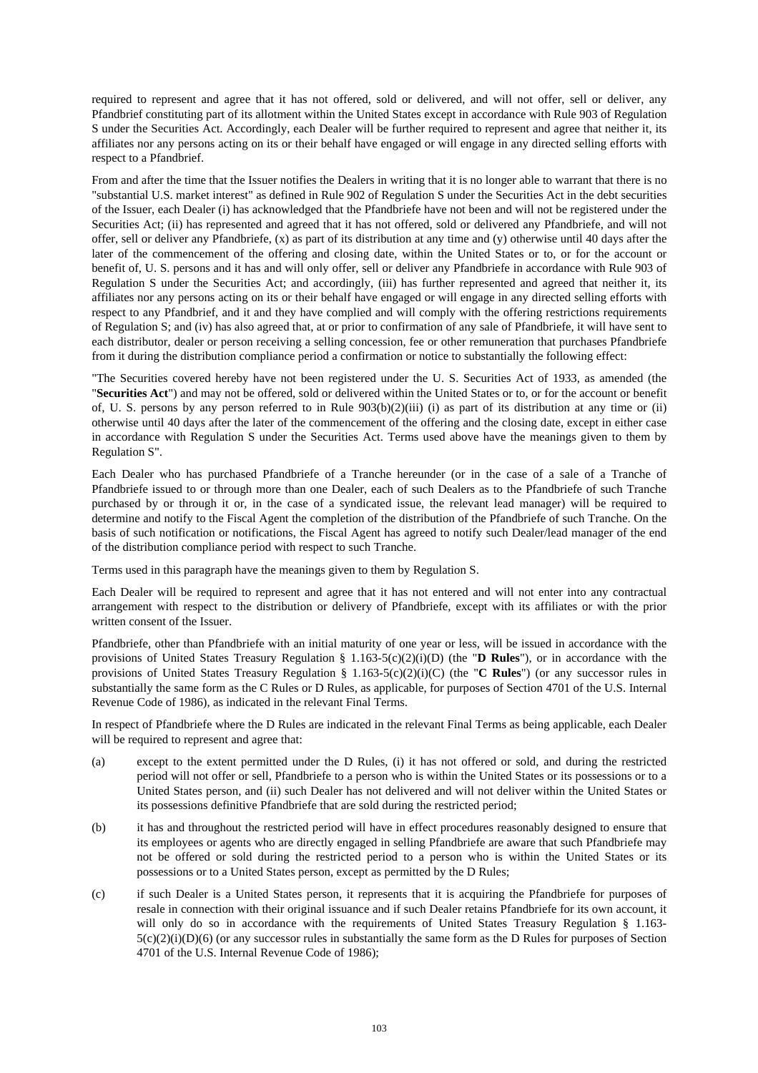required to represent and agree that it has not offered, sold or delivered, and will not offer, sell or deliver, any Pfandbrief constituting part of its allotment within the United States except in accordance with Rule 903 of Regulation S under the Securities Act. Accordingly, each Dealer will be further required to represent and agree that neither it, its affiliates nor any persons acting on its or their behalf have engaged or will engage in any directed selling efforts with respect to a Pfandbrief.

From and after the time that the Issuer notifies the Dealers in writing that it is no longer able to warrant that there is no "substantial U.S. market interest" as defined in Rule 902 of Regulation S under the Securities Act in the debt securities of the Issuer, each Dealer (i) has acknowledged that the Pfandbriefe have not been and will not be registered under the Securities Act; (ii) has represented and agreed that it has not offered, sold or delivered any Pfandbriefe, and will not offer, sell or deliver any Pfandbriefe, (x) as part of its distribution at any time and (y) otherwise until 40 days after the later of the commencement of the offering and closing date, within the United States or to, or for the account or benefit of, U. S. persons and it has and will only offer, sell or deliver any Pfandbriefe in accordance with Rule 903 of Regulation S under the Securities Act; and accordingly, (iii) has further represented and agreed that neither it, its affiliates nor any persons acting on its or their behalf have engaged or will engage in any directed selling efforts with respect to any Pfandbrief, and it and they have complied and will comply with the offering restrictions requirements of Regulation S; and (iv) has also agreed that, at or prior to confirmation of any sale of Pfandbriefe, it will have sent to each distributor, dealer or person receiving a selling concession, fee or other remuneration that purchases Pfandbriefe from it during the distribution compliance period a confirmation or notice to substantially the following effect:

"The Securities covered hereby have not been registered under the U. S. Securities Act of 1933, as amended (the "**Securities Act**") and may not be offered, sold or delivered within the United States or to, or for the account or benefit of, U. S. persons by any person referred to in Rule  $903(b)(2)(iii)$  (i) as part of its distribution at any time or (ii) otherwise until 40 days after the later of the commencement of the offering and the closing date, except in either case in accordance with Regulation S under the Securities Act. Terms used above have the meanings given to them by Regulation S".

Each Dealer who has purchased Pfandbriefe of a Tranche hereunder (or in the case of a sale of a Tranche of Pfandbriefe issued to or through more than one Dealer, each of such Dealers as to the Pfandbriefe of such Tranche purchased by or through it or, in the case of a syndicated issue, the relevant lead manager) will be required to determine and notify to the Fiscal Agent the completion of the distribution of the Pfandbriefe of such Tranche. On the basis of such notification or notifications, the Fiscal Agent has agreed to notify such Dealer/lead manager of the end of the distribution compliance period with respect to such Tranche.

Terms used in this paragraph have the meanings given to them by Regulation S.

Each Dealer will be required to represent and agree that it has not entered and will not enter into any contractual arrangement with respect to the distribution or delivery of Pfandbriefe, except with its affiliates or with the prior written consent of the Issuer.

Pfandbriefe, other than Pfandbriefe with an initial maturity of one year or less, will be issued in accordance with the provisions of United States Treasury Regulation §  $1.163-5(c)(2)(i)$ (D) (the "**D Rules**"), or in accordance with the provisions of United States Treasury Regulation § 1.163-5(c)(2)(i)(C) (the "**C Rules**") (or any successor rules in substantially the same form as the C Rules or D Rules, as applicable, for purposes of Section 4701 of the U.S. Internal Revenue Code of 1986), as indicated in the relevant Final Terms.

In respect of Pfandbriefe where the D Rules are indicated in the relevant Final Terms as being applicable, each Dealer will be required to represent and agree that:

- (a) except to the extent permitted under the D Rules, (i) it has not offered or sold, and during the restricted period will not offer or sell, Pfandbriefe to a person who is within the United States or its possessions or to a United States person, and (ii) such Dealer has not delivered and will not deliver within the United States or its possessions definitive Pfandbriefe that are sold during the restricted period;
- (b) it has and throughout the restricted period will have in effect procedures reasonably designed to ensure that its employees or agents who are directly engaged in selling Pfandbriefe are aware that such Pfandbriefe may not be offered or sold during the restricted period to a person who is within the United States or its possessions or to a United States person, except as permitted by the D Rules;
- (c) if such Dealer is a United States person, it represents that it is acquiring the Pfandbriefe for purposes of resale in connection with their original issuance and if such Dealer retains Pfandbriefe for its own account, it will only do so in accordance with the requirements of United States Treasury Regulation § 1.163- $5(c)(2)(i)(D)(6)$  (or any successor rules in substantially the same form as the D Rules for purposes of Section 4701 of the U.S. Internal Revenue Code of 1986);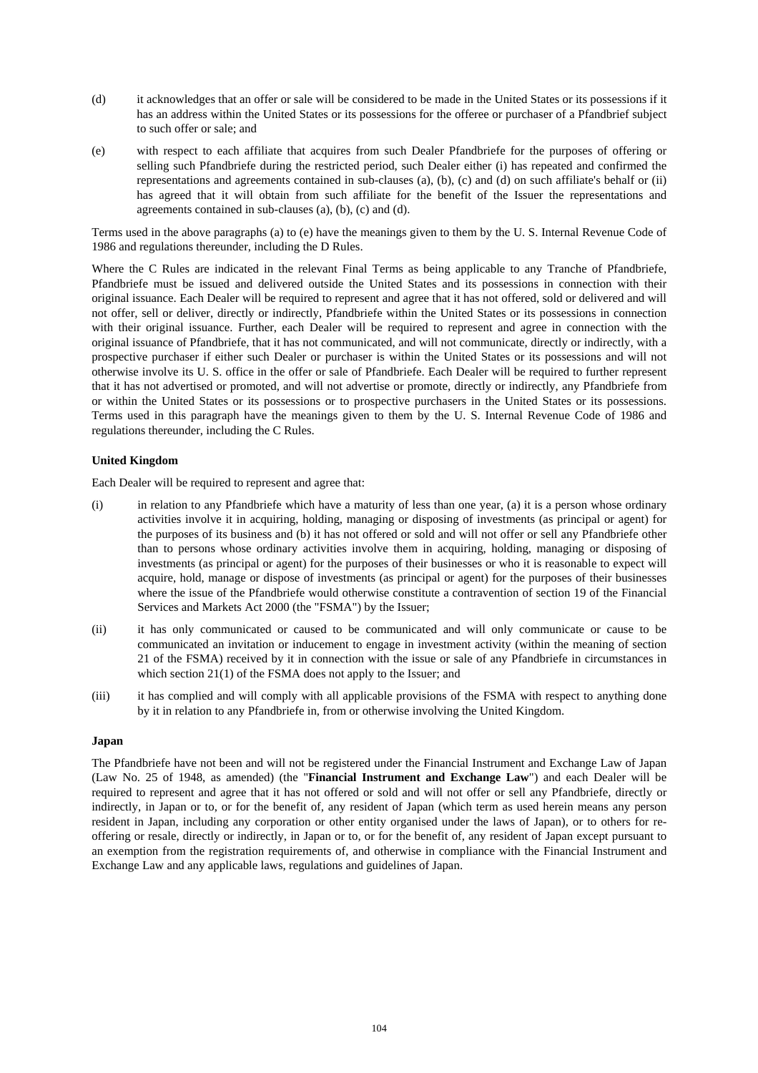- (d) it acknowledges that an offer or sale will be considered to be made in the United States or its possessions if it has an address within the United States or its possessions for the offeree or purchaser of a Pfandbrief subject to such offer or sale; and
- (e) with respect to each affiliate that acquires from such Dealer Pfandbriefe for the purposes of offering or selling such Pfandbriefe during the restricted period, such Dealer either (i) has repeated and confirmed the representations and agreements contained in sub-clauses (a), (b), (c) and (d) on such affiliate's behalf or (ii) has agreed that it will obtain from such affiliate for the benefit of the Issuer the representations and agreements contained in sub-clauses (a), (b), (c) and (d).

Terms used in the above paragraphs (a) to (e) have the meanings given to them by the U. S. Internal Revenue Code of 1986 and regulations thereunder, including the D Rules.

Where the C Rules are indicated in the relevant Final Terms as being applicable to any Tranche of Pfandbriefe, Pfandbriefe must be issued and delivered outside the United States and its possessions in connection with their original issuance. Each Dealer will be required to represent and agree that it has not offered, sold or delivered and will not offer, sell or deliver, directly or indirectly, Pfandbriefe within the United States or its possessions in connection with their original issuance. Further, each Dealer will be required to represent and agree in connection with the original issuance of Pfandbriefe, that it has not communicated, and will not communicate, directly or indirectly, with a prospective purchaser if either such Dealer or purchaser is within the United States or its possessions and will not otherwise involve its U. S. office in the offer or sale of Pfandbriefe. Each Dealer will be required to further represent that it has not advertised or promoted, and will not advertise or promote, directly or indirectly, any Pfandbriefe from or within the United States or its possessions or to prospective purchasers in the United States or its possessions. Terms used in this paragraph have the meanings given to them by the U. S. Internal Revenue Code of 1986 and regulations thereunder, including the C Rules.

# **United Kingdom**

Each Dealer will be required to represent and agree that:

- (i) in relation to any Pfandbriefe which have a maturity of less than one year, (a) it is a person whose ordinary activities involve it in acquiring, holding, managing or disposing of investments (as principal or agent) for the purposes of its business and (b) it has not offered or sold and will not offer or sell any Pfandbriefe other than to persons whose ordinary activities involve them in acquiring, holding, managing or disposing of investments (as principal or agent) for the purposes of their businesses or who it is reasonable to expect will acquire, hold, manage or dispose of investments (as principal or agent) for the purposes of their businesses where the issue of the Pfandbriefe would otherwise constitute a contravention of section 19 of the Financial Services and Markets Act 2000 (the "FSMA") by the Issuer;
- (ii) it has only communicated or caused to be communicated and will only communicate or cause to be communicated an invitation or inducement to engage in investment activity (within the meaning of section 21 of the FSMA) received by it in connection with the issue or sale of any Pfandbriefe in circumstances in which section 21(1) of the FSMA does not apply to the Issuer; and
- (iii) it has complied and will comply with all applicable provisions of the FSMA with respect to anything done by it in relation to any Pfandbriefe in, from or otherwise involving the United Kingdom.

#### **Japan**

The Pfandbriefe have not been and will not be registered under the Financial Instrument and Exchange Law of Japan (Law No. 25 of 1948, as amended) (the "**Financial Instrument and Exchange Law**") and each Dealer will be required to represent and agree that it has not offered or sold and will not offer or sell any Pfandbriefe, directly or indirectly, in Japan or to, or for the benefit of, any resident of Japan (which term as used herein means any person resident in Japan, including any corporation or other entity organised under the laws of Japan), or to others for reoffering or resale, directly or indirectly, in Japan or to, or for the benefit of, any resident of Japan except pursuant to an exemption from the registration requirements of, and otherwise in compliance with the Financial Instrument and Exchange Law and any applicable laws, regulations and guidelines of Japan.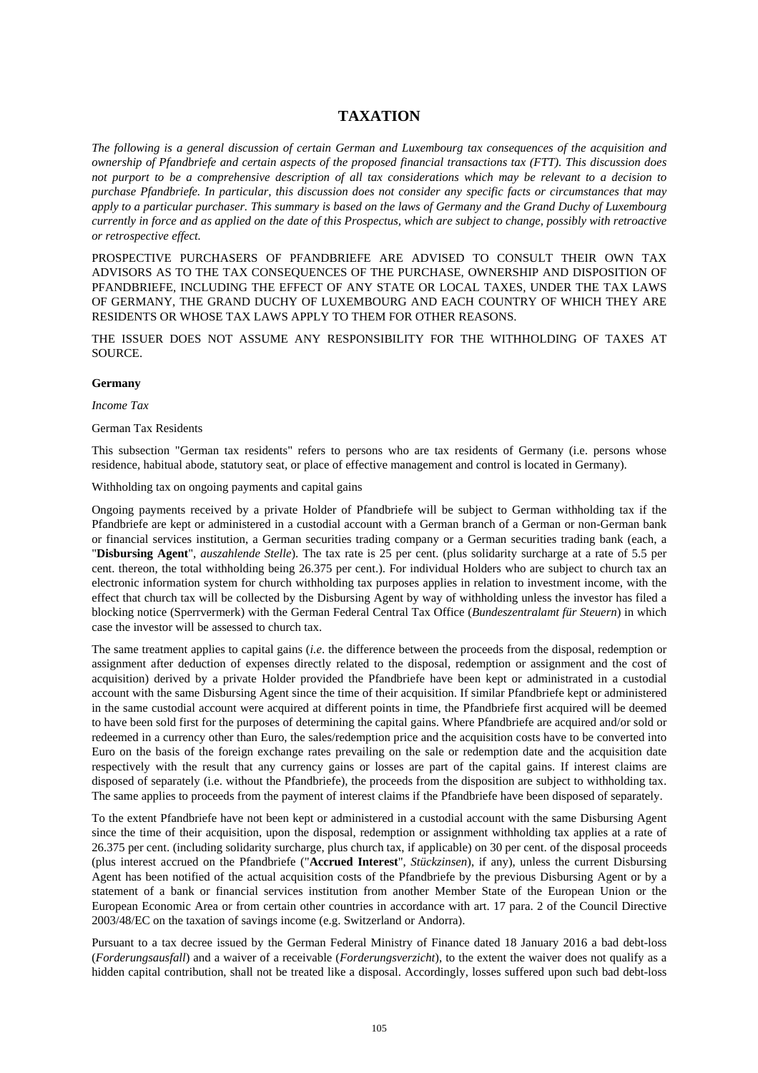# **TAXATION**

*The following is a general discussion of certain German and Luxembourg tax consequences of the acquisition and ownership of Pfandbriefe and certain aspects of the proposed financial transactions tax (FTT). This discussion does not purport to be a comprehensive description of all tax considerations which may be relevant to a decision to purchase Pfandbriefe. In particular, this discussion does not consider any specific facts or circumstances that may apply to a particular purchaser. This summary is based on the laws of Germany and the Grand Duchy of Luxembourg currently in force and as applied on the date of this Prospectus, which are subject to change, possibly with retroactive or retrospective effect.* 

PROSPECTIVE PURCHASERS OF PFANDBRIEFE ARE ADVISED TO CONSULT THEIR OWN TAX ADVISORS AS TO THE TAX CONSEQUENCES OF THE PURCHASE, OWNERSHIP AND DISPOSITION OF PFANDBRIEFE, INCLUDING THE EFFECT OF ANY STATE OR LOCAL TAXES, UNDER THE TAX LAWS OF GERMANY, THE GRAND DUCHY OF LUXEMBOURG AND EACH COUNTRY OF WHICH THEY ARE RESIDENTS OR WHOSE TAX LAWS APPLY TO THEM FOR OTHER REASONS.

THE ISSUER DOES NOT ASSUME ANY RESPONSIBILITY FOR THE WITHHOLDING OF TAXES AT SOURCE.

#### **Germany**

*Income Tax* 

#### German Tax Residents

This subsection "German tax residents" refers to persons who are tax residents of Germany (i.e. persons whose residence, habitual abode, statutory seat, or place of effective management and control is located in Germany).

Withholding tax on ongoing payments and capital gains

Ongoing payments received by a private Holder of Pfandbriefe will be subject to German withholding tax if the Pfandbriefe are kept or administered in a custodial account with a German branch of a German or non-German bank or financial services institution, a German securities trading company or a German securities trading bank (each, a "**Disbursing Agent**", *auszahlende Stelle*). The tax rate is 25 per cent. (plus solidarity surcharge at a rate of 5.5 per cent. thereon, the total withholding being 26.375 per cent.). For individual Holders who are subject to church tax an electronic information system for church withholding tax purposes applies in relation to investment income, with the effect that church tax will be collected by the Disbursing Agent by way of withholding unless the investor has filed a blocking notice (Sperrvermerk) with the German Federal Central Tax Office (*Bundeszentralamt für Steuern*) in which case the investor will be assessed to church tax.

The same treatment applies to capital gains (*i.e*. the difference between the proceeds from the disposal, redemption or assignment after deduction of expenses directly related to the disposal, redemption or assignment and the cost of acquisition) derived by a private Holder provided the Pfandbriefe have been kept or administrated in a custodial account with the same Disbursing Agent since the time of their acquisition. If similar Pfandbriefe kept or administered in the same custodial account were acquired at different points in time, the Pfandbriefe first acquired will be deemed to have been sold first for the purposes of determining the capital gains. Where Pfandbriefe are acquired and/or sold or redeemed in a currency other than Euro, the sales/redemption price and the acquisition costs have to be converted into Euro on the basis of the foreign exchange rates prevailing on the sale or redemption date and the acquisition date respectively with the result that any currency gains or losses are part of the capital gains. If interest claims are disposed of separately (i.e. without the Pfandbriefe), the proceeds from the disposition are subject to withholding tax. The same applies to proceeds from the payment of interest claims if the Pfandbriefe have been disposed of separately.

To the extent Pfandbriefe have not been kept or administered in a custodial account with the same Disbursing Agent since the time of their acquisition, upon the disposal, redemption or assignment withholding tax applies at a rate of 26.375 per cent. (including solidarity surcharge, plus church tax, if applicable) on 30 per cent. of the disposal proceeds (plus interest accrued on the Pfandbriefe ("**Accrued Interest**", *Stückzinsen*), if any), unless the current Disbursing Agent has been notified of the actual acquisition costs of the Pfandbriefe by the previous Disbursing Agent or by a statement of a bank or financial services institution from another Member State of the European Union or the European Economic Area or from certain other countries in accordance with art. 17 para. 2 of the Council Directive 2003/48/EC on the taxation of savings income (e.g. Switzerland or Andorra).

Pursuant to a tax decree issued by the German Federal Ministry of Finance dated 18 January 2016 a bad debt-loss (*Forderungsausfall*) and a waiver of a receivable (*Forderungsverzicht*), to the extent the waiver does not qualify as a hidden capital contribution, shall not be treated like a disposal. Accordingly, losses suffered upon such bad debt-loss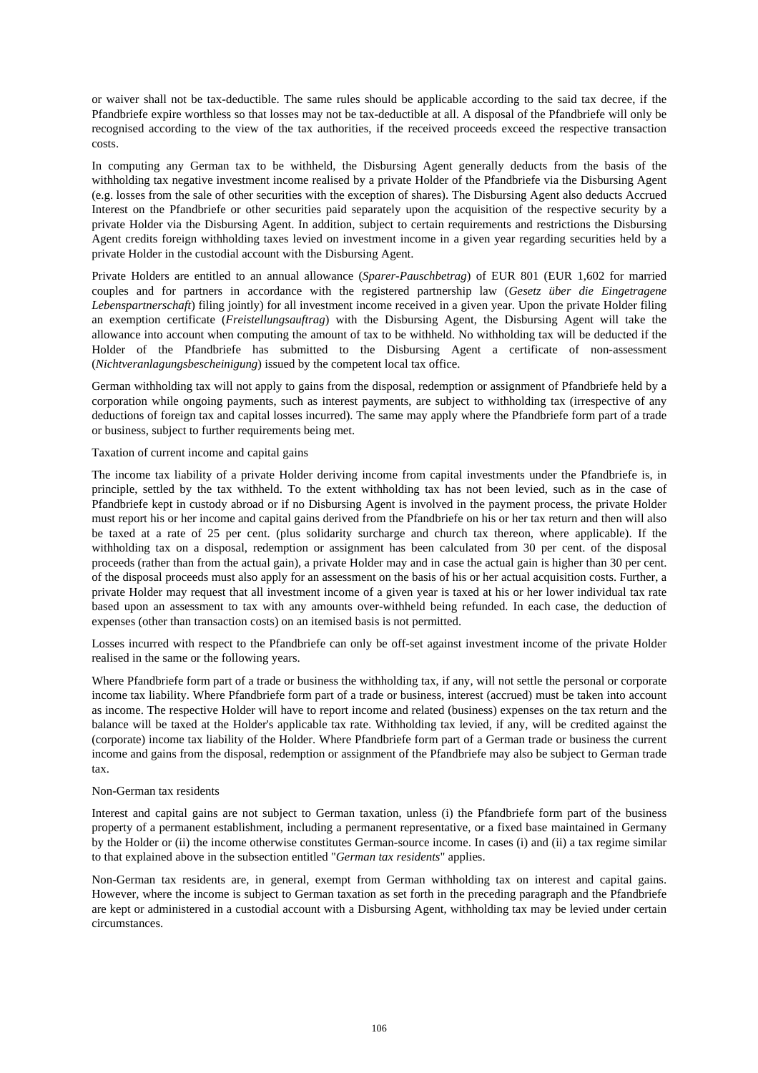or waiver shall not be tax-deductible. The same rules should be applicable according to the said tax decree, if the Pfandbriefe expire worthless so that losses may not be tax-deductible at all. A disposal of the Pfandbriefe will only be recognised according to the view of the tax authorities, if the received proceeds exceed the respective transaction costs.

In computing any German tax to be withheld, the Disbursing Agent generally deducts from the basis of the withholding tax negative investment income realised by a private Holder of the Pfandbriefe via the Disbursing Agent (e.g. losses from the sale of other securities with the exception of shares). The Disbursing Agent also deducts Accrued Interest on the Pfandbriefe or other securities paid separately upon the acquisition of the respective security by a private Holder via the Disbursing Agent. In addition, subject to certain requirements and restrictions the Disbursing Agent credits foreign withholding taxes levied on investment income in a given year regarding securities held by a private Holder in the custodial account with the Disbursing Agent.

Private Holders are entitled to an annual allowance (*Sparer-Pauschbetrag*) of EUR 801 (EUR 1,602 for married couples and for partners in accordance with the registered partnership law (*Gesetz über die Eingetragene Lebenspartnerschaft*) filing jointly) for all investment income received in a given year. Upon the private Holder filing an exemption certificate (*Freistellungsauftrag*) with the Disbursing Agent, the Disbursing Agent will take the allowance into account when computing the amount of tax to be withheld. No withholding tax will be deducted if the Holder of the Pfandbriefe has submitted to the Disbursing Agent a certificate of non-assessment (*Nichtveranlagungsbescheinigung*) issued by the competent local tax office.

German withholding tax will not apply to gains from the disposal, redemption or assignment of Pfandbriefe held by a corporation while ongoing payments, such as interest payments, are subject to withholding tax (irrespective of any deductions of foreign tax and capital losses incurred). The same may apply where the Pfandbriefe form part of a trade or business, subject to further requirements being met.

## Taxation of current income and capital gains

The income tax liability of a private Holder deriving income from capital investments under the Pfandbriefe is, in principle, settled by the tax withheld. To the extent withholding tax has not been levied, such as in the case of Pfandbriefe kept in custody abroad or if no Disbursing Agent is involved in the payment process, the private Holder must report his or her income and capital gains derived from the Pfandbriefe on his or her tax return and then will also be taxed at a rate of 25 per cent. (plus solidarity surcharge and church tax thereon, where applicable). If the withholding tax on a disposal, redemption or assignment has been calculated from 30 per cent. of the disposal proceeds (rather than from the actual gain), a private Holder may and in case the actual gain is higher than 30 per cent. of the disposal proceeds must also apply for an assessment on the basis of his or her actual acquisition costs. Further, a private Holder may request that all investment income of a given year is taxed at his or her lower individual tax rate based upon an assessment to tax with any amounts over-withheld being refunded. In each case, the deduction of expenses (other than transaction costs) on an itemised basis is not permitted.

Losses incurred with respect to the Pfandbriefe can only be off-set against investment income of the private Holder realised in the same or the following years.

Where Pfandbriefe form part of a trade or business the withholding tax, if any, will not settle the personal or corporate income tax liability. Where Pfandbriefe form part of a trade or business, interest (accrued) must be taken into account as income. The respective Holder will have to report income and related (business) expenses on the tax return and the balance will be taxed at the Holder's applicable tax rate. Withholding tax levied, if any, will be credited against the (corporate) income tax liability of the Holder. Where Pfandbriefe form part of a German trade or business the current income and gains from the disposal, redemption or assignment of the Pfandbriefe may also be subject to German trade tax.

# Non-German tax residents

Interest and capital gains are not subject to German taxation, unless (i) the Pfandbriefe form part of the business property of a permanent establishment, including a permanent representative, or a fixed base maintained in Germany by the Holder or (ii) the income otherwise constitutes German-source income. In cases (i) and (ii) a tax regime similar to that explained above in the subsection entitled "*German tax residents*" applies.

Non-German tax residents are, in general, exempt from German withholding tax on interest and capital gains. However, where the income is subject to German taxation as set forth in the preceding paragraph and the Pfandbriefe are kept or administered in a custodial account with a Disbursing Agent, withholding tax may be levied under certain circumstances.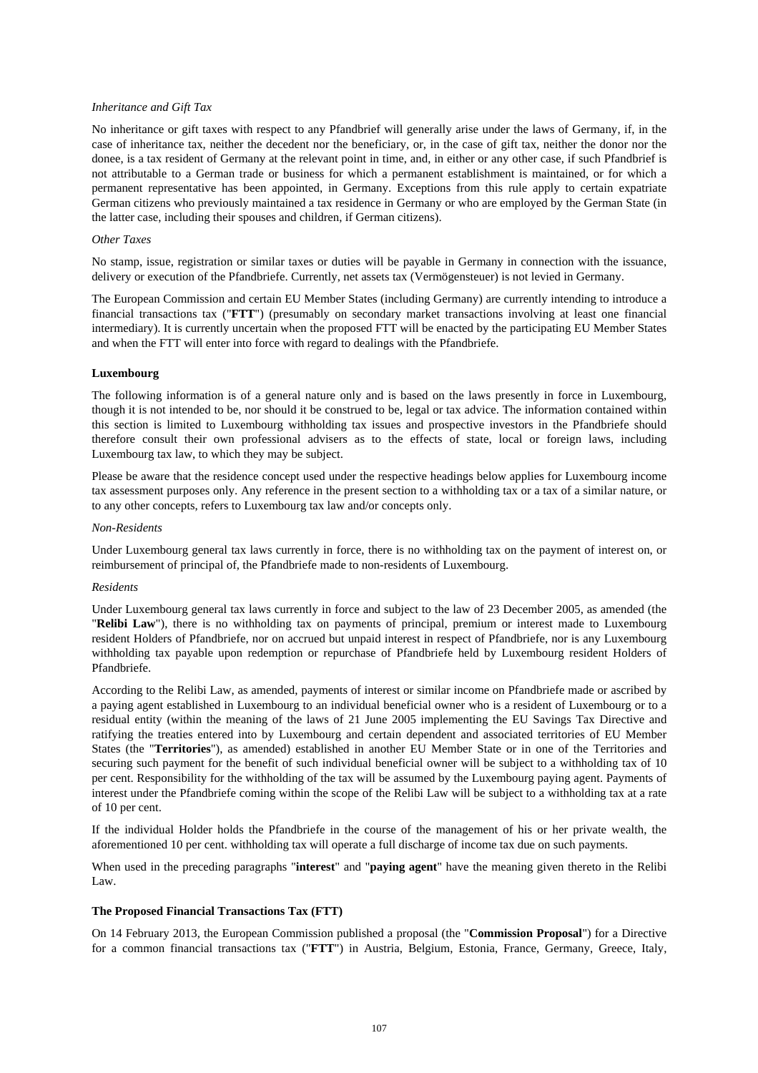### *Inheritance and Gift Tax*

No inheritance or gift taxes with respect to any Pfandbrief will generally arise under the laws of Germany, if, in the case of inheritance tax, neither the decedent nor the beneficiary, or, in the case of gift tax, neither the donor nor the donee, is a tax resident of Germany at the relevant point in time, and, in either or any other case, if such Pfandbrief is not attributable to a German trade or business for which a permanent establishment is maintained, or for which a permanent representative has been appointed, in Germany. Exceptions from this rule apply to certain expatriate German citizens who previously maintained a tax residence in Germany or who are employed by the German State (in the latter case, including their spouses and children, if German citizens).

#### *Other Taxes*

No stamp, issue, registration or similar taxes or duties will be payable in Germany in connection with the issuance, delivery or execution of the Pfandbriefe. Currently, net assets tax (Vermögensteuer) is not levied in Germany.

The European Commission and certain EU Member States (including Germany) are currently intending to introduce a financial transactions tax ("**FTT**") (presumably on secondary market transactions involving at least one financial intermediary). It is currently uncertain when the proposed FTT will be enacted by the participating EU Member States and when the FTT will enter into force with regard to dealings with the Pfandbriefe.

#### **Luxembourg**

The following information is of a general nature only and is based on the laws presently in force in Luxembourg, though it is not intended to be, nor should it be construed to be, legal or tax advice. The information contained within this section is limited to Luxembourg withholding tax issues and prospective investors in the Pfandbriefe should therefore consult their own professional advisers as to the effects of state, local or foreign laws, including Luxembourg tax law, to which they may be subject.

Please be aware that the residence concept used under the respective headings below applies for Luxembourg income tax assessment purposes only. Any reference in the present section to a withholding tax or a tax of a similar nature, or to any other concepts, refers to Luxembourg tax law and/or concepts only.

#### *Non-Residents*

Under Luxembourg general tax laws currently in force, there is no withholding tax on the payment of interest on, or reimbursement of principal of, the Pfandbriefe made to non-residents of Luxembourg.

#### *Residents*

Under Luxembourg general tax laws currently in force and subject to the law of 23 December 2005, as amended (the "**Relibi Law**"), there is no withholding tax on payments of principal, premium or interest made to Luxembourg resident Holders of Pfandbriefe, nor on accrued but unpaid interest in respect of Pfandbriefe, nor is any Luxembourg withholding tax payable upon redemption or repurchase of Pfandbriefe held by Luxembourg resident Holders of Pfandbriefe.

According to the Relibi Law, as amended, payments of interest or similar income on Pfandbriefe made or ascribed by a paying agent established in Luxembourg to an individual beneficial owner who is a resident of Luxembourg or to a residual entity (within the meaning of the laws of 21 June 2005 implementing the EU Savings Tax Directive and ratifying the treaties entered into by Luxembourg and certain dependent and associated territories of EU Member States (the "**Territories**"), as amended) established in another EU Member State or in one of the Territories and securing such payment for the benefit of such individual beneficial owner will be subject to a withholding tax of 10 per cent. Responsibility for the withholding of the tax will be assumed by the Luxembourg paying agent. Payments of interest under the Pfandbriefe coming within the scope of the Relibi Law will be subject to a withholding tax at a rate of 10 per cent.

If the individual Holder holds the Pfandbriefe in the course of the management of his or her private wealth, the aforementioned 10 per cent. withholding tax will operate a full discharge of income tax due on such payments.

When used in the preceding paragraphs "**interest**" and "**paying agent**" have the meaning given thereto in the Relibi Law.

#### **The Proposed Financial Transactions Tax (FTT)**

On 14 February 2013, the European Commission published a proposal (the "**Commission Proposal**") for a Directive for a common financial transactions tax ("**FTT**") in Austria, Belgium, Estonia, France, Germany, Greece, Italy,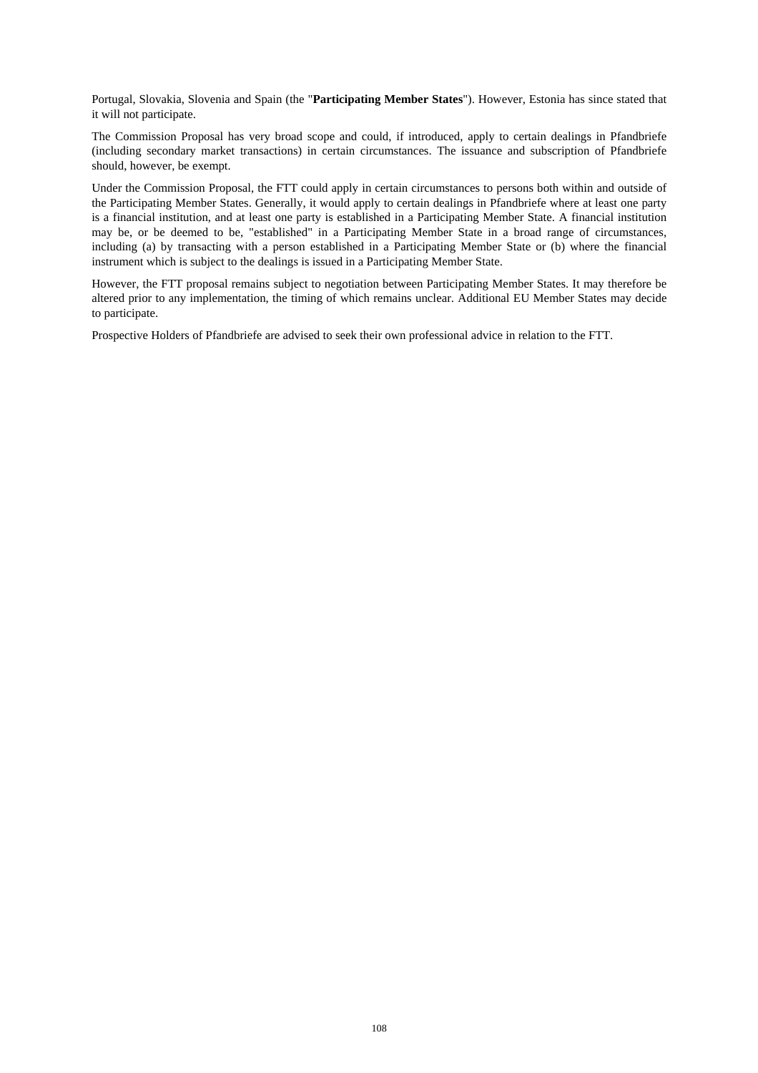Portugal, Slovakia, Slovenia and Spain (the "**Participating Member States**"). However, Estonia has since stated that it will not participate.

The Commission Proposal has very broad scope and could, if introduced, apply to certain dealings in Pfandbriefe (including secondary market transactions) in certain circumstances. The issuance and subscription of Pfandbriefe should, however, be exempt.

Under the Commission Proposal, the FTT could apply in certain circumstances to persons both within and outside of the Participating Member States. Generally, it would apply to certain dealings in Pfandbriefe where at least one party is a financial institution, and at least one party is established in a Participating Member State. A financial institution may be, or be deemed to be, "established" in a Participating Member State in a broad range of circumstances, including (a) by transacting with a person established in a Participating Member State or (b) where the financial instrument which is subject to the dealings is issued in a Participating Member State.

However, the FTT proposal remains subject to negotiation between Participating Member States. It may therefore be altered prior to any implementation, the timing of which remains unclear. Additional EU Member States may decide to participate.

Prospective Holders of Pfandbriefe are advised to seek their own professional advice in relation to the FTT.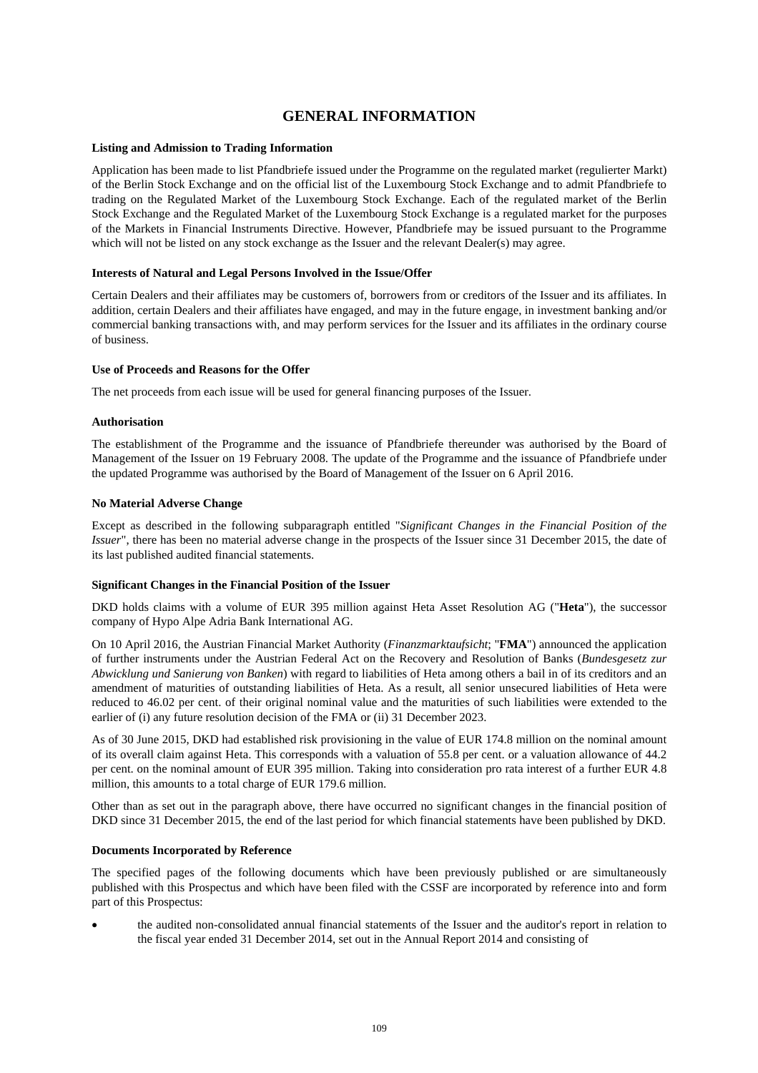# **GENERAL INFORMATION**

## **Listing and Admission to Trading Information**

Application has been made to list Pfandbriefe issued under the Programme on the regulated market (regulierter Markt) of the Berlin Stock Exchange and on the official list of the Luxembourg Stock Exchange and to admit Pfandbriefe to trading on the Regulated Market of the Luxembourg Stock Exchange. Each of the regulated market of the Berlin Stock Exchange and the Regulated Market of the Luxembourg Stock Exchange is a regulated market for the purposes of the Markets in Financial Instruments Directive. However, Pfandbriefe may be issued pursuant to the Programme which will not be listed on any stock exchange as the Issuer and the relevant Dealer(s) may agree.

#### **Interests of Natural and Legal Persons Involved in the Issue/Offer**

Certain Dealers and their affiliates may be customers of, borrowers from or creditors of the Issuer and its affiliates. In addition, certain Dealers and their affiliates have engaged, and may in the future engage, in investment banking and/or commercial banking transactions with, and may perform services for the Issuer and its affiliates in the ordinary course of business.

## **Use of Proceeds and Reasons for the Offer**

The net proceeds from each issue will be used for general financing purposes of the Issuer.

## **Authorisation**

The establishment of the Programme and the issuance of Pfandbriefe thereunder was authorised by the Board of Management of the Issuer on 19 February 2008. The update of the Programme and the issuance of Pfandbriefe under the updated Programme was authorised by the Board of Management of the Issuer on 6 April 2016.

## **No Material Adverse Change**

Except as described in the following subparagraph entitled "*Significant Changes in the Financial Position of the Issuer*", there has been no material adverse change in the prospects of the Issuer since 31 December 2015, the date of its last published audited financial statements.

#### **Significant Changes in the Financial Position of the Issuer**

DKD holds claims with a volume of EUR 395 million against Heta Asset Resolution AG ("**Heta**"), the successor company of Hypo Alpe Adria Bank International AG.

On 10 April 2016, the Austrian Financial Market Authority (*Finanzmarktaufsicht*; "**FMA**") announced the application of further instruments under the Austrian Federal Act on the Recovery and Resolution of Banks (*Bundesgesetz zur Abwicklung und Sanierung von Banken*) with regard to liabilities of Heta among others a bail in of its creditors and an amendment of maturities of outstanding liabilities of Heta. As a result, all senior unsecured liabilities of Heta were reduced to 46.02 per cent. of their original nominal value and the maturities of such liabilities were extended to the earlier of (i) any future resolution decision of the FMA or (ii) 31 December 2023.

As of 30 June 2015, DKD had established risk provisioning in the value of EUR 174.8 million on the nominal amount of its overall claim against Heta. This corresponds with a valuation of 55.8 per cent. or a valuation allowance of 44.2 per cent. on the nominal amount of EUR 395 million. Taking into consideration pro rata interest of a further EUR 4.8 million, this amounts to a total charge of EUR 179.6 million.

Other than as set out in the paragraph above, there have occurred no significant changes in the financial position of DKD since 31 December 2015, the end of the last period for which financial statements have been published by DKD.

#### **Documents Incorporated by Reference**

The specified pages of the following documents which have been previously published or are simultaneously published with this Prospectus and which have been filed with the CSSF are incorporated by reference into and form part of this Prospectus:

 the audited non-consolidated annual financial statements of the Issuer and the auditor's report in relation to the fiscal year ended 31 December 2014, set out in the Annual Report 2014 and consisting of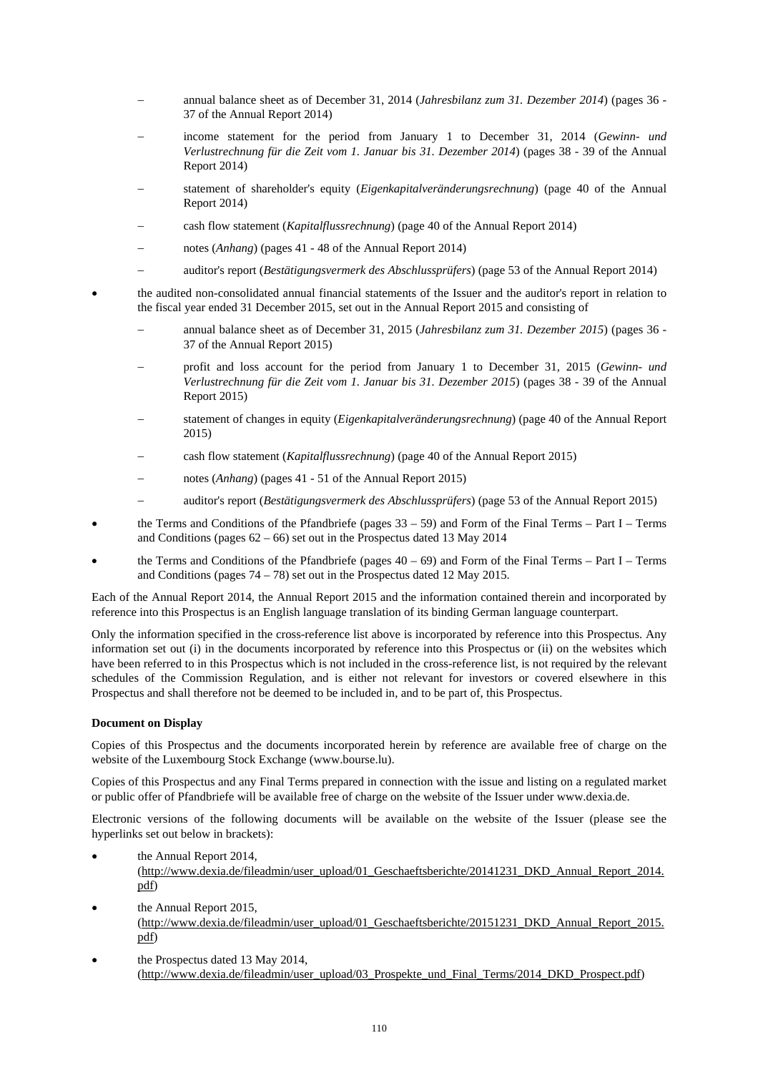- annual balance sheet as of December 31, 2014 (*Jahresbilanz zum 31. Dezember 2014*) (pages 36 37 of the Annual Report 2014)
- income statement for the period from January 1 to December 31, 2014 (*Gewinn- und Verlustrechnung für die Zeit vom 1. Januar bis 31. Dezember 2014*) (pages 38 - 39 of the Annual Report 2014)
- statement of shareholder's equity (*Eigenkapitalveränderungsrechnung*) (page 40 of the Annual Report 2014)
- cash flow statement (*Kapitalflussrechnung*) (page 40 of the Annual Report 2014)
- notes (*Anhang*) (pages 41 48 of the Annual Report 2014)
- auditor's report (*Bestätigungsvermerk des Abschlussprüfers*) (page 53 of the Annual Report 2014)
- the audited non-consolidated annual financial statements of the Issuer and the auditor's report in relation to the fiscal year ended 31 December 2015, set out in the Annual Report 2015 and consisting of
	- annual balance sheet as of December 31, 2015 (*Jahresbilanz zum 31. Dezember 2015*) (pages 36 37 of the Annual Report 2015)
	- profit and loss account for the period from January 1 to December 31, 2015 (*Gewinn- und Verlustrechnung für die Zeit vom 1. Januar bis 31. Dezember 2015*) (pages 38 - 39 of the Annual Report 2015)
	- statement of changes in equity (*Eigenkapitalveränderungsrechnung*) (page 40 of the Annual Report 2015)
	- cash flow statement (*Kapitalflussrechnung*) (page 40 of the Annual Report 2015)
	- notes (*Anhang*) (pages 41 51 of the Annual Report 2015)
	- auditor's report (*Bestätigungsvermerk des Abschlussprüfers*) (page 53 of the Annual Report 2015)
- the Terms and Conditions of the Pfandbriefe (pages 33 59) and Form of the Final Terms Part I Terms and Conditions (pages  $62 - 66$ ) set out in the Prospectus dated 13 May 2014
- the Terms and Conditions of the Pfandbriefe (pages 40 69) and Form of the Final Terms Part I Terms and Conditions (pages 74 – 78) set out in the Prospectus dated 12 May 2015.

Each of the Annual Report 2014, the Annual Report 2015 and the information contained therein and incorporated by reference into this Prospectus is an English language translation of its binding German language counterpart.

Only the information specified in the cross-reference list above is incorporated by reference into this Prospectus. Any information set out (i) in the documents incorporated by reference into this Prospectus or (ii) on the websites which have been referred to in this Prospectus which is not included in the cross-reference list, is not required by the relevant schedules of the Commission Regulation, and is either not relevant for investors or covered elsewhere in this Prospectus and shall therefore not be deemed to be included in, and to be part of, this Prospectus.

# **Document on Display**

Copies of this Prospectus and the documents incorporated herein by reference are available free of charge on the website of the Luxembourg Stock Exchange (www.bourse.lu).

Copies of this Prospectus and any Final Terms prepared in connection with the issue and listing on a regulated market or public offer of Pfandbriefe will be available free of charge on the website of the Issuer under www.dexia.de.

Electronic versions of the following documents will be available on the website of the Issuer (please see the hyperlinks set out below in brackets):

the Annual Report 2014,

(http://www.dexia.de/fileadmin/user\_upload/01\_Geschaeftsberichte/20141231\_DKD\_Annual\_Report\_2014. pdf)

- the Annual Report 2015, (http://www.dexia.de/fileadmin/user\_upload/01\_Geschaeftsberichte/20151231\_DKD\_Annual\_Report\_2015. pdf)
- the Prospectus dated 13 May 2014, (http://www.dexia.de/fileadmin/user\_upload/03\_Prospekte\_und\_Final\_Terms/2014\_DKD\_Prospect.pdf)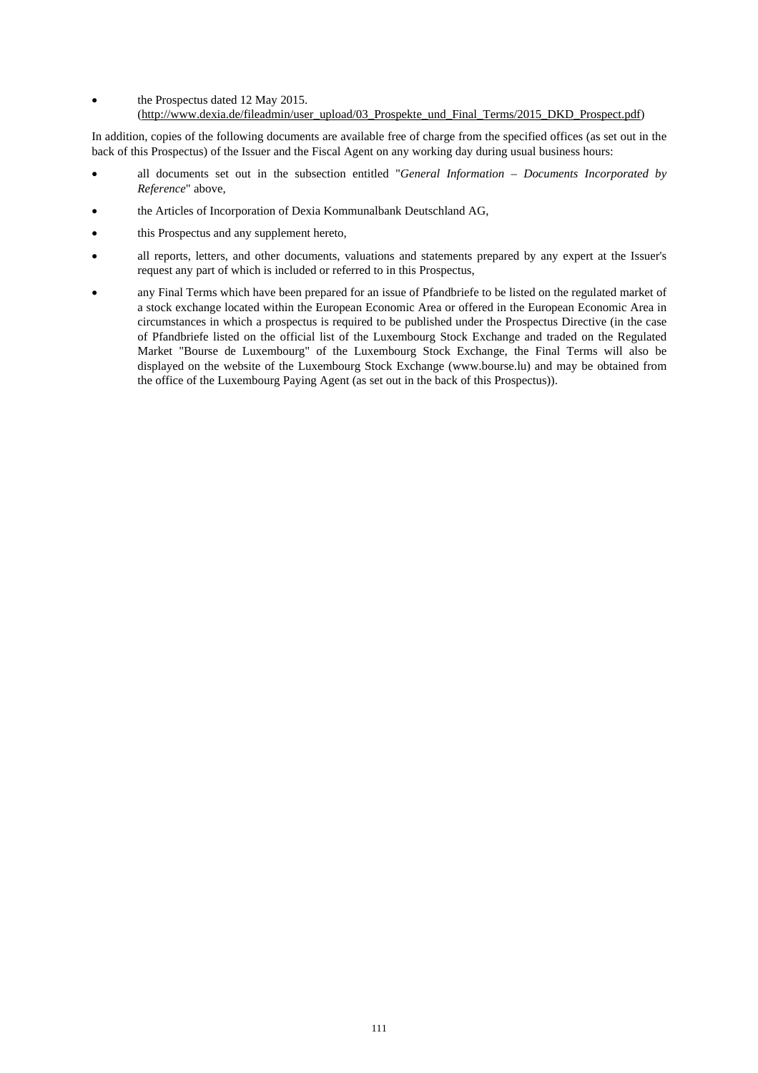- the Prospectus dated 12 May 2015.
	- (http://www.dexia.de/fileadmin/user\_upload/03\_Prospekte\_und\_Final\_Terms/2015\_DKD\_Prospect.pdf)

In addition, copies of the following documents are available free of charge from the specified offices (as set out in the back of this Prospectus) of the Issuer and the Fiscal Agent on any working day during usual business hours:

- all documents set out in the subsection entitled "*General Information Documents Incorporated by Reference*" above,
- the Articles of Incorporation of Dexia Kommunalbank Deutschland AG,
- this Prospectus and any supplement hereto,
- all reports, letters, and other documents, valuations and statements prepared by any expert at the Issuer's request any part of which is included or referred to in this Prospectus,
- any Final Terms which have been prepared for an issue of Pfandbriefe to be listed on the regulated market of a stock exchange located within the European Economic Area or offered in the European Economic Area in circumstances in which a prospectus is required to be published under the Prospectus Directive (in the case of Pfandbriefe listed on the official list of the Luxembourg Stock Exchange and traded on the Regulated Market "Bourse de Luxembourg" of the Luxembourg Stock Exchange, the Final Terms will also be displayed on the website of the Luxembourg Stock Exchange (www.bourse.lu) and may be obtained from the office of the Luxembourg Paying Agent (as set out in the back of this Prospectus)).